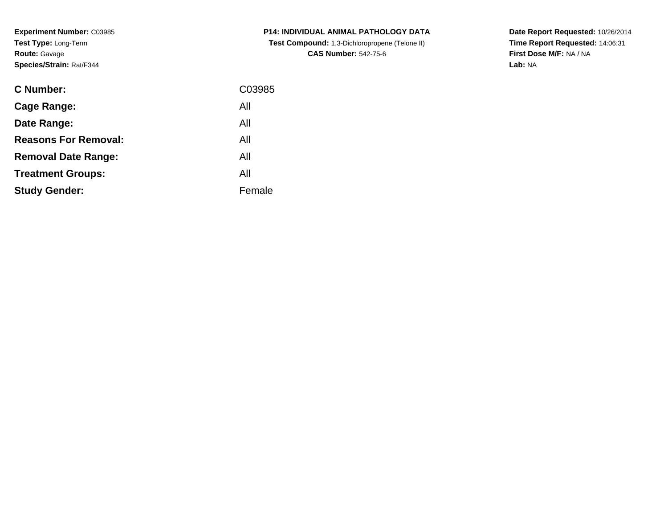**Experiment Number:** C03985**Test Type:** Long-Term**Route:** Gavage**Species/Strain:** Rat/F344

| <b>C Number:</b>            | C03985 |
|-----------------------------|--------|
| <b>Cage Range:</b>          | All    |
| Date Range:                 | All    |
| <b>Reasons For Removal:</b> | All    |
| <b>Removal Date Range:</b>  | All    |
| <b>Treatment Groups:</b>    | All    |
| <b>Study Gender:</b>        | Female |
|                             |        |

**P14: INDIVIDUAL ANIMAL PATHOLOGY DATA Test Compound:** 1,3-Dichloropropene (Telone II)**CAS Number:** 542-75-6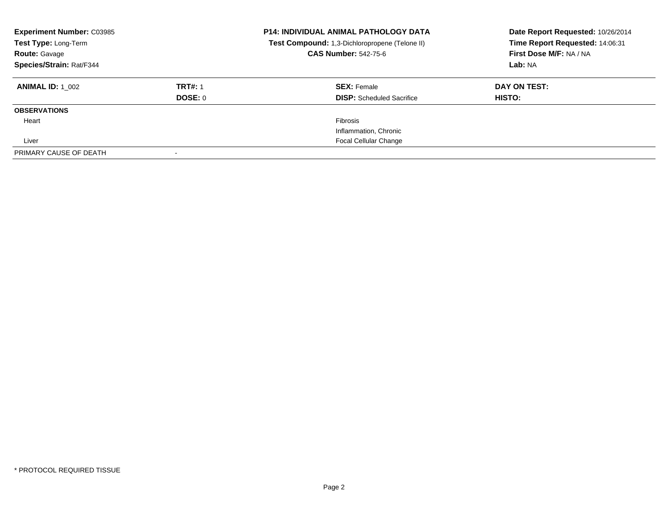| <b>Experiment Number: C03985</b><br>Test Type: Long-Term<br><b>Route: Gavage</b><br>Species/Strain: Rat/F344 |                                  | <b>P14: INDIVIDUAL ANIMAL PATHOLOGY DATA</b><br>Test Compound: 1,3-Dichloropropene (Telone II)<br><b>CAS Number: 542-75-6</b> | Date Report Requested: 10/26/2014<br>Time Report Requested: 14:06:31<br>First Dose M/F: NA / NA<br>Lab: NA |
|--------------------------------------------------------------------------------------------------------------|----------------------------------|-------------------------------------------------------------------------------------------------------------------------------|------------------------------------------------------------------------------------------------------------|
| <b>ANIMAL ID: 1 002</b>                                                                                      | <b>TRT#: 1</b><br><b>DOSE: 0</b> | <b>SEX: Female</b><br><b>DISP:</b> Scheduled Sacrifice                                                                        | DAY ON TEST:<br>HISTO:                                                                                     |
| <b>OBSERVATIONS</b>                                                                                          |                                  |                                                                                                                               |                                                                                                            |
| Heart                                                                                                        |                                  | <b>Fibrosis</b>                                                                                                               |                                                                                                            |
|                                                                                                              |                                  | Inflammation, Chronic                                                                                                         |                                                                                                            |
| Liver                                                                                                        |                                  | <b>Focal Cellular Change</b>                                                                                                  |                                                                                                            |
| PRIMARY CAUSE OF DEATH                                                                                       |                                  |                                                                                                                               |                                                                                                            |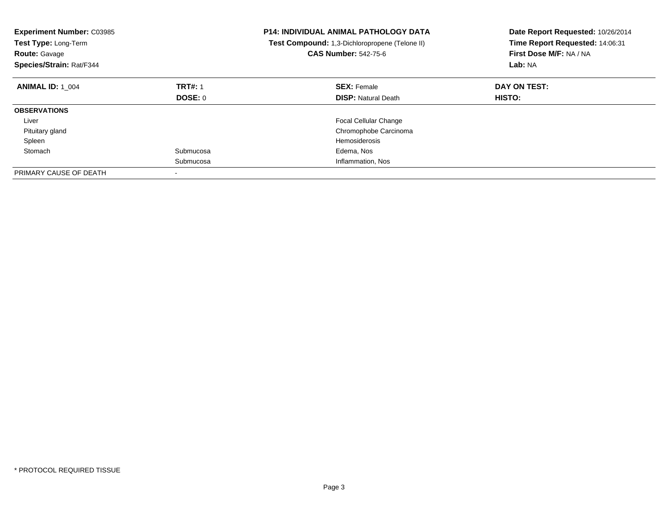| <b>Experiment Number: C03985</b><br>Test Type: Long-Term<br><b>Route: Gavage</b><br><b>Species/Strain: Rat/F344</b> |                | <b>P14: INDIVIDUAL ANIMAL PATHOLOGY DATA</b><br>Test Compound: 1,3-Dichloropropene (Telone II)<br><b>CAS Number: 542-75-6</b> | Date Report Requested: 10/26/2014<br>Time Report Requested: 14:06:31<br>First Dose M/F: NA / NA<br>Lab: NA |
|---------------------------------------------------------------------------------------------------------------------|----------------|-------------------------------------------------------------------------------------------------------------------------------|------------------------------------------------------------------------------------------------------------|
| <b>ANIMAL ID: 1 004</b>                                                                                             | <b>TRT#: 1</b> | <b>SEX: Female</b>                                                                                                            | DAY ON TEST:                                                                                               |
|                                                                                                                     | DOSE: 0        | <b>DISP:</b> Natural Death                                                                                                    | HISTO:                                                                                                     |
| <b>OBSERVATIONS</b>                                                                                                 |                |                                                                                                                               |                                                                                                            |
| Liver                                                                                                               |                | <b>Focal Cellular Change</b>                                                                                                  |                                                                                                            |
| Pituitary gland                                                                                                     |                | Chromophobe Carcinoma                                                                                                         |                                                                                                            |
| Spleen                                                                                                              |                | <b>Hemosiderosis</b>                                                                                                          |                                                                                                            |
| Stomach                                                                                                             | Submucosa      | Edema, Nos                                                                                                                    |                                                                                                            |
|                                                                                                                     | Submucosa      | Inflammation, Nos                                                                                                             |                                                                                                            |
| PRIMARY CAUSE OF DEATH                                                                                              |                |                                                                                                                               |                                                                                                            |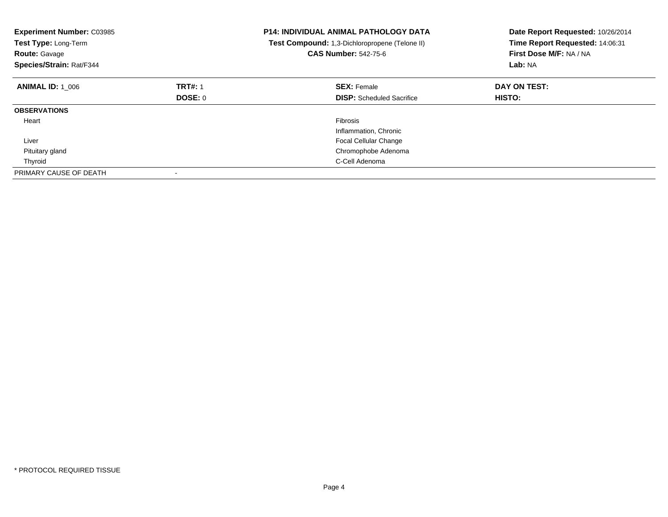| <b>Experiment Number: C03985</b><br>Test Type: Long-Term<br><b>Route: Gavage</b><br>Species/Strain: Rat/F344 |                | <b>P14: INDIVIDUAL ANIMAL PATHOLOGY DATA</b><br>Test Compound: 1,3-Dichloropropene (Telone II)<br><b>CAS Number: 542-75-6</b> | Date Report Requested: 10/26/2014<br>Time Report Requested: 14:06:31<br>First Dose M/F: NA / NA<br>Lab: NA |
|--------------------------------------------------------------------------------------------------------------|----------------|-------------------------------------------------------------------------------------------------------------------------------|------------------------------------------------------------------------------------------------------------|
| <b>ANIMAL ID: 1 006</b>                                                                                      | <b>TRT#: 1</b> | <b>SEX: Female</b>                                                                                                            | DAY ON TEST:                                                                                               |
|                                                                                                              | DOSE: 0        | <b>DISP:</b> Scheduled Sacrifice                                                                                              | <b>HISTO:</b>                                                                                              |
| <b>OBSERVATIONS</b>                                                                                          |                |                                                                                                                               |                                                                                                            |
| Heart                                                                                                        |                | <b>Fibrosis</b>                                                                                                               |                                                                                                            |
|                                                                                                              |                | Inflammation, Chronic                                                                                                         |                                                                                                            |
| Liver                                                                                                        |                | <b>Focal Cellular Change</b>                                                                                                  |                                                                                                            |
| Pituitary gland                                                                                              |                | Chromophobe Adenoma                                                                                                           |                                                                                                            |
| Thyroid                                                                                                      |                | C-Cell Adenoma                                                                                                                |                                                                                                            |
| PRIMARY CAUSE OF DEATH                                                                                       |                |                                                                                                                               |                                                                                                            |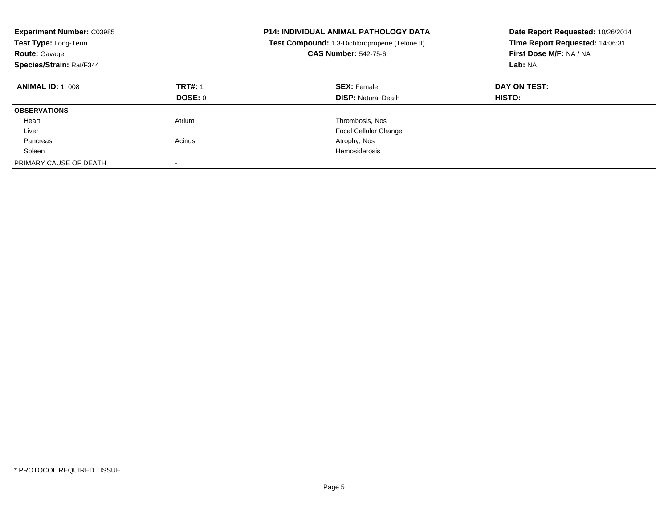| <b>Experiment Number: C03985</b><br>Test Type: Long-Term<br><b>Route: Gavage</b><br>Species/Strain: Rat/F344 |                           | <b>P14: INDIVIDUAL ANIMAL PATHOLOGY DATA</b><br>Test Compound: 1,3-Dichloropropene (Telone II)<br><b>CAS Number: 542-75-6</b> | Date Report Requested: 10/26/2014<br>Time Report Requested: 14:06:31<br>First Dose M/F: NA / NA<br>Lab: NA |
|--------------------------------------------------------------------------------------------------------------|---------------------------|-------------------------------------------------------------------------------------------------------------------------------|------------------------------------------------------------------------------------------------------------|
| <b>ANIMAL ID: 1 008</b>                                                                                      | <b>TRT#: 1</b><br>DOSE: 0 | <b>SEX: Female</b><br><b>DISP:</b> Natural Death                                                                              | DAY ON TEST:<br><b>HISTO:</b>                                                                              |
| <b>OBSERVATIONS</b>                                                                                          |                           |                                                                                                                               |                                                                                                            |
| Heart                                                                                                        | Atrium                    | Thrombosis, Nos                                                                                                               |                                                                                                            |
| Liver                                                                                                        |                           | <b>Focal Cellular Change</b>                                                                                                  |                                                                                                            |
| Pancreas                                                                                                     | Acinus                    | Atrophy, Nos                                                                                                                  |                                                                                                            |
| Spleen                                                                                                       |                           | Hemosiderosis                                                                                                                 |                                                                                                            |
| PRIMARY CAUSE OF DEATH                                                                                       |                           |                                                                                                                               |                                                                                                            |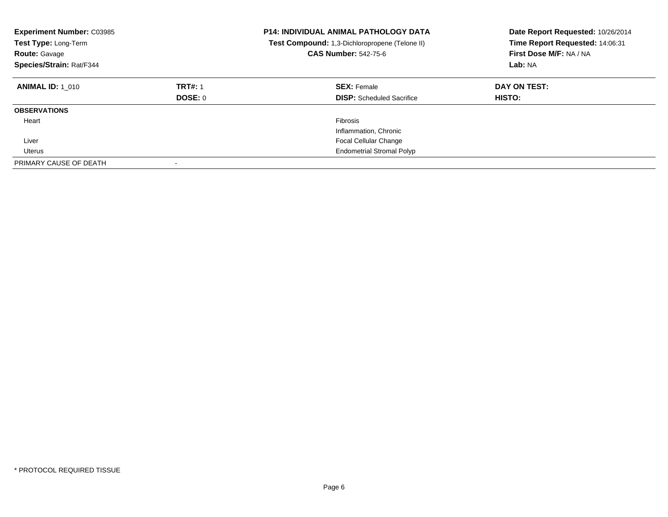| <b>Experiment Number: C03985</b><br>Test Type: Long-Term<br><b>Route: Gavage</b><br>Species/Strain: Rat/F344 |                           | <b>P14: INDIVIDUAL ANIMAL PATHOLOGY DATA</b><br>Test Compound: 1,3-Dichloropropene (Telone II)<br><b>CAS Number: 542-75-6</b> | Date Report Requested: 10/26/2014<br>Time Report Requested: 14:06:31<br>First Dose M/F: NA / NA<br>Lab: NA |
|--------------------------------------------------------------------------------------------------------------|---------------------------|-------------------------------------------------------------------------------------------------------------------------------|------------------------------------------------------------------------------------------------------------|
| <b>ANIMAL ID: 1 010</b>                                                                                      | <b>TRT#: 1</b><br>DOSE: 0 | <b>SEX: Female</b><br><b>DISP:</b> Scheduled Sacrifice                                                                        | DAY ON TEST:<br>HISTO:                                                                                     |
| <b>OBSERVATIONS</b>                                                                                          |                           |                                                                                                                               |                                                                                                            |
| Heart                                                                                                        |                           | Fibrosis<br>Inflammation, Chronic                                                                                             |                                                                                                            |
| Liver                                                                                                        |                           | <b>Focal Cellular Change</b>                                                                                                  |                                                                                                            |
| Uterus<br>PRIMARY CAUSE OF DEATH                                                                             |                           | <b>Endometrial Stromal Polyp</b>                                                                                              |                                                                                                            |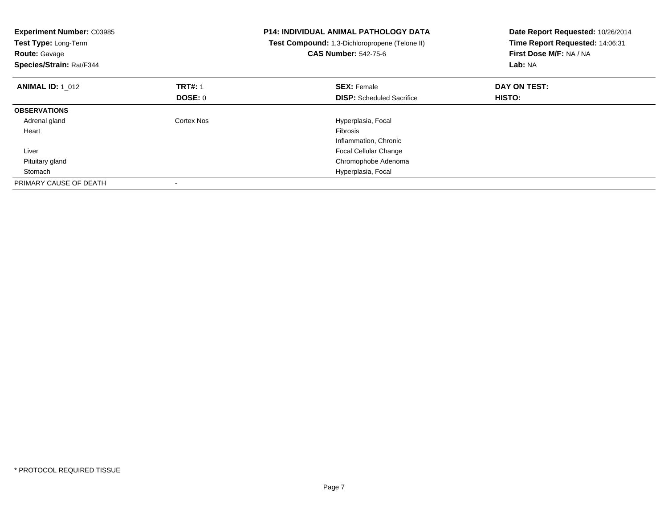| <b>Experiment Number: C03985</b><br>Test Type: Long-Term<br><b>Route: Gavage</b><br>Species/Strain: Rat/F344 |                | <b>P14: INDIVIDUAL ANIMAL PATHOLOGY DATA</b><br>Test Compound: 1,3-Dichloropropene (Telone II)<br><b>CAS Number: 542-75-6</b> | Date Report Requested: 10/26/2014<br>Time Report Requested: 14:06:31<br>First Dose M/F: NA / NA<br>Lab: NA |
|--------------------------------------------------------------------------------------------------------------|----------------|-------------------------------------------------------------------------------------------------------------------------------|------------------------------------------------------------------------------------------------------------|
| <b>ANIMAL ID: 1 012</b>                                                                                      | <b>TRT#: 1</b> | <b>SEX: Female</b>                                                                                                            | DAY ON TEST:                                                                                               |
|                                                                                                              | <b>DOSE: 0</b> | <b>DISP:</b> Scheduled Sacrifice                                                                                              | <b>HISTO:</b>                                                                                              |
| <b>OBSERVATIONS</b>                                                                                          |                |                                                                                                                               |                                                                                                            |
| Adrenal gland                                                                                                | Cortex Nos     | Hyperplasia, Focal                                                                                                            |                                                                                                            |
| Heart                                                                                                        |                | Fibrosis                                                                                                                      |                                                                                                            |
|                                                                                                              |                | Inflammation, Chronic                                                                                                         |                                                                                                            |
| Liver                                                                                                        |                | <b>Focal Cellular Change</b>                                                                                                  |                                                                                                            |
| Pituitary gland                                                                                              |                | Chromophobe Adenoma                                                                                                           |                                                                                                            |
| Stomach                                                                                                      |                | Hyperplasia, Focal                                                                                                            |                                                                                                            |
| PRIMARY CAUSE OF DEATH                                                                                       |                |                                                                                                                               |                                                                                                            |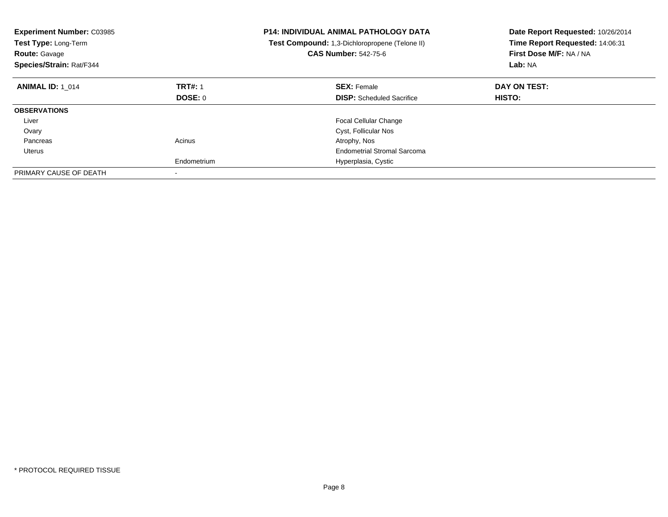| <b>Experiment Number: C03985</b><br>Test Type: Long-Term<br><b>Route: Gavage</b><br>Species/Strain: Rat/F344 |                | <b>P14: INDIVIDUAL ANIMAL PATHOLOGY DATA</b><br>Test Compound: 1,3-Dichloropropene (Telone II)<br><b>CAS Number: 542-75-6</b> | Date Report Requested: 10/26/2014<br>Time Report Requested: 14:06:31<br>First Dose M/F: NA / NA<br>Lab: NA |
|--------------------------------------------------------------------------------------------------------------|----------------|-------------------------------------------------------------------------------------------------------------------------------|------------------------------------------------------------------------------------------------------------|
| <b>ANIMAL ID: 1 014</b>                                                                                      | <b>TRT#: 1</b> | <b>SEX: Female</b>                                                                                                            | DAY ON TEST:                                                                                               |
|                                                                                                              | DOSE: 0        | <b>DISP:</b> Scheduled Sacrifice                                                                                              | HISTO:                                                                                                     |
| <b>OBSERVATIONS</b>                                                                                          |                |                                                                                                                               |                                                                                                            |
| Liver                                                                                                        |                | <b>Focal Cellular Change</b>                                                                                                  |                                                                                                            |
| Ovary                                                                                                        |                | Cyst, Follicular Nos                                                                                                          |                                                                                                            |
| Pancreas                                                                                                     | Acinus         | Atrophy, Nos                                                                                                                  |                                                                                                            |
| Uterus                                                                                                       |                | <b>Endometrial Stromal Sarcoma</b>                                                                                            |                                                                                                            |
|                                                                                                              | Endometrium    | Hyperplasia, Cystic                                                                                                           |                                                                                                            |
| PRIMARY CAUSE OF DEATH                                                                                       |                |                                                                                                                               |                                                                                                            |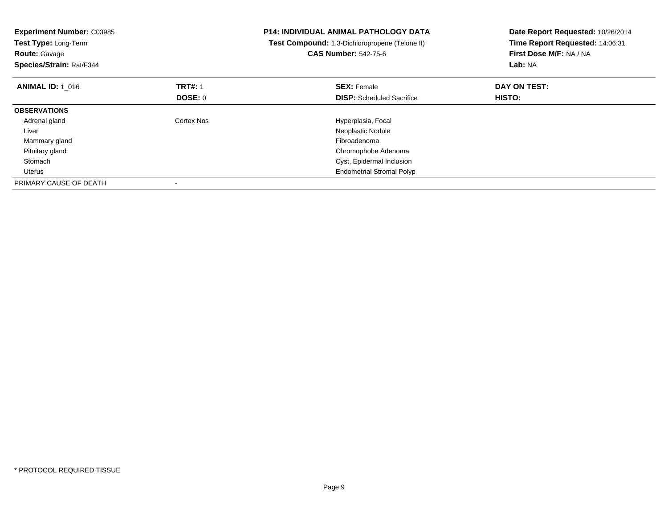| <b>Experiment Number: C03985</b><br>Test Type: Long-Term<br><b>Route: Gavage</b><br>Species/Strain: Rat/F344 |                | <b>P14: INDIVIDUAL ANIMAL PATHOLOGY DATA</b><br>Test Compound: 1,3-Dichloropropene (Telone II)<br><b>CAS Number: 542-75-6</b> | Date Report Requested: 10/26/2014<br>Time Report Requested: 14:06:31<br>First Dose M/F: NA / NA<br>Lab: NA |
|--------------------------------------------------------------------------------------------------------------|----------------|-------------------------------------------------------------------------------------------------------------------------------|------------------------------------------------------------------------------------------------------------|
| <b>ANIMAL ID: 1 016</b>                                                                                      | <b>TRT#: 1</b> | <b>SEX: Female</b>                                                                                                            | DAY ON TEST:                                                                                               |
|                                                                                                              | DOSE: 0        | <b>DISP:</b> Scheduled Sacrifice                                                                                              | HISTO:                                                                                                     |
| <b>OBSERVATIONS</b>                                                                                          |                |                                                                                                                               |                                                                                                            |
| Adrenal gland                                                                                                | Cortex Nos     | Hyperplasia, Focal                                                                                                            |                                                                                                            |
| Liver                                                                                                        |                | Neoplastic Nodule                                                                                                             |                                                                                                            |
| Mammary gland                                                                                                |                | Fibroadenoma                                                                                                                  |                                                                                                            |
| Pituitary gland                                                                                              |                | Chromophobe Adenoma                                                                                                           |                                                                                                            |
| Stomach                                                                                                      |                | Cyst, Epidermal Inclusion                                                                                                     |                                                                                                            |
| Uterus                                                                                                       |                | <b>Endometrial Stromal Polyp</b>                                                                                              |                                                                                                            |
| PRIMARY CAUSE OF DEATH                                                                                       |                |                                                                                                                               |                                                                                                            |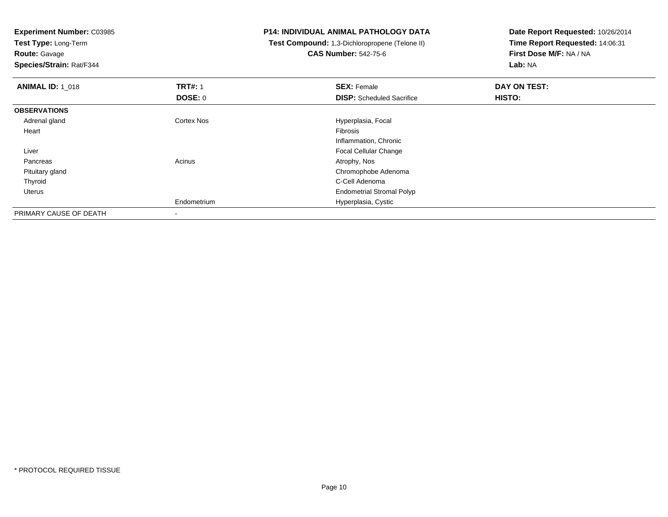**Experiment Number:** C03985

**Test Type:** Long-Term**Route:** Gavage

**Species/Strain:** Rat/F344

## **P14: INDIVIDUAL ANIMAL PATHOLOGY DATA**

 **Test Compound:** 1,3-Dichloropropene (Telone II)**CAS Number:** 542-75-6

| <b>ANIMAL ID: 1 018</b> | <b>TRT#: 1</b> | <b>SEX: Female</b>               | DAY ON TEST: |  |
|-------------------------|----------------|----------------------------------|--------------|--|
|                         | <b>DOSE: 0</b> | <b>DISP:</b> Scheduled Sacrifice | HISTO:       |  |
| <b>OBSERVATIONS</b>     |                |                                  |              |  |
| Adrenal gland           | Cortex Nos     | Hyperplasia, Focal               |              |  |
| Heart                   |                | Fibrosis                         |              |  |
|                         |                | Inflammation, Chronic            |              |  |
| Liver                   |                | <b>Focal Cellular Change</b>     |              |  |
| Pancreas                | Acinus         | Atrophy, Nos                     |              |  |
| Pituitary gland         |                | Chromophobe Adenoma              |              |  |
| Thyroid                 |                | C-Cell Adenoma                   |              |  |
| Uterus                  |                | <b>Endometrial Stromal Polyp</b> |              |  |
|                         | Endometrium    | Hyperplasia, Cystic              |              |  |
| PRIMARY CAUSE OF DEATH  | ۰              |                                  |              |  |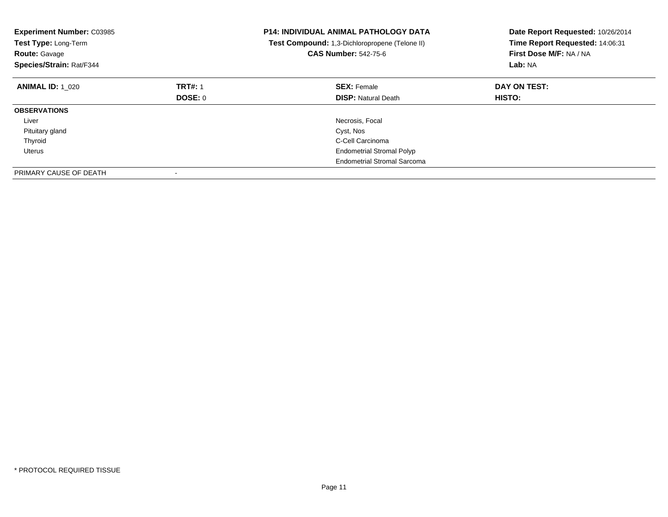| <b>Experiment Number: C03985</b><br>Test Type: Long-Term<br><b>Route: Gavage</b><br>Species/Strain: Rat/F344 |                | <b>P14: INDIVIDUAL ANIMAL PATHOLOGY DATA</b><br>Test Compound: 1,3-Dichloropropene (Telone II)<br><b>CAS Number: 542-75-6</b> | Date Report Requested: 10/26/2014<br>Time Report Requested: 14:06:31<br>First Dose M/F: NA / NA<br>Lab: NA |
|--------------------------------------------------------------------------------------------------------------|----------------|-------------------------------------------------------------------------------------------------------------------------------|------------------------------------------------------------------------------------------------------------|
| <b>ANIMAL ID: 1 020</b>                                                                                      | <b>TRT#: 1</b> | <b>SEX: Female</b>                                                                                                            | DAY ON TEST:                                                                                               |
|                                                                                                              | DOSE: 0        | <b>DISP: Natural Death</b>                                                                                                    | <b>HISTO:</b>                                                                                              |
| <b>OBSERVATIONS</b>                                                                                          |                |                                                                                                                               |                                                                                                            |
| Liver                                                                                                        |                | Necrosis, Focal                                                                                                               |                                                                                                            |
| Pituitary gland                                                                                              |                | Cyst, Nos                                                                                                                     |                                                                                                            |
| Thyroid                                                                                                      |                | C-Cell Carcinoma                                                                                                              |                                                                                                            |
| Uterus                                                                                                       |                | <b>Endometrial Stromal Polyp</b>                                                                                              |                                                                                                            |
|                                                                                                              |                | <b>Endometrial Stromal Sarcoma</b>                                                                                            |                                                                                                            |
| PRIMARY CAUSE OF DEATH                                                                                       |                |                                                                                                                               |                                                                                                            |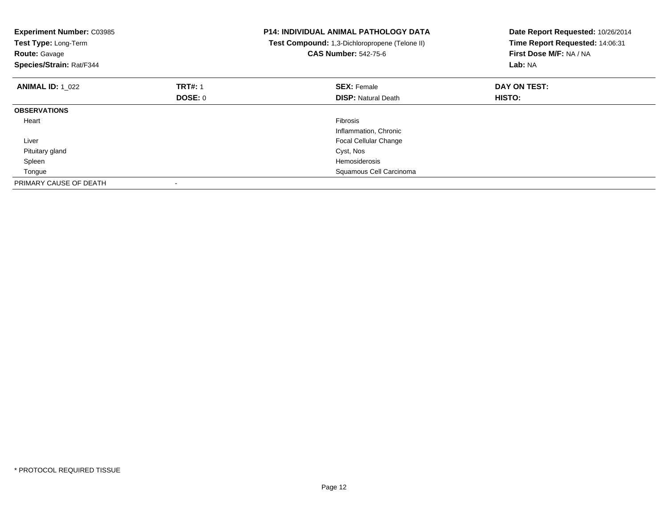| <b>Experiment Number: C03985</b><br>Test Type: Long-Term<br><b>Route: Gavage</b><br>Species/Strain: Rat/F344 |                | <b>P14: INDIVIDUAL ANIMAL PATHOLOGY DATA</b><br>Test Compound: 1,3-Dichloropropene (Telone II)<br><b>CAS Number: 542-75-6</b> | Date Report Requested: 10/26/2014<br>Time Report Requested: 14:06:31<br>First Dose M/F: NA / NA<br>Lab: NA |
|--------------------------------------------------------------------------------------------------------------|----------------|-------------------------------------------------------------------------------------------------------------------------------|------------------------------------------------------------------------------------------------------------|
| <b>ANIMAL ID: 1 022</b>                                                                                      | <b>TRT#: 1</b> | <b>SEX: Female</b>                                                                                                            | DAY ON TEST:                                                                                               |
|                                                                                                              | <b>DOSE: 0</b> | <b>DISP:</b> Natural Death                                                                                                    | HISTO:                                                                                                     |
| <b>OBSERVATIONS</b>                                                                                          |                |                                                                                                                               |                                                                                                            |
| Heart                                                                                                        |                | Fibrosis                                                                                                                      |                                                                                                            |
|                                                                                                              |                | Inflammation, Chronic                                                                                                         |                                                                                                            |
| Liver                                                                                                        |                | <b>Focal Cellular Change</b>                                                                                                  |                                                                                                            |
| Pituitary gland                                                                                              |                | Cyst, Nos                                                                                                                     |                                                                                                            |
| Spleen                                                                                                       |                | Hemosiderosis                                                                                                                 |                                                                                                            |
| Tongue                                                                                                       |                | Squamous Cell Carcinoma                                                                                                       |                                                                                                            |
| PRIMARY CAUSE OF DEATH                                                                                       |                |                                                                                                                               |                                                                                                            |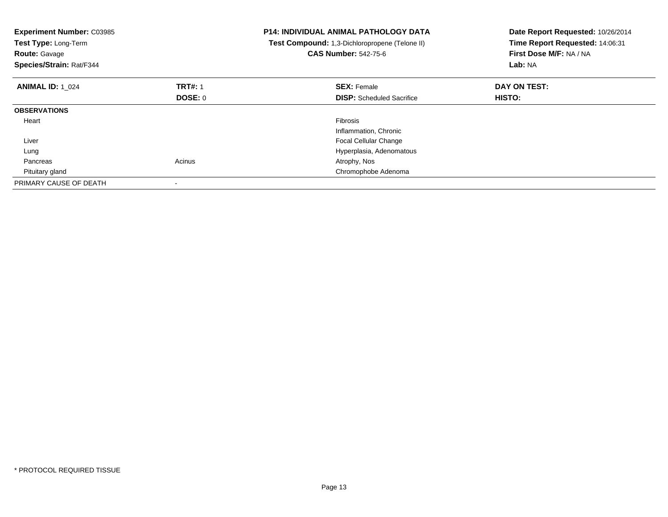| <b>Experiment Number: C03985</b><br>Test Type: Long-Term<br><b>Route: Gavage</b><br>Species/Strain: Rat/F344 |                | <b>P14: INDIVIDUAL ANIMAL PATHOLOGY DATA</b><br>Test Compound: 1,3-Dichloropropene (Telone II)<br><b>CAS Number: 542-75-6</b> | Date Report Requested: 10/26/2014<br>Time Report Requested: 14:06:31<br>First Dose M/F: NA / NA<br>Lab: NA |
|--------------------------------------------------------------------------------------------------------------|----------------|-------------------------------------------------------------------------------------------------------------------------------|------------------------------------------------------------------------------------------------------------|
| <b>ANIMAL ID: 1 024</b>                                                                                      | <b>TRT#: 1</b> | <b>SEX: Female</b>                                                                                                            | DAY ON TEST:                                                                                               |
|                                                                                                              | <b>DOSE: 0</b> | <b>DISP:</b> Scheduled Sacrifice                                                                                              | HISTO:                                                                                                     |
| <b>OBSERVATIONS</b>                                                                                          |                |                                                                                                                               |                                                                                                            |
| Heart                                                                                                        |                | <b>Fibrosis</b>                                                                                                               |                                                                                                            |
|                                                                                                              |                | Inflammation, Chronic                                                                                                         |                                                                                                            |
| Liver                                                                                                        |                | <b>Focal Cellular Change</b>                                                                                                  |                                                                                                            |
| Lung                                                                                                         |                | Hyperplasia, Adenomatous                                                                                                      |                                                                                                            |
| Pancreas                                                                                                     | Acinus         | Atrophy, Nos                                                                                                                  |                                                                                                            |
| Pituitary gland                                                                                              |                | Chromophobe Adenoma                                                                                                           |                                                                                                            |
| PRIMARY CAUSE OF DEATH                                                                                       |                |                                                                                                                               |                                                                                                            |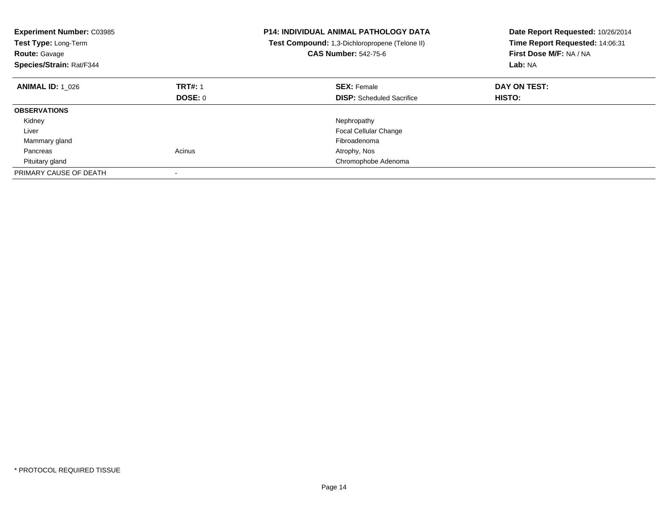| <b>Experiment Number: C03985</b><br>Test Type: Long-Term<br><b>Route: Gavage</b><br>Species/Strain: Rat/F344 |                | <b>P14: INDIVIDUAL ANIMAL PATHOLOGY DATA</b><br>Test Compound: 1,3-Dichloropropene (Telone II)<br><b>CAS Number: 542-75-6</b> | Date Report Requested: 10/26/2014<br>Time Report Requested: 14:06:31<br>First Dose M/F: NA / NA<br>Lab: NA |
|--------------------------------------------------------------------------------------------------------------|----------------|-------------------------------------------------------------------------------------------------------------------------------|------------------------------------------------------------------------------------------------------------|
| <b>ANIMAL ID: 1 026</b>                                                                                      | <b>TRT#: 1</b> | <b>SEX: Female</b>                                                                                                            | DAY ON TEST:                                                                                               |
|                                                                                                              | <b>DOSE: 0</b> | <b>DISP:</b> Scheduled Sacrifice                                                                                              | <b>HISTO:</b>                                                                                              |
| <b>OBSERVATIONS</b>                                                                                          |                |                                                                                                                               |                                                                                                            |
| Kidney                                                                                                       |                | Nephropathy                                                                                                                   |                                                                                                            |
| Liver                                                                                                        |                | <b>Focal Cellular Change</b>                                                                                                  |                                                                                                            |
| Mammary gland                                                                                                |                | Fibroadenoma                                                                                                                  |                                                                                                            |
| Pancreas                                                                                                     | Acinus         | Atrophy, Nos                                                                                                                  |                                                                                                            |
| Pituitary gland                                                                                              |                | Chromophobe Adenoma                                                                                                           |                                                                                                            |
| PRIMARY CAUSE OF DEATH                                                                                       |                |                                                                                                                               |                                                                                                            |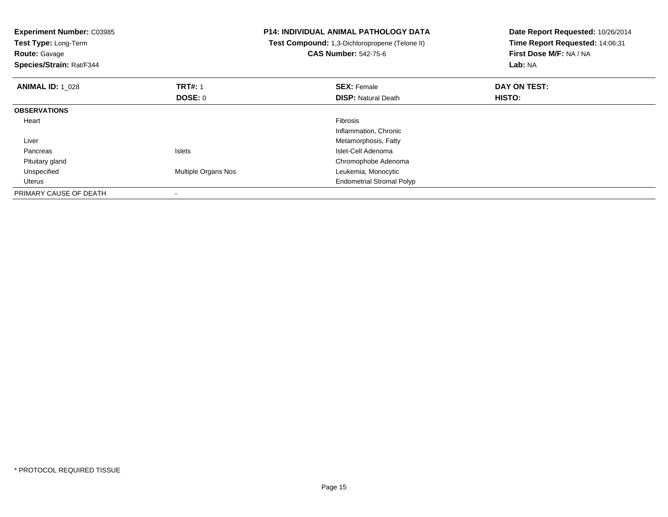| <b>Experiment Number: C03985</b><br>Test Type: Long-Term<br><b>Route: Gavage</b><br>Species/Strain: Rat/F344 |                     | <b>P14: INDIVIDUAL ANIMAL PATHOLOGY DATA</b><br>Test Compound: 1,3-Dichloropropene (Telone II)<br><b>CAS Number: 542-75-6</b> | Date Report Requested: 10/26/2014<br>Time Report Requested: 14:06:31<br>First Dose M/F: NA / NA<br>Lab: NA |
|--------------------------------------------------------------------------------------------------------------|---------------------|-------------------------------------------------------------------------------------------------------------------------------|------------------------------------------------------------------------------------------------------------|
| <b>ANIMAL ID: 1 028</b>                                                                                      | <b>TRT#: 1</b>      | <b>SEX: Female</b>                                                                                                            | DAY ON TEST:                                                                                               |
|                                                                                                              | DOSE: 0             | <b>DISP:</b> Natural Death                                                                                                    | HISTO:                                                                                                     |
| <b>OBSERVATIONS</b>                                                                                          |                     |                                                                                                                               |                                                                                                            |
| Heart                                                                                                        |                     | Fibrosis                                                                                                                      |                                                                                                            |
|                                                                                                              |                     | Inflammation, Chronic                                                                                                         |                                                                                                            |
| Liver                                                                                                        |                     | Metamorphosis, Fatty                                                                                                          |                                                                                                            |
| Pancreas                                                                                                     | <b>Islets</b>       | Islet-Cell Adenoma                                                                                                            |                                                                                                            |
| Pituitary gland                                                                                              |                     | Chromophobe Adenoma                                                                                                           |                                                                                                            |
| Unspecified                                                                                                  | Multiple Organs Nos | Leukemia, Monocytic                                                                                                           |                                                                                                            |
| Uterus                                                                                                       |                     | <b>Endometrial Stromal Polyp</b>                                                                                              |                                                                                                            |
| PRIMARY CAUSE OF DEATH                                                                                       |                     |                                                                                                                               |                                                                                                            |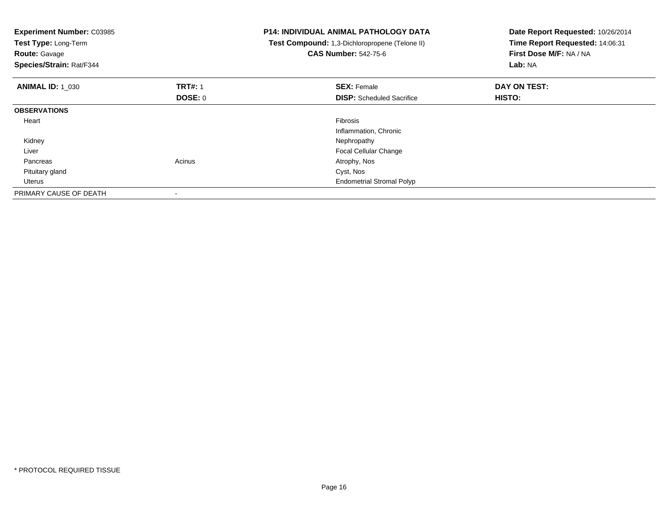| <b>Experiment Number: C03985</b><br>Test Type: Long-Term<br><b>Route: Gavage</b><br>Species/Strain: Rat/F344 |                           | <b>P14: INDIVIDUAL ANIMAL PATHOLOGY DATA</b><br>Test Compound: 1,3-Dichloropropene (Telone II)<br><b>CAS Number: 542-75-6</b> | Date Report Requested: 10/26/2014<br>Time Report Requested: 14:06:31<br>First Dose M/F: NA / NA<br>Lab: NA |
|--------------------------------------------------------------------------------------------------------------|---------------------------|-------------------------------------------------------------------------------------------------------------------------------|------------------------------------------------------------------------------------------------------------|
| <b>ANIMAL ID: 1 030</b>                                                                                      | <b>TRT#: 1</b><br>DOSE: 0 | <b>SEX: Female</b><br><b>DISP:</b> Scheduled Sacrifice                                                                        | DAY ON TEST:<br>HISTO:                                                                                     |
| <b>OBSERVATIONS</b>                                                                                          |                           |                                                                                                                               |                                                                                                            |
| Heart                                                                                                        |                           | Fibrosis<br>Inflammation, Chronic                                                                                             |                                                                                                            |
| Kidney                                                                                                       |                           | Nephropathy                                                                                                                   |                                                                                                            |
| Liver                                                                                                        |                           | <b>Focal Cellular Change</b>                                                                                                  |                                                                                                            |
| Pancreas                                                                                                     | Acinus                    | Atrophy, Nos                                                                                                                  |                                                                                                            |
| Pituitary gland                                                                                              |                           | Cyst, Nos                                                                                                                     |                                                                                                            |
| Uterus                                                                                                       |                           | <b>Endometrial Stromal Polyp</b>                                                                                              |                                                                                                            |
| PRIMARY CAUSE OF DEATH                                                                                       |                           |                                                                                                                               |                                                                                                            |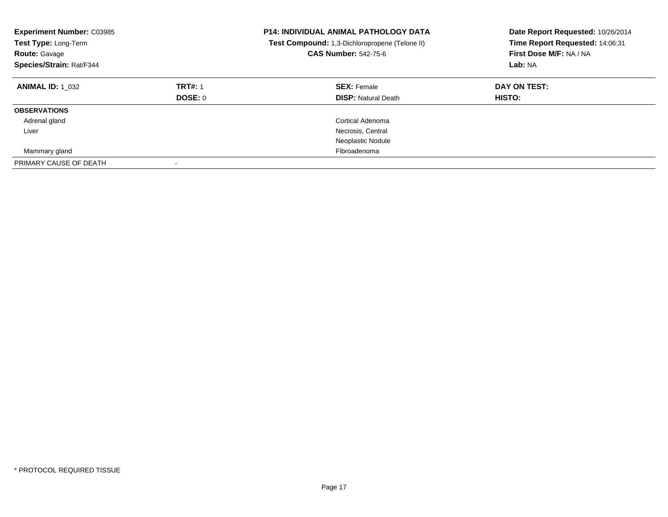| <b>Experiment Number: C03985</b><br>Test Type: Long-Term<br><b>Route: Gavage</b><br>Species/Strain: Rat/F344 |                           | <b>P14: INDIVIDUAL ANIMAL PATHOLOGY DATA</b><br>Test Compound: 1,3-Dichloropropene (Telone II)<br><b>CAS Number: 542-75-6</b> | Date Report Requested: 10/26/2014<br>Time Report Requested: 14:06:31<br>First Dose M/F: NA / NA<br>Lab: NA |
|--------------------------------------------------------------------------------------------------------------|---------------------------|-------------------------------------------------------------------------------------------------------------------------------|------------------------------------------------------------------------------------------------------------|
| <b>ANIMAL ID: 1 032</b>                                                                                      | <b>TRT#: 1</b><br>DOSE: 0 | <b>SEX: Female</b><br><b>DISP:</b> Natural Death                                                                              | DAY ON TEST:<br>HISTO:                                                                                     |
| <b>OBSERVATIONS</b>                                                                                          |                           |                                                                                                                               |                                                                                                            |
| Adrenal gland                                                                                                |                           | Cortical Adenoma                                                                                                              |                                                                                                            |
| Liver                                                                                                        |                           | Necrosis, Central                                                                                                             |                                                                                                            |
|                                                                                                              |                           | Neoplastic Nodule                                                                                                             |                                                                                                            |
| Mammary gland                                                                                                |                           | Fibroadenoma                                                                                                                  |                                                                                                            |
| PRIMARY CAUSE OF DEATH                                                                                       |                           |                                                                                                                               |                                                                                                            |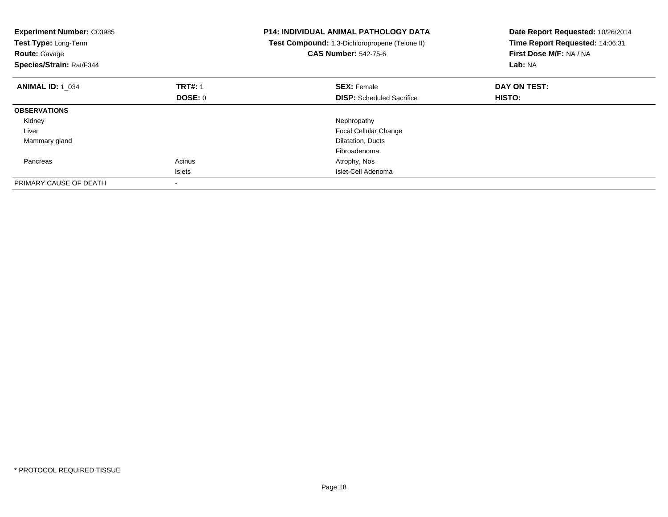| <b>Experiment Number: C03985</b><br>Test Type: Long-Term<br><b>Route: Gavage</b><br>Species/Strain: Rat/F344 |                | <b>P14: INDIVIDUAL ANIMAL PATHOLOGY DATA</b><br>Test Compound: 1,3-Dichloropropene (Telone II)<br><b>CAS Number: 542-75-6</b> | Date Report Requested: 10/26/2014<br>Time Report Requested: 14:06:31<br>First Dose M/F: NA / NA<br>Lab: NA |
|--------------------------------------------------------------------------------------------------------------|----------------|-------------------------------------------------------------------------------------------------------------------------------|------------------------------------------------------------------------------------------------------------|
| <b>ANIMAL ID: 1 034</b>                                                                                      | <b>TRT#: 1</b> | <b>SEX: Female</b>                                                                                                            | DAY ON TEST:                                                                                               |
|                                                                                                              | DOSE: 0        | <b>DISP:</b> Scheduled Sacrifice                                                                                              | <b>HISTO:</b>                                                                                              |
| <b>OBSERVATIONS</b>                                                                                          |                |                                                                                                                               |                                                                                                            |
| Kidney                                                                                                       |                | Nephropathy                                                                                                                   |                                                                                                            |
| Liver                                                                                                        |                | <b>Focal Cellular Change</b>                                                                                                  |                                                                                                            |
| Mammary gland                                                                                                |                | Dilatation, Ducts                                                                                                             |                                                                                                            |
|                                                                                                              |                | Fibroadenoma                                                                                                                  |                                                                                                            |
| Pancreas                                                                                                     | Acinus         | Atrophy, Nos                                                                                                                  |                                                                                                            |
|                                                                                                              | <b>Islets</b>  | Islet-Cell Adenoma                                                                                                            |                                                                                                            |
| PRIMARY CAUSE OF DEATH                                                                                       |                |                                                                                                                               |                                                                                                            |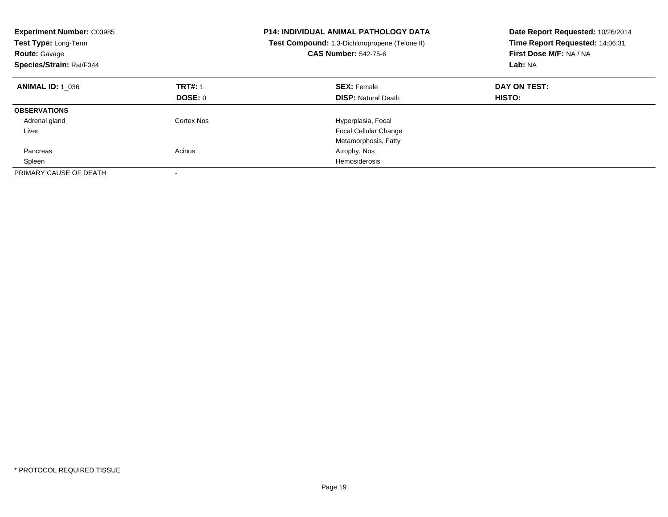| <b>Experiment Number: C03985</b><br>Test Type: Long-Term<br><b>Route: Gavage</b><br>Species/Strain: Rat/F344 |                | <b>P14: INDIVIDUAL ANIMAL PATHOLOGY DATA</b><br>Test Compound: 1,3-Dichloropropene (Telone II)<br><b>CAS Number: 542-75-6</b> | Date Report Requested: 10/26/2014<br>Time Report Requested: 14:06:31<br>First Dose M/F: NA / NA<br>Lab: NA |
|--------------------------------------------------------------------------------------------------------------|----------------|-------------------------------------------------------------------------------------------------------------------------------|------------------------------------------------------------------------------------------------------------|
| <b>ANIMAL ID: 1 036</b>                                                                                      | <b>TRT#: 1</b> | <b>SEX: Female</b>                                                                                                            | DAY ON TEST:                                                                                               |
|                                                                                                              | DOSE: 0        | <b>DISP:</b> Natural Death                                                                                                    | <b>HISTO:</b>                                                                                              |
| <b>OBSERVATIONS</b>                                                                                          |                |                                                                                                                               |                                                                                                            |
| Adrenal gland                                                                                                | Cortex Nos     | Hyperplasia, Focal                                                                                                            |                                                                                                            |
| Liver                                                                                                        |                | <b>Focal Cellular Change</b>                                                                                                  |                                                                                                            |
|                                                                                                              |                | Metamorphosis, Fatty                                                                                                          |                                                                                                            |
| Pancreas                                                                                                     | Acinus         | Atrophy, Nos                                                                                                                  |                                                                                                            |
| Spleen                                                                                                       |                | Hemosiderosis                                                                                                                 |                                                                                                            |
| PRIMARY CAUSE OF DEATH                                                                                       |                |                                                                                                                               |                                                                                                            |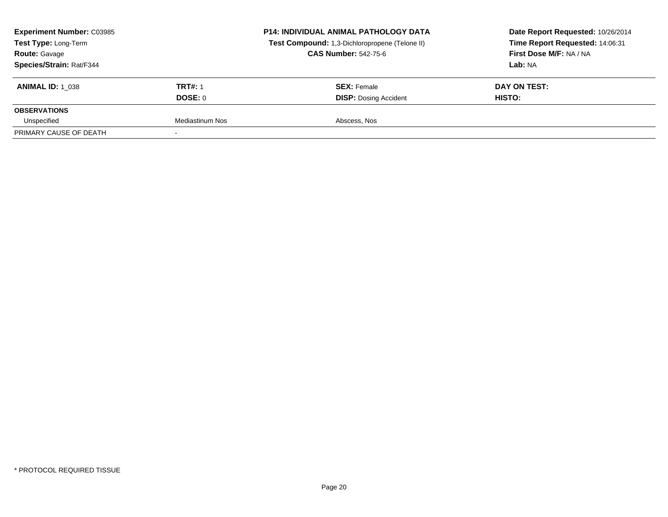|                | <b>P14: INDIVIDUAL ANIMAL PATHOLOGY DATA</b><br>Test Compound: 1,3-Dichloropropene (Telone II)<br><b>CAS Number: 542-75-6</b> | Date Report Requested: 10/26/2014<br>Time Report Requested: 14:06:31<br>First Dose M/F: NA / NA<br>Lab: NA |
|----------------|-------------------------------------------------------------------------------------------------------------------------------|------------------------------------------------------------------------------------------------------------|
| <b>TRT#: 1</b> | <b>SEX: Female</b>                                                                                                            | DAY ON TEST:<br><b>HISTO:</b>                                                                              |
|                |                                                                                                                               |                                                                                                            |
|                |                                                                                                                               |                                                                                                            |
|                | DOSE: 0<br>Mediastinum Nos                                                                                                    | <b>DISP: Dosing Accident</b><br>Abscess, Nos                                                               |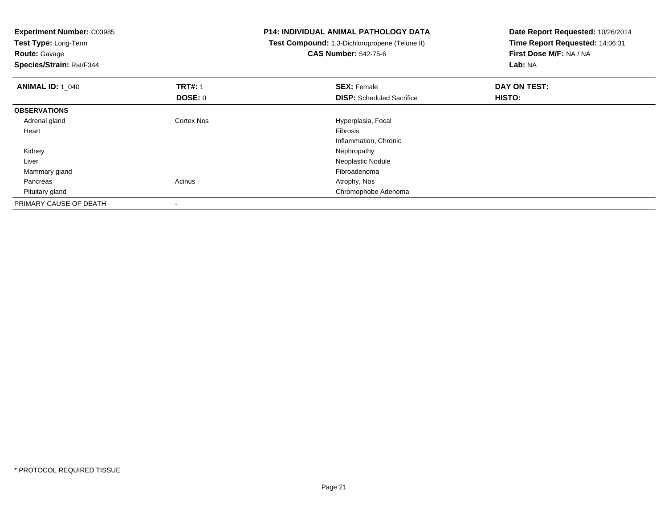| <b>Experiment Number: C03985</b> |                | <b>P14: INDIVIDUAL ANIMAL PATHOLOGY DATA</b>   | Date Report Requested: 10/26/2014 |
|----------------------------------|----------------|------------------------------------------------|-----------------------------------|
| Test Type: Long-Term             |                | Test Compound: 1,3-Dichloropropene (Telone II) | Time Report Requested: 14:06:31   |
| <b>Route: Gavage</b>             |                | <b>CAS Number: 542-75-6</b>                    | First Dose M/F: NA / NA           |
| Species/Strain: Rat/F344         |                |                                                | Lab: NA                           |
| <b>ANIMAL ID: 1 040</b>          | <b>TRT#: 1</b> | <b>SEX: Female</b>                             | DAY ON TEST:                      |
|                                  | DOSE: 0        | <b>DISP:</b> Scheduled Sacrifice               | HISTO:                            |
| <b>OBSERVATIONS</b>              |                |                                                |                                   |
| Adrenal gland                    | Cortex Nos     | Hyperplasia, Focal                             |                                   |
| Heart                            |                | <b>Fibrosis</b>                                |                                   |
|                                  |                | Inflammation, Chronic                          |                                   |
| Kidney                           |                | Nephropathy                                    |                                   |
| Liver                            |                | Neoplastic Nodule                              |                                   |
| Mammary gland                    |                | Fibroadenoma                                   |                                   |
| Pancreas                         | Acinus         | Atrophy, Nos                                   |                                   |
| Pituitary gland                  |                | Chromophobe Adenoma                            |                                   |
| PRIMARY CAUSE OF DEATH           |                |                                                |                                   |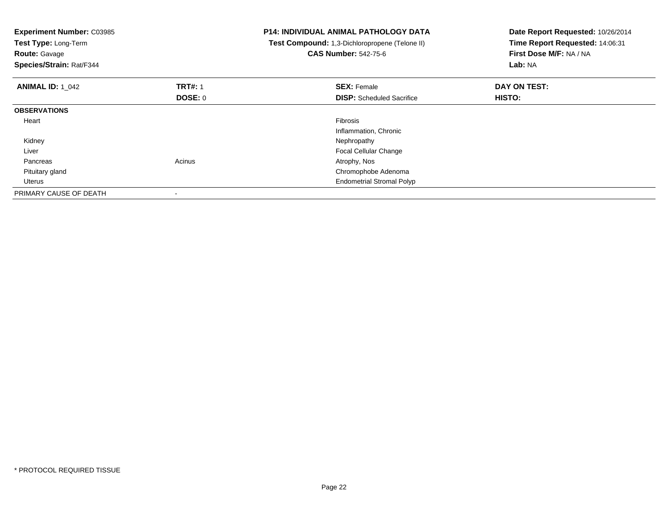| <b>Experiment Number: C03985</b><br>Test Type: Long-Term<br><b>Route: Gavage</b><br>Species/Strain: Rat/F344 |                           | <b>P14: INDIVIDUAL ANIMAL PATHOLOGY DATA</b><br>Test Compound: 1,3-Dichloropropene (Telone II)<br><b>CAS Number: 542-75-6</b> | Date Report Requested: 10/26/2014<br>Time Report Requested: 14:06:31<br>First Dose M/F: NA / NA<br>Lab: NA |
|--------------------------------------------------------------------------------------------------------------|---------------------------|-------------------------------------------------------------------------------------------------------------------------------|------------------------------------------------------------------------------------------------------------|
| <b>ANIMAL ID: 1 042</b>                                                                                      | <b>TRT#: 1</b><br>DOSE: 0 | <b>SEX: Female</b><br><b>DISP:</b> Scheduled Sacrifice                                                                        | DAY ON TEST:<br>HISTO:                                                                                     |
| <b>OBSERVATIONS</b>                                                                                          |                           |                                                                                                                               |                                                                                                            |
| Heart                                                                                                        |                           | Fibrosis<br>Inflammation, Chronic                                                                                             |                                                                                                            |
| Kidney                                                                                                       |                           | Nephropathy                                                                                                                   |                                                                                                            |
| Liver                                                                                                        |                           | <b>Focal Cellular Change</b>                                                                                                  |                                                                                                            |
| Pancreas                                                                                                     | Acinus                    | Atrophy, Nos                                                                                                                  |                                                                                                            |
| Pituitary gland                                                                                              |                           | Chromophobe Adenoma                                                                                                           |                                                                                                            |
| Uterus                                                                                                       |                           | <b>Endometrial Stromal Polyp</b>                                                                                              |                                                                                                            |
| PRIMARY CAUSE OF DEATH                                                                                       |                           |                                                                                                                               |                                                                                                            |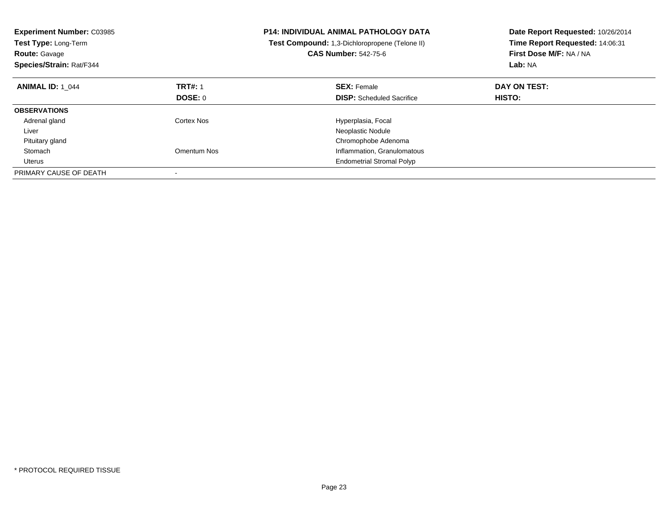| <b>Experiment Number: C03985</b><br>Test Type: Long-Term<br><b>Route: Gavage</b><br>Species/Strain: Rat/F344 |                | <b>P14: INDIVIDUAL ANIMAL PATHOLOGY DATA</b><br>Test Compound: 1,3-Dichloropropene (Telone II)<br><b>CAS Number: 542-75-6</b> | Date Report Requested: 10/26/2014<br>Time Report Requested: 14:06:31<br>First Dose M/F: NA / NA<br>Lab: NA |
|--------------------------------------------------------------------------------------------------------------|----------------|-------------------------------------------------------------------------------------------------------------------------------|------------------------------------------------------------------------------------------------------------|
| <b>ANIMAL ID: 1_044</b>                                                                                      | <b>TRT#: 1</b> | <b>SEX: Female</b>                                                                                                            | DAY ON TEST:                                                                                               |
|                                                                                                              | DOSE: 0        | <b>DISP:</b> Scheduled Sacrifice                                                                                              | <b>HISTO:</b>                                                                                              |
| <b>OBSERVATIONS</b>                                                                                          |                |                                                                                                                               |                                                                                                            |
| Adrenal gland                                                                                                | Cortex Nos     | Hyperplasia, Focal                                                                                                            |                                                                                                            |
| Liver                                                                                                        |                | Neoplastic Nodule                                                                                                             |                                                                                                            |
| Pituitary gland                                                                                              |                | Chromophobe Adenoma                                                                                                           |                                                                                                            |
| Stomach                                                                                                      | Omentum Nos    | Inflammation, Granulomatous                                                                                                   |                                                                                                            |
| Uterus                                                                                                       |                | <b>Endometrial Stromal Polyp</b>                                                                                              |                                                                                                            |
| PRIMARY CAUSE OF DEATH                                                                                       |                |                                                                                                                               |                                                                                                            |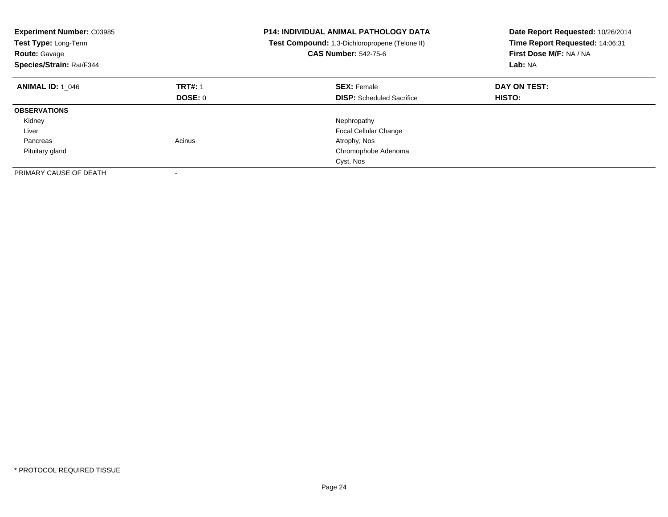| <b>Experiment Number: C03985</b><br>Test Type: Long-Term<br><b>Route: Gavage</b><br>Species/Strain: Rat/F344 |                | <b>P14: INDIVIDUAL ANIMAL PATHOLOGY DATA</b><br>Test Compound: 1,3-Dichloropropene (Telone II)<br><b>CAS Number: 542-75-6</b> | Date Report Requested: 10/26/2014<br>Time Report Requested: 14:06:31<br>First Dose M/F: NA / NA<br>Lab: NA |
|--------------------------------------------------------------------------------------------------------------|----------------|-------------------------------------------------------------------------------------------------------------------------------|------------------------------------------------------------------------------------------------------------|
| <b>ANIMAL ID: 1 046</b>                                                                                      | <b>TRT#: 1</b> | <b>SEX: Female</b>                                                                                                            | DAY ON TEST:                                                                                               |
|                                                                                                              | DOSE: 0        | <b>DISP:</b> Scheduled Sacrifice                                                                                              | <b>HISTO:</b>                                                                                              |
| <b>OBSERVATIONS</b>                                                                                          |                |                                                                                                                               |                                                                                                            |
| Kidney                                                                                                       |                | Nephropathy                                                                                                                   |                                                                                                            |
| Liver                                                                                                        |                | <b>Focal Cellular Change</b>                                                                                                  |                                                                                                            |
| Pancreas                                                                                                     | Acinus         | Atrophy, Nos                                                                                                                  |                                                                                                            |
| Pituitary gland                                                                                              |                | Chromophobe Adenoma                                                                                                           |                                                                                                            |
|                                                                                                              |                | Cyst, Nos                                                                                                                     |                                                                                                            |
| PRIMARY CAUSE OF DEATH                                                                                       |                |                                                                                                                               |                                                                                                            |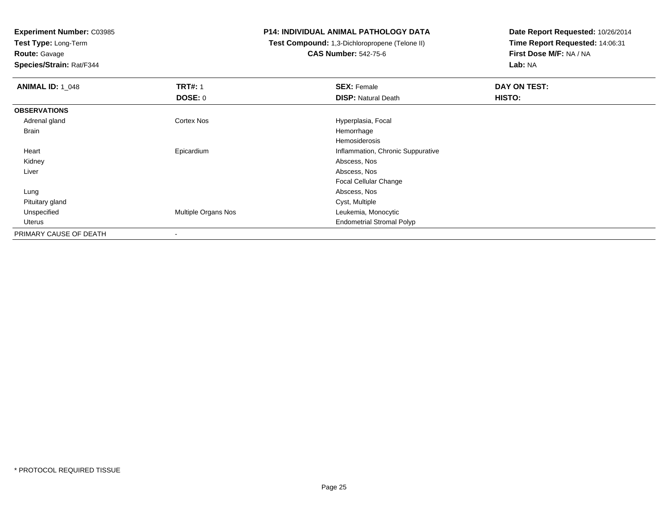**Experiment Number:** C03985

**Test Type:** Long-Term

**Route:** Gavage

**Species/Strain:** Rat/F344

## **P14: INDIVIDUAL ANIMAL PATHOLOGY DATA**

 **Test Compound:** 1,3-Dichloropropene (Telone II)**CAS Number:** 542-75-6

| <b>ANIMAL ID: 1 048</b> | <b>TRT#: 1</b>      | <b>SEX: Female</b>                | DAY ON TEST: |  |
|-------------------------|---------------------|-----------------------------------|--------------|--|
|                         | <b>DOSE: 0</b>      | <b>DISP: Natural Death</b>        | HISTO:       |  |
| <b>OBSERVATIONS</b>     |                     |                                   |              |  |
| Adrenal gland           | <b>Cortex Nos</b>   | Hyperplasia, Focal                |              |  |
| Brain                   |                     | Hemorrhage                        |              |  |
|                         |                     | Hemosiderosis                     |              |  |
| Heart                   | Epicardium          | Inflammation, Chronic Suppurative |              |  |
| Kidney                  |                     | Abscess, Nos                      |              |  |
| Liver                   |                     | Abscess, Nos                      |              |  |
|                         |                     | <b>Focal Cellular Change</b>      |              |  |
| Lung                    |                     | Abscess, Nos                      |              |  |
| Pituitary gland         |                     | Cyst, Multiple                    |              |  |
| Unspecified             | Multiple Organs Nos | Leukemia, Monocytic               |              |  |
| Uterus                  |                     | <b>Endometrial Stromal Polyp</b>  |              |  |
| PRIMARY CAUSE OF DEATH  | $\,$                |                                   |              |  |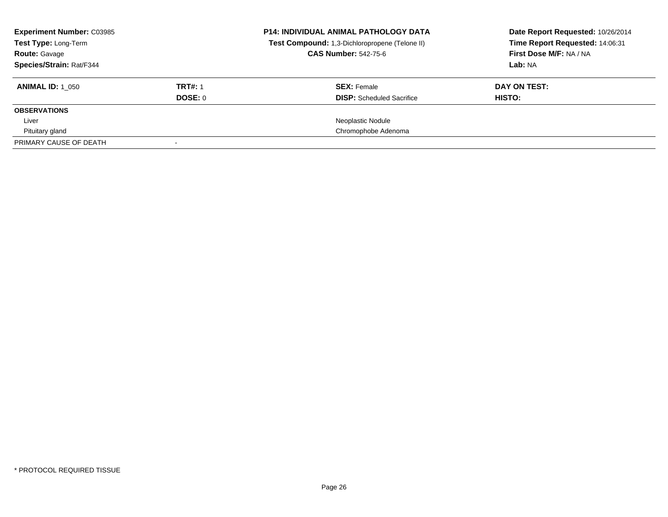| <b>Experiment Number: C03985</b><br><b>Test Type: Long-Term</b> |                | <b>P14: INDIVIDUAL ANIMAL PATHOLOGY DATA</b><br>Test Compound: 1,3-Dichloropropene (Telone II) | Date Report Requested: 10/26/2014<br>Time Report Requested: 14:06:31 |
|-----------------------------------------------------------------|----------------|------------------------------------------------------------------------------------------------|----------------------------------------------------------------------|
| <b>Route: Gavage</b>                                            |                | <b>CAS Number: 542-75-6</b>                                                                    | First Dose M/F: NA / NA                                              |
| Species/Strain: Rat/F344                                        |                |                                                                                                | Lab: NA                                                              |
| <b>ANIMAL ID: 1 050</b>                                         | <b>TRT#: 1</b> | <b>SEX: Female</b>                                                                             | DAY ON TEST:                                                         |
|                                                                 | DOSE: 0        | <b>DISP:</b> Scheduled Sacrifice                                                               | HISTO:                                                               |
| <b>OBSERVATIONS</b>                                             |                |                                                                                                |                                                                      |
| Liver                                                           |                | Neoplastic Nodule                                                                              |                                                                      |
| Pituitary gland                                                 |                | Chromophobe Adenoma                                                                            |                                                                      |
| PRIMARY CAUSE OF DEATH                                          |                |                                                                                                |                                                                      |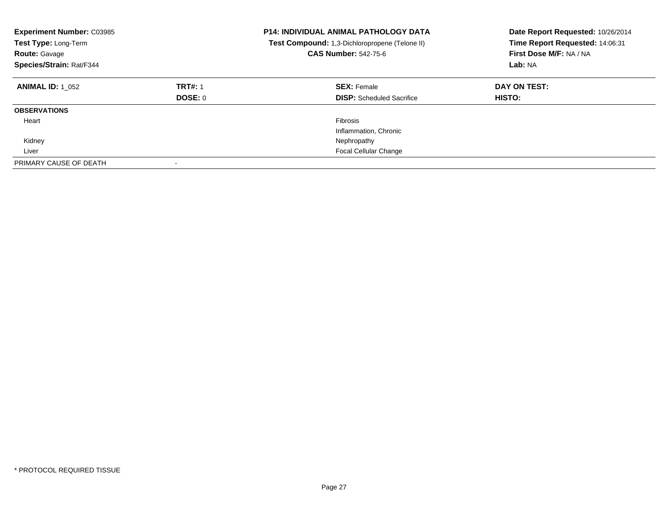| <b>Experiment Number: C03985</b><br>Test Type: Long-Term<br><b>Route: Gavage</b><br>Species/Strain: Rat/F344 |                           | <b>P14: INDIVIDUAL ANIMAL PATHOLOGY DATA</b><br>Test Compound: 1,3-Dichloropropene (Telone II)<br><b>CAS Number: 542-75-6</b> | Date Report Requested: 10/26/2014<br>Time Report Requested: 14:06:31<br>First Dose M/F: NA / NA<br>Lab: NA |
|--------------------------------------------------------------------------------------------------------------|---------------------------|-------------------------------------------------------------------------------------------------------------------------------|------------------------------------------------------------------------------------------------------------|
| <b>ANIMAL ID: 1 052</b>                                                                                      | <b>TRT#: 1</b><br>DOSE: 0 | <b>SEX: Female</b><br><b>DISP:</b> Scheduled Sacrifice                                                                        | DAY ON TEST:<br>HISTO:                                                                                     |
| <b>OBSERVATIONS</b>                                                                                          |                           |                                                                                                                               |                                                                                                            |
| Heart                                                                                                        |                           | Fibrosis                                                                                                                      |                                                                                                            |
|                                                                                                              |                           | Inflammation, Chronic                                                                                                         |                                                                                                            |
| Kidney                                                                                                       |                           | Nephropathy                                                                                                                   |                                                                                                            |
| Liver                                                                                                        |                           | <b>Focal Cellular Change</b>                                                                                                  |                                                                                                            |
| PRIMARY CAUSE OF DEATH                                                                                       |                           |                                                                                                                               |                                                                                                            |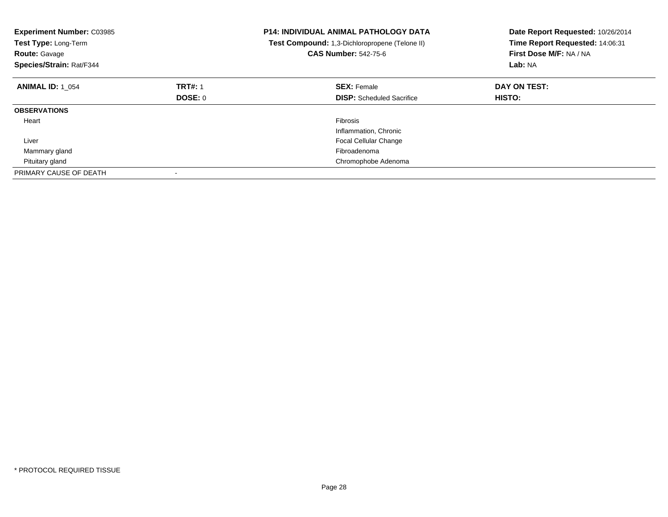| <b>Experiment Number: C03985</b><br>Test Type: Long-Term<br><b>Route: Gavage</b><br>Species/Strain: Rat/F344 |                | <b>P14: INDIVIDUAL ANIMAL PATHOLOGY DATA</b><br>Test Compound: 1,3-Dichloropropene (Telone II)<br><b>CAS Number: 542-75-6</b> | Date Report Requested: 10/26/2014<br>Time Report Requested: 14:06:31<br>First Dose M/F: NA / NA<br>Lab: NA |
|--------------------------------------------------------------------------------------------------------------|----------------|-------------------------------------------------------------------------------------------------------------------------------|------------------------------------------------------------------------------------------------------------|
| <b>ANIMAL ID: 1 054</b>                                                                                      | <b>TRT#: 1</b> | <b>SEX: Female</b>                                                                                                            | DAY ON TEST:                                                                                               |
|                                                                                                              | <b>DOSE: 0</b> | <b>DISP:</b> Scheduled Sacrifice                                                                                              | <b>HISTO:</b>                                                                                              |
| <b>OBSERVATIONS</b>                                                                                          |                |                                                                                                                               |                                                                                                            |
| Heart                                                                                                        |                | <b>Fibrosis</b>                                                                                                               |                                                                                                            |
|                                                                                                              |                | Inflammation, Chronic                                                                                                         |                                                                                                            |
| Liver                                                                                                        |                | <b>Focal Cellular Change</b>                                                                                                  |                                                                                                            |
| Mammary gland                                                                                                |                | Fibroadenoma                                                                                                                  |                                                                                                            |
| Pituitary gland                                                                                              |                | Chromophobe Adenoma                                                                                                           |                                                                                                            |
| PRIMARY CAUSE OF DEATH                                                                                       |                |                                                                                                                               |                                                                                                            |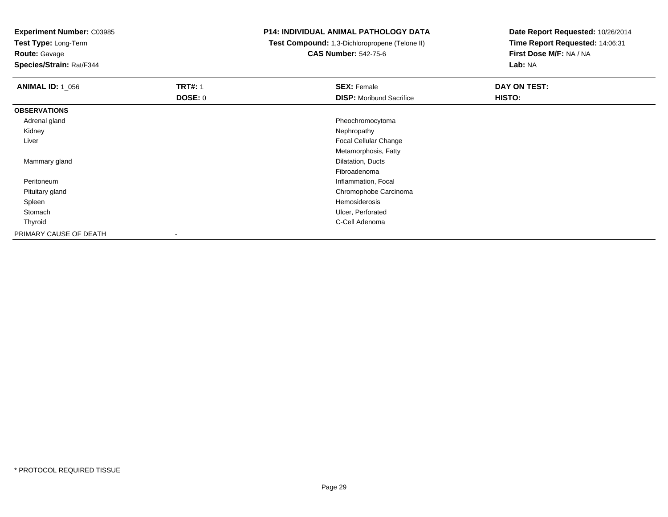**Experiment Number:** C03985

**Test Type:** Long-Term

**Route:** Gavage

**Species/Strain:** Rat/F344

## **P14: INDIVIDUAL ANIMAL PATHOLOGY DATA**

 **Test Compound:** 1,3-Dichloropropene (Telone II)**CAS Number:** 542-75-6

| <b>ANIMAL ID: 1_056</b> | <b>TRT#: 1</b> | <b>SEX: Female</b>              | DAY ON TEST: |
|-------------------------|----------------|---------------------------------|--------------|
|                         | <b>DOSE: 0</b> | <b>DISP:</b> Moribund Sacrifice | HISTO:       |
| <b>OBSERVATIONS</b>     |                |                                 |              |
| Adrenal gland           |                | Pheochromocytoma                |              |
| Kidney                  |                | Nephropathy                     |              |
| Liver                   |                | Focal Cellular Change           |              |
|                         |                | Metamorphosis, Fatty            |              |
| Mammary gland           |                | Dilatation, Ducts               |              |
|                         |                | Fibroadenoma                    |              |
| Peritoneum              |                | Inflammation, Focal             |              |
| Pituitary gland         |                | Chromophobe Carcinoma           |              |
| Spleen                  |                | Hemosiderosis                   |              |
| Stomach                 |                | Ulcer, Perforated               |              |
| Thyroid                 |                | C-Cell Adenoma                  |              |
| PRIMARY CAUSE OF DEATH  | $\blacksquare$ |                                 |              |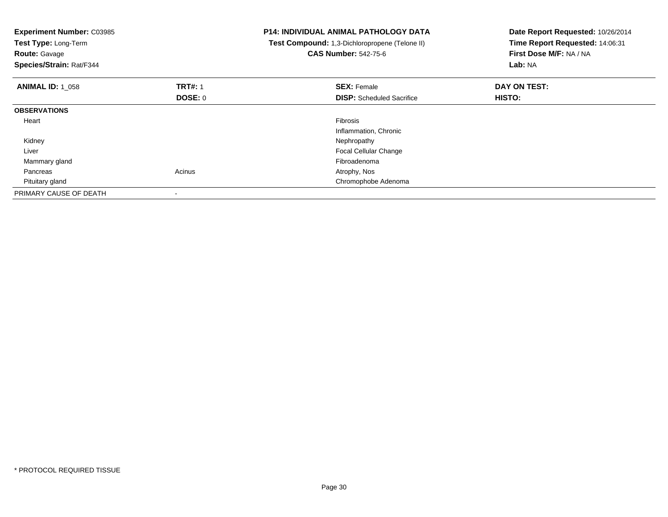| <b>Experiment Number: C03985</b><br>Test Type: Long-Term<br><b>Route: Gavage</b><br>Species/Strain: Rat/F344 |                | <b>P14: INDIVIDUAL ANIMAL PATHOLOGY DATA</b><br>Test Compound: 1,3-Dichloropropene (Telone II)<br><b>CAS Number: 542-75-6</b> | Date Report Requested: 10/26/2014<br>Time Report Requested: 14:06:31<br>First Dose M/F: NA / NA<br>Lab: NA |
|--------------------------------------------------------------------------------------------------------------|----------------|-------------------------------------------------------------------------------------------------------------------------------|------------------------------------------------------------------------------------------------------------|
| <b>ANIMAL ID: 1 058</b>                                                                                      | <b>TRT#: 1</b> | <b>SEX: Female</b>                                                                                                            | DAY ON TEST:                                                                                               |
|                                                                                                              | DOSE: 0        | <b>DISP:</b> Scheduled Sacrifice                                                                                              | <b>HISTO:</b>                                                                                              |
| <b>OBSERVATIONS</b>                                                                                          |                |                                                                                                                               |                                                                                                            |
| Heart                                                                                                        |                | <b>Fibrosis</b>                                                                                                               |                                                                                                            |
|                                                                                                              |                | Inflammation, Chronic                                                                                                         |                                                                                                            |
| Kidney                                                                                                       |                | Nephropathy                                                                                                                   |                                                                                                            |
| Liver                                                                                                        |                | <b>Focal Cellular Change</b>                                                                                                  |                                                                                                            |
| Mammary gland                                                                                                |                | Fibroadenoma                                                                                                                  |                                                                                                            |
| Pancreas                                                                                                     | Acinus         | Atrophy, Nos                                                                                                                  |                                                                                                            |
| Pituitary gland                                                                                              |                | Chromophobe Adenoma                                                                                                           |                                                                                                            |
| PRIMARY CAUSE OF DEATH                                                                                       |                |                                                                                                                               |                                                                                                            |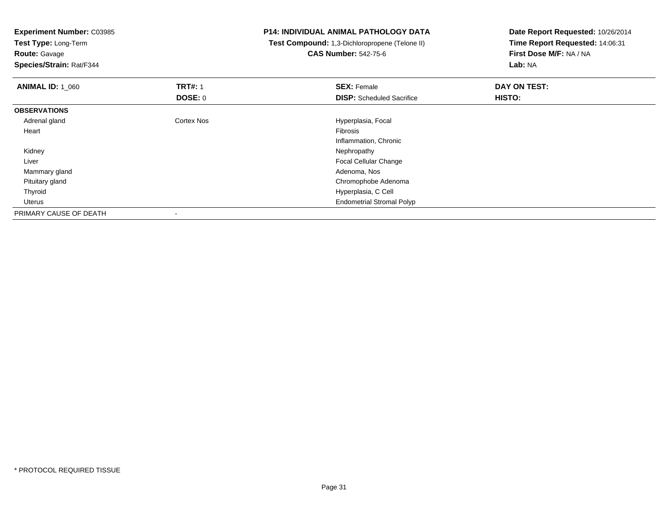| <b>Experiment Number: C03985</b><br><b>Test Type: Long-Term</b> |                | <b>P14: INDIVIDUAL ANIMAL PATHOLOGY DATA</b>   | Date Report Requested: 10/26/2014<br>Time Report Requested: 14:06:31 |  |
|-----------------------------------------------------------------|----------------|------------------------------------------------|----------------------------------------------------------------------|--|
|                                                                 |                | Test Compound: 1,3-Dichloropropene (Telone II) |                                                                      |  |
| <b>Route: Gavage</b>                                            |                | <b>CAS Number: 542-75-6</b>                    | First Dose M/F: NA / NA                                              |  |
| Species/Strain: Rat/F344                                        |                |                                                | Lab: NA                                                              |  |
| <b>ANIMAL ID: 1_060</b>                                         | <b>TRT#: 1</b> | <b>SEX: Female</b>                             | DAY ON TEST:                                                         |  |
|                                                                 | <b>DOSE: 0</b> | <b>DISP:</b> Scheduled Sacrifice               | HISTO:                                                               |  |
| <b>OBSERVATIONS</b>                                             |                |                                                |                                                                      |  |
| Adrenal gland                                                   | Cortex Nos     | Hyperplasia, Focal                             |                                                                      |  |
| Heart                                                           |                | <b>Fibrosis</b>                                |                                                                      |  |
|                                                                 |                | Inflammation, Chronic                          |                                                                      |  |
| Kidney                                                          |                | Nephropathy                                    |                                                                      |  |
| Liver                                                           |                | Focal Cellular Change                          |                                                                      |  |
| Mammary gland                                                   |                | Adenoma, Nos                                   |                                                                      |  |
| Pituitary gland                                                 |                | Chromophobe Adenoma                            |                                                                      |  |
| Thyroid                                                         |                | Hyperplasia, C Cell                            |                                                                      |  |
| Uterus                                                          |                | <b>Endometrial Stromal Polyp</b>               |                                                                      |  |
| PRIMARY CAUSE OF DEATH                                          |                |                                                |                                                                      |  |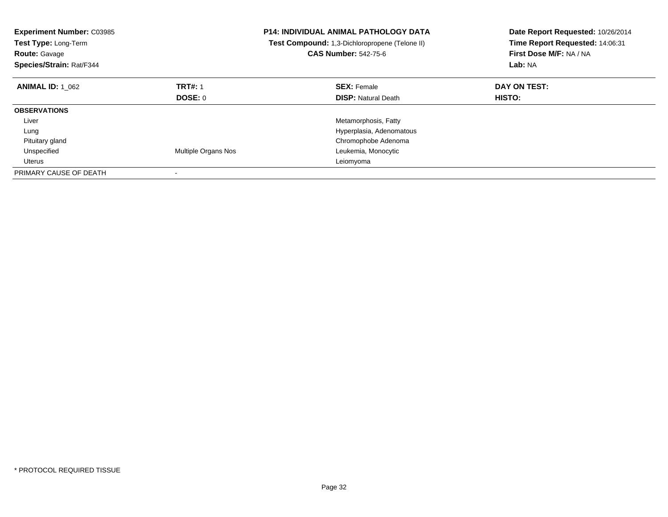| <b>Experiment Number: C03985</b><br>Test Type: Long-Term<br><b>Route: Gavage</b><br>Species/Strain: Rat/F344 |                     | <b>P14: INDIVIDUAL ANIMAL PATHOLOGY DATA</b><br>Test Compound: 1,3-Dichloropropene (Telone II)<br><b>CAS Number: 542-75-6</b> | Date Report Requested: 10/26/2014<br>Time Report Requested: 14:06:31<br>First Dose M/F: NA / NA<br>Lab: NA |
|--------------------------------------------------------------------------------------------------------------|---------------------|-------------------------------------------------------------------------------------------------------------------------------|------------------------------------------------------------------------------------------------------------|
| <b>ANIMAL ID: 1 062</b>                                                                                      | <b>TRT#: 1</b>      | <b>SEX: Female</b>                                                                                                            | DAY ON TEST:                                                                                               |
|                                                                                                              | DOSE: 0             | <b>DISP:</b> Natural Death                                                                                                    | <b>HISTO:</b>                                                                                              |
| <b>OBSERVATIONS</b>                                                                                          |                     |                                                                                                                               |                                                                                                            |
| Liver                                                                                                        |                     | Metamorphosis, Fatty                                                                                                          |                                                                                                            |
| Lung                                                                                                         |                     | Hyperplasia, Adenomatous                                                                                                      |                                                                                                            |
| Pituitary gland                                                                                              |                     | Chromophobe Adenoma                                                                                                           |                                                                                                            |
| Unspecified                                                                                                  | Multiple Organs Nos | Leukemia, Monocytic                                                                                                           |                                                                                                            |
| Uterus                                                                                                       |                     | Leiomyoma                                                                                                                     |                                                                                                            |
| PRIMARY CAUSE OF DEATH                                                                                       |                     |                                                                                                                               |                                                                                                            |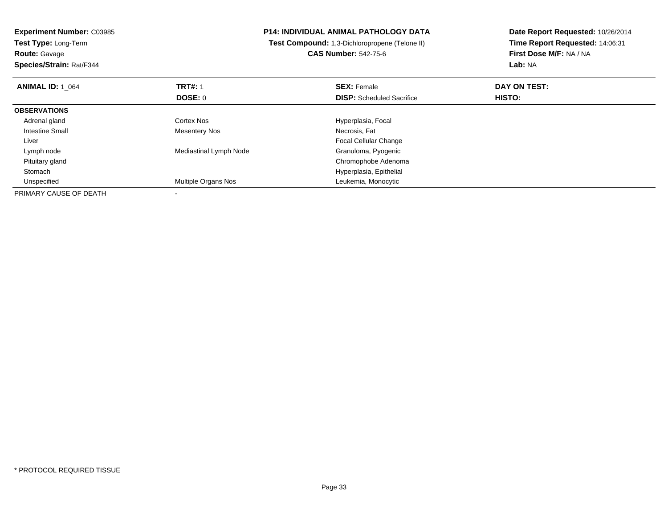| <b>Experiment Number: C03985</b><br><b>Test Type: Long-Term</b><br><b>Route: Gavage</b> |                            | <b>P14: INDIVIDUAL ANIMAL PATHOLOGY DATA</b><br>Test Compound: 1,3-Dichloropropene (Telone II)<br><b>CAS Number: 542-75-6</b> | Date Report Requested: 10/26/2014<br>Time Report Requested: 14:06:31<br>First Dose M/F: NA / NA |  |
|-----------------------------------------------------------------------------------------|----------------------------|-------------------------------------------------------------------------------------------------------------------------------|-------------------------------------------------------------------------------------------------|--|
| Species/Strain: Rat/F344                                                                |                            |                                                                                                                               | Lab: NA                                                                                         |  |
| <b>ANIMAL ID: 1 064</b>                                                                 | <b>TRT#: 1</b>             | <b>SEX: Female</b>                                                                                                            | DAY ON TEST:                                                                                    |  |
|                                                                                         | DOSE: 0                    | <b>DISP:</b> Scheduled Sacrifice                                                                                              | HISTO:                                                                                          |  |
| <b>OBSERVATIONS</b>                                                                     |                            |                                                                                                                               |                                                                                                 |  |
| Adrenal gland                                                                           | Cortex Nos                 | Hyperplasia, Focal                                                                                                            |                                                                                                 |  |
| Intestine Small                                                                         | <b>Mesentery Nos</b>       | Necrosis, Fat                                                                                                                 |                                                                                                 |  |
| Liver                                                                                   |                            | <b>Focal Cellular Change</b>                                                                                                  |                                                                                                 |  |
| Lymph node                                                                              | Mediastinal Lymph Node     | Granuloma, Pyogenic                                                                                                           |                                                                                                 |  |
| Pituitary gland                                                                         |                            | Chromophobe Adenoma                                                                                                           |                                                                                                 |  |
| Stomach                                                                                 |                            | Hyperplasia, Epithelial                                                                                                       |                                                                                                 |  |
| Unspecified                                                                             | <b>Multiple Organs Nos</b> | Leukemia, Monocytic                                                                                                           |                                                                                                 |  |
| PRIMARY CAUSE OF DEATH                                                                  |                            |                                                                                                                               |                                                                                                 |  |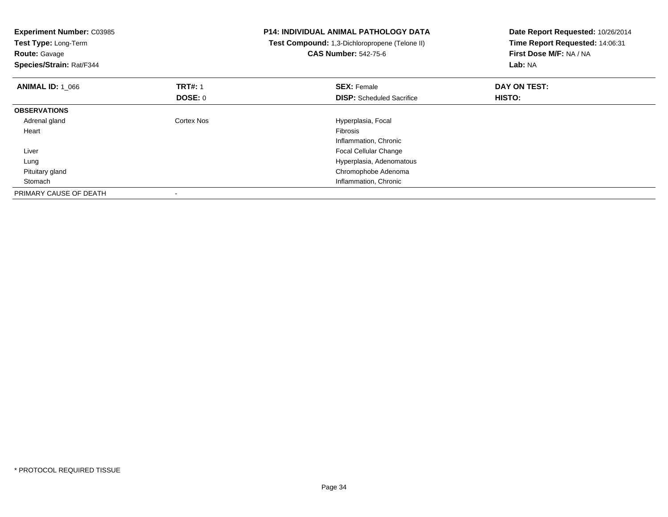| <b>Experiment Number: C03985</b><br>Test Type: Long-Term<br><b>Route: Gavage</b><br>Species/Strain: Rat/F344 |                | <b>P14: INDIVIDUAL ANIMAL PATHOLOGY DATA</b><br>Test Compound: 1,3-Dichloropropene (Telone II)<br><b>CAS Number: 542-75-6</b> | Date Report Requested: 10/26/2014<br>Time Report Requested: 14:06:31<br>First Dose M/F: NA / NA<br>Lab: NA |
|--------------------------------------------------------------------------------------------------------------|----------------|-------------------------------------------------------------------------------------------------------------------------------|------------------------------------------------------------------------------------------------------------|
| <b>ANIMAL ID: 1 066</b>                                                                                      | <b>TRT#:</b> 1 | <b>SEX: Female</b>                                                                                                            | DAY ON TEST:                                                                                               |
|                                                                                                              | <b>DOSE: 0</b> | <b>DISP:</b> Scheduled Sacrifice                                                                                              | HISTO:                                                                                                     |
| <b>OBSERVATIONS</b>                                                                                          |                |                                                                                                                               |                                                                                                            |
| Adrenal gland                                                                                                | Cortex Nos     | Hyperplasia, Focal                                                                                                            |                                                                                                            |
| Heart                                                                                                        |                | <b>Fibrosis</b>                                                                                                               |                                                                                                            |
|                                                                                                              |                | Inflammation, Chronic                                                                                                         |                                                                                                            |
| Liver                                                                                                        |                | Focal Cellular Change                                                                                                         |                                                                                                            |
| Lung                                                                                                         |                | Hyperplasia, Adenomatous                                                                                                      |                                                                                                            |
| Pituitary gland                                                                                              |                | Chromophobe Adenoma                                                                                                           |                                                                                                            |
| Stomach                                                                                                      |                | Inflammation, Chronic                                                                                                         |                                                                                                            |
| PRIMARY CAUSE OF DEATH                                                                                       |                |                                                                                                                               |                                                                                                            |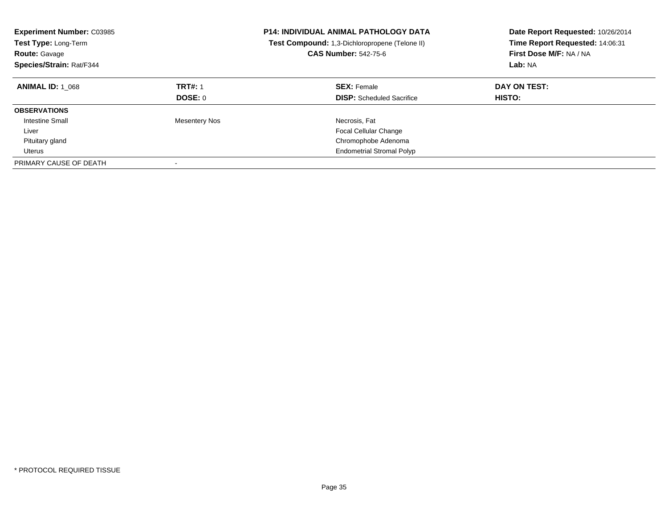| <b>Experiment Number: C03985</b><br><b>Test Type: Long-Term</b><br><b>Route: Gavage</b><br>Species/Strain: Rat/F344 |                                  | <b>P14: INDIVIDUAL ANIMAL PATHOLOGY DATA</b><br><b>Test Compound:</b> 1,3-Dichloropropene (Telone II)<br><b>CAS Number: 542-75-6</b> | Date Report Requested: 10/26/2014<br>Time Report Requested: 14:06:31<br>First Dose M/F: NA / NA<br>Lab: NA |
|---------------------------------------------------------------------------------------------------------------------|----------------------------------|--------------------------------------------------------------------------------------------------------------------------------------|------------------------------------------------------------------------------------------------------------|
| <b>ANIMAL ID: 1 068</b>                                                                                             | <b>TRT#: 1</b><br><b>DOSE: 0</b> | <b>SEX: Female</b><br><b>DISP:</b> Scheduled Sacrifice                                                                               | DAY ON TEST:<br><b>HISTO:</b>                                                                              |
| <b>OBSERVATIONS</b>                                                                                                 |                                  |                                                                                                                                      |                                                                                                            |
| Intestine Small                                                                                                     | <b>Mesentery Nos</b>             | Necrosis, Fat                                                                                                                        |                                                                                                            |
| Liver                                                                                                               |                                  | Focal Cellular Change                                                                                                                |                                                                                                            |
| Pituitary gland                                                                                                     |                                  | Chromophobe Adenoma                                                                                                                  |                                                                                                            |
| Uterus                                                                                                              |                                  | <b>Endometrial Stromal Polyp</b>                                                                                                     |                                                                                                            |
| PRIMARY CAUSE OF DEATH                                                                                              | $\overline{\phantom{a}}$         |                                                                                                                                      |                                                                                                            |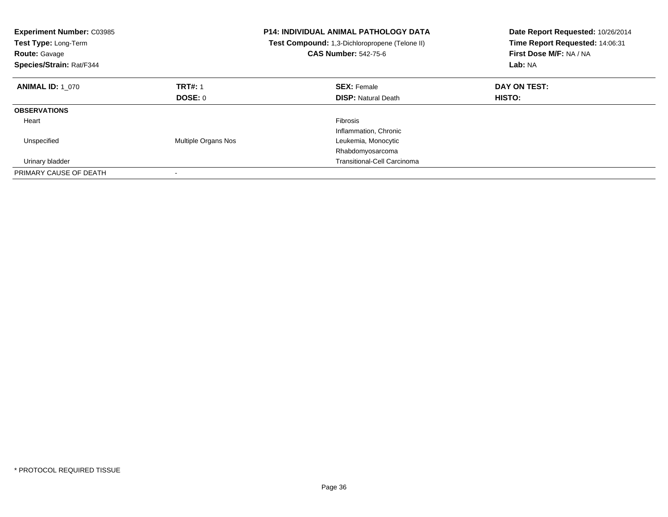| <b>Experiment Number: C03985</b><br>Test Type: Long-Term<br><b>Route: Gavage</b><br>Species/Strain: Rat/F344 |                     | <b>P14: INDIVIDUAL ANIMAL PATHOLOGY DATA</b><br>Test Compound: 1,3-Dichloropropene (Telone II)<br><b>CAS Number: 542-75-6</b> | Date Report Requested: 10/26/2014<br>Time Report Requested: 14:06:31<br>First Dose M/F: NA / NA<br>Lab: NA |
|--------------------------------------------------------------------------------------------------------------|---------------------|-------------------------------------------------------------------------------------------------------------------------------|------------------------------------------------------------------------------------------------------------|
| <b>ANIMAL ID: 1 070</b>                                                                                      | <b>TRT#: 1</b>      | <b>SEX: Female</b>                                                                                                            | DAY ON TEST:                                                                                               |
|                                                                                                              | DOSE: 0             | <b>DISP:</b> Natural Death                                                                                                    | <b>HISTO:</b>                                                                                              |
| <b>OBSERVATIONS</b>                                                                                          |                     |                                                                                                                               |                                                                                                            |
| Heart                                                                                                        |                     | <b>Fibrosis</b>                                                                                                               |                                                                                                            |
|                                                                                                              |                     | Inflammation, Chronic                                                                                                         |                                                                                                            |
| Unspecified                                                                                                  | Multiple Organs Nos | Leukemia, Monocytic                                                                                                           |                                                                                                            |
|                                                                                                              |                     | Rhabdomyosarcoma                                                                                                              |                                                                                                            |
| Urinary bladder                                                                                              |                     | <b>Transitional-Cell Carcinoma</b>                                                                                            |                                                                                                            |
| PRIMARY CAUSE OF DEATH                                                                                       |                     |                                                                                                                               |                                                                                                            |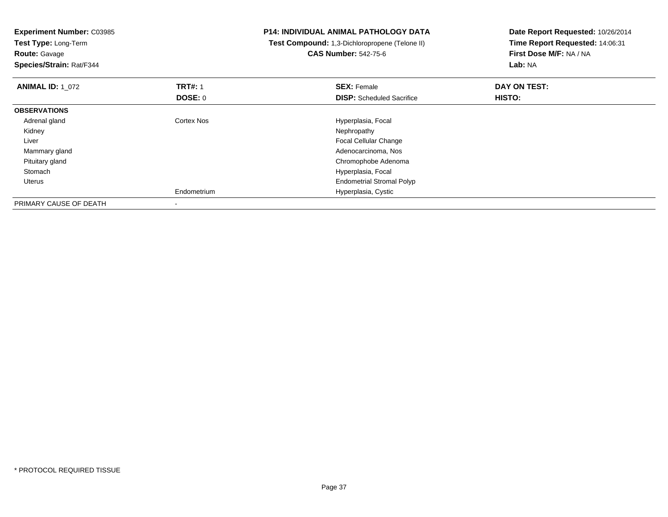| <b>Experiment Number: C03985</b><br>Test Type: Long-Term<br><b>Route: Gavage</b><br>Species/Strain: Rat/F344 |                   | <b>P14: INDIVIDUAL ANIMAL PATHOLOGY DATA</b><br>Test Compound: 1,3-Dichloropropene (Telone II)<br><b>CAS Number: 542-75-6</b> | Date Report Requested: 10/26/2014<br>Time Report Requested: 14:06:31<br>First Dose M/F: NA / NA<br>Lab: NA |
|--------------------------------------------------------------------------------------------------------------|-------------------|-------------------------------------------------------------------------------------------------------------------------------|------------------------------------------------------------------------------------------------------------|
| <b>ANIMAL ID: 1 072</b>                                                                                      | <b>TRT#: 1</b>    | <b>SEX: Female</b>                                                                                                            | DAY ON TEST:                                                                                               |
|                                                                                                              | <b>DOSE: 0</b>    | <b>DISP:</b> Scheduled Sacrifice                                                                                              | HISTO:                                                                                                     |
| <b>OBSERVATIONS</b>                                                                                          |                   |                                                                                                                               |                                                                                                            |
| Adrenal gland                                                                                                | <b>Cortex Nos</b> | Hyperplasia, Focal                                                                                                            |                                                                                                            |
| Kidney                                                                                                       |                   | Nephropathy                                                                                                                   |                                                                                                            |
| Liver                                                                                                        |                   | Focal Cellular Change                                                                                                         |                                                                                                            |
| Mammary gland                                                                                                |                   | Adenocarcinoma, Nos                                                                                                           |                                                                                                            |
| Pituitary gland                                                                                              |                   | Chromophobe Adenoma                                                                                                           |                                                                                                            |
| Stomach                                                                                                      |                   | Hyperplasia, Focal                                                                                                            |                                                                                                            |
| Uterus                                                                                                       |                   | <b>Endometrial Stromal Polyp</b>                                                                                              |                                                                                                            |
|                                                                                                              | Endometrium       | Hyperplasia, Cystic                                                                                                           |                                                                                                            |
| PRIMARY CAUSE OF DEATH                                                                                       |                   |                                                                                                                               |                                                                                                            |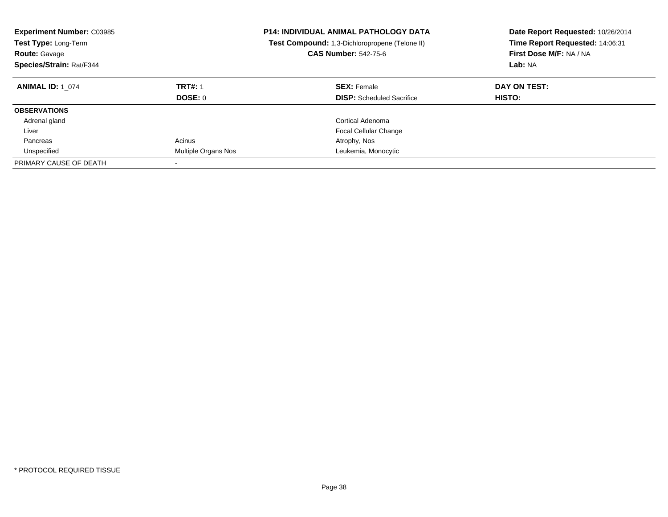| <b>Experiment Number: C03985</b><br>Test Type: Long-Term<br><b>Route: Gavage</b><br>Species/Strain: Rat/F344 |                     | <b>P14: INDIVIDUAL ANIMAL PATHOLOGY DATA</b><br>Test Compound: 1,3-Dichloropropene (Telone II)<br><b>CAS Number: 542-75-6</b> | Date Report Requested: 10/26/2014<br>Time Report Requested: 14:06:31<br>First Dose M/F: NA / NA<br>Lab: NA |
|--------------------------------------------------------------------------------------------------------------|---------------------|-------------------------------------------------------------------------------------------------------------------------------|------------------------------------------------------------------------------------------------------------|
| <b>ANIMAL ID: 1 074</b>                                                                                      | <b>TRT#: 1</b>      | <b>SEX: Female</b>                                                                                                            | DAY ON TEST:                                                                                               |
|                                                                                                              | DOSE: 0             | <b>DISP:</b> Scheduled Sacrifice                                                                                              | HISTO:                                                                                                     |
| <b>OBSERVATIONS</b>                                                                                          |                     |                                                                                                                               |                                                                                                            |
| Adrenal gland                                                                                                |                     | Cortical Adenoma                                                                                                              |                                                                                                            |
| Liver                                                                                                        |                     | <b>Focal Cellular Change</b>                                                                                                  |                                                                                                            |
| Pancreas                                                                                                     | Acinus              | Atrophy, Nos                                                                                                                  |                                                                                                            |
| Unspecified                                                                                                  | Multiple Organs Nos | Leukemia, Monocytic                                                                                                           |                                                                                                            |
| PRIMARY CAUSE OF DEATH                                                                                       |                     |                                                                                                                               |                                                                                                            |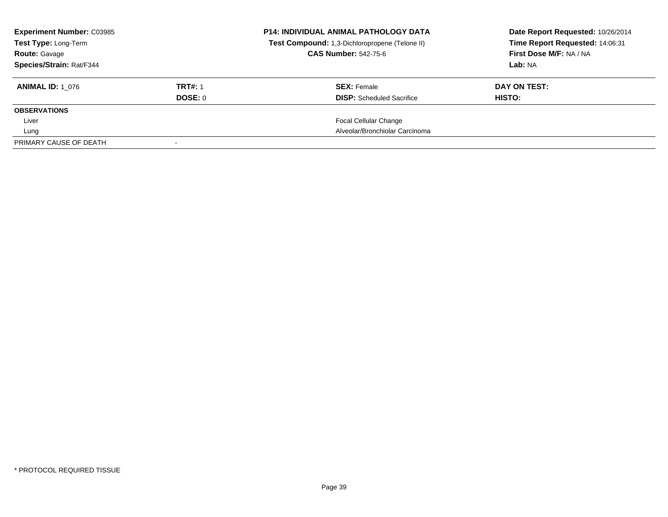| <b>Experiment Number: C03985</b><br>Test Type: Long-Term |                           | <b>P14: INDIVIDUAL ANIMAL PATHOLOGY DATA</b><br>Test Compound: 1,3-Dichloropropene (Telone II)<br><b>CAS Number: 542-75-6</b> | Date Report Requested: 10/26/2014<br>Time Report Requested: 14:06:31<br>First Dose M/F: NA / NA |
|----------------------------------------------------------|---------------------------|-------------------------------------------------------------------------------------------------------------------------------|-------------------------------------------------------------------------------------------------|
| <b>Route: Gavage</b><br>Species/Strain: Rat/F344         |                           |                                                                                                                               | Lab: NA                                                                                         |
| <b>ANIMAL ID:</b> 1 076                                  | <b>TRT#: 1</b><br>DOSE: 0 | <b>SEX: Female</b><br><b>DISP:</b> Scheduled Sacrifice                                                                        | DAY ON TEST:<br>HISTO:                                                                          |
| <b>OBSERVATIONS</b>                                      |                           |                                                                                                                               |                                                                                                 |
| Liver                                                    |                           | <b>Focal Cellular Change</b>                                                                                                  |                                                                                                 |
| Lung                                                     |                           | Alveolar/Bronchiolar Carcinoma                                                                                                |                                                                                                 |
| PRIMARY CAUSE OF DEATH                                   |                           |                                                                                                                               |                                                                                                 |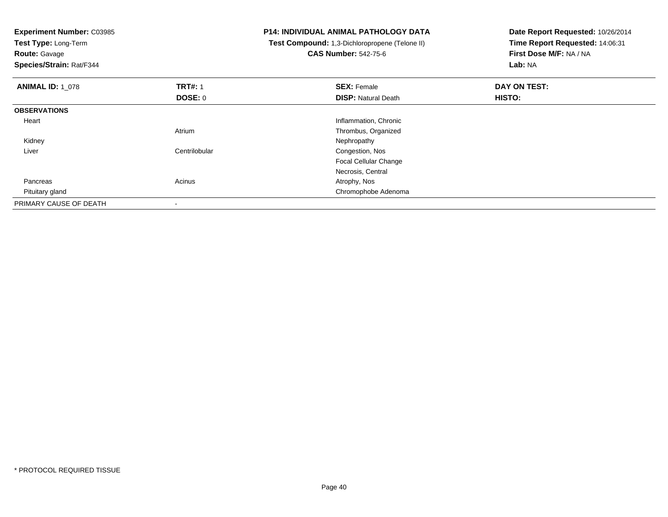| <b>Experiment Number: C03985</b><br>Test Type: Long-Term<br><b>Route: Gavage</b><br>Species/Strain: Rat/F344 |                | <b>P14: INDIVIDUAL ANIMAL PATHOLOGY DATA</b><br>Test Compound: 1,3-Dichloropropene (Telone II)<br><b>CAS Number: 542-75-6</b> | Date Report Requested: 10/26/2014<br>Time Report Requested: 14:06:31<br>First Dose M/F: NA / NA<br>Lab: NA |
|--------------------------------------------------------------------------------------------------------------|----------------|-------------------------------------------------------------------------------------------------------------------------------|------------------------------------------------------------------------------------------------------------|
| <b>ANIMAL ID: 1_078</b>                                                                                      | <b>TRT#: 1</b> | <b>SEX: Female</b>                                                                                                            | DAY ON TEST:                                                                                               |
|                                                                                                              | DOSE: 0        | <b>DISP: Natural Death</b>                                                                                                    | HISTO:                                                                                                     |
| <b>OBSERVATIONS</b>                                                                                          |                |                                                                                                                               |                                                                                                            |
| Heart                                                                                                        |                | Inflammation, Chronic                                                                                                         |                                                                                                            |
|                                                                                                              | Atrium         | Thrombus, Organized                                                                                                           |                                                                                                            |
| Kidney                                                                                                       |                | Nephropathy                                                                                                                   |                                                                                                            |
| Liver                                                                                                        | Centrilobular  | Congestion, Nos                                                                                                               |                                                                                                            |
|                                                                                                              |                | <b>Focal Cellular Change</b>                                                                                                  |                                                                                                            |
|                                                                                                              |                | Necrosis, Central                                                                                                             |                                                                                                            |
| Pancreas                                                                                                     | Acinus         | Atrophy, Nos                                                                                                                  |                                                                                                            |
| Pituitary gland                                                                                              |                | Chromophobe Adenoma                                                                                                           |                                                                                                            |
| PRIMARY CAUSE OF DEATH                                                                                       |                |                                                                                                                               |                                                                                                            |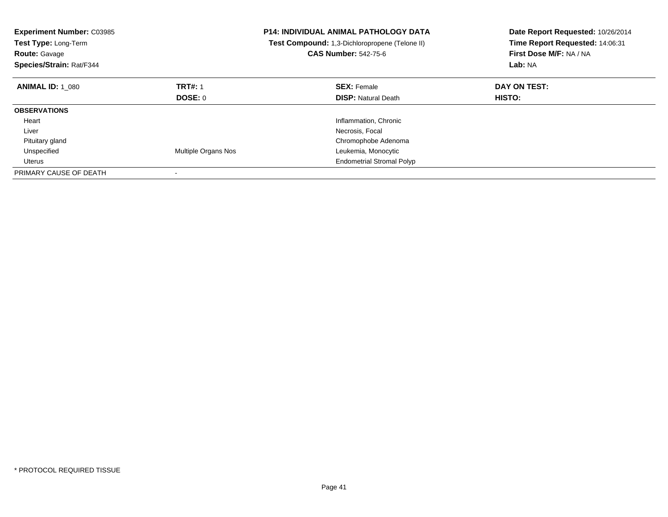| <b>Experiment Number: C03985</b><br>Test Type: Long-Term<br><b>Route: Gavage</b><br>Species/Strain: Rat/F344 |                     | P14: INDIVIDUAL ANIMAL PATHOLOGY DATA<br>Test Compound: 1,3-Dichloropropene (Telone II)<br><b>CAS Number: 542-75-6</b> | Date Report Requested: 10/26/2014<br>Time Report Requested: 14:06:31<br>First Dose M/F: NA / NA<br>Lab: NA |
|--------------------------------------------------------------------------------------------------------------|---------------------|------------------------------------------------------------------------------------------------------------------------|------------------------------------------------------------------------------------------------------------|
| <b>ANIMAL ID: 1 080</b>                                                                                      | <b>TRT#: 1</b>      | <b>SEX: Female</b>                                                                                                     | DAY ON TEST:                                                                                               |
|                                                                                                              | DOSE: 0             | <b>DISP:</b> Natural Death                                                                                             | HISTO:                                                                                                     |
| <b>OBSERVATIONS</b>                                                                                          |                     |                                                                                                                        |                                                                                                            |
| Heart                                                                                                        |                     | Inflammation, Chronic                                                                                                  |                                                                                                            |
| Liver                                                                                                        |                     | Necrosis, Focal                                                                                                        |                                                                                                            |
| Pituitary gland                                                                                              |                     | Chromophobe Adenoma                                                                                                    |                                                                                                            |
| Unspecified                                                                                                  | Multiple Organs Nos | Leukemia, Monocytic                                                                                                    |                                                                                                            |
| Uterus                                                                                                       |                     | <b>Endometrial Stromal Polyp</b>                                                                                       |                                                                                                            |
| PRIMARY CAUSE OF DEATH                                                                                       |                     |                                                                                                                        |                                                                                                            |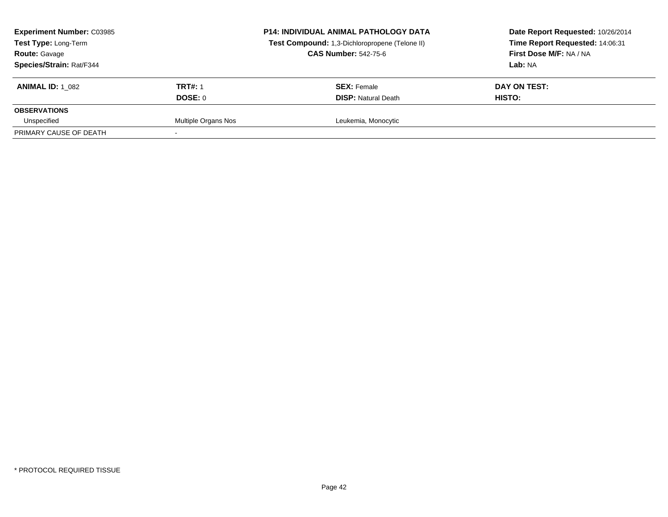| <b>Experiment Number: C03985</b><br>Test Type: Long-Term<br><b>Route: Gavage</b><br>Species/Strain: Rat/F344 |                           | <b>P14: INDIVIDUAL ANIMAL PATHOLOGY DATA</b><br>Test Compound: 1,3-Dichloropropene (Telone II)<br><b>CAS Number: 542-75-6</b> | Date Report Requested: 10/26/2014<br>Time Report Requested: 14:06:31<br>First Dose M/F: NA / NA<br><b>Lab:</b> NA |
|--------------------------------------------------------------------------------------------------------------|---------------------------|-------------------------------------------------------------------------------------------------------------------------------|-------------------------------------------------------------------------------------------------------------------|
| <b>ANIMAL ID: 1 082</b>                                                                                      | <b>TRT#: 1</b><br>DOSE: 0 | <b>SEX: Female</b><br><b>DISP: Natural Death</b>                                                                              | DAY ON TEST:<br><b>HISTO:</b>                                                                                     |
| <b>OBSERVATIONS</b>                                                                                          |                           |                                                                                                                               |                                                                                                                   |
| Unspecified                                                                                                  | Multiple Organs Nos       | Leukemia, Monocytic                                                                                                           |                                                                                                                   |
| PRIMARY CAUSE OF DEATH                                                                                       |                           |                                                                                                                               |                                                                                                                   |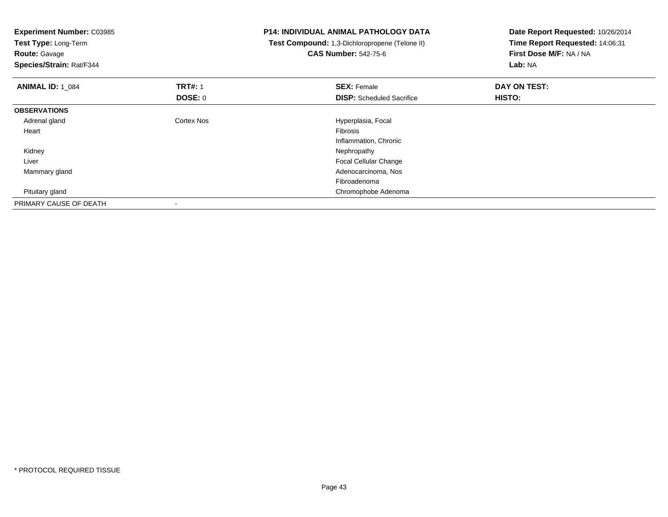| <b>Experiment Number: C03985</b><br>Test Type: Long-Term<br><b>Route: Gavage</b> |                   | <b>P14: INDIVIDUAL ANIMAL PATHOLOGY DATA</b><br>Test Compound: 1,3-Dichloropropene (Telone II)<br><b>CAS Number: 542-75-6</b> | Date Report Requested: 10/26/2014<br>Time Report Requested: 14:06:31<br>First Dose M/F: NA / NA |
|----------------------------------------------------------------------------------|-------------------|-------------------------------------------------------------------------------------------------------------------------------|-------------------------------------------------------------------------------------------------|
| Species/Strain: Rat/F344                                                         |                   |                                                                                                                               | Lab: NA                                                                                         |
| <b>ANIMAL ID: 1 084</b>                                                          | <b>TRT#: 1</b>    | <b>SEX: Female</b>                                                                                                            | DAY ON TEST:                                                                                    |
|                                                                                  | DOSE: 0           | <b>DISP:</b> Scheduled Sacrifice                                                                                              | HISTO:                                                                                          |
| <b>OBSERVATIONS</b>                                                              |                   |                                                                                                                               |                                                                                                 |
| Adrenal gland                                                                    | <b>Cortex Nos</b> | Hyperplasia, Focal                                                                                                            |                                                                                                 |
| Heart                                                                            |                   | <b>Fibrosis</b>                                                                                                               |                                                                                                 |
|                                                                                  |                   | Inflammation, Chronic                                                                                                         |                                                                                                 |
| Kidney                                                                           |                   | Nephropathy                                                                                                                   |                                                                                                 |
| Liver                                                                            |                   | <b>Focal Cellular Change</b>                                                                                                  |                                                                                                 |
| Mammary gland                                                                    |                   | Adenocarcinoma, Nos                                                                                                           |                                                                                                 |
|                                                                                  |                   | Fibroadenoma                                                                                                                  |                                                                                                 |
| Pituitary gland                                                                  |                   | Chromophobe Adenoma                                                                                                           |                                                                                                 |
| PRIMARY CAUSE OF DEATH                                                           |                   |                                                                                                                               |                                                                                                 |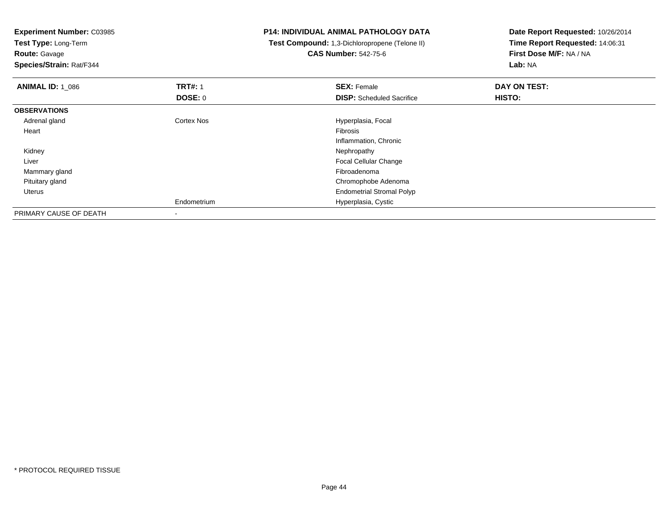**Experiment Number:** C03985**Test Type:** Long-Term**Route:** Gavage **Species/Strain:** Rat/F344**P14: INDIVIDUAL ANIMAL PATHOLOGY DATA Test Compound:** 1,3-Dichloropropene (Telone II)**CAS Number:** 542-75-6**Date Report Requested:** 10/26/2014**Time Report Requested:** 14:06:31**First Dose M/F:** NA / NA**Lab:** NA**ANIMAL ID: 1\_086 6 DAY ON TEST:** 1 **SEX:** Female **SEX: Female DAY ON TEST: DOSE:** 0**DISP:** Scheduled Sacrifice **HISTO: OBSERVATIONS** Adrenal glandCortex Nos **Exercía Exercía Exercía Exercía Exercía Exercía Exercía Exercía Exercía Exercía Exercía Exercía E**<br>Fibrosis Heartt de la constitución de la constitución de la constitución de la constitución de la constitución de la constitución Inflammation, Chronic Kidneyy the control of the control of the control of the control of the control of the control of the control of the control of the control of the control of the control of the control of the control of the control of the contro Liver Focal Cellular Change Mammary glandd and the control of the control of the control of the control of the control of the control of the control of the control of the control of the control of the control of the control of the control of the control of the co Pituitary gland Chromophobe Adenoma Uterus Endometrial Stromal PolypEndometrium Hyperplasia, Cystic PRIMARY CAUSE OF DEATH-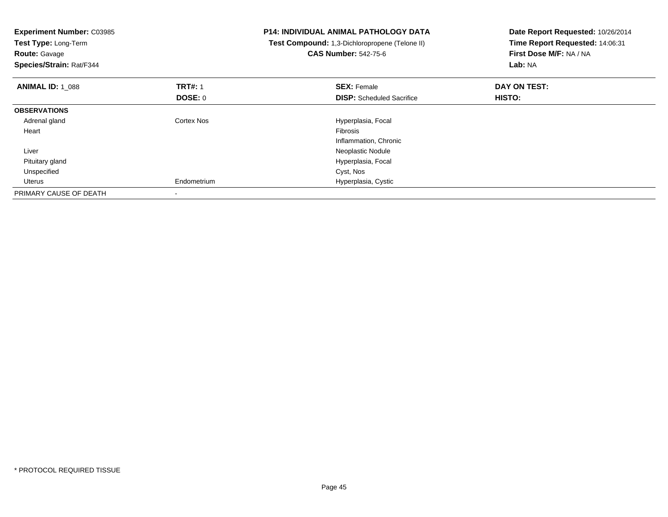| <b>Experiment Number: C03985</b><br>Test Type: Long-Term<br><b>Route: Gavage</b><br>Species/Strain: Rat/F344 |                           | <b>P14: INDIVIDUAL ANIMAL PATHOLOGY DATA</b><br>Test Compound: 1,3-Dichloropropene (Telone II)<br><b>CAS Number: 542-75-6</b> | Date Report Requested: 10/26/2014<br>Time Report Requested: 14:06:31<br>First Dose M/F: NA / NA<br>Lab: NA |
|--------------------------------------------------------------------------------------------------------------|---------------------------|-------------------------------------------------------------------------------------------------------------------------------|------------------------------------------------------------------------------------------------------------|
| <b>ANIMAL ID: 1 088</b>                                                                                      | <b>TRT#: 1</b><br>DOSE: 0 | <b>SEX: Female</b><br><b>DISP:</b> Scheduled Sacrifice                                                                        | DAY ON TEST:<br>HISTO:                                                                                     |
|                                                                                                              |                           |                                                                                                                               |                                                                                                            |
| <b>OBSERVATIONS</b>                                                                                          |                           |                                                                                                                               |                                                                                                            |
| Adrenal gland                                                                                                | Cortex Nos                | Hyperplasia, Focal                                                                                                            |                                                                                                            |
| Heart                                                                                                        |                           | Fibrosis                                                                                                                      |                                                                                                            |
|                                                                                                              |                           | Inflammation, Chronic                                                                                                         |                                                                                                            |
| Liver                                                                                                        |                           | Neoplastic Nodule                                                                                                             |                                                                                                            |
| Pituitary gland                                                                                              |                           | Hyperplasia, Focal                                                                                                            |                                                                                                            |
| Unspecified                                                                                                  |                           | Cyst, Nos                                                                                                                     |                                                                                                            |
| Uterus                                                                                                       | Endometrium               | Hyperplasia, Cystic                                                                                                           |                                                                                                            |
| PRIMARY CAUSE OF DEATH                                                                                       |                           |                                                                                                                               |                                                                                                            |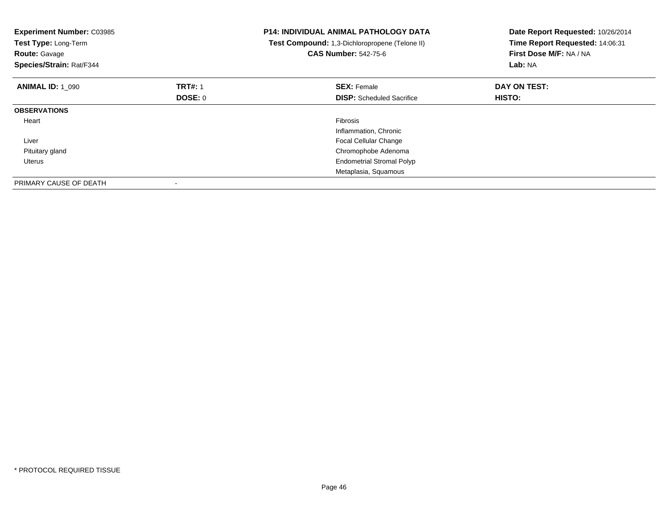| <b>Experiment Number: C03985</b><br>Test Type: Long-Term<br><b>Route: Gavage</b><br>Species/Strain: Rat/F344 |                | <b>P14: INDIVIDUAL ANIMAL PATHOLOGY DATA</b><br>Test Compound: 1,3-Dichloropropene (Telone II)<br><b>CAS Number: 542-75-6</b> | Date Report Requested: 10/26/2014<br>Time Report Requested: 14:06:31<br>First Dose M/F: NA / NA<br>Lab: NA |
|--------------------------------------------------------------------------------------------------------------|----------------|-------------------------------------------------------------------------------------------------------------------------------|------------------------------------------------------------------------------------------------------------|
| <b>ANIMAL ID: 1 090</b>                                                                                      | <b>TRT#: 1</b> | <b>SEX: Female</b>                                                                                                            | DAY ON TEST:                                                                                               |
|                                                                                                              | DOSE: 0        | <b>DISP:</b> Scheduled Sacrifice                                                                                              | <b>HISTO:</b>                                                                                              |
| <b>OBSERVATIONS</b>                                                                                          |                |                                                                                                                               |                                                                                                            |
| Heart                                                                                                        |                | <b>Fibrosis</b>                                                                                                               |                                                                                                            |
|                                                                                                              |                | Inflammation, Chronic                                                                                                         |                                                                                                            |
| Liver                                                                                                        |                | <b>Focal Cellular Change</b>                                                                                                  |                                                                                                            |
| Pituitary gland                                                                                              |                | Chromophobe Adenoma                                                                                                           |                                                                                                            |
| Uterus                                                                                                       |                | <b>Endometrial Stromal Polyp</b>                                                                                              |                                                                                                            |
|                                                                                                              |                | Metaplasia, Squamous                                                                                                          |                                                                                                            |
| PRIMARY CAUSE OF DEATH                                                                                       |                |                                                                                                                               |                                                                                                            |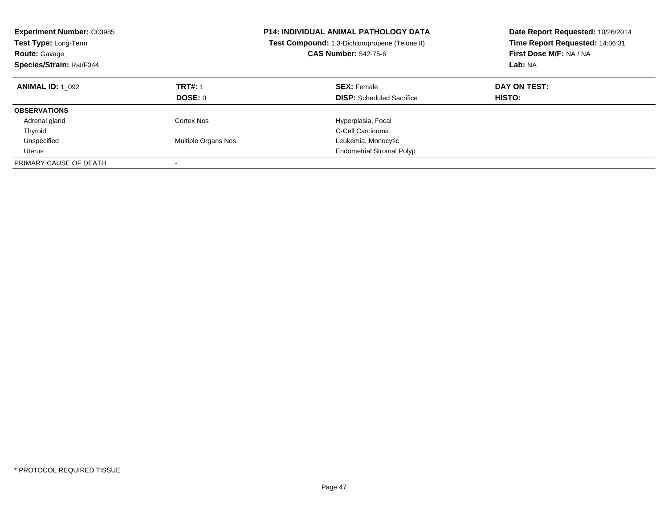| <b>Experiment Number: C03985</b><br><b>Test Type: Long-Term</b><br><b>Route: Gavage</b><br>Species/Strain: Rat/F344 |                                  | <b>P14: INDIVIDUAL ANIMAL PATHOLOGY DATA</b><br><b>Test Compound:</b> 1,3-Dichloropropene (Telone II)<br><b>CAS Number: 542-75-6</b> | Date Report Requested: 10/26/2014<br>Time Report Requested: 14:06:31<br>First Dose M/F: NA / NA<br>Lab: NA |
|---------------------------------------------------------------------------------------------------------------------|----------------------------------|--------------------------------------------------------------------------------------------------------------------------------------|------------------------------------------------------------------------------------------------------------|
| <b>ANIMAL ID: 1 092</b>                                                                                             | <b>TRT#: 1</b><br><b>DOSE: 0</b> | <b>SEX: Female</b><br><b>DISP:</b> Scheduled Sacrifice                                                                               | DAY ON TEST:<br><b>HISTO:</b>                                                                              |
| <b>OBSERVATIONS</b>                                                                                                 |                                  |                                                                                                                                      |                                                                                                            |
| Adrenal gland                                                                                                       | Cortex Nos                       | Hyperplasia, Focal                                                                                                                   |                                                                                                            |
| Thyroid                                                                                                             |                                  | C-Cell Carcinoma                                                                                                                     |                                                                                                            |
| Unspecified                                                                                                         | Multiple Organs Nos              | Leukemia, Monocytic                                                                                                                  |                                                                                                            |
| Uterus                                                                                                              |                                  | <b>Endometrial Stromal Polyp</b>                                                                                                     |                                                                                                            |
| PRIMARY CAUSE OF DEATH                                                                                              |                                  |                                                                                                                                      |                                                                                                            |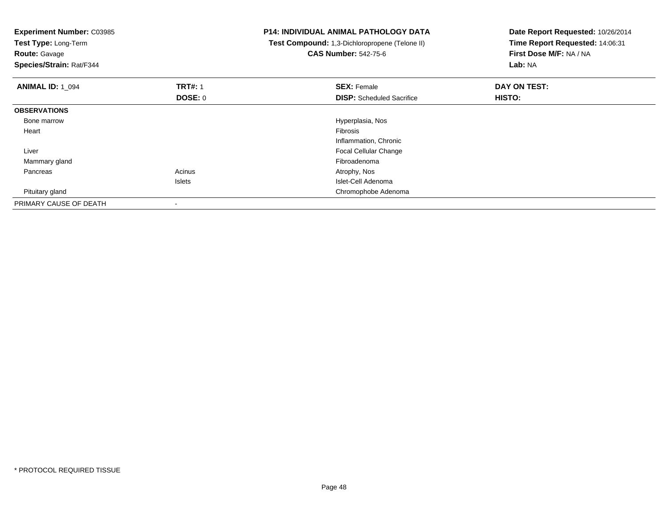| <b>Experiment Number: C03985</b><br>Test Type: Long-Term<br><b>Route: Gavage</b><br>Species/Strain: Rat/F344 |                | <b>P14: INDIVIDUAL ANIMAL PATHOLOGY DATA</b><br>Test Compound: 1,3-Dichloropropene (Telone II)<br><b>CAS Number: 542-75-6</b> | Date Report Requested: 10/26/2014<br>Time Report Requested: 14:06:31<br>First Dose M/F: NA / NA<br>Lab: NA |
|--------------------------------------------------------------------------------------------------------------|----------------|-------------------------------------------------------------------------------------------------------------------------------|------------------------------------------------------------------------------------------------------------|
| <b>ANIMAL ID: 1 094</b>                                                                                      | <b>TRT#: 1</b> | <b>SEX: Female</b>                                                                                                            | DAY ON TEST:                                                                                               |
|                                                                                                              | DOSE: 0        | <b>DISP:</b> Scheduled Sacrifice                                                                                              | HISTO:                                                                                                     |
| <b>OBSERVATIONS</b>                                                                                          |                |                                                                                                                               |                                                                                                            |
| Bone marrow                                                                                                  |                | Hyperplasia, Nos                                                                                                              |                                                                                                            |
| Heart                                                                                                        |                | <b>Fibrosis</b>                                                                                                               |                                                                                                            |
|                                                                                                              |                | Inflammation, Chronic                                                                                                         |                                                                                                            |
| Liver                                                                                                        |                | <b>Focal Cellular Change</b>                                                                                                  |                                                                                                            |
| Mammary gland                                                                                                |                | Fibroadenoma                                                                                                                  |                                                                                                            |
| Pancreas                                                                                                     | Acinus         | Atrophy, Nos                                                                                                                  |                                                                                                            |
|                                                                                                              | <b>Islets</b>  | Islet-Cell Adenoma                                                                                                            |                                                                                                            |
| Pituitary gland                                                                                              |                | Chromophobe Adenoma                                                                                                           |                                                                                                            |
| PRIMARY CAUSE OF DEATH                                                                                       |                |                                                                                                                               |                                                                                                            |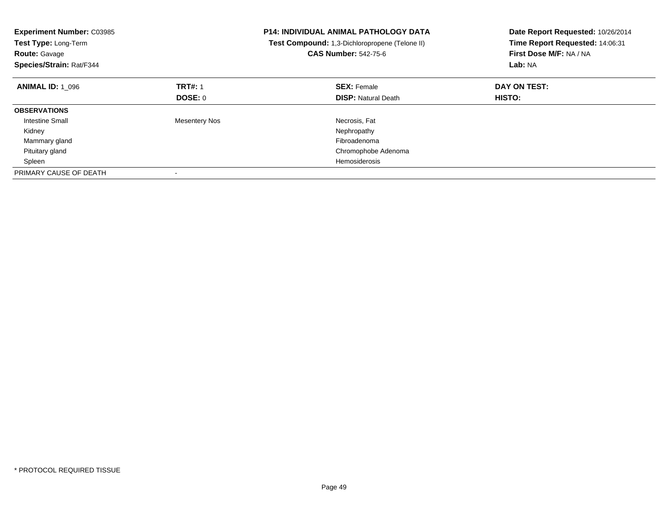| <b>Experiment Number: C03985</b><br>Test Type: Long-Term<br><b>Route: Gavage</b><br>Species/Strain: Rat/F344 |                      | <b>P14: INDIVIDUAL ANIMAL PATHOLOGY DATA</b><br>Test Compound: 1,3-Dichloropropene (Telone II)<br><b>CAS Number: 542-75-6</b> | Date Report Requested: 10/26/2014<br>Time Report Requested: 14:06:31<br>First Dose M/F: NA / NA<br>Lab: NA |
|--------------------------------------------------------------------------------------------------------------|----------------------|-------------------------------------------------------------------------------------------------------------------------------|------------------------------------------------------------------------------------------------------------|
| <b>ANIMAL ID: 1 096</b>                                                                                      | <b>TRT#: 1</b>       | <b>SEX: Female</b>                                                                                                            | DAY ON TEST:                                                                                               |
|                                                                                                              | DOSE: 0              | <b>DISP:</b> Natural Death                                                                                                    | HISTO:                                                                                                     |
| <b>OBSERVATIONS</b>                                                                                          |                      |                                                                                                                               |                                                                                                            |
| Intestine Small                                                                                              | <b>Mesentery Nos</b> | Necrosis, Fat                                                                                                                 |                                                                                                            |
| Kidney                                                                                                       |                      | Nephropathy                                                                                                                   |                                                                                                            |
| Mammary gland                                                                                                |                      | Fibroadenoma                                                                                                                  |                                                                                                            |
| Pituitary gland                                                                                              |                      | Chromophobe Adenoma                                                                                                           |                                                                                                            |
| Spleen                                                                                                       |                      | Hemosiderosis                                                                                                                 |                                                                                                            |
| PRIMARY CAUSE OF DEATH                                                                                       |                      |                                                                                                                               |                                                                                                            |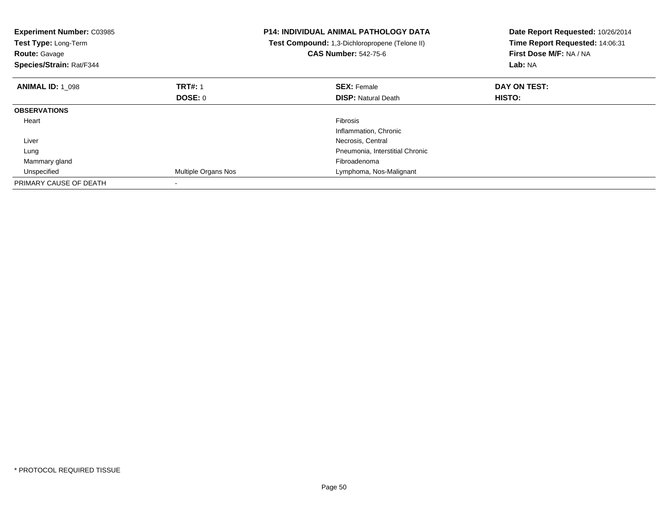| <b>Experiment Number: C03985</b><br>Test Type: Long-Term<br><b>Route: Gavage</b><br>Species/Strain: Rat/F344 |                     | <b>P14: INDIVIDUAL ANIMAL PATHOLOGY DATA</b><br>Test Compound: 1,3-Dichloropropene (Telone II)<br><b>CAS Number: 542-75-6</b> | Date Report Requested: 10/26/2014<br>Time Report Requested: 14:06:31<br>First Dose M/F: NA / NA<br>Lab: NA |
|--------------------------------------------------------------------------------------------------------------|---------------------|-------------------------------------------------------------------------------------------------------------------------------|------------------------------------------------------------------------------------------------------------|
| <b>ANIMAL ID: 1 098</b>                                                                                      | <b>TRT#: 1</b>      | <b>SEX: Female</b>                                                                                                            | DAY ON TEST:                                                                                               |
|                                                                                                              | <b>DOSE: 0</b>      | <b>DISP: Natural Death</b>                                                                                                    | <b>HISTO:</b>                                                                                              |
| <b>OBSERVATIONS</b>                                                                                          |                     |                                                                                                                               |                                                                                                            |
| Heart                                                                                                        |                     | Fibrosis                                                                                                                      |                                                                                                            |
|                                                                                                              |                     | Inflammation, Chronic                                                                                                         |                                                                                                            |
| Liver                                                                                                        |                     | Necrosis, Central                                                                                                             |                                                                                                            |
| Lung                                                                                                         |                     | Pneumonia, Interstitial Chronic                                                                                               |                                                                                                            |
| Mammary gland                                                                                                |                     | Fibroadenoma                                                                                                                  |                                                                                                            |
| Unspecified                                                                                                  | Multiple Organs Nos | Lymphoma, Nos-Malignant                                                                                                       |                                                                                                            |
| PRIMARY CAUSE OF DEATH                                                                                       |                     |                                                                                                                               |                                                                                                            |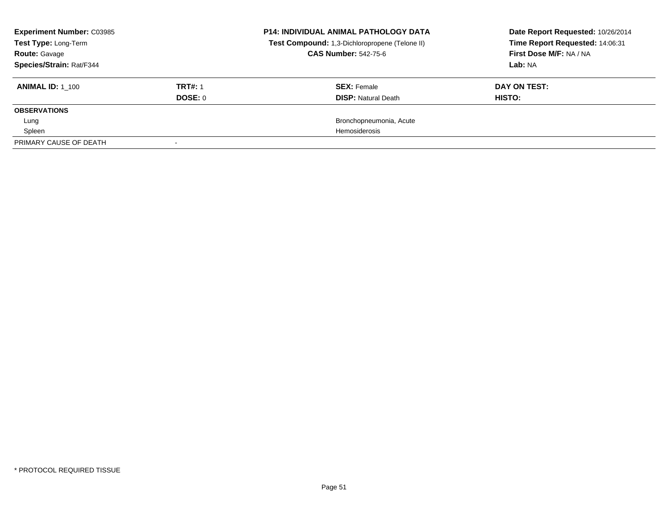| <b>Experiment Number: C03985</b><br>Test Type: Long-Term |                | <b>P14: INDIVIDUAL ANIMAL PATHOLOGY DATA</b>   | Date Report Requested: 10/26/2014 |
|----------------------------------------------------------|----------------|------------------------------------------------|-----------------------------------|
|                                                          |                | Test Compound: 1,3-Dichloropropene (Telone II) | Time Report Requested: 14:06:31   |
| <b>Route:</b> Gavage                                     |                | <b>CAS Number: 542-75-6</b>                    | First Dose M/F: NA / NA           |
| Species/Strain: Rat/F344                                 |                |                                                | Lab: NA                           |
| <b>ANIMAL ID: 1 100</b>                                  | <b>TRT#: 1</b> | <b>SEX: Female</b>                             | DAY ON TEST:                      |
|                                                          | DOSE: 0        | <b>DISP:</b> Natural Death                     | HISTO:                            |
| <b>OBSERVATIONS</b>                                      |                |                                                |                                   |
| Lung                                                     |                | Bronchopneumonia, Acute                        |                                   |
| Spleen                                                   |                | <b>Hemosiderosis</b>                           |                                   |
| PRIMARY CAUSE OF DEATH                                   |                |                                                |                                   |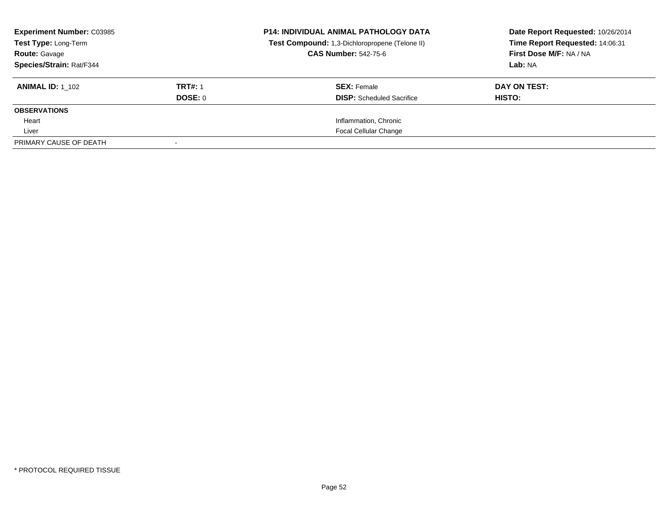| <b>Experiment Number: C03985</b><br>Test Type: Long-Term |                | <b>P14: INDIVIDUAL ANIMAL PATHOLOGY DATA</b><br>Test Compound: 1,3-Dichloropropene (Telone II) | Date Report Requested: 10/26/2014<br>Time Report Requested: 14:06:31<br>First Dose M/F: NA / NA |
|----------------------------------------------------------|----------------|------------------------------------------------------------------------------------------------|-------------------------------------------------------------------------------------------------|
| <b>Route: Gavage</b>                                     |                | <b>CAS Number: 542-75-6</b>                                                                    |                                                                                                 |
| Species/Strain: Rat/F344                                 |                |                                                                                                | Lab: NA                                                                                         |
| <b>ANIMAL ID: 1 102</b>                                  | <b>TRT#: 1</b> | <b>SEX: Female</b>                                                                             | DAY ON TEST:                                                                                    |
|                                                          | DOSE: 0        | <b>DISP:</b> Scheduled Sacrifice                                                               | HISTO:                                                                                          |
| <b>OBSERVATIONS</b>                                      |                |                                                                                                |                                                                                                 |
| Heart                                                    |                | Inflammation, Chronic                                                                          |                                                                                                 |
| Liver                                                    |                | <b>Focal Cellular Change</b>                                                                   |                                                                                                 |
| PRIMARY CAUSE OF DEATH                                   |                |                                                                                                |                                                                                                 |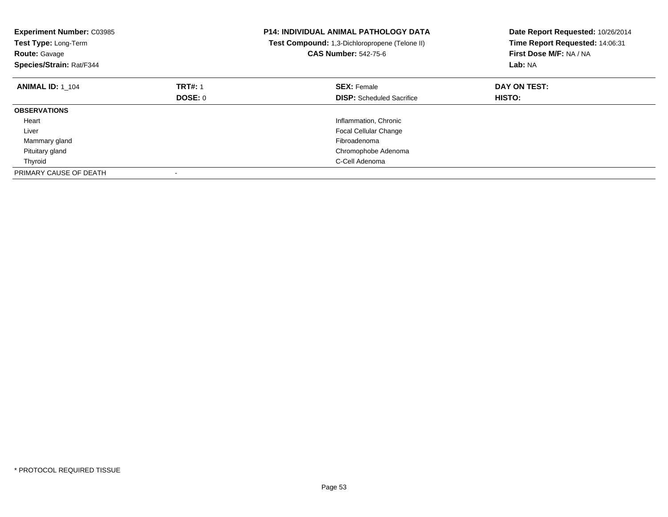| <b>Experiment Number: C03985</b><br>Test Type: Long-Term<br><b>Route: Gavage</b><br>Species/Strain: Rat/F344 |                | <b>P14: INDIVIDUAL ANIMAL PATHOLOGY DATA</b><br>Test Compound: 1,3-Dichloropropene (Telone II)<br><b>CAS Number: 542-75-6</b> | Date Report Requested: 10/26/2014<br>Time Report Requested: 14:06:31<br>First Dose M/F: NA / NA<br>Lab: NA |
|--------------------------------------------------------------------------------------------------------------|----------------|-------------------------------------------------------------------------------------------------------------------------------|------------------------------------------------------------------------------------------------------------|
| <b>ANIMAL ID: 1 104</b>                                                                                      | <b>TRT#: 1</b> | <b>SEX: Female</b>                                                                                                            | DAY ON TEST:                                                                                               |
|                                                                                                              | <b>DOSE: 0</b> | <b>DISP:</b> Scheduled Sacrifice                                                                                              | HISTO:                                                                                                     |
| <b>OBSERVATIONS</b>                                                                                          |                |                                                                                                                               |                                                                                                            |
| Heart                                                                                                        |                | Inflammation, Chronic                                                                                                         |                                                                                                            |
| Liver                                                                                                        |                | <b>Focal Cellular Change</b>                                                                                                  |                                                                                                            |
| Mammary gland                                                                                                |                | Fibroadenoma                                                                                                                  |                                                                                                            |
| Pituitary gland                                                                                              |                | Chromophobe Adenoma                                                                                                           |                                                                                                            |
| Thyroid                                                                                                      |                | C-Cell Adenoma                                                                                                                |                                                                                                            |
| PRIMARY CAUSE OF DEATH                                                                                       |                |                                                                                                                               |                                                                                                            |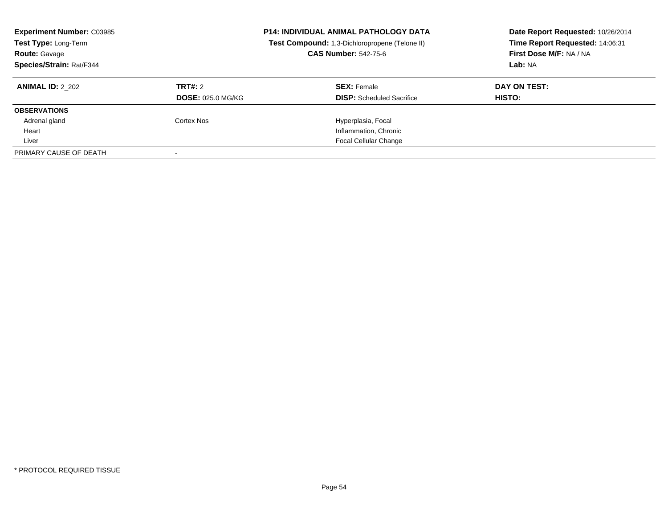| <b>Experiment Number: C03985</b><br>Test Type: Long-Term<br>Route: Gavage<br>Species/Strain: Rat/F344 | <b>P14: INDIVIDUAL ANIMAL PATHOLOGY DATA</b><br>Test Compound: 1,3-Dichloropropene (Telone II)<br><b>CAS Number: 542-75-6</b> |                                  | Date Report Requested: 10/26/2014<br>Time Report Requested: 14:06:31<br>First Dose M/F: NA / NA<br>Lab: NA |
|-------------------------------------------------------------------------------------------------------|-------------------------------------------------------------------------------------------------------------------------------|----------------------------------|------------------------------------------------------------------------------------------------------------|
| <b>ANIMAL ID: 2 202</b>                                                                               | TRT#: 2                                                                                                                       | <b>SEX: Female</b>               | DAY ON TEST:                                                                                               |
|                                                                                                       | <b>DOSE: 025.0 MG/KG</b>                                                                                                      | <b>DISP:</b> Scheduled Sacrifice | <b>HISTO:</b>                                                                                              |
| <b>OBSERVATIONS</b>                                                                                   |                                                                                                                               |                                  |                                                                                                            |
| Adrenal gland                                                                                         | Cortex Nos                                                                                                                    | Hyperplasia, Focal               |                                                                                                            |
| Heart                                                                                                 |                                                                                                                               | Inflammation, Chronic            |                                                                                                            |
| Liver                                                                                                 |                                                                                                                               | <b>Focal Cellular Change</b>     |                                                                                                            |
| PRIMARY CAUSE OF DEATH                                                                                |                                                                                                                               |                                  |                                                                                                            |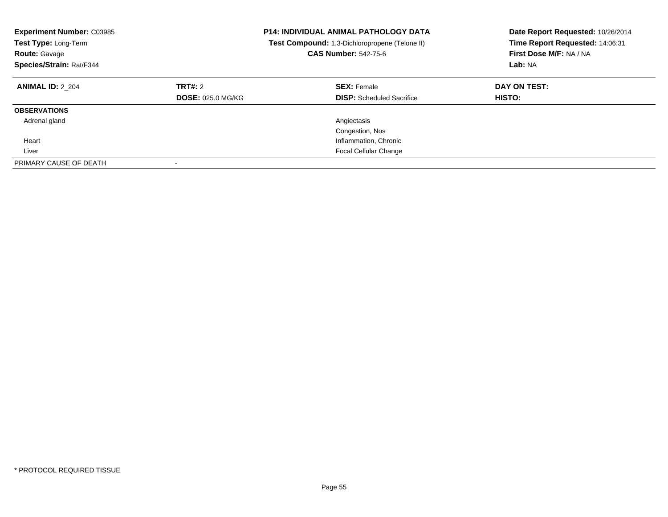| <b>Experiment Number: C03985</b><br><b>Test Type: Long-Term</b><br><b>Route: Gavage</b><br>Species/Strain: Rat/F344 |                                     | <b>P14: INDIVIDUAL ANIMAL PATHOLOGY DATA</b><br>Test Compound: 1,3-Dichloropropene (Telone II)<br><b>CAS Number: 542-75-6</b> | Date Report Requested: 10/26/2014<br>Time Report Requested: 14:06:31<br>First Dose M/F: NA / NA<br>Lab: NA |
|---------------------------------------------------------------------------------------------------------------------|-------------------------------------|-------------------------------------------------------------------------------------------------------------------------------|------------------------------------------------------------------------------------------------------------|
| <b>ANIMAL ID: 2 204</b>                                                                                             | TRT#: 2<br><b>DOSE: 025.0 MG/KG</b> | <b>SEX: Female</b><br><b>DISP:</b> Scheduled Sacrifice                                                                        | DAY ON TEST:<br>HISTO:                                                                                     |
| <b>OBSERVATIONS</b>                                                                                                 |                                     |                                                                                                                               |                                                                                                            |
| Adrenal gland                                                                                                       |                                     | Angiectasis                                                                                                                   |                                                                                                            |
|                                                                                                                     |                                     | Congestion, Nos                                                                                                               |                                                                                                            |
| Heart                                                                                                               |                                     | Inflammation, Chronic                                                                                                         |                                                                                                            |
| Liver                                                                                                               |                                     | <b>Focal Cellular Change</b>                                                                                                  |                                                                                                            |
| PRIMARY CAUSE OF DEATH                                                                                              |                                     |                                                                                                                               |                                                                                                            |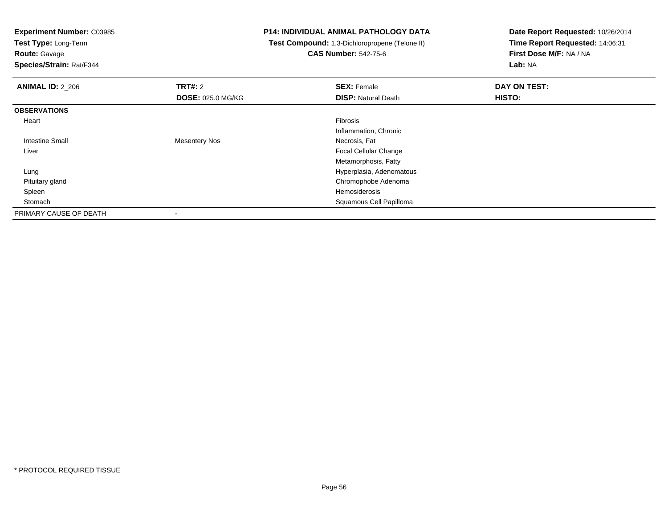**Test Type:** Long-Term

**Route:** Gavage

**Species/Strain:** Rat/F344

## **P14: INDIVIDUAL ANIMAL PATHOLOGY DATA**

 **Test Compound:** 1,3-Dichloropropene (Telone II)**CAS Number:** 542-75-6

| <b>ANIMAL ID: 2 206</b> | <b>TRT#: 2</b>           | <b>SEX: Female</b>           | DAY ON TEST: |  |
|-------------------------|--------------------------|------------------------------|--------------|--|
|                         | <b>DOSE: 025.0 MG/KG</b> | <b>DISP: Natural Death</b>   | HISTO:       |  |
| <b>OBSERVATIONS</b>     |                          |                              |              |  |
| Heart                   |                          | Fibrosis                     |              |  |
|                         |                          | Inflammation, Chronic        |              |  |
| Intestine Small         | <b>Mesentery Nos</b>     | Necrosis, Fat                |              |  |
| Liver                   |                          | <b>Focal Cellular Change</b> |              |  |
|                         |                          | Metamorphosis, Fatty         |              |  |
| Lung                    |                          | Hyperplasia, Adenomatous     |              |  |
| Pituitary gland         |                          | Chromophobe Adenoma          |              |  |
| Spleen                  |                          | Hemosiderosis                |              |  |
| Stomach                 |                          | Squamous Cell Papilloma      |              |  |
| PRIMARY CAUSE OF DEATH  |                          |                              |              |  |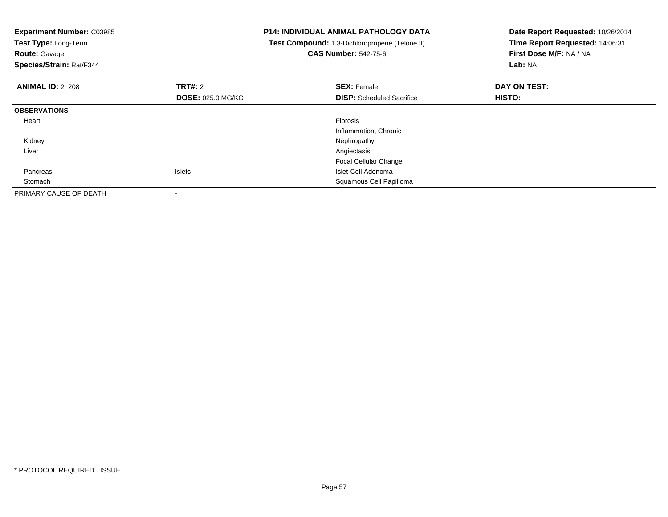| <b>Experiment Number: C03985</b><br>Test Type: Long-Term<br><b>Route: Gavage</b><br>Species/Strain: Rat/F344 |                          | <b>P14: INDIVIDUAL ANIMAL PATHOLOGY DATA</b><br>Test Compound: 1,3-Dichloropropene (Telone II)<br><b>CAS Number: 542-75-6</b> | Date Report Requested: 10/26/2014<br>Time Report Requested: 14:06:31<br>First Dose M/F: NA / NA<br>Lab: NA |  |
|--------------------------------------------------------------------------------------------------------------|--------------------------|-------------------------------------------------------------------------------------------------------------------------------|------------------------------------------------------------------------------------------------------------|--|
| <b>ANIMAL ID: 2 208</b>                                                                                      | TRT#: 2                  | <b>SEX: Female</b>                                                                                                            | DAY ON TEST:                                                                                               |  |
|                                                                                                              | <b>DOSE: 025.0 MG/KG</b> | <b>DISP:</b> Scheduled Sacrifice                                                                                              | HISTO:                                                                                                     |  |
| <b>OBSERVATIONS</b>                                                                                          |                          |                                                                                                                               |                                                                                                            |  |
| Heart                                                                                                        |                          | <b>Fibrosis</b>                                                                                                               |                                                                                                            |  |
|                                                                                                              |                          | Inflammation, Chronic                                                                                                         |                                                                                                            |  |
| Kidney                                                                                                       |                          | Nephropathy                                                                                                                   |                                                                                                            |  |
| Liver                                                                                                        |                          | Angiectasis                                                                                                                   |                                                                                                            |  |
|                                                                                                              |                          | <b>Focal Cellular Change</b>                                                                                                  |                                                                                                            |  |
| Pancreas                                                                                                     | <b>Islets</b>            | Islet-Cell Adenoma                                                                                                            |                                                                                                            |  |
| Stomach                                                                                                      |                          | Squamous Cell Papilloma                                                                                                       |                                                                                                            |  |
| PRIMARY CAUSE OF DEATH                                                                                       |                          |                                                                                                                               |                                                                                                            |  |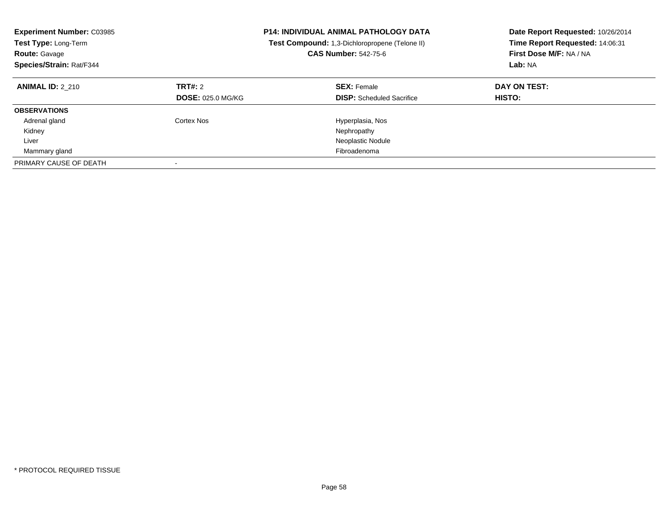| <b>Experiment Number: C03985</b><br><b>Test Type: Long-Term</b><br><b>Route: Gavage</b><br>Species/Strain: Rat/F344 |                                            | <b>P14: INDIVIDUAL ANIMAL PATHOLOGY DATA</b><br><b>Test Compound:</b> 1,3-Dichloropropene (Telone II)<br><b>CAS Number: 542-75-6</b> | Date Report Requested: 10/26/2014<br>Time Report Requested: 14:06:31<br>First Dose M/F: NA / NA<br>Lab: NA |
|---------------------------------------------------------------------------------------------------------------------|--------------------------------------------|--------------------------------------------------------------------------------------------------------------------------------------|------------------------------------------------------------------------------------------------------------|
| <b>ANIMAL ID: 2 210</b>                                                                                             | <b>TRT#: 2</b><br><b>DOSE: 025.0 MG/KG</b> | <b>SEX: Female</b><br><b>DISP:</b> Scheduled Sacrifice                                                                               | DAY ON TEST:<br><b>HISTO:</b>                                                                              |
| <b>OBSERVATIONS</b>                                                                                                 |                                            |                                                                                                                                      |                                                                                                            |
| Adrenal gland                                                                                                       | Cortex Nos                                 | Hyperplasia, Nos                                                                                                                     |                                                                                                            |
| Kidney                                                                                                              |                                            | Nephropathy                                                                                                                          |                                                                                                            |
| Liver                                                                                                               |                                            | Neoplastic Nodule                                                                                                                    |                                                                                                            |
| Mammary gland                                                                                                       |                                            | Fibroadenoma                                                                                                                         |                                                                                                            |
| PRIMARY CAUSE OF DEATH                                                                                              |                                            |                                                                                                                                      |                                                                                                            |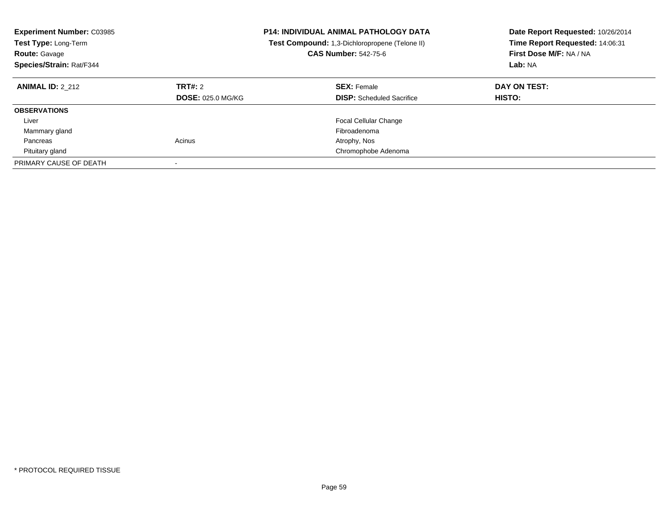| <b>Experiment Number: C03985</b><br>Test Type: Long-Term<br><b>Route: Gavage</b><br>Species/Strain: Rat/F344 |                                     | <b>P14: INDIVIDUAL ANIMAL PATHOLOGY DATA</b><br>Test Compound: 1,3-Dichloropropene (Telone II)<br><b>CAS Number: 542-75-6</b> | Date Report Requested: 10/26/2014<br>Time Report Requested: 14:06:31<br>First Dose M/F: NA / NA<br>Lab: NA |
|--------------------------------------------------------------------------------------------------------------|-------------------------------------|-------------------------------------------------------------------------------------------------------------------------------|------------------------------------------------------------------------------------------------------------|
| <b>ANIMAL ID: 2 212</b>                                                                                      | TRT#: 2<br><b>DOSE: 025.0 MG/KG</b> | <b>SEX: Female</b><br><b>DISP:</b> Scheduled Sacrifice                                                                        | DAY ON TEST:<br><b>HISTO:</b>                                                                              |
| <b>OBSERVATIONS</b>                                                                                          |                                     |                                                                                                                               |                                                                                                            |
| Liver                                                                                                        |                                     | <b>Focal Cellular Change</b>                                                                                                  |                                                                                                            |
| Mammary gland                                                                                                |                                     | Fibroadenoma                                                                                                                  |                                                                                                            |
| Pancreas                                                                                                     | Acinus                              | Atrophy, Nos                                                                                                                  |                                                                                                            |
| Pituitary gland                                                                                              |                                     | Chromophobe Adenoma                                                                                                           |                                                                                                            |
| PRIMARY CAUSE OF DEATH                                                                                       |                                     |                                                                                                                               |                                                                                                            |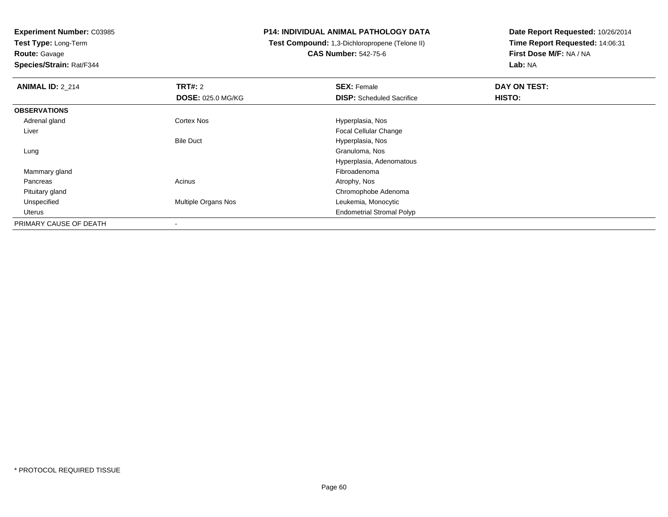**Test Type:** Long-Term**Route:** Gavage

**Species/Strain:** Rat/F344

## **P14: INDIVIDUAL ANIMAL PATHOLOGY DATA**

 **Test Compound:** 1,3-Dichloropropene (Telone II)**CAS Number:** 542-75-6

| <b>ANIMAL ID: 2_214</b> | TRT#: 2                    | <b>SEX: Female</b>               | DAY ON TEST: |  |
|-------------------------|----------------------------|----------------------------------|--------------|--|
|                         | <b>DOSE: 025.0 MG/KG</b>   | <b>DISP:</b> Scheduled Sacrifice | HISTO:       |  |
| <b>OBSERVATIONS</b>     |                            |                                  |              |  |
| Adrenal gland           | <b>Cortex Nos</b>          | Hyperplasia, Nos                 |              |  |
| Liver                   |                            | Focal Cellular Change            |              |  |
|                         | <b>Bile Duct</b>           | Hyperplasia, Nos                 |              |  |
| Lung                    |                            | Granuloma, Nos                   |              |  |
|                         |                            | Hyperplasia, Adenomatous         |              |  |
| Mammary gland           |                            | Fibroadenoma                     |              |  |
| Pancreas                | Acinus                     | Atrophy, Nos                     |              |  |
| Pituitary gland         |                            | Chromophobe Adenoma              |              |  |
| Unspecified             | <b>Multiple Organs Nos</b> | Leukemia, Monocytic              |              |  |
| Uterus                  |                            | <b>Endometrial Stromal Polyp</b> |              |  |
| PRIMARY CAUSE OF DEATH  | $\overline{\phantom{a}}$   |                                  |              |  |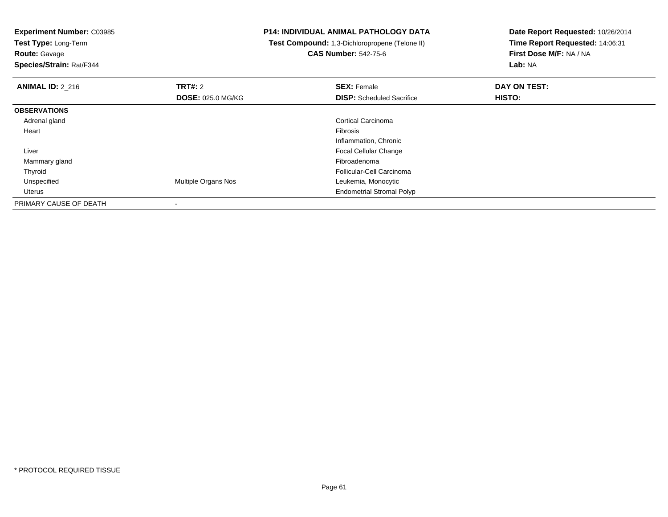**Test Type:** Long-Term

**Route:** Gavage

**Species/Strain:** Rat/F344

## **P14: INDIVIDUAL ANIMAL PATHOLOGY DATA**

 **Test Compound:** 1,3-Dichloropropene (Telone II)**CAS Number:** 542-75-6

| <b>ANIMAL ID: 2 216</b> | <b>TRT#: 2</b>           | <b>SEX: Female</b>               | DAY ON TEST: |  |
|-------------------------|--------------------------|----------------------------------|--------------|--|
|                         | <b>DOSE: 025.0 MG/KG</b> | <b>DISP:</b> Scheduled Sacrifice | HISTO:       |  |
| <b>OBSERVATIONS</b>     |                          |                                  |              |  |
| Adrenal gland           |                          | <b>Cortical Carcinoma</b>        |              |  |
| Heart                   |                          | Fibrosis                         |              |  |
|                         |                          | Inflammation, Chronic            |              |  |
| Liver                   |                          | <b>Focal Cellular Change</b>     |              |  |
| Mammary gland           |                          | Fibroadenoma                     |              |  |
| Thyroid                 |                          | Follicular-Cell Carcinoma        |              |  |
| Unspecified             | Multiple Organs Nos      | Leukemia, Monocytic              |              |  |
| Uterus                  |                          | <b>Endometrial Stromal Polyp</b> |              |  |
| PRIMARY CAUSE OF DEATH  |                          |                                  |              |  |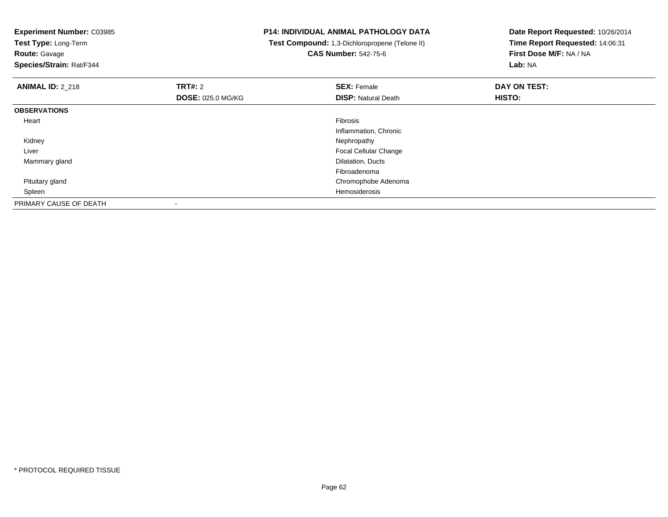**Experiment Number:** C03985**Test Type:** Long-Term**Route:** Gavage **Species/Strain:** Rat/F344**P14: INDIVIDUAL ANIMAL PATHOLOGY DATA Test Compound:** 1,3-Dichloropropene (Telone II)**CAS Number:** 542-75-6**Date Report Requested:** 10/26/2014**Time Report Requested:** 14:06:31**First Dose M/F:** NA / NA**Lab:** NA**ANIMAL ID:** 2\_218**REX:** Female **DAY ON TEST: CONSIST: SEX:** Female **DAY ON TEST: DOSE:** 025.0 MG/KG**DISP:** Natural Death **HISTO: OBSERVATIONS** Heartt de la constitución de la constitución de la constitución de la constitución de la constitución de la constitución Inflammation, Chronic Kidneyy the control of the control of the control of the control of the control of the control of the control of the control of the control of the control of the control of the control of the control of the control of the contro Liver Focal Cellular Change Mammary gland Dilatation, Ducts Fibroadenomad<sub>d</sub> Chromophobe Adenoma Pituitary gland Spleenn de la constitución de la constitución de la constitución de la constitución de la constitución de la constitución<br>En la constitución de la constitución de la constitución de la constitución de la constitución de la const PRIMARY CAUSE OF DEATH-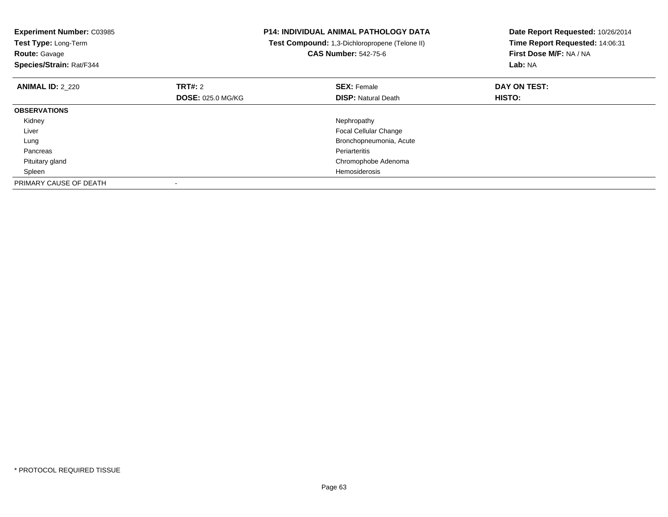| <b>Experiment Number: C03985</b><br>Test Type: Long-Term<br><b>Route: Gavage</b><br>Species/Strain: Rat/F344 | <b>P14: INDIVIDUAL ANIMAL PATHOLOGY DATA</b><br>Test Compound: 1,3-Dichloropropene (Telone II)<br><b>CAS Number: 542-75-6</b> |                              | Date Report Requested: 10/26/2014<br>Time Report Requested: 14:06:31<br>First Dose M/F: NA / NA<br>Lab: NA |  |
|--------------------------------------------------------------------------------------------------------------|-------------------------------------------------------------------------------------------------------------------------------|------------------------------|------------------------------------------------------------------------------------------------------------|--|
| <b>ANIMAL ID: 2 220</b>                                                                                      | TRT#: 2                                                                                                                       | <b>SEX: Female</b>           | DAY ON TEST:                                                                                               |  |
|                                                                                                              | <b>DOSE: 025.0 MG/KG</b>                                                                                                      | <b>DISP:</b> Natural Death   | HISTO:                                                                                                     |  |
| <b>OBSERVATIONS</b>                                                                                          |                                                                                                                               |                              |                                                                                                            |  |
| Kidney                                                                                                       |                                                                                                                               | Nephropathy                  |                                                                                                            |  |
| Liver                                                                                                        |                                                                                                                               | <b>Focal Cellular Change</b> |                                                                                                            |  |
| Lung                                                                                                         |                                                                                                                               | Bronchopneumonia, Acute      |                                                                                                            |  |
| Pancreas                                                                                                     |                                                                                                                               | Periarteritis                |                                                                                                            |  |
| Pituitary gland                                                                                              |                                                                                                                               | Chromophobe Adenoma          |                                                                                                            |  |
| Spleen                                                                                                       |                                                                                                                               | Hemosiderosis                |                                                                                                            |  |
| PRIMARY CAUSE OF DEATH                                                                                       |                                                                                                                               |                              |                                                                                                            |  |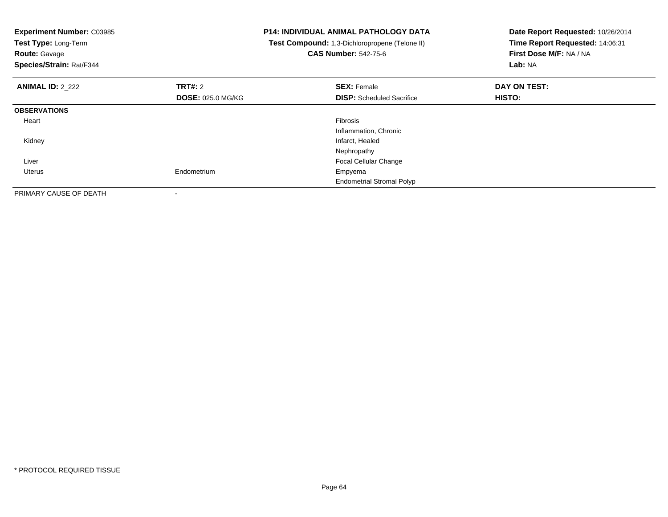| <b>Experiment Number: C03985</b><br>Test Type: Long-Term<br><b>Route: Gavage</b><br>Species/Strain: Rat/F344 |                          | <b>P14: INDIVIDUAL ANIMAL PATHOLOGY DATA</b><br>Test Compound: 1,3-Dichloropropene (Telone II)<br><b>CAS Number: 542-75-6</b> | Date Report Requested: 10/26/2014<br>Time Report Requested: 14:06:31<br>First Dose M/F: NA / NA<br>Lab: NA |  |
|--------------------------------------------------------------------------------------------------------------|--------------------------|-------------------------------------------------------------------------------------------------------------------------------|------------------------------------------------------------------------------------------------------------|--|
| <b>ANIMAL ID: 2 222</b>                                                                                      | TRT#: 2                  | <b>SEX: Female</b>                                                                                                            | DAY ON TEST:                                                                                               |  |
|                                                                                                              | <b>DOSE: 025.0 MG/KG</b> | <b>DISP:</b> Scheduled Sacrifice                                                                                              | HISTO:                                                                                                     |  |
| <b>OBSERVATIONS</b>                                                                                          |                          |                                                                                                                               |                                                                                                            |  |
| Heart                                                                                                        |                          | Fibrosis                                                                                                                      |                                                                                                            |  |
|                                                                                                              |                          | Inflammation, Chronic                                                                                                         |                                                                                                            |  |
| Kidney                                                                                                       |                          | Infarct, Healed                                                                                                               |                                                                                                            |  |
|                                                                                                              |                          | Nephropathy                                                                                                                   |                                                                                                            |  |
| Liver                                                                                                        |                          | Focal Cellular Change                                                                                                         |                                                                                                            |  |
| Uterus                                                                                                       | Endometrium              | Empyema                                                                                                                       |                                                                                                            |  |
|                                                                                                              |                          | <b>Endometrial Stromal Polyp</b>                                                                                              |                                                                                                            |  |
| PRIMARY CAUSE OF DEATH                                                                                       |                          |                                                                                                                               |                                                                                                            |  |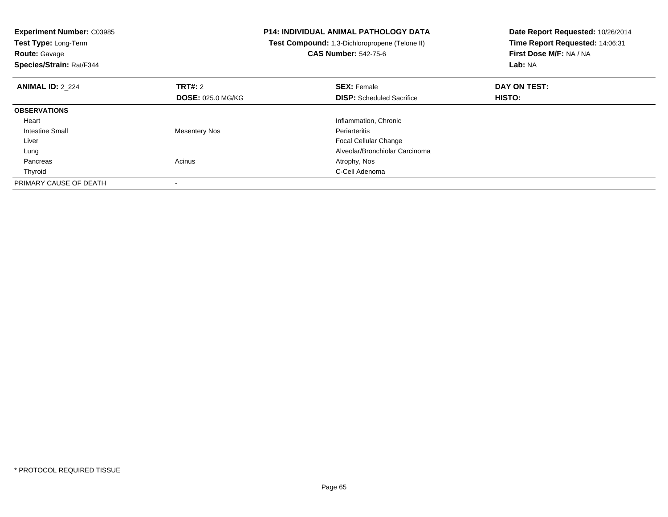| <b>Experiment Number: C03985</b><br>Test Type: Long-Term<br><b>Route: Gavage</b><br>Species/Strain: Rat/F344 | <b>P14: INDIVIDUAL ANIMAL PATHOLOGY DATA</b><br>Test Compound: 1,3-Dichloropropene (Telone II) |                                  | Date Report Requested: 10/26/2014<br>Time Report Requested: 14:06:31<br>First Dose M/F: NA / NA<br>Lab: NA |  |
|--------------------------------------------------------------------------------------------------------------|------------------------------------------------------------------------------------------------|----------------------------------|------------------------------------------------------------------------------------------------------------|--|
| <b>ANIMAL ID: 2 224</b>                                                                                      | TRT#: 2                                                                                        | <b>SEX: Female</b>               | DAY ON TEST:                                                                                               |  |
|                                                                                                              | <b>DOSE: 025.0 MG/KG</b>                                                                       | <b>DISP:</b> Scheduled Sacrifice | <b>HISTO:</b>                                                                                              |  |
| <b>OBSERVATIONS</b>                                                                                          |                                                                                                |                                  |                                                                                                            |  |
| Heart                                                                                                        |                                                                                                | Inflammation, Chronic            |                                                                                                            |  |
| <b>Intestine Small</b>                                                                                       | <b>Mesentery Nos</b>                                                                           | Periarteritis                    |                                                                                                            |  |
| Liver                                                                                                        |                                                                                                | Focal Cellular Change            |                                                                                                            |  |
| Lung                                                                                                         |                                                                                                | Alveolar/Bronchiolar Carcinoma   |                                                                                                            |  |
| Pancreas                                                                                                     | Acinus                                                                                         | Atrophy, Nos                     |                                                                                                            |  |
| Thyroid                                                                                                      |                                                                                                | C-Cell Adenoma                   |                                                                                                            |  |
| PRIMARY CAUSE OF DEATH                                                                                       |                                                                                                |                                  |                                                                                                            |  |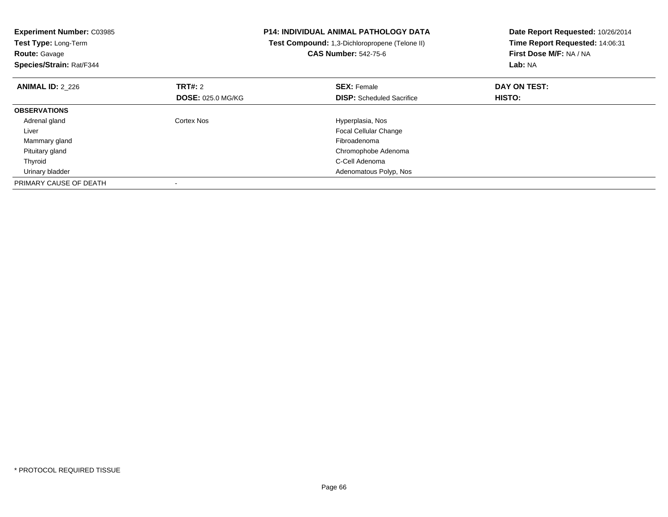| <b>Experiment Number: C03985</b><br>Test Type: Long-Term<br><b>Route: Gavage</b><br>Species/Strain: Rat/F344 |                          | <b>P14: INDIVIDUAL ANIMAL PATHOLOGY DATA</b><br>Test Compound: 1,3-Dichloropropene (Telone II)<br><b>CAS Number: 542-75-6</b> | Date Report Requested: 10/26/2014<br>Time Report Requested: 14:06:31<br>First Dose M/F: NA / NA<br>Lab: NA |  |
|--------------------------------------------------------------------------------------------------------------|--------------------------|-------------------------------------------------------------------------------------------------------------------------------|------------------------------------------------------------------------------------------------------------|--|
| <b>ANIMAL ID: 2 226</b>                                                                                      | TRT#: 2                  | <b>SEX: Female</b>                                                                                                            | DAY ON TEST:                                                                                               |  |
|                                                                                                              | <b>DOSE: 025.0 MG/KG</b> | <b>DISP:</b> Scheduled Sacrifice                                                                                              | <b>HISTO:</b>                                                                                              |  |
| <b>OBSERVATIONS</b>                                                                                          |                          |                                                                                                                               |                                                                                                            |  |
| Adrenal gland                                                                                                | Cortex Nos               | Hyperplasia, Nos                                                                                                              |                                                                                                            |  |
| Liver                                                                                                        |                          | <b>Focal Cellular Change</b>                                                                                                  |                                                                                                            |  |
| Mammary gland                                                                                                |                          | Fibroadenoma                                                                                                                  |                                                                                                            |  |
| Pituitary gland                                                                                              |                          | Chromophobe Adenoma                                                                                                           |                                                                                                            |  |
| Thyroid                                                                                                      |                          | C-Cell Adenoma                                                                                                                |                                                                                                            |  |
| Urinary bladder                                                                                              |                          | Adenomatous Polyp, Nos                                                                                                        |                                                                                                            |  |
| PRIMARY CAUSE OF DEATH                                                                                       |                          |                                                                                                                               |                                                                                                            |  |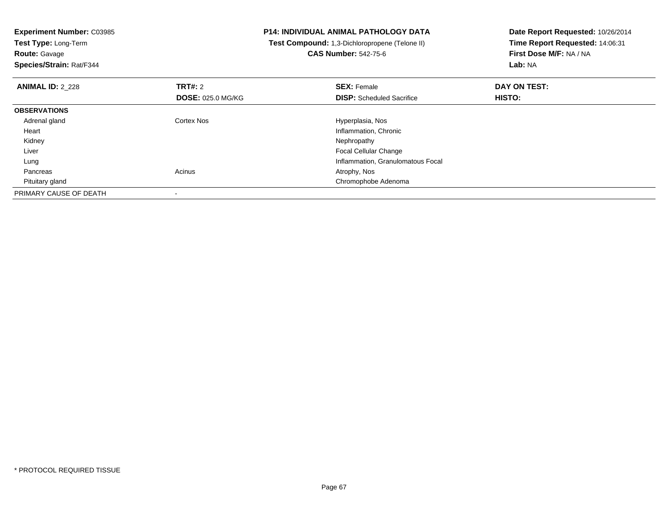**Experiment Number:** C03985**Test Type:** Long-Term**Route:** Gavage **Species/Strain:** Rat/F344**P14: INDIVIDUAL ANIMAL PATHOLOGY DATA Test Compound:** 1,3-Dichloropropene (Telone II)**CAS Number:** 542-75-6**Date Report Requested:** 10/26/2014**Time Report Requested:** 14:06:31**First Dose M/F:** NA / NA**Lab:** NA**ANIMAL ID:** 2\_228**REX:** Female **DAY ON TEST: CONSIST: SEX:** Female **DAY ON TEST: DOSE:** 025.0 MG/KG**DISP:** Scheduled Sacrifice **HISTO: OBSERVATIONS** Adrenal glandCortex Nos **Exercise Serverse Exercise Serverse Exercise Serverse Exercise Serverse Exercise Serverse Exercise**  Heart Inflammation, Chronic Kidneyy the control of the control of the control of the control of the control of the control of the control of the control of the control of the control of the control of the control of the control of the control of the contro Liver Focal Cellular Change Inflammation, Granulomatous Focal Lung Pancreass and the contract of the contract of the contract of the contract of the contract  $\mathsf{A}$  at  $\mathsf{A}$  and  $\mathsf{A}$  and  $\mathsf{A}$  and  $\mathsf{A}$  and  $\mathsf{A}$  are contract of  $\mathsf{A}$  and  $\mathsf{A}$  and  $\mathsf{A}$  are contract of Pituitary gland Chromophobe Adenoma PRIMARY CAUSE OF DEATH-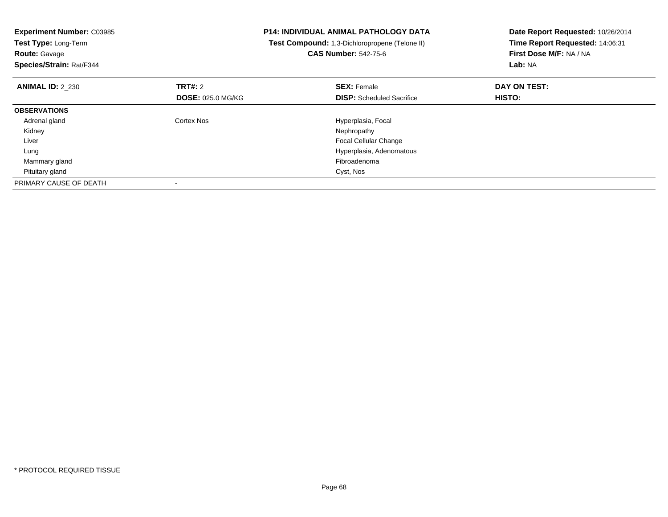| <b>Experiment Number: C03985</b><br>Test Type: Long-Term<br><b>Route: Gavage</b><br>Species/Strain: Rat/F344 | <b>P14: INDIVIDUAL ANIMAL PATHOLOGY DATA</b><br>Test Compound: 1,3-Dichloropropene (Telone II)<br><b>CAS Number: 542-75-6</b> |                                  | Date Report Requested: 10/26/2014<br>Time Report Requested: 14:06:31<br>First Dose M/F: NA / NA<br>Lab: NA |  |
|--------------------------------------------------------------------------------------------------------------|-------------------------------------------------------------------------------------------------------------------------------|----------------------------------|------------------------------------------------------------------------------------------------------------|--|
| <b>ANIMAL ID: 2 230</b>                                                                                      | TRT#: 2                                                                                                                       | <b>SEX: Female</b>               | DAY ON TEST:                                                                                               |  |
|                                                                                                              | <b>DOSE: 025.0 MG/KG</b>                                                                                                      | <b>DISP:</b> Scheduled Sacrifice | <b>HISTO:</b>                                                                                              |  |
| <b>OBSERVATIONS</b>                                                                                          |                                                                                                                               |                                  |                                                                                                            |  |
| Adrenal gland                                                                                                | Cortex Nos                                                                                                                    | Hyperplasia, Focal               |                                                                                                            |  |
| Kidney                                                                                                       |                                                                                                                               | Nephropathy                      |                                                                                                            |  |
| Liver                                                                                                        |                                                                                                                               | <b>Focal Cellular Change</b>     |                                                                                                            |  |
| Lung                                                                                                         |                                                                                                                               | Hyperplasia, Adenomatous         |                                                                                                            |  |
| Mammary gland                                                                                                |                                                                                                                               | Fibroadenoma                     |                                                                                                            |  |
| Pituitary gland                                                                                              |                                                                                                                               | Cyst, Nos                        |                                                                                                            |  |
| PRIMARY CAUSE OF DEATH                                                                                       |                                                                                                                               |                                  |                                                                                                            |  |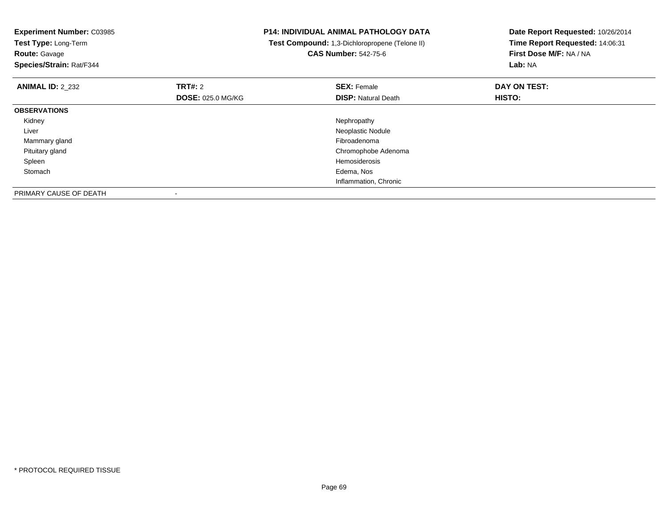| <b>Experiment Number: C03985</b><br>Test Type: Long-Term<br><b>Route: Gavage</b><br>Species/Strain: Rat/F344 |                          | <b>P14: INDIVIDUAL ANIMAL PATHOLOGY DATA</b><br>Test Compound: 1,3-Dichloropropene (Telone II)<br><b>CAS Number: 542-75-6</b> | Date Report Requested: 10/26/2014<br>Time Report Requested: 14:06:31<br>First Dose M/F: NA / NA<br>Lab: NA |  |
|--------------------------------------------------------------------------------------------------------------|--------------------------|-------------------------------------------------------------------------------------------------------------------------------|------------------------------------------------------------------------------------------------------------|--|
| <b>ANIMAL ID: 2 232</b>                                                                                      | TRT#: 2                  | <b>SEX: Female</b>                                                                                                            | DAY ON TEST:                                                                                               |  |
|                                                                                                              | <b>DOSE: 025.0 MG/KG</b> | <b>DISP:</b> Natural Death                                                                                                    | <b>HISTO:</b>                                                                                              |  |
| <b>OBSERVATIONS</b>                                                                                          |                          |                                                                                                                               |                                                                                                            |  |
| Kidney                                                                                                       |                          | Nephropathy                                                                                                                   |                                                                                                            |  |
| Liver                                                                                                        |                          | Neoplastic Nodule                                                                                                             |                                                                                                            |  |
| Mammary gland                                                                                                |                          | Fibroadenoma                                                                                                                  |                                                                                                            |  |
| Pituitary gland                                                                                              |                          | Chromophobe Adenoma                                                                                                           |                                                                                                            |  |
| Spleen                                                                                                       |                          | <b>Hemosiderosis</b>                                                                                                          |                                                                                                            |  |
| Stomach                                                                                                      |                          | Edema, Nos                                                                                                                    |                                                                                                            |  |
|                                                                                                              |                          | Inflammation, Chronic                                                                                                         |                                                                                                            |  |
| PRIMARY CAUSE OF DEATH                                                                                       |                          |                                                                                                                               |                                                                                                            |  |

-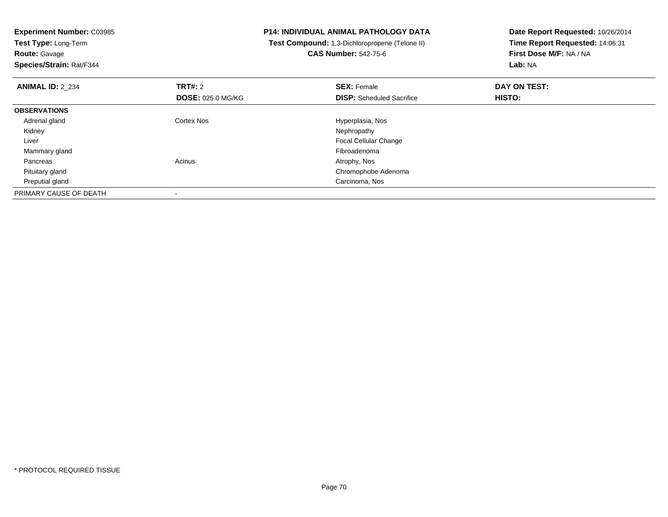**Experiment Number:** C03985**Test Type:** Long-Term**Route:** Gavage **Species/Strain:** Rat/F344**P14: INDIVIDUAL ANIMAL PATHOLOGY DATA Test Compound:** 1,3-Dichloropropene (Telone II)**CAS Number:** 542-75-6**Date Report Requested:** 10/26/2014**Time Report Requested:** 14:06:31**First Dose M/F:** NA / NA**Lab:** NA**ANIMAL ID:** 2\_234**TRT#:** 2 **SEX:** Female **DAY ON TEST: DOSE:** 025.0 MG/KG**DISP:** Scheduled Sacrifice **HISTO: OBSERVATIONS** Adrenal glandCortex Nos **Exercía Exercía Exercía Exercía Exercía Exercía Exercía Exercía Exercía Exercía Exercía Exercía Exercí<br>
Exercía Exercía Exercía Exercía Exercía Exercía Exercía Exercía Exercía Exercía Exercía Exercía Exercía Ex**  Kidneyy the control of the control of the control of the control of the control of the control of the control of the control of the control of the control of the control of the control of the control of the control of the contro Liver Focal Cellular Change Mammary glandd and the control of the control of the control of the control of the control of the control of the control of the control of the control of the control of the control of the control of the control of the control of the co Pancreass and the contract of the contract of the contract of the contract of the contract  $\mathsf{A}$  at  $\mathsf{A}$  and  $\mathsf{A}$  and  $\mathsf{A}$  and  $\mathsf{A}$  and  $\mathsf{A}$  are contract of  $\mathsf{A}$  and  $\mathsf{A}$  and  $\mathsf{A}$  are contract of Pituitary gland Chromophobe Adenoma Preputial gland Carcinoma, Nos PRIMARY CAUSE OF DEATH-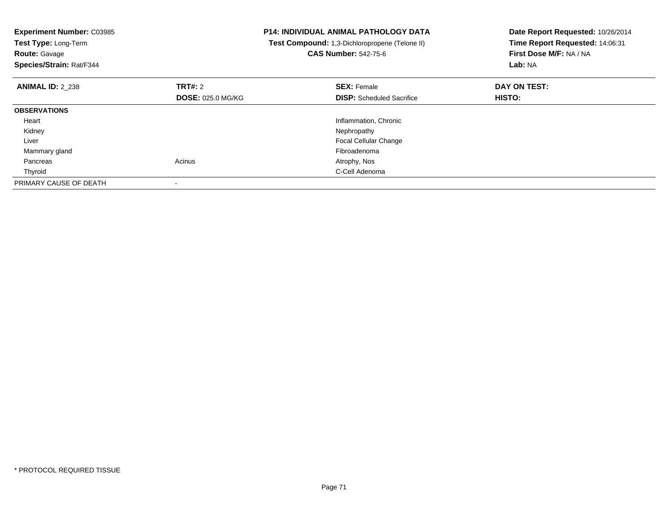| <b>Experiment Number: C03985</b><br>Test Type: Long-Term<br><b>Route: Gavage</b><br>Species/Strain: Rat/F344 |                          | <b>P14: INDIVIDUAL ANIMAL PATHOLOGY DATA</b><br>Test Compound: 1,3-Dichloropropene (Telone II)<br><b>CAS Number: 542-75-6</b> | Date Report Requested: 10/26/2014<br>Time Report Requested: 14:06:31<br>First Dose M/F: NA / NA<br>Lab: NA |  |
|--------------------------------------------------------------------------------------------------------------|--------------------------|-------------------------------------------------------------------------------------------------------------------------------|------------------------------------------------------------------------------------------------------------|--|
| <b>ANIMAL ID: 2_238</b>                                                                                      | TRT#: 2                  | <b>SEX: Female</b>                                                                                                            | DAY ON TEST:                                                                                               |  |
|                                                                                                              | <b>DOSE: 025.0 MG/KG</b> | <b>DISP:</b> Scheduled Sacrifice                                                                                              | HISTO:                                                                                                     |  |
| <b>OBSERVATIONS</b>                                                                                          |                          |                                                                                                                               |                                                                                                            |  |
| Heart                                                                                                        |                          | Inflammation, Chronic                                                                                                         |                                                                                                            |  |
| Kidney                                                                                                       |                          | Nephropathy                                                                                                                   |                                                                                                            |  |
| Liver                                                                                                        |                          | <b>Focal Cellular Change</b>                                                                                                  |                                                                                                            |  |
| Mammary gland                                                                                                |                          | Fibroadenoma                                                                                                                  |                                                                                                            |  |
| Pancreas                                                                                                     | Acinus                   | Atrophy, Nos                                                                                                                  |                                                                                                            |  |
| Thyroid                                                                                                      |                          | C-Cell Adenoma                                                                                                                |                                                                                                            |  |
| PRIMARY CAUSE OF DEATH                                                                                       |                          |                                                                                                                               |                                                                                                            |  |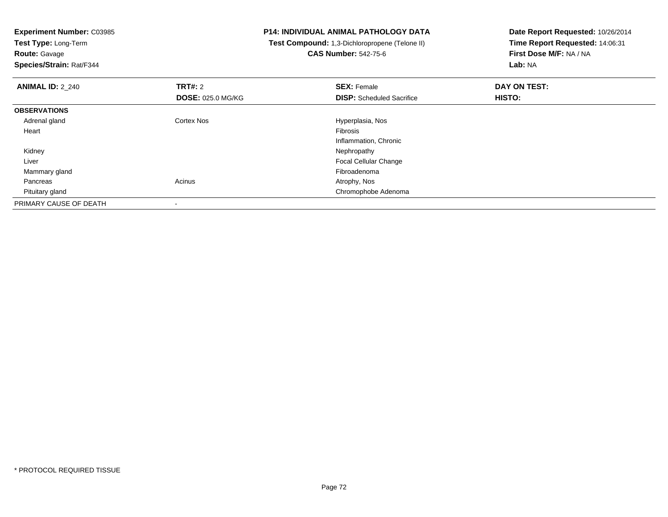**Test Type:** Long-Term

**Route:** Gavage

**Species/Strain:** Rat/F344

## **P14: INDIVIDUAL ANIMAL PATHOLOGY DATA**

 **Test Compound:** 1,3-Dichloropropene (Telone II)**CAS Number:** 542-75-6

| <b>ANIMAL ID: 2 240</b> | TRT#: 2                  | <b>SEX: Female</b>               | DAY ON TEST:  |  |
|-------------------------|--------------------------|----------------------------------|---------------|--|
|                         | <b>DOSE: 025.0 MG/KG</b> | <b>DISP:</b> Scheduled Sacrifice | <b>HISTO:</b> |  |
| <b>OBSERVATIONS</b>     |                          |                                  |               |  |
| Adrenal gland           | <b>Cortex Nos</b>        | Hyperplasia, Nos                 |               |  |
| Heart                   |                          | Fibrosis                         |               |  |
|                         |                          | Inflammation, Chronic            |               |  |
| Kidney                  |                          | Nephropathy                      |               |  |
| Liver                   |                          | Focal Cellular Change            |               |  |
| Mammary gland           |                          | Fibroadenoma                     |               |  |
| Pancreas                | Acinus                   | Atrophy, Nos                     |               |  |
| Pituitary gland         |                          | Chromophobe Adenoma              |               |  |
| PRIMARY CAUSE OF DEATH  |                          |                                  |               |  |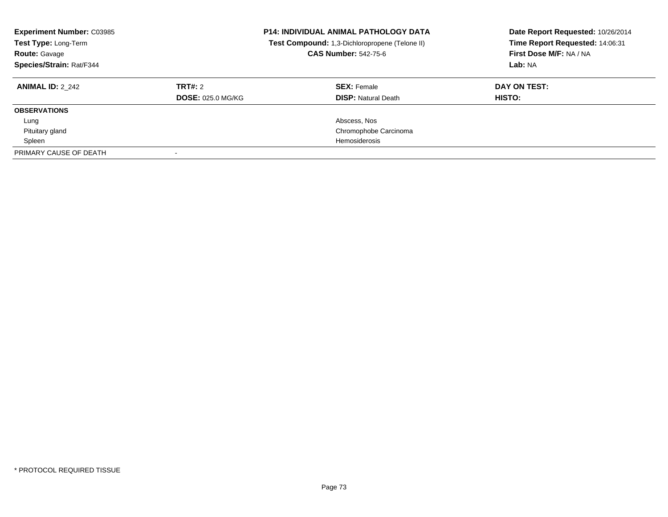| <b>Experiment Number: C03985</b><br>Test Type: Long-Term<br><b>Route: Gavage</b><br>Species/Strain: Rat/F344 |                          | <b>P14: INDIVIDUAL ANIMAL PATHOLOGY DATA</b><br>Test Compound: 1,3-Dichloropropene (Telone II)<br><b>CAS Number: 542-75-6</b> | Date Report Requested: 10/26/2014<br>Time Report Requested: 14:06:31<br>First Dose M/F: NA / NA<br>Lab: NA |
|--------------------------------------------------------------------------------------------------------------|--------------------------|-------------------------------------------------------------------------------------------------------------------------------|------------------------------------------------------------------------------------------------------------|
| <b>ANIMAL ID: 2 242</b>                                                                                      | TRT#: 2                  | <b>SEX: Female</b>                                                                                                            | DAY ON TEST:                                                                                               |
|                                                                                                              | <b>DOSE: 025.0 MG/KG</b> | <b>DISP: Natural Death</b>                                                                                                    | HISTO:                                                                                                     |
| <b>OBSERVATIONS</b>                                                                                          |                          |                                                                                                                               |                                                                                                            |
| Lung                                                                                                         |                          | Abscess, Nos                                                                                                                  |                                                                                                            |
| Pituitary gland                                                                                              |                          | Chromophobe Carcinoma                                                                                                         |                                                                                                            |
| Spleen                                                                                                       |                          | Hemosiderosis                                                                                                                 |                                                                                                            |
| PRIMARY CAUSE OF DEATH                                                                                       |                          |                                                                                                                               |                                                                                                            |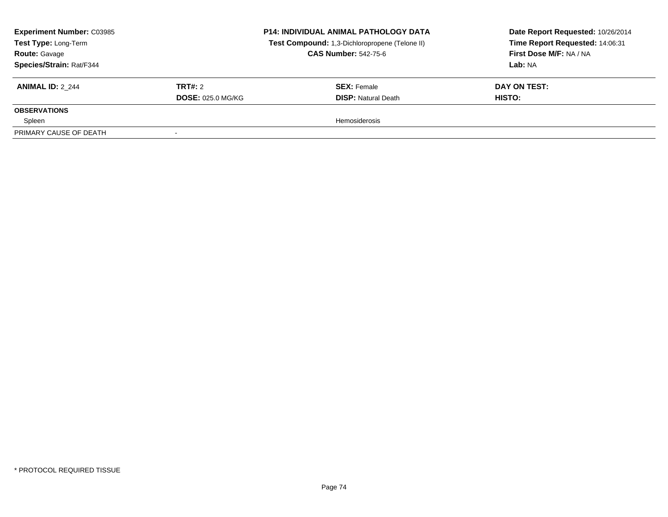| <b>Experiment Number: C03985</b><br>Test Type: Long-Term<br><b>Route: Gavage</b><br><b>Species/Strain: Rat/F344</b> |                                     | <b>P14: INDIVIDUAL ANIMAL PATHOLOGY DATA</b><br>Test Compound: 1,3-Dichloropropene (Telone II)<br><b>CAS Number: 542-75-6</b> | Date Report Requested: 10/26/2014<br>Time Report Requested: 14:06:31<br>First Dose M/F: NA / NA<br>Lab: NA |
|---------------------------------------------------------------------------------------------------------------------|-------------------------------------|-------------------------------------------------------------------------------------------------------------------------------|------------------------------------------------------------------------------------------------------------|
| <b>ANIMAL ID: 2 244</b>                                                                                             | TRT#: 2<br><b>DOSE: 025.0 MG/KG</b> | <b>SEX:</b> Female<br><b>DISP:</b> Natural Death                                                                              | DAY ON TEST:<br>HISTO:                                                                                     |
| <b>OBSERVATIONS</b>                                                                                                 |                                     |                                                                                                                               |                                                                                                            |
| Spleen                                                                                                              |                                     | <b>Hemosiderosis</b>                                                                                                          |                                                                                                            |
| PRIMARY CAUSE OF DEATH                                                                                              |                                     |                                                                                                                               |                                                                                                            |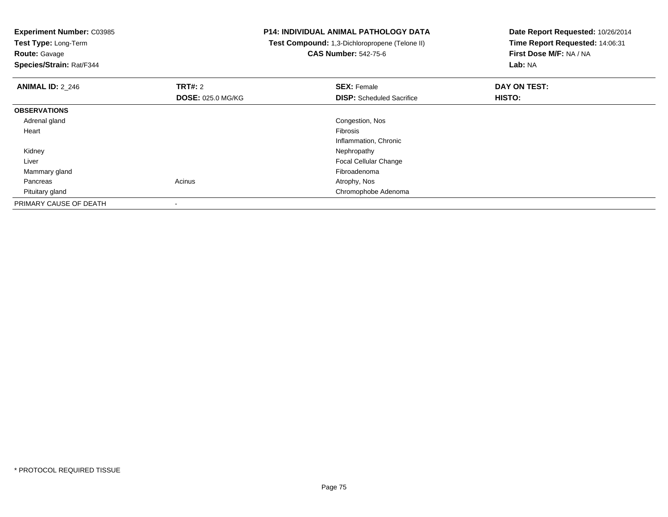**Test Type:** Long-Term

**Route:** Gavage

**Species/Strain:** Rat/F344

## **P14: INDIVIDUAL ANIMAL PATHOLOGY DATA**

 **Test Compound:** 1,3-Dichloropropene (Telone II)**CAS Number:** 542-75-6

| <b>ANIMAL ID: 2_246</b> | TRT#: 2                  | <b>SEX: Female</b>               | DAY ON TEST:  |  |
|-------------------------|--------------------------|----------------------------------|---------------|--|
|                         | <b>DOSE: 025.0 MG/KG</b> | <b>DISP:</b> Scheduled Sacrifice | <b>HISTO:</b> |  |
| <b>OBSERVATIONS</b>     |                          |                                  |               |  |
| Adrenal gland           |                          | Congestion, Nos                  |               |  |
| Heart                   |                          | Fibrosis                         |               |  |
|                         |                          | Inflammation, Chronic            |               |  |
| Kidney                  |                          | Nephropathy                      |               |  |
| Liver                   |                          | <b>Focal Cellular Change</b>     |               |  |
| Mammary gland           |                          | Fibroadenoma                     |               |  |
| Pancreas                | Acinus                   | Atrophy, Nos                     |               |  |
| Pituitary gland         |                          | Chromophobe Adenoma              |               |  |
| PRIMARY CAUSE OF DEATH  | -                        |                                  |               |  |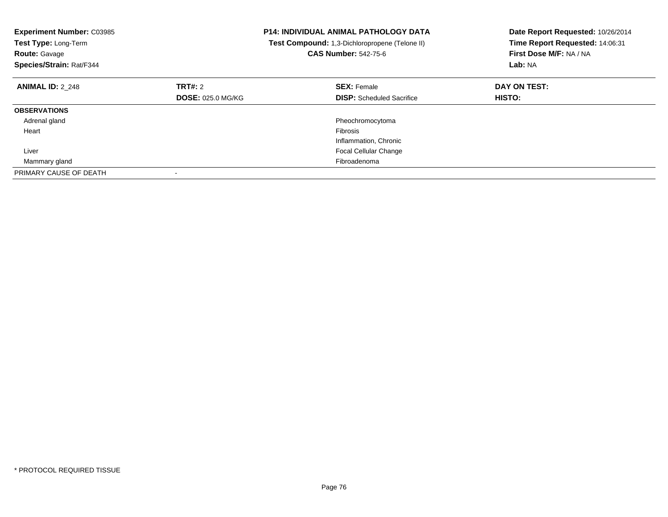| <b>Experiment Number: C03985</b><br>Test Type: Long-Term<br><b>Route: Gavage</b><br>Species/Strain: Rat/F344 |                          | <b>P14: INDIVIDUAL ANIMAL PATHOLOGY DATA</b><br>Test Compound: 1,3-Dichloropropene (Telone II)<br><b>CAS Number: 542-75-6</b> | Date Report Requested: 10/26/2014<br>Time Report Requested: 14:06:31<br>First Dose M/F: NA / NA<br>Lab: NA |
|--------------------------------------------------------------------------------------------------------------|--------------------------|-------------------------------------------------------------------------------------------------------------------------------|------------------------------------------------------------------------------------------------------------|
| <b>ANIMAL ID: 2 248</b>                                                                                      | TRT#: 2                  | <b>SEX: Female</b>                                                                                                            | DAY ON TEST:                                                                                               |
|                                                                                                              | <b>DOSE: 025.0 MG/KG</b> | <b>DISP:</b> Scheduled Sacrifice                                                                                              | <b>HISTO:</b>                                                                                              |
| <b>OBSERVATIONS</b>                                                                                          |                          |                                                                                                                               |                                                                                                            |
| Adrenal gland                                                                                                |                          | Pheochromocytoma                                                                                                              |                                                                                                            |
| Heart                                                                                                        |                          | Fibrosis                                                                                                                      |                                                                                                            |
|                                                                                                              |                          | Inflammation, Chronic                                                                                                         |                                                                                                            |
| Liver                                                                                                        |                          | <b>Focal Cellular Change</b>                                                                                                  |                                                                                                            |
| Mammary gland                                                                                                |                          | Fibroadenoma                                                                                                                  |                                                                                                            |
| PRIMARY CAUSE OF DEATH                                                                                       |                          |                                                                                                                               |                                                                                                            |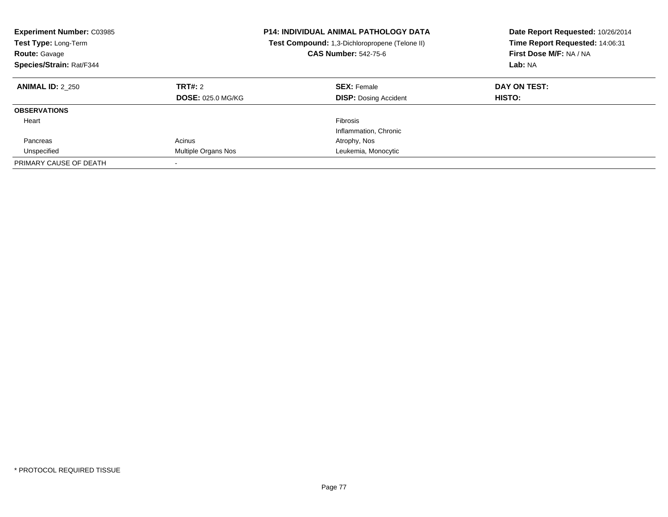| <b>Experiment Number: C03985</b><br><b>Test Type: Long-Term</b><br><b>Route: Gavage</b><br>Species/Strain: Rat/F344 |                                     | <b>P14: INDIVIDUAL ANIMAL PATHOLOGY DATA</b><br><b>Test Compound:</b> 1,3-Dichloropropene (Telone II)<br><b>CAS Number: 542-75-6</b> | Date Report Requested: 10/26/2014<br>Time Report Requested: 14:06:31<br>First Dose M/F: NA / NA<br>Lab: NA |
|---------------------------------------------------------------------------------------------------------------------|-------------------------------------|--------------------------------------------------------------------------------------------------------------------------------------|------------------------------------------------------------------------------------------------------------|
| <b>ANIMAL ID: 2 250</b>                                                                                             | TRT#: 2<br><b>DOSE: 025.0 MG/KG</b> | <b>SEX: Female</b><br><b>DISP:</b> Dosing Accident                                                                                   | DAY ON TEST:<br><b>HISTO:</b>                                                                              |
| <b>OBSERVATIONS</b>                                                                                                 |                                     |                                                                                                                                      |                                                                                                            |
| Heart                                                                                                               |                                     | Fibrosis<br>Inflammation, Chronic                                                                                                    |                                                                                                            |
| Pancreas                                                                                                            | Acinus                              | Atrophy, Nos                                                                                                                         |                                                                                                            |
| Unspecified                                                                                                         | Multiple Organs Nos                 | Leukemia, Monocytic                                                                                                                  |                                                                                                            |
| PRIMARY CAUSE OF DEATH                                                                                              |                                     |                                                                                                                                      |                                                                                                            |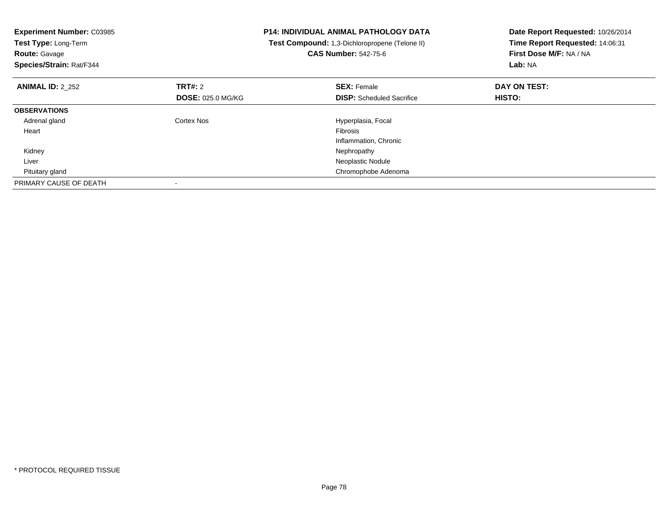| <b>Experiment Number: C03985</b><br>Test Type: Long-Term<br><b>Route: Gavage</b><br>Species/Strain: Rat/F344 |                          | <b>P14: INDIVIDUAL ANIMAL PATHOLOGY DATA</b><br>Test Compound: 1,3-Dichloropropene (Telone II)<br><b>CAS Number: 542-75-6</b> | Date Report Requested: 10/26/2014<br>Time Report Requested: 14:06:31<br>First Dose M/F: NA / NA<br>Lab: NA |
|--------------------------------------------------------------------------------------------------------------|--------------------------|-------------------------------------------------------------------------------------------------------------------------------|------------------------------------------------------------------------------------------------------------|
| <b>ANIMAL ID: 2_252</b>                                                                                      | TRT#: 2                  | <b>SEX: Female</b>                                                                                                            | DAY ON TEST:                                                                                               |
|                                                                                                              | <b>DOSE: 025.0 MG/KG</b> | <b>DISP:</b> Scheduled Sacrifice                                                                                              | HISTO:                                                                                                     |
| <b>OBSERVATIONS</b>                                                                                          |                          |                                                                                                                               |                                                                                                            |
| Adrenal gland                                                                                                | Cortex Nos               | Hyperplasia, Focal                                                                                                            |                                                                                                            |
| Heart                                                                                                        |                          | <b>Fibrosis</b>                                                                                                               |                                                                                                            |
|                                                                                                              |                          | Inflammation, Chronic                                                                                                         |                                                                                                            |
| Kidney                                                                                                       |                          | Nephropathy                                                                                                                   |                                                                                                            |
| Liver                                                                                                        |                          | Neoplastic Nodule                                                                                                             |                                                                                                            |
| Pituitary gland                                                                                              |                          | Chromophobe Adenoma                                                                                                           |                                                                                                            |
| PRIMARY CAUSE OF DEATH                                                                                       |                          |                                                                                                                               |                                                                                                            |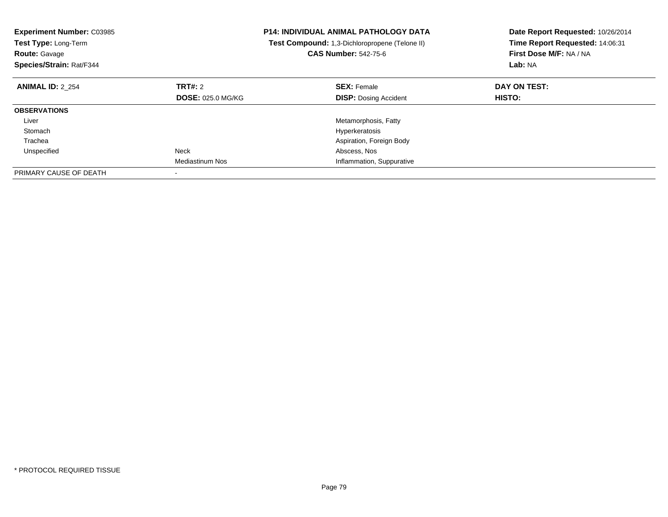| <b>Experiment Number: C03985</b><br>Test Type: Long-Term<br><b>Route: Gavage</b><br>Species/Strain: Rat/F344 |                          | <b>P14: INDIVIDUAL ANIMAL PATHOLOGY DATA</b><br>Test Compound: 1,3-Dichloropropene (Telone II)<br><b>CAS Number: 542-75-6</b> | Date Report Requested: 10/26/2014<br>Time Report Requested: 14:06:31<br>First Dose M/F: NA / NA<br>Lab: NA |
|--------------------------------------------------------------------------------------------------------------|--------------------------|-------------------------------------------------------------------------------------------------------------------------------|------------------------------------------------------------------------------------------------------------|
| <b>ANIMAL ID: 2 254</b>                                                                                      | TRT#: 2                  | <b>SEX: Female</b>                                                                                                            | DAY ON TEST:                                                                                               |
|                                                                                                              | <b>DOSE: 025.0 MG/KG</b> | <b>DISP:</b> Dosing Accident                                                                                                  | HISTO:                                                                                                     |
| <b>OBSERVATIONS</b>                                                                                          |                          |                                                                                                                               |                                                                                                            |
| Liver                                                                                                        |                          | Metamorphosis, Fatty                                                                                                          |                                                                                                            |
| Stomach                                                                                                      |                          | Hyperkeratosis                                                                                                                |                                                                                                            |
| Trachea                                                                                                      |                          | Aspiration, Foreign Body                                                                                                      |                                                                                                            |
| Unspecified                                                                                                  | Neck                     | Abscess, Nos                                                                                                                  |                                                                                                            |
|                                                                                                              | <b>Mediastinum Nos</b>   | Inflammation, Suppurative                                                                                                     |                                                                                                            |
| PRIMARY CAUSE OF DEATH                                                                                       |                          |                                                                                                                               |                                                                                                            |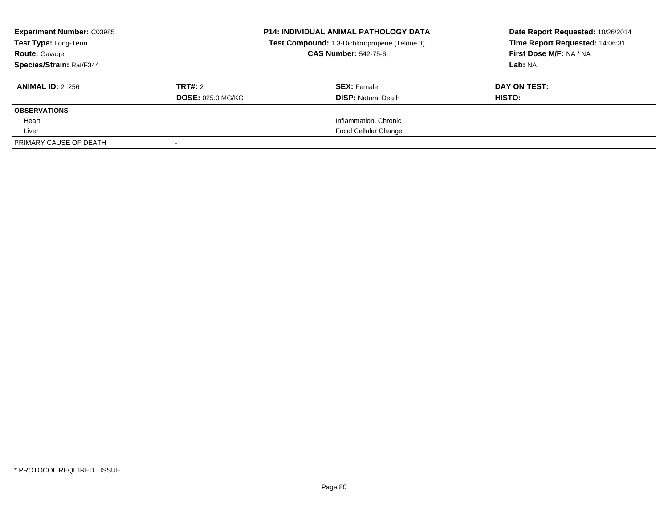| <b>Experiment Number: C03985</b><br>Test Type: Long-Term<br><b>Route: Gavage</b><br>Species/Strain: Rat/F344 |                                     | <b>P14: INDIVIDUAL ANIMAL PATHOLOGY DATA</b><br>Test Compound: 1,3-Dichloropropene (Telone II)<br><b>CAS Number: 542-75-6</b> | Date Report Requested: 10/26/2014<br>Time Report Requested: 14:06:31<br>First Dose M/F: NA / NA<br>Lab: NA |
|--------------------------------------------------------------------------------------------------------------|-------------------------------------|-------------------------------------------------------------------------------------------------------------------------------|------------------------------------------------------------------------------------------------------------|
| <b>ANIMAL ID: 2 256</b>                                                                                      | TRT#: 2<br><b>DOSE: 025.0 MG/KG</b> | <b>SEX: Female</b><br><b>DISP: Natural Death</b>                                                                              | DAY ON TEST:<br>HISTO:                                                                                     |
| <b>OBSERVATIONS</b>                                                                                          |                                     |                                                                                                                               |                                                                                                            |
| Heart                                                                                                        |                                     | Inflammation, Chronic                                                                                                         |                                                                                                            |
| Liver                                                                                                        |                                     | <b>Focal Cellular Change</b>                                                                                                  |                                                                                                            |
| PRIMARY CAUSE OF DEATH                                                                                       |                                     |                                                                                                                               |                                                                                                            |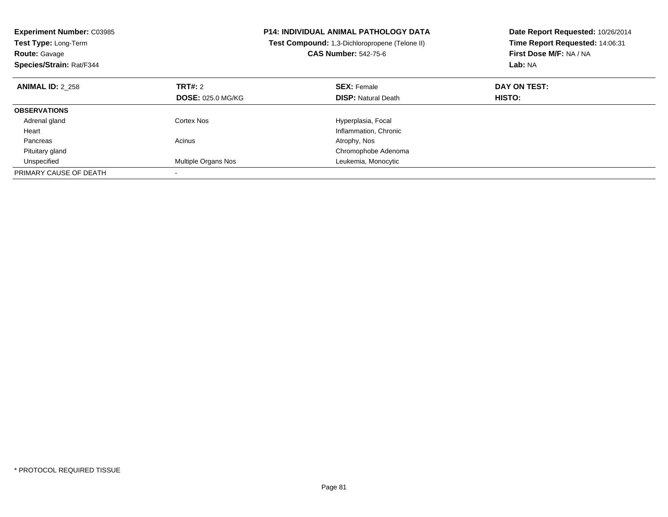| <b>Experiment Number: C03985</b><br>Test Type: Long-Term<br><b>Route: Gavage</b><br>Species/Strain: Rat/F344 |                          | <b>P14: INDIVIDUAL ANIMAL PATHOLOGY DATA</b><br>Test Compound: 1,3-Dichloropropene (Telone II)<br><b>CAS Number: 542-75-6</b> | Date Report Requested: 10/26/2014<br>Time Report Requested: 14:06:31<br>First Dose M/F: NA / NA<br>Lab: NA |
|--------------------------------------------------------------------------------------------------------------|--------------------------|-------------------------------------------------------------------------------------------------------------------------------|------------------------------------------------------------------------------------------------------------|
| <b>ANIMAL ID: 2 258</b>                                                                                      | TRT#: 2                  | <b>SEX: Female</b>                                                                                                            | DAY ON TEST:                                                                                               |
|                                                                                                              | <b>DOSE: 025.0 MG/KG</b> | <b>DISP: Natural Death</b>                                                                                                    | HISTO:                                                                                                     |
| <b>OBSERVATIONS</b>                                                                                          |                          |                                                                                                                               |                                                                                                            |
| Adrenal gland                                                                                                | Cortex Nos               | Hyperplasia, Focal                                                                                                            |                                                                                                            |
| Heart                                                                                                        |                          | Inflammation, Chronic                                                                                                         |                                                                                                            |
| Pancreas                                                                                                     | Acinus                   | Atrophy, Nos                                                                                                                  |                                                                                                            |
| Pituitary gland                                                                                              |                          | Chromophobe Adenoma                                                                                                           |                                                                                                            |
| Unspecified                                                                                                  | Multiple Organs Nos      | Leukemia, Monocytic                                                                                                           |                                                                                                            |
| PRIMARY CAUSE OF DEATH                                                                                       |                          |                                                                                                                               |                                                                                                            |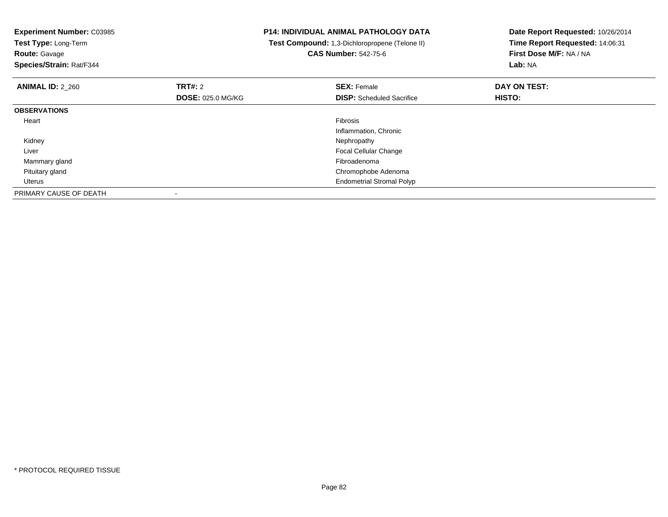| <b>Experiment Number: C03985</b><br>Test Type: Long-Term<br><b>Route: Gavage</b><br>Species/Strain: Rat/F344 |                          | <b>P14: INDIVIDUAL ANIMAL PATHOLOGY DATA</b><br>Test Compound: 1,3-Dichloropropene (Telone II)<br><b>CAS Number: 542-75-6</b> | Date Report Requested: 10/26/2014<br>Time Report Requested: 14:06:31<br>First Dose M/F: NA / NA<br>Lab: NA |
|--------------------------------------------------------------------------------------------------------------|--------------------------|-------------------------------------------------------------------------------------------------------------------------------|------------------------------------------------------------------------------------------------------------|
| <b>ANIMAL ID: 2 260</b>                                                                                      | <b>TRT#: 2</b>           | <b>SEX: Female</b>                                                                                                            | DAY ON TEST:                                                                                               |
|                                                                                                              | <b>DOSE: 025.0 MG/KG</b> | <b>DISP:</b> Scheduled Sacrifice                                                                                              | HISTO:                                                                                                     |
| <b>OBSERVATIONS</b>                                                                                          |                          |                                                                                                                               |                                                                                                            |
| Heart                                                                                                        |                          | <b>Fibrosis</b>                                                                                                               |                                                                                                            |
|                                                                                                              |                          | Inflammation, Chronic                                                                                                         |                                                                                                            |
| Kidney                                                                                                       |                          | Nephropathy                                                                                                                   |                                                                                                            |
| Liver                                                                                                        |                          | <b>Focal Cellular Change</b>                                                                                                  |                                                                                                            |
| Mammary gland                                                                                                |                          | Fibroadenoma                                                                                                                  |                                                                                                            |
| Pituitary gland                                                                                              |                          | Chromophobe Adenoma                                                                                                           |                                                                                                            |
| Uterus                                                                                                       |                          | <b>Endometrial Stromal Polyp</b>                                                                                              |                                                                                                            |
| PRIMARY CAUSE OF DEATH                                                                                       |                          |                                                                                                                               |                                                                                                            |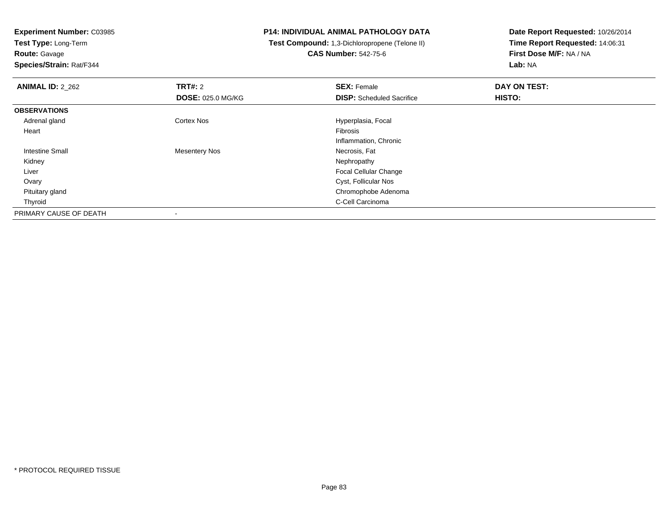**Test Type:** Long-Term**Route:** Gavage

**Species/Strain:** Rat/F344

# **P14: INDIVIDUAL ANIMAL PATHOLOGY DATA**

 **Test Compound:** 1,3-Dichloropropene (Telone II)**CAS Number:** 542-75-6

| <b>ANIMAL ID: 2 262</b> | <b>TRT#: 2</b>           | <b>SEX: Female</b>               | DAY ON TEST: |  |
|-------------------------|--------------------------|----------------------------------|--------------|--|
|                         | <b>DOSE: 025.0 MG/KG</b> | <b>DISP:</b> Scheduled Sacrifice | HISTO:       |  |
| <b>OBSERVATIONS</b>     |                          |                                  |              |  |
| Adrenal gland           | <b>Cortex Nos</b>        | Hyperplasia, Focal               |              |  |
| Heart                   |                          | Fibrosis                         |              |  |
|                         |                          | Inflammation, Chronic            |              |  |
| <b>Intestine Small</b>  | Mesentery Nos            | Necrosis, Fat                    |              |  |
| Kidney                  |                          | Nephropathy                      |              |  |
| Liver                   |                          | Focal Cellular Change            |              |  |
| Ovary                   |                          | Cyst, Follicular Nos             |              |  |
| Pituitary gland         |                          | Chromophobe Adenoma              |              |  |
| Thyroid                 |                          | C-Cell Carcinoma                 |              |  |
| PRIMARY CAUSE OF DEATH  | $\,$                     |                                  |              |  |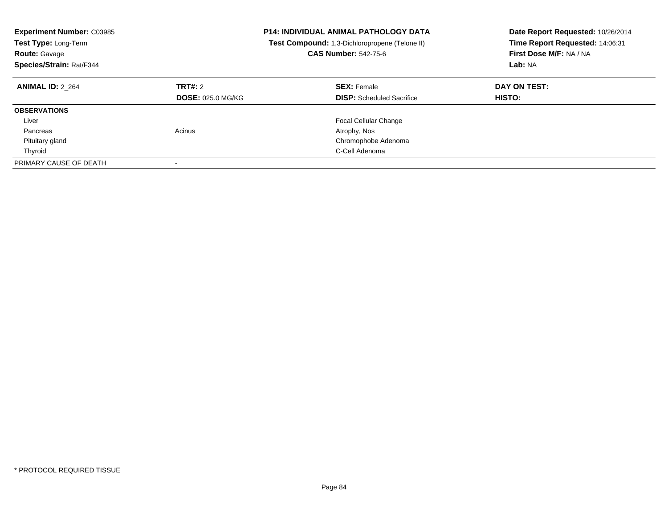| <b>Experiment Number: C03985</b><br><b>Test Type: Long-Term</b><br><b>Route: Gavage</b><br>Species/Strain: Rat/F344 |                                     | <b>P14: INDIVIDUAL ANIMAL PATHOLOGY DATA</b><br><b>Test Compound:</b> 1,3-Dichloropropene (Telone II)<br><b>CAS Number: 542-75-6</b> | Date Report Requested: 10/26/2014<br>Time Report Requested: 14:06:31<br>First Dose M/F: NA / NA<br>Lab: NA |
|---------------------------------------------------------------------------------------------------------------------|-------------------------------------|--------------------------------------------------------------------------------------------------------------------------------------|------------------------------------------------------------------------------------------------------------|
| <b>ANIMAL ID: 2 264</b>                                                                                             | TRT#: 2<br><b>DOSE: 025.0 MG/KG</b> | <b>SEX: Female</b><br><b>DISP:</b> Scheduled Sacrifice                                                                               | DAY ON TEST:<br><b>HISTO:</b>                                                                              |
| <b>OBSERVATIONS</b>                                                                                                 |                                     |                                                                                                                                      |                                                                                                            |
| Liver                                                                                                               |                                     | <b>Focal Cellular Change</b>                                                                                                         |                                                                                                            |
| Pancreas                                                                                                            | Acinus                              | Atrophy, Nos                                                                                                                         |                                                                                                            |
| Pituitary gland                                                                                                     |                                     | Chromophobe Adenoma                                                                                                                  |                                                                                                            |
| Thyroid                                                                                                             |                                     | C-Cell Adenoma                                                                                                                       |                                                                                                            |
| PRIMARY CAUSE OF DEATH                                                                                              | $\overline{\phantom{a}}$            |                                                                                                                                      |                                                                                                            |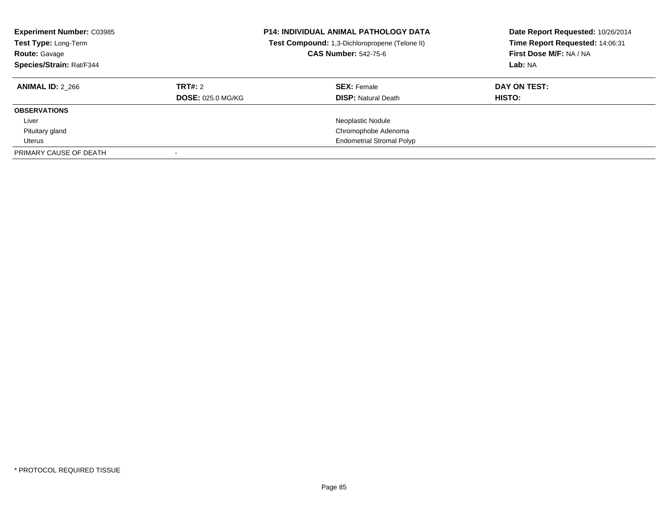| <b>Experiment Number: C03985</b><br>Test Type: Long-Term<br><b>Route: Gavage</b><br>Species/Strain: Rat/F344 |                          | <b>P14: INDIVIDUAL ANIMAL PATHOLOGY DATA</b><br>Test Compound: 1,3-Dichloropropene (Telone II)<br><b>CAS Number: 542-75-6</b> | Date Report Requested: 10/26/2014<br>Time Report Requested: 14:06:31<br>First Dose M/F: NA / NA<br>Lab: NA |
|--------------------------------------------------------------------------------------------------------------|--------------------------|-------------------------------------------------------------------------------------------------------------------------------|------------------------------------------------------------------------------------------------------------|
| <b>ANIMAL ID: 2 266</b>                                                                                      | TRT#: 2                  | <b>SEX: Female</b>                                                                                                            | DAY ON TEST:                                                                                               |
|                                                                                                              | <b>DOSE: 025.0 MG/KG</b> | <b>DISP: Natural Death</b>                                                                                                    | HISTO:                                                                                                     |
| <b>OBSERVATIONS</b>                                                                                          |                          |                                                                                                                               |                                                                                                            |
| Liver                                                                                                        |                          | Neoplastic Nodule                                                                                                             |                                                                                                            |
| Pituitary gland                                                                                              |                          | Chromophobe Adenoma                                                                                                           |                                                                                                            |
| Uterus                                                                                                       |                          | <b>Endometrial Stromal Polyp</b>                                                                                              |                                                                                                            |
| PRIMARY CAUSE OF DEATH                                                                                       |                          |                                                                                                                               |                                                                                                            |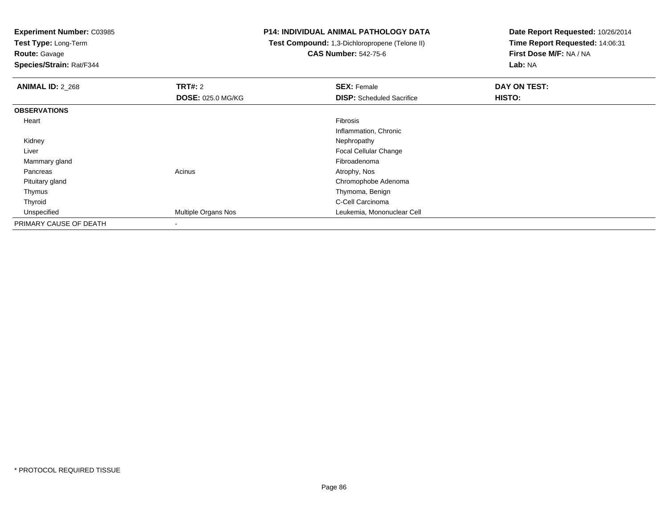**Test Type:** Long-Term

**Route:** Gavage

**Species/Strain:** Rat/F344

### **P14: INDIVIDUAL ANIMAL PATHOLOGY DATA**

 **Test Compound:** 1,3-Dichloropropene (Telone II)**CAS Number:** 542-75-6

| <b>ANIMAL ID: 2_268</b> | <b>TRT#: 2</b>           | <b>SEX: Female</b>               | DAY ON TEST: |
|-------------------------|--------------------------|----------------------------------|--------------|
|                         | <b>DOSE: 025.0 MG/KG</b> | <b>DISP:</b> Scheduled Sacrifice | HISTO:       |
| <b>OBSERVATIONS</b>     |                          |                                  |              |
| Heart                   |                          | Fibrosis                         |              |
|                         |                          | Inflammation, Chronic            |              |
| Kidney                  |                          | Nephropathy                      |              |
| Liver                   |                          | <b>Focal Cellular Change</b>     |              |
| Mammary gland           |                          | Fibroadenoma                     |              |
| Pancreas                | Acinus                   | Atrophy, Nos                     |              |
| Pituitary gland         |                          | Chromophobe Adenoma              |              |
| Thymus                  |                          | Thymoma, Benign                  |              |
| Thyroid                 |                          | C-Cell Carcinoma                 |              |
| Unspecified             | Multiple Organs Nos      | Leukemia, Mononuclear Cell       |              |
| PRIMARY CAUSE OF DEATH  |                          |                                  |              |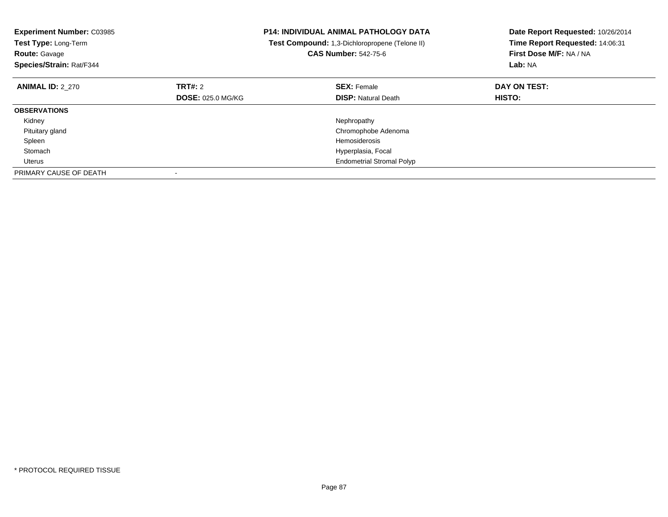| <b>Experiment Number: C03985</b><br>Test Type: Long-Term<br><b>Route: Gavage</b><br>Species/Strain: Rat/F344 |                          | <b>P14: INDIVIDUAL ANIMAL PATHOLOGY DATA</b><br>Test Compound: 1,3-Dichloropropene (Telone II)<br><b>CAS Number: 542-75-6</b> | Date Report Requested: 10/26/2014<br>Time Report Requested: 14:06:31<br>First Dose M/F: NA / NA<br>Lab: NA |
|--------------------------------------------------------------------------------------------------------------|--------------------------|-------------------------------------------------------------------------------------------------------------------------------|------------------------------------------------------------------------------------------------------------|
| <b>ANIMAL ID: 2 270</b>                                                                                      | TRT#: 2                  | <b>SEX: Female</b>                                                                                                            | DAY ON TEST:                                                                                               |
|                                                                                                              | <b>DOSE: 025.0 MG/KG</b> | <b>DISP:</b> Natural Death                                                                                                    | HISTO:                                                                                                     |
| <b>OBSERVATIONS</b>                                                                                          |                          |                                                                                                                               |                                                                                                            |
| Kidney                                                                                                       |                          | Nephropathy                                                                                                                   |                                                                                                            |
| Pituitary gland                                                                                              |                          | Chromophobe Adenoma                                                                                                           |                                                                                                            |
| Spleen                                                                                                       |                          | Hemosiderosis                                                                                                                 |                                                                                                            |
| Stomach                                                                                                      |                          | Hyperplasia, Focal                                                                                                            |                                                                                                            |
| Uterus                                                                                                       |                          | <b>Endometrial Stromal Polyp</b>                                                                                              |                                                                                                            |
| PRIMARY CAUSE OF DEATH                                                                                       |                          |                                                                                                                               |                                                                                                            |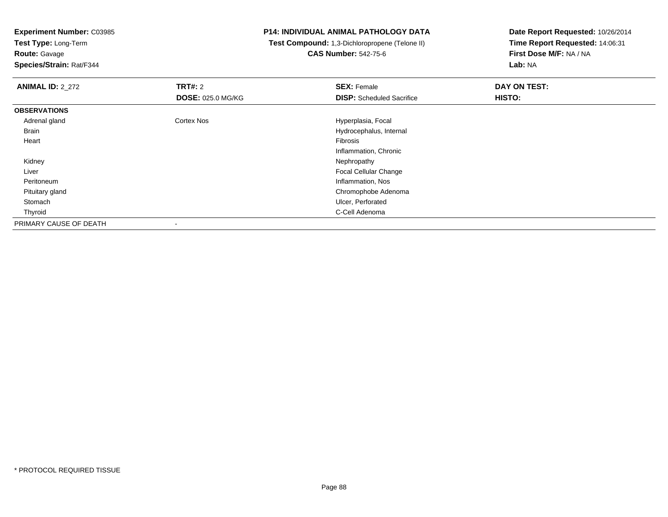**Test Type:** Long-Term

**Route:** Gavage

**Species/Strain:** Rat/F344

#### **P14: INDIVIDUAL ANIMAL PATHOLOGY DATA**

 **Test Compound:** 1,3-Dichloropropene (Telone II)**CAS Number:** 542-75-6

| <b>ANIMAL ID: 2_272</b> | <b>TRT#: 2</b>           | <b>SEX: Female</b>               | DAY ON TEST: |  |
|-------------------------|--------------------------|----------------------------------|--------------|--|
|                         | <b>DOSE: 025.0 MG/KG</b> | <b>DISP:</b> Scheduled Sacrifice | HISTO:       |  |
| <b>OBSERVATIONS</b>     |                          |                                  |              |  |
| Adrenal gland           | <b>Cortex Nos</b>        | Hyperplasia, Focal               |              |  |
| Brain                   |                          | Hydrocephalus, Internal          |              |  |
| Heart                   |                          | Fibrosis                         |              |  |
|                         |                          | Inflammation, Chronic            |              |  |
| Kidney                  |                          | Nephropathy                      |              |  |
| Liver                   |                          | Focal Cellular Change            |              |  |
| Peritoneum              |                          | Inflammation, Nos                |              |  |
| Pituitary gland         |                          | Chromophobe Adenoma              |              |  |
| Stomach                 |                          | Ulcer, Perforated                |              |  |
| Thyroid                 |                          | C-Cell Adenoma                   |              |  |
| PRIMARY CAUSE OF DEATH  |                          |                                  |              |  |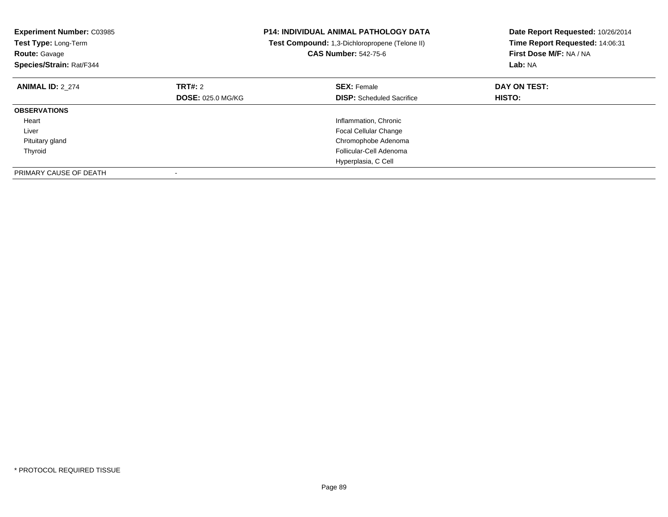| <b>Experiment Number: C03985</b><br>Test Type: Long-Term<br><b>Route: Gavage</b><br>Species/Strain: Rat/F344 |                          | <b>P14: INDIVIDUAL ANIMAL PATHOLOGY DATA</b><br>Test Compound: 1,3-Dichloropropene (Telone II)<br><b>CAS Number: 542-75-6</b> | Date Report Requested: 10/26/2014<br>Time Report Requested: 14:06:31<br>First Dose M/F: NA / NA<br>Lab: NA |
|--------------------------------------------------------------------------------------------------------------|--------------------------|-------------------------------------------------------------------------------------------------------------------------------|------------------------------------------------------------------------------------------------------------|
| <b>ANIMAL ID: 2 274</b>                                                                                      | TRT#: 2                  | <b>SEX: Female</b>                                                                                                            | DAY ON TEST:                                                                                               |
|                                                                                                              | <b>DOSE: 025.0 MG/KG</b> | <b>DISP:</b> Scheduled Sacrifice                                                                                              | HISTO:                                                                                                     |
| <b>OBSERVATIONS</b>                                                                                          |                          |                                                                                                                               |                                                                                                            |
| Heart                                                                                                        |                          | Inflammation, Chronic                                                                                                         |                                                                                                            |
| Liver                                                                                                        |                          | <b>Focal Cellular Change</b>                                                                                                  |                                                                                                            |
| Pituitary gland                                                                                              |                          | Chromophobe Adenoma                                                                                                           |                                                                                                            |
| Thyroid                                                                                                      |                          | Follicular-Cell Adenoma                                                                                                       |                                                                                                            |
|                                                                                                              |                          | Hyperplasia, C Cell                                                                                                           |                                                                                                            |
| PRIMARY CAUSE OF DEATH                                                                                       |                          |                                                                                                                               |                                                                                                            |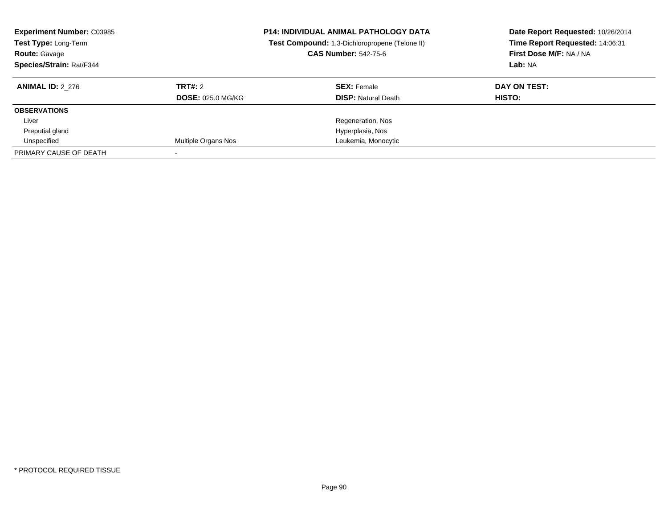| <b>Experiment Number: C03985</b><br>Test Type: Long-Term<br><b>Route: Gavage</b><br>Species/Strain: Rat/F344 |                          | <b>P14: INDIVIDUAL ANIMAL PATHOLOGY DATA</b><br>Test Compound: 1,3-Dichloropropene (Telone II)<br><b>CAS Number: 542-75-6</b> | Date Report Requested: 10/26/2014<br>Time Report Requested: 14:06:31<br>First Dose M/F: NA / NA<br>Lab: NA |
|--------------------------------------------------------------------------------------------------------------|--------------------------|-------------------------------------------------------------------------------------------------------------------------------|------------------------------------------------------------------------------------------------------------|
| <b>ANIMAL ID: 2 276</b>                                                                                      | TRT#: 2                  | <b>SEX: Female</b>                                                                                                            | DAY ON TEST:                                                                                               |
|                                                                                                              | <b>DOSE: 025.0 MG/KG</b> | <b>DISP:</b> Natural Death                                                                                                    | <b>HISTO:</b>                                                                                              |
| <b>OBSERVATIONS</b>                                                                                          |                          |                                                                                                                               |                                                                                                            |
| Liver                                                                                                        |                          | Regeneration, Nos                                                                                                             |                                                                                                            |
| Preputial gland                                                                                              |                          | Hyperplasia, Nos                                                                                                              |                                                                                                            |
| Unspecified                                                                                                  | Multiple Organs Nos      | Leukemia, Monocytic                                                                                                           |                                                                                                            |
| PRIMARY CAUSE OF DEATH                                                                                       |                          |                                                                                                                               |                                                                                                            |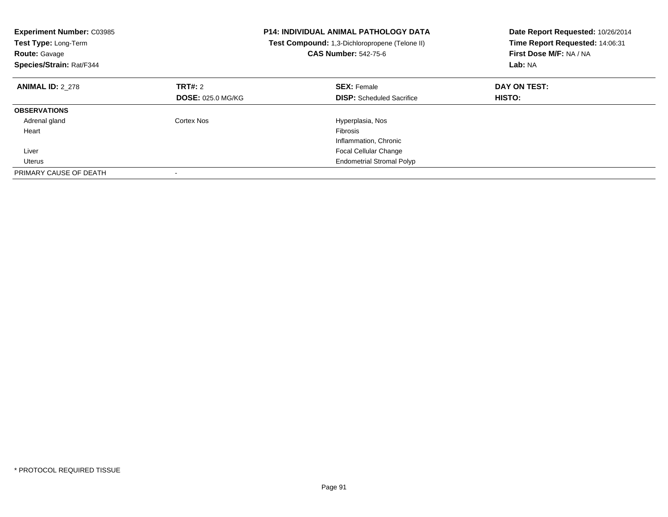| <b>Experiment Number: C03985</b><br>Test Type: Long-Term<br><b>Route: Gavage</b><br>Species/Strain: Rat/F344 |                          | <b>P14: INDIVIDUAL ANIMAL PATHOLOGY DATA</b><br>Test Compound: 1,3-Dichloropropene (Telone II)<br><b>CAS Number: 542-75-6</b> | Date Report Requested: 10/26/2014<br>Time Report Requested: 14:06:31<br>First Dose M/F: NA / NA<br>Lab: NA |
|--------------------------------------------------------------------------------------------------------------|--------------------------|-------------------------------------------------------------------------------------------------------------------------------|------------------------------------------------------------------------------------------------------------|
| <b>ANIMAL ID: 2_278</b>                                                                                      | <b>TRT#: 2</b>           | <b>SEX: Female</b>                                                                                                            | DAY ON TEST:                                                                                               |
|                                                                                                              | <b>DOSE: 025.0 MG/KG</b> | <b>DISP:</b> Scheduled Sacrifice                                                                                              | HISTO:                                                                                                     |
| <b>OBSERVATIONS</b>                                                                                          |                          |                                                                                                                               |                                                                                                            |
| Adrenal gland                                                                                                | Cortex Nos               | Hyperplasia, Nos                                                                                                              |                                                                                                            |
| Heart                                                                                                        |                          | Fibrosis                                                                                                                      |                                                                                                            |
|                                                                                                              |                          | Inflammation, Chronic                                                                                                         |                                                                                                            |
| Liver                                                                                                        |                          | <b>Focal Cellular Change</b>                                                                                                  |                                                                                                            |
| Uterus                                                                                                       |                          | <b>Endometrial Stromal Polyp</b>                                                                                              |                                                                                                            |
| PRIMARY CAUSE OF DEATH                                                                                       |                          |                                                                                                                               |                                                                                                            |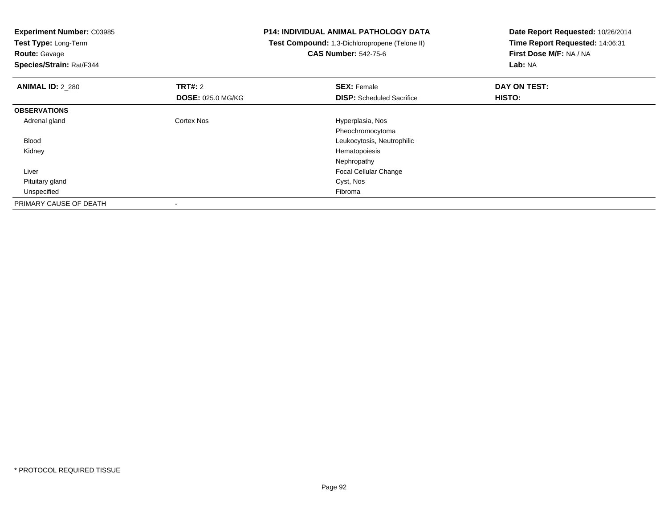**Experiment Number:** C03985**Test Type:** Long-Term**Route:** Gavage **Species/Strain:** Rat/F344**P14: INDIVIDUAL ANIMAL PATHOLOGY DATA Test Compound:** 1,3-Dichloropropene (Telone II)**CAS Number:** 542-75-6**Date Report Requested:** 10/26/2014**Time Report Requested:** 14:06:31**First Dose M/F:** NA / NA**Lab:** NA**ANIMAL ID:** 2\_280**Communist SEX: Female DAY ON TEST: DAY ON TEST: DOSE:** 025.0 MG/KG**DISP:** Scheduled Sacrifice **HISTO: OBSERVATIONS** Adrenal glandCortex Nos **Exercise Serverse Exercise Serverse Exercise Adventurers** Hyperplasia, Nos Pheochromocytoma Leukocytosis, Neutrophilic Blood Kidney Hematopoiesis Nephropathy Focal Cellular Change Liver Pituitary gland Cyst, Nos Unspecifiedd Fibroma and the contract of the contract of the contract of the contract of the contract of the contract of the contract of the contract of the contract of the contract of the contract of the contract of the contract of PRIMARY CAUSE OF DEATH-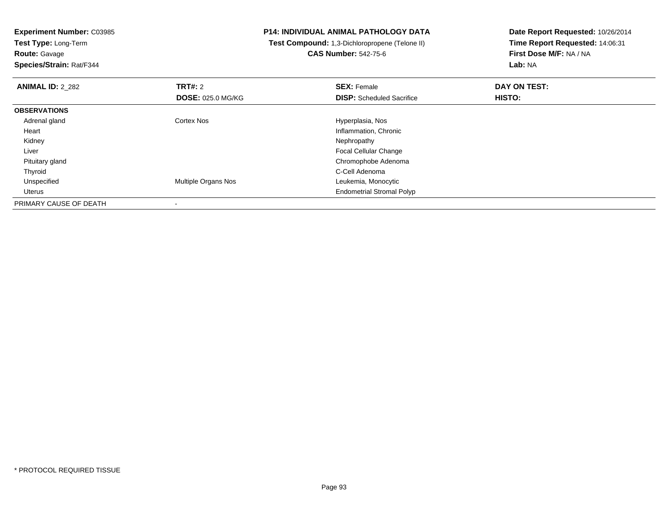**Experiment Number:** C03985**Test Type:** Long-Term

**Route:** Gavage

**Species/Strain:** Rat/F344

# **P14: INDIVIDUAL ANIMAL PATHOLOGY DATA**

 **Test Compound:** 1,3-Dichloropropene (Telone II)**CAS Number:** 542-75-6

| <b>ANIMAL ID: 2_282</b> | TRT#: 2                    | <b>SEX: Female</b>               | DAY ON TEST: |  |
|-------------------------|----------------------------|----------------------------------|--------------|--|
|                         | <b>DOSE: 025.0 MG/KG</b>   | <b>DISP:</b> Scheduled Sacrifice | HISTO:       |  |
| <b>OBSERVATIONS</b>     |                            |                                  |              |  |
| Adrenal gland           | <b>Cortex Nos</b>          | Hyperplasia, Nos                 |              |  |
| Heart                   |                            | Inflammation, Chronic            |              |  |
| Kidney                  |                            | Nephropathy                      |              |  |
| Liver                   |                            | <b>Focal Cellular Change</b>     |              |  |
| Pituitary gland         |                            | Chromophobe Adenoma              |              |  |
| Thyroid                 |                            | C-Cell Adenoma                   |              |  |
| Unspecified             | <b>Multiple Organs Nos</b> | Leukemia, Monocytic              |              |  |
| Uterus                  |                            | <b>Endometrial Stromal Polyp</b> |              |  |
| PRIMARY CAUSE OF DEATH  |                            |                                  |              |  |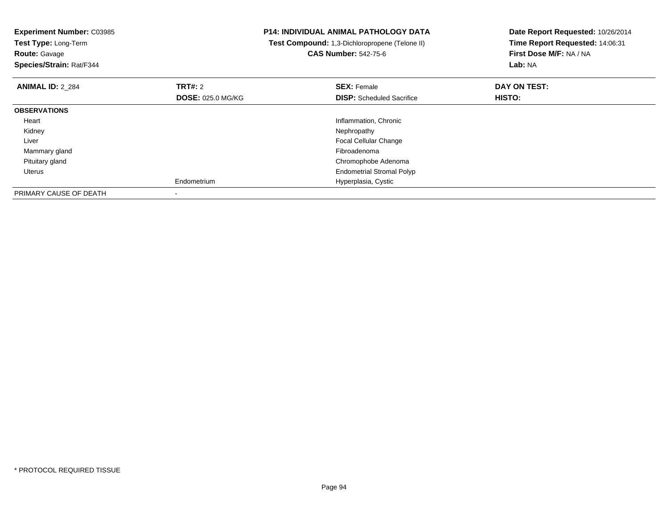| <b>Experiment Number: C03985</b><br>Test Type: Long-Term<br><b>Route: Gavage</b><br>Species/Strain: Rat/F344 |                          | <b>P14: INDIVIDUAL ANIMAL PATHOLOGY DATA</b><br>Test Compound: 1,3-Dichloropropene (Telone II)<br><b>CAS Number: 542-75-6</b> | Date Report Requested: 10/26/2014<br>Time Report Requested: 14:06:31<br>First Dose M/F: NA / NA<br>Lab: NA |
|--------------------------------------------------------------------------------------------------------------|--------------------------|-------------------------------------------------------------------------------------------------------------------------------|------------------------------------------------------------------------------------------------------------|
| <b>ANIMAL ID: 2 284</b>                                                                                      | <b>TRT#: 2</b>           | <b>SEX: Female</b>                                                                                                            | DAY ON TEST:                                                                                               |
|                                                                                                              | <b>DOSE: 025.0 MG/KG</b> | <b>DISP:</b> Scheduled Sacrifice                                                                                              | HISTO:                                                                                                     |
| <b>OBSERVATIONS</b>                                                                                          |                          |                                                                                                                               |                                                                                                            |
| Heart                                                                                                        |                          | Inflammation, Chronic                                                                                                         |                                                                                                            |
| Kidney                                                                                                       |                          | Nephropathy                                                                                                                   |                                                                                                            |
| Liver                                                                                                        |                          | <b>Focal Cellular Change</b>                                                                                                  |                                                                                                            |
| Mammary gland                                                                                                |                          | Fibroadenoma                                                                                                                  |                                                                                                            |
| Pituitary gland                                                                                              |                          | Chromophobe Adenoma                                                                                                           |                                                                                                            |
| Uterus                                                                                                       |                          | <b>Endometrial Stromal Polyp</b>                                                                                              |                                                                                                            |
|                                                                                                              | Endometrium              | Hyperplasia, Cystic                                                                                                           |                                                                                                            |
| PRIMARY CAUSE OF DEATH                                                                                       |                          |                                                                                                                               |                                                                                                            |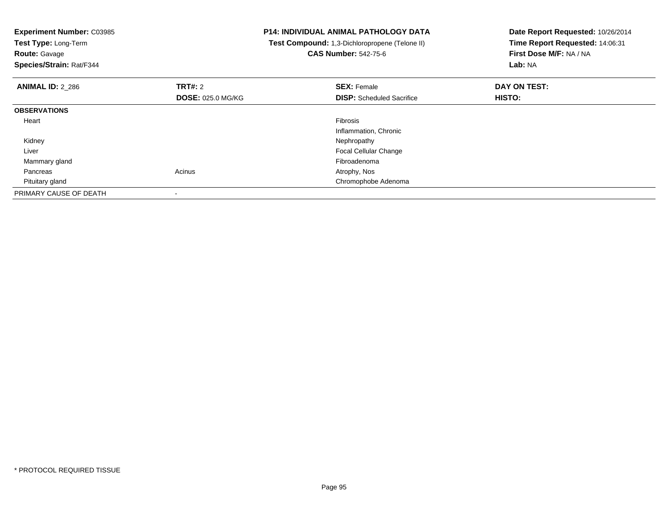| <b>Experiment Number: C03985</b><br>Test Type: Long-Term<br><b>Route: Gavage</b><br>Species/Strain: Rat/F344 |                          | <b>P14: INDIVIDUAL ANIMAL PATHOLOGY DATA</b><br>Test Compound: 1,3-Dichloropropene (Telone II)<br><b>CAS Number: 542-75-6</b> | Date Report Requested: 10/26/2014<br>Time Report Requested: 14:06:31<br>First Dose M/F: NA / NA<br>Lab: NA |
|--------------------------------------------------------------------------------------------------------------|--------------------------|-------------------------------------------------------------------------------------------------------------------------------|------------------------------------------------------------------------------------------------------------|
| <b>ANIMAL ID: 2 286</b>                                                                                      | TRT#: 2                  | <b>SEX: Female</b>                                                                                                            | DAY ON TEST:                                                                                               |
|                                                                                                              | <b>DOSE: 025.0 MG/KG</b> | <b>DISP:</b> Scheduled Sacrifice                                                                                              | HISTO:                                                                                                     |
| <b>OBSERVATIONS</b>                                                                                          |                          |                                                                                                                               |                                                                                                            |
| Heart                                                                                                        |                          | Fibrosis                                                                                                                      |                                                                                                            |
|                                                                                                              |                          | Inflammation, Chronic                                                                                                         |                                                                                                            |
| Kidney                                                                                                       |                          | Nephropathy                                                                                                                   |                                                                                                            |
| Liver                                                                                                        |                          | <b>Focal Cellular Change</b>                                                                                                  |                                                                                                            |
| Mammary gland                                                                                                |                          | Fibroadenoma                                                                                                                  |                                                                                                            |
| Pancreas                                                                                                     | Acinus                   | Atrophy, Nos                                                                                                                  |                                                                                                            |
| Pituitary gland                                                                                              |                          | Chromophobe Adenoma                                                                                                           |                                                                                                            |
| PRIMARY CAUSE OF DEATH                                                                                       |                          |                                                                                                                               |                                                                                                            |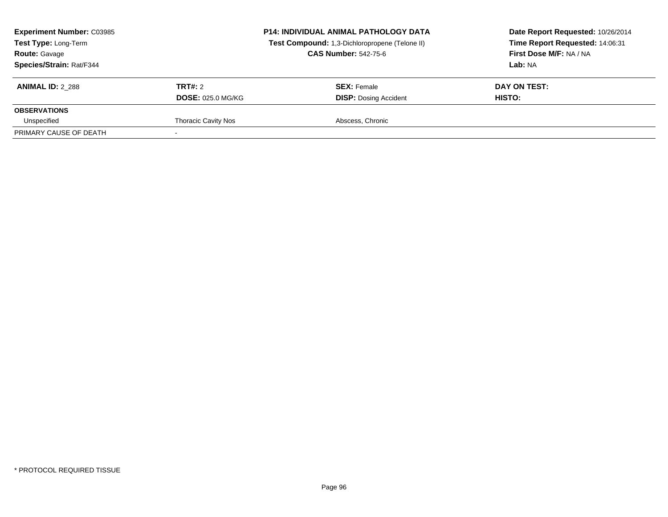| <b>Experiment Number: C03985</b><br><b>Test Type: Long-Term</b><br><b>Route: Gavage</b><br><b>Species/Strain: Rat/F344</b> |                            | <b>P14: INDIVIDUAL ANIMAL PATHOLOGY DATA</b><br>Test Compound: 1,3-Dichloropropene (Telone II)<br><b>CAS Number: 542-75-6</b> | Date Report Requested: 10/26/2014<br>Time Report Requested: 14:06:31<br>First Dose M/F: NA / NA<br>Lab: NA |  |
|----------------------------------------------------------------------------------------------------------------------------|----------------------------|-------------------------------------------------------------------------------------------------------------------------------|------------------------------------------------------------------------------------------------------------|--|
| <b>ANIMAL ID: 2 288</b>                                                                                                    | TRT#: 2                    | <b>SEX: Female</b>                                                                                                            | DAY ON TEST:                                                                                               |  |
| <b>OBSERVATIONS</b>                                                                                                        | <b>DOSE: 025.0 MG/KG</b>   | <b>DISP: Dosing Accident</b>                                                                                                  | HISTO:                                                                                                     |  |
| Unspecified                                                                                                                | <b>Thoracic Cavity Nos</b> | Abscess, Chronic                                                                                                              |                                                                                                            |  |
| PRIMARY CAUSE OF DEATH                                                                                                     |                            |                                                                                                                               |                                                                                                            |  |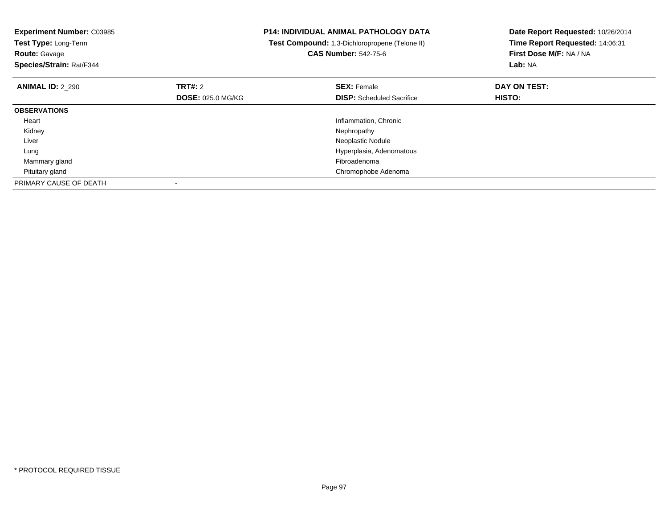| <b>Experiment Number: C03985</b><br>Test Type: Long-Term<br><b>Route: Gavage</b><br>Species/Strain: Rat/F344 |                          | <b>P14: INDIVIDUAL ANIMAL PATHOLOGY DATA</b><br>Test Compound: 1,3-Dichloropropene (Telone II)<br><b>CAS Number: 542-75-6</b> | Date Report Requested: 10/26/2014<br>Time Report Requested: 14:06:31<br>First Dose M/F: NA / NA<br>Lab: NA |
|--------------------------------------------------------------------------------------------------------------|--------------------------|-------------------------------------------------------------------------------------------------------------------------------|------------------------------------------------------------------------------------------------------------|
| <b>ANIMAL ID: 2 290</b>                                                                                      | TRT#: 2                  | <b>SEX: Female</b>                                                                                                            | DAY ON TEST:                                                                                               |
|                                                                                                              | <b>DOSE: 025.0 MG/KG</b> | <b>DISP:</b> Scheduled Sacrifice                                                                                              | HISTO:                                                                                                     |
| <b>OBSERVATIONS</b>                                                                                          |                          |                                                                                                                               |                                                                                                            |
| Heart                                                                                                        |                          | Inflammation, Chronic                                                                                                         |                                                                                                            |
| Kidney                                                                                                       |                          | Nephropathy                                                                                                                   |                                                                                                            |
| Liver                                                                                                        |                          | Neoplastic Nodule                                                                                                             |                                                                                                            |
| Lung                                                                                                         |                          | Hyperplasia, Adenomatous                                                                                                      |                                                                                                            |
| Mammary gland                                                                                                |                          | Fibroadenoma                                                                                                                  |                                                                                                            |
| Pituitary gland                                                                                              |                          | Chromophobe Adenoma                                                                                                           |                                                                                                            |
| PRIMARY CAUSE OF DEATH                                                                                       |                          |                                                                                                                               |                                                                                                            |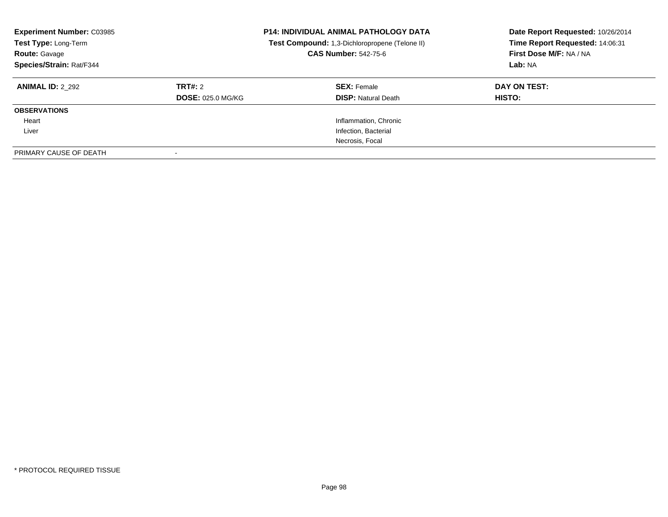| <b>Experiment Number: C03985</b><br>Test Type: Long-Term<br><b>Route: Gavage</b><br>Species/Strain: Rat/F344 |                                     | <b>P14: INDIVIDUAL ANIMAL PATHOLOGY DATA</b><br>Test Compound: 1,3-Dichloropropene (Telone II)<br><b>CAS Number: 542-75-6</b> | Date Report Requested: 10/26/2014<br>Time Report Requested: 14:06:31<br>First Dose M/F: NA / NA<br>Lab: NA |
|--------------------------------------------------------------------------------------------------------------|-------------------------------------|-------------------------------------------------------------------------------------------------------------------------------|------------------------------------------------------------------------------------------------------------|
| <b>ANIMAL ID: 2 292</b>                                                                                      | TRT#: 2<br><b>DOSE: 025.0 MG/KG</b> | <b>SEX: Female</b><br><b>DISP: Natural Death</b>                                                                              | DAY ON TEST:<br>HISTO:                                                                                     |
| <b>OBSERVATIONS</b>                                                                                          |                                     |                                                                                                                               |                                                                                                            |
| Heart                                                                                                        |                                     | Inflammation, Chronic                                                                                                         |                                                                                                            |
| Liver                                                                                                        |                                     | Infection, Bacterial                                                                                                          |                                                                                                            |
|                                                                                                              |                                     | Necrosis, Focal                                                                                                               |                                                                                                            |
| PRIMARY CAUSE OF DEATH                                                                                       |                                     |                                                                                                                               |                                                                                                            |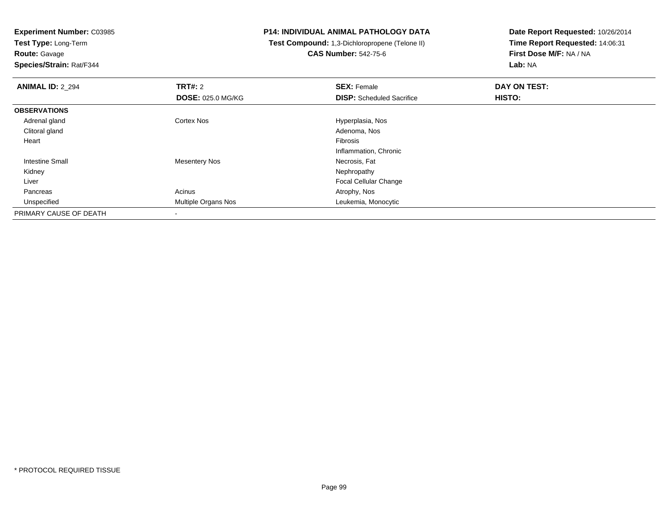**Test Type:** Long-Term**Route:** Gavage

**Species/Strain:** Rat/F344

## **P14: INDIVIDUAL ANIMAL PATHOLOGY DATA**

 **Test Compound:** 1,3-Dichloropropene (Telone II)**CAS Number:** 542-75-6

| <b>ANIMAL ID: 2_294</b> | <b>TRT#: 2</b>           | <b>SEX: Female</b>               | DAY ON TEST: |  |
|-------------------------|--------------------------|----------------------------------|--------------|--|
|                         | <b>DOSE: 025.0 MG/KG</b> | <b>DISP:</b> Scheduled Sacrifice | HISTO:       |  |
| <b>OBSERVATIONS</b>     |                          |                                  |              |  |
| Adrenal gland           | <b>Cortex Nos</b>        | Hyperplasia, Nos                 |              |  |
| Clitoral gland          |                          | Adenoma, Nos                     |              |  |
| Heart                   |                          | Fibrosis                         |              |  |
|                         |                          | Inflammation, Chronic            |              |  |
| Intestine Small         | <b>Mesentery Nos</b>     | Necrosis, Fat                    |              |  |
| Kidney                  |                          | Nephropathy                      |              |  |
| Liver                   |                          | <b>Focal Cellular Change</b>     |              |  |
| Pancreas                | Acinus                   | Atrophy, Nos                     |              |  |
| Unspecified             | Multiple Organs Nos      | Leukemia, Monocytic              |              |  |
| PRIMARY CAUSE OF DEATH  |                          |                                  |              |  |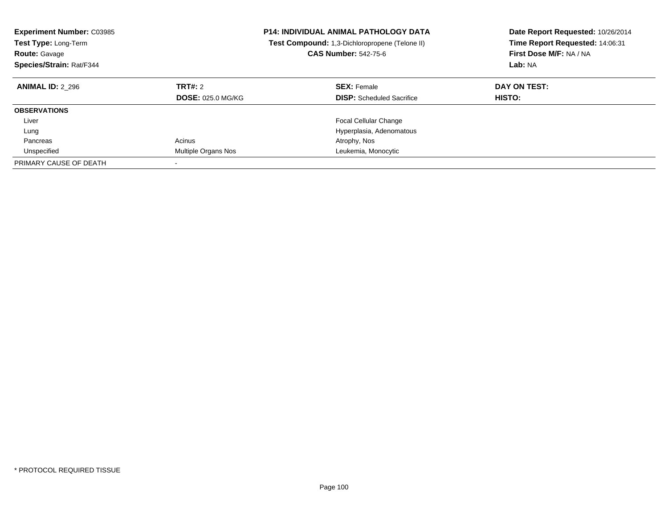| <b>Experiment Number: C03985</b><br><b>Test Type: Long-Term</b><br><b>Route: Gavage</b><br>Species/Strain: Rat/F344 |                                     | <b>P14: INDIVIDUAL ANIMAL PATHOLOGY DATA</b><br><b>Test Compound:</b> 1,3-Dichloropropene (Telone II)<br><b>CAS Number: 542-75-6</b> | Date Report Requested: 10/26/2014<br>Time Report Requested: 14:06:31<br>First Dose M/F: NA / NA<br>Lab: NA |
|---------------------------------------------------------------------------------------------------------------------|-------------------------------------|--------------------------------------------------------------------------------------------------------------------------------------|------------------------------------------------------------------------------------------------------------|
| <b>ANIMAL ID: 2 296</b>                                                                                             | TRT#: 2<br><b>DOSE: 025.0 MG/KG</b> | <b>SEX: Female</b><br><b>DISP:</b> Scheduled Sacrifice                                                                               | DAY ON TEST:<br>HISTO:                                                                                     |
| <b>OBSERVATIONS</b>                                                                                                 |                                     |                                                                                                                                      |                                                                                                            |
| Liver                                                                                                               |                                     | <b>Focal Cellular Change</b>                                                                                                         |                                                                                                            |
| Lung                                                                                                                |                                     | Hyperplasia, Adenomatous                                                                                                             |                                                                                                            |
| Pancreas                                                                                                            | Acinus                              | Atrophy, Nos                                                                                                                         |                                                                                                            |
| Unspecified                                                                                                         | Multiple Organs Nos                 | Leukemia, Monocytic                                                                                                                  |                                                                                                            |
| PRIMARY CAUSE OF DEATH                                                                                              |                                     |                                                                                                                                      |                                                                                                            |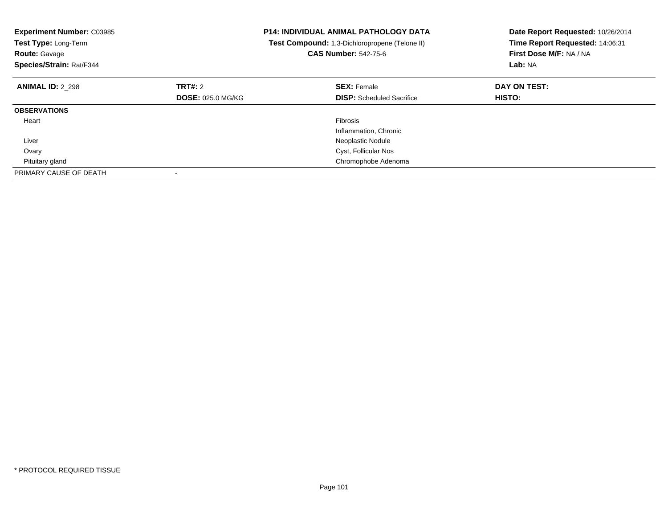| <b>Experiment Number: C03985</b><br>Test Type: Long-Term<br><b>Route: Gavage</b><br>Species/Strain: Rat/F344 |                          | <b>P14: INDIVIDUAL ANIMAL PATHOLOGY DATA</b><br>Test Compound: 1,3-Dichloropropene (Telone II)<br><b>CAS Number: 542-75-6</b> | Date Report Requested: 10/26/2014<br>Time Report Requested: 14:06:31<br>First Dose M/F: NA / NA<br>Lab: NA |
|--------------------------------------------------------------------------------------------------------------|--------------------------|-------------------------------------------------------------------------------------------------------------------------------|------------------------------------------------------------------------------------------------------------|
| <b>ANIMAL ID: 2_298</b>                                                                                      | <b>TRT#: 2</b>           | <b>SEX: Female</b>                                                                                                            | DAY ON TEST:                                                                                               |
|                                                                                                              | <b>DOSE: 025.0 MG/KG</b> | <b>DISP:</b> Scheduled Sacrifice                                                                                              | HISTO:                                                                                                     |
| <b>OBSERVATIONS</b>                                                                                          |                          |                                                                                                                               |                                                                                                            |
| Heart                                                                                                        |                          | <b>Fibrosis</b>                                                                                                               |                                                                                                            |
|                                                                                                              |                          | Inflammation, Chronic                                                                                                         |                                                                                                            |
| Liver                                                                                                        |                          | Neoplastic Nodule                                                                                                             |                                                                                                            |
| Ovary                                                                                                        |                          | Cyst, Follicular Nos                                                                                                          |                                                                                                            |
| Pituitary gland                                                                                              |                          | Chromophobe Adenoma                                                                                                           |                                                                                                            |
| PRIMARY CAUSE OF DEATH                                                                                       |                          |                                                                                                                               |                                                                                                            |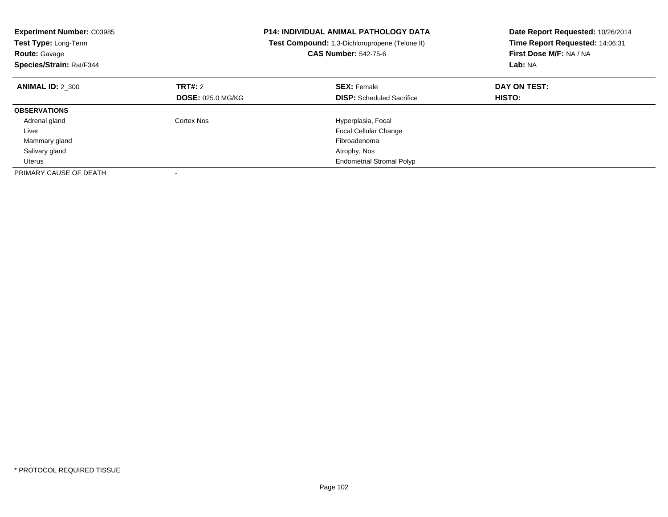| <b>Experiment Number: C03985</b><br>Test Type: Long-Term<br><b>Route: Gavage</b><br>Species/Strain: Rat/F344 |                          | <b>P14: INDIVIDUAL ANIMAL PATHOLOGY DATA</b><br>Test Compound: 1,3-Dichloropropene (Telone II)<br><b>CAS Number: 542-75-6</b> | Date Report Requested: 10/26/2014<br>Time Report Requested: 14:06:31<br>First Dose M/F: NA / NA<br>Lab: NA |
|--------------------------------------------------------------------------------------------------------------|--------------------------|-------------------------------------------------------------------------------------------------------------------------------|------------------------------------------------------------------------------------------------------------|
| <b>ANIMAL ID: 2 300</b>                                                                                      | TRT#: 2                  | <b>SEX: Female</b>                                                                                                            | DAY ON TEST:                                                                                               |
|                                                                                                              | <b>DOSE: 025.0 MG/KG</b> | <b>DISP:</b> Scheduled Sacrifice                                                                                              | HISTO:                                                                                                     |
| <b>OBSERVATIONS</b>                                                                                          |                          |                                                                                                                               |                                                                                                            |
| Adrenal gland                                                                                                | Cortex Nos               | Hyperplasia, Focal                                                                                                            |                                                                                                            |
| Liver                                                                                                        |                          | Focal Cellular Change                                                                                                         |                                                                                                            |
| Mammary gland                                                                                                |                          | Fibroadenoma                                                                                                                  |                                                                                                            |
| Salivary gland                                                                                               |                          | Atrophy, Nos                                                                                                                  |                                                                                                            |
| Uterus                                                                                                       |                          | <b>Endometrial Stromal Polyp</b>                                                                                              |                                                                                                            |
| PRIMARY CAUSE OF DEATH                                                                                       |                          |                                                                                                                               |                                                                                                            |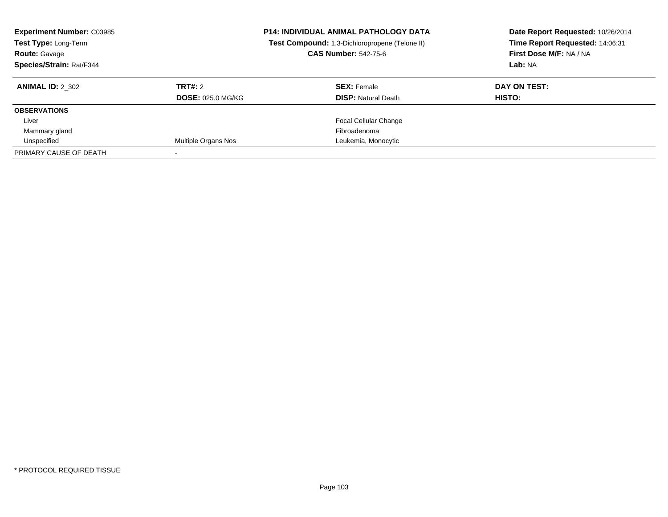| <b>Experiment Number: C03985</b><br>Test Type: Long-Term<br><b>Route: Gavage</b><br>Species/Strain: Rat/F344 |                          | <b>P14: INDIVIDUAL ANIMAL PATHOLOGY DATA</b><br>Test Compound: 1,3-Dichloropropene (Telone II)<br><b>CAS Number: 542-75-6</b><br>Lab: NA |               | Date Report Requested: 10/26/2014<br>Time Report Requested: 14:06:31<br>First Dose M/F: NA / NA |  |
|--------------------------------------------------------------------------------------------------------------|--------------------------|------------------------------------------------------------------------------------------------------------------------------------------|---------------|-------------------------------------------------------------------------------------------------|--|
| <b>ANIMAL ID: 2 302</b>                                                                                      | TRT#: 2                  | <b>SEX: Female</b>                                                                                                                       | DAY ON TEST:  |                                                                                                 |  |
|                                                                                                              | <b>DOSE: 025.0 MG/KG</b> | <b>DISP:</b> Natural Death                                                                                                               | <b>HISTO:</b> |                                                                                                 |  |
| <b>OBSERVATIONS</b>                                                                                          |                          |                                                                                                                                          |               |                                                                                                 |  |
| Liver                                                                                                        |                          | <b>Focal Cellular Change</b>                                                                                                             |               |                                                                                                 |  |
| Mammary gland                                                                                                |                          | Fibroadenoma                                                                                                                             |               |                                                                                                 |  |
| Unspecified                                                                                                  | Multiple Organs Nos      | Leukemia, Monocytic                                                                                                                      |               |                                                                                                 |  |
| PRIMARY CAUSE OF DEATH                                                                                       |                          |                                                                                                                                          |               |                                                                                                 |  |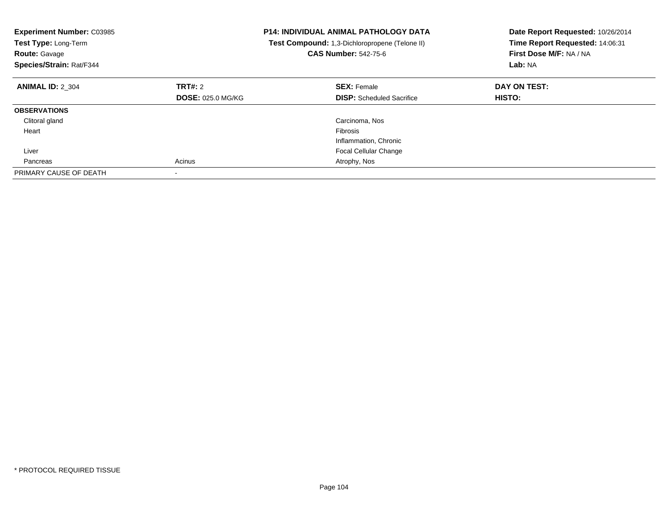| <b>Experiment Number: C03985</b><br>Test Type: Long-Term<br><b>Route: Gavage</b><br>Species/Strain: Rat/F344 |                          | <b>P14: INDIVIDUAL ANIMAL PATHOLOGY DATA</b><br>Test Compound: 1,3-Dichloropropene (Telone II)<br><b>CAS Number: 542-75-6</b> | Date Report Requested: 10/26/2014<br>Time Report Requested: 14:06:31<br>First Dose M/F: NA / NA<br>Lab: NA |
|--------------------------------------------------------------------------------------------------------------|--------------------------|-------------------------------------------------------------------------------------------------------------------------------|------------------------------------------------------------------------------------------------------------|
| <b>ANIMAL ID: 2 304</b>                                                                                      | TRT#: 2                  | <b>SEX: Female</b>                                                                                                            | DAY ON TEST:                                                                                               |
|                                                                                                              | <b>DOSE: 025.0 MG/KG</b> | <b>DISP:</b> Scheduled Sacrifice                                                                                              | HISTO:                                                                                                     |
| <b>OBSERVATIONS</b>                                                                                          |                          |                                                                                                                               |                                                                                                            |
| Clitoral gland                                                                                               |                          | Carcinoma, Nos                                                                                                                |                                                                                                            |
| Heart                                                                                                        |                          | Fibrosis                                                                                                                      |                                                                                                            |
|                                                                                                              |                          | Inflammation, Chronic                                                                                                         |                                                                                                            |
| Liver                                                                                                        |                          | <b>Focal Cellular Change</b>                                                                                                  |                                                                                                            |
| Pancreas                                                                                                     | Acinus                   | Atrophy, Nos                                                                                                                  |                                                                                                            |
| PRIMARY CAUSE OF DEATH                                                                                       |                          |                                                                                                                               |                                                                                                            |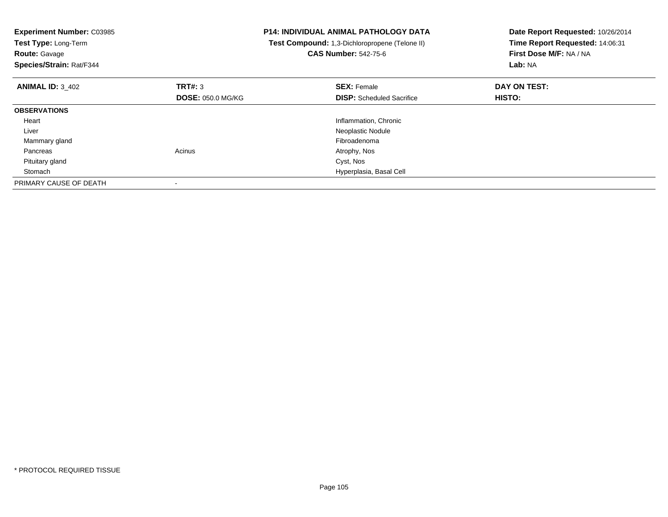| <b>Experiment Number: C03985</b><br>Test Type: Long-Term<br><b>Route: Gavage</b><br>Species/Strain: Rat/F344 |                          | <b>P14: INDIVIDUAL ANIMAL PATHOLOGY DATA</b><br>Test Compound: 1,3-Dichloropropene (Telone II)<br><b>CAS Number: 542-75-6</b> | Date Report Requested: 10/26/2014<br>Time Report Requested: 14:06:31<br>First Dose M/F: NA / NA<br>Lab: NA |
|--------------------------------------------------------------------------------------------------------------|--------------------------|-------------------------------------------------------------------------------------------------------------------------------|------------------------------------------------------------------------------------------------------------|
| <b>ANIMAL ID: 3_402</b>                                                                                      | TRT#: 3                  | <b>SEX: Female</b>                                                                                                            | DAY ON TEST:                                                                                               |
|                                                                                                              | <b>DOSE: 050.0 MG/KG</b> | <b>DISP:</b> Scheduled Sacrifice                                                                                              | HISTO:                                                                                                     |
| <b>OBSERVATIONS</b>                                                                                          |                          |                                                                                                                               |                                                                                                            |
| Heart                                                                                                        |                          | Inflammation, Chronic                                                                                                         |                                                                                                            |
| Liver                                                                                                        |                          | Neoplastic Nodule                                                                                                             |                                                                                                            |
| Mammary gland                                                                                                |                          | Fibroadenoma                                                                                                                  |                                                                                                            |
| Pancreas                                                                                                     | Acinus                   | Atrophy, Nos                                                                                                                  |                                                                                                            |
| Pituitary gland                                                                                              |                          | Cyst, Nos                                                                                                                     |                                                                                                            |
| Stomach                                                                                                      |                          | Hyperplasia, Basal Cell                                                                                                       |                                                                                                            |
| PRIMARY CAUSE OF DEATH                                                                                       |                          |                                                                                                                               |                                                                                                            |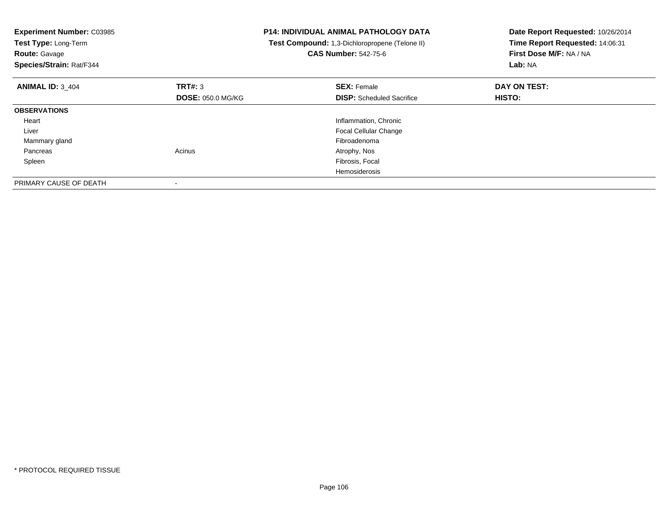| <b>Experiment Number: C03985</b><br>Test Type: Long-Term<br><b>Route: Gavage</b><br>Species/Strain: Rat/F344 |                          | <b>P14: INDIVIDUAL ANIMAL PATHOLOGY DATA</b><br>Test Compound: 1,3-Dichloropropene (Telone II)<br><b>CAS Number: 542-75-6</b> | Date Report Requested: 10/26/2014<br>Time Report Requested: 14:06:31<br>First Dose M/F: NA / NA<br>Lab: NA |
|--------------------------------------------------------------------------------------------------------------|--------------------------|-------------------------------------------------------------------------------------------------------------------------------|------------------------------------------------------------------------------------------------------------|
| <b>ANIMAL ID: 3 404</b>                                                                                      | TRT#: 3                  | <b>SEX: Female</b>                                                                                                            | DAY ON TEST:                                                                                               |
|                                                                                                              | <b>DOSE: 050.0 MG/KG</b> | <b>DISP:</b> Scheduled Sacrifice                                                                                              | <b>HISTO:</b>                                                                                              |
| <b>OBSERVATIONS</b>                                                                                          |                          |                                                                                                                               |                                                                                                            |
| Heart                                                                                                        |                          | Inflammation, Chronic                                                                                                         |                                                                                                            |
| Liver                                                                                                        |                          | <b>Focal Cellular Change</b>                                                                                                  |                                                                                                            |
| Mammary gland                                                                                                |                          | Fibroadenoma                                                                                                                  |                                                                                                            |
| Pancreas                                                                                                     | Acinus                   | Atrophy, Nos                                                                                                                  |                                                                                                            |
| Spleen                                                                                                       |                          | Fibrosis, Focal                                                                                                               |                                                                                                            |
|                                                                                                              |                          | <b>Hemosiderosis</b>                                                                                                          |                                                                                                            |
| PRIMARY CAUSE OF DEATH                                                                                       |                          |                                                                                                                               |                                                                                                            |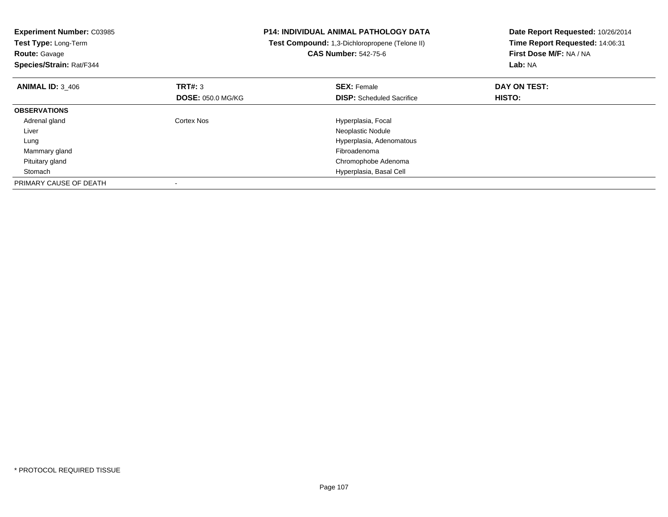| <b>Experiment Number: C03985</b><br>Test Type: Long-Term<br><b>Route: Gavage</b><br>Species/Strain: Rat/F344 |                          | <b>P14: INDIVIDUAL ANIMAL PATHOLOGY DATA</b><br>Test Compound: 1,3-Dichloropropene (Telone II)<br><b>CAS Number: 542-75-6</b> | Date Report Requested: 10/26/2014<br>Time Report Requested: 14:06:31<br>First Dose M/F: NA / NA<br>Lab: NA |
|--------------------------------------------------------------------------------------------------------------|--------------------------|-------------------------------------------------------------------------------------------------------------------------------|------------------------------------------------------------------------------------------------------------|
| <b>ANIMAL ID: 3 406</b>                                                                                      | TRT#: 3                  | <b>SEX: Female</b>                                                                                                            | DAY ON TEST:                                                                                               |
|                                                                                                              | <b>DOSE: 050.0 MG/KG</b> | <b>DISP:</b> Scheduled Sacrifice                                                                                              | HISTO:                                                                                                     |
| <b>OBSERVATIONS</b>                                                                                          |                          |                                                                                                                               |                                                                                                            |
| Adrenal gland                                                                                                | Cortex Nos               | Hyperplasia, Focal                                                                                                            |                                                                                                            |
| Liver                                                                                                        |                          | Neoplastic Nodule                                                                                                             |                                                                                                            |
| Lung                                                                                                         |                          | Hyperplasia, Adenomatous                                                                                                      |                                                                                                            |
| Mammary gland                                                                                                |                          | Fibroadenoma                                                                                                                  |                                                                                                            |
| Pituitary gland                                                                                              |                          | Chromophobe Adenoma                                                                                                           |                                                                                                            |
| Stomach                                                                                                      |                          | Hyperplasia, Basal Cell                                                                                                       |                                                                                                            |
| PRIMARY CAUSE OF DEATH                                                                                       |                          |                                                                                                                               |                                                                                                            |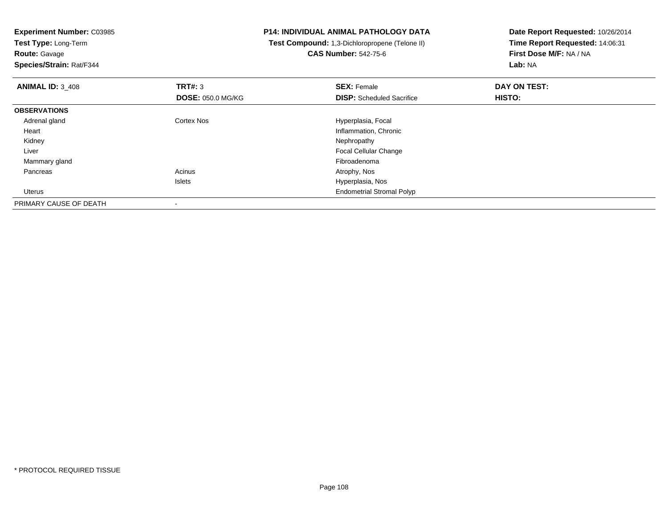**Test Type:** Long-Term**Route:** Gavage

**Species/Strain:** Rat/F344

## **P14: INDIVIDUAL ANIMAL PATHOLOGY DATA**

 **Test Compound:** 1,3-Dichloropropene (Telone II)**CAS Number:** 542-75-6

| <b>ANIMAL ID: 3 408</b> | TRT#: 3                  | <b>SEX: Female</b>               | DAY ON TEST:  |  |
|-------------------------|--------------------------|----------------------------------|---------------|--|
|                         | <b>DOSE: 050.0 MG/KG</b> | <b>DISP:</b> Scheduled Sacrifice | <b>HISTO:</b> |  |
| <b>OBSERVATIONS</b>     |                          |                                  |               |  |
| Adrenal gland           | <b>Cortex Nos</b>        | Hyperplasia, Focal               |               |  |
| Heart                   |                          | Inflammation, Chronic            |               |  |
| Kidney                  |                          | Nephropathy                      |               |  |
| Liver                   |                          | <b>Focal Cellular Change</b>     |               |  |
| Mammary gland           |                          | Fibroadenoma                     |               |  |
| Pancreas                | Acinus                   | Atrophy, Nos                     |               |  |
|                         | <b>Islets</b>            | Hyperplasia, Nos                 |               |  |
| Uterus                  |                          | <b>Endometrial Stromal Polyp</b> |               |  |
| PRIMARY CAUSE OF DEATH  |                          |                                  |               |  |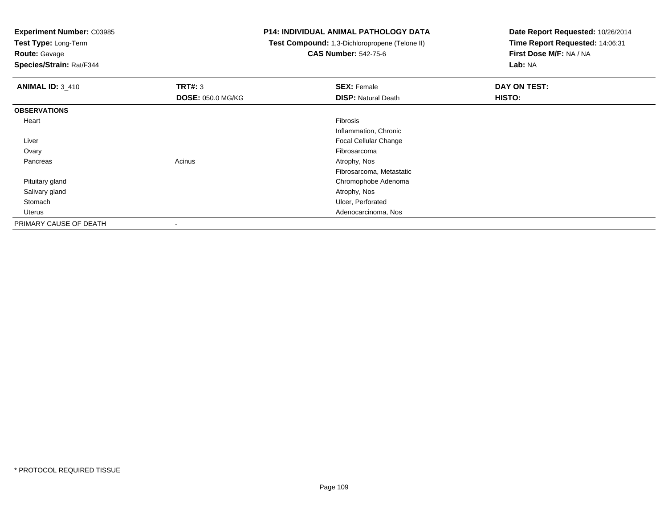**Test Type:** Long-Term

**Route:** Gavage

**Species/Strain:** Rat/F344

### **P14: INDIVIDUAL ANIMAL PATHOLOGY DATA**

 **Test Compound:** 1,3-Dichloropropene (Telone II)**CAS Number:** 542-75-6

| <b>ANIMAL ID: 3_410</b> | TRT#: 3                  | <b>SEX: Female</b>           | DAY ON TEST: |
|-------------------------|--------------------------|------------------------------|--------------|
|                         | <b>DOSE: 050.0 MG/KG</b> | <b>DISP: Natural Death</b>   | HISTO:       |
| <b>OBSERVATIONS</b>     |                          |                              |              |
| Heart                   |                          | Fibrosis                     |              |
|                         |                          | Inflammation, Chronic        |              |
| Liver                   |                          | <b>Focal Cellular Change</b> |              |
| Ovary                   |                          | Fibrosarcoma                 |              |
| Pancreas                | Acinus                   | Atrophy, Nos                 |              |
|                         |                          | Fibrosarcoma, Metastatic     |              |
| Pituitary gland         |                          | Chromophobe Adenoma          |              |
| Salivary gland          |                          | Atrophy, Nos                 |              |
| Stomach                 |                          | Ulcer, Perforated            |              |
| Uterus                  |                          | Adenocarcinoma, Nos          |              |
| PRIMARY CAUSE OF DEATH  |                          |                              |              |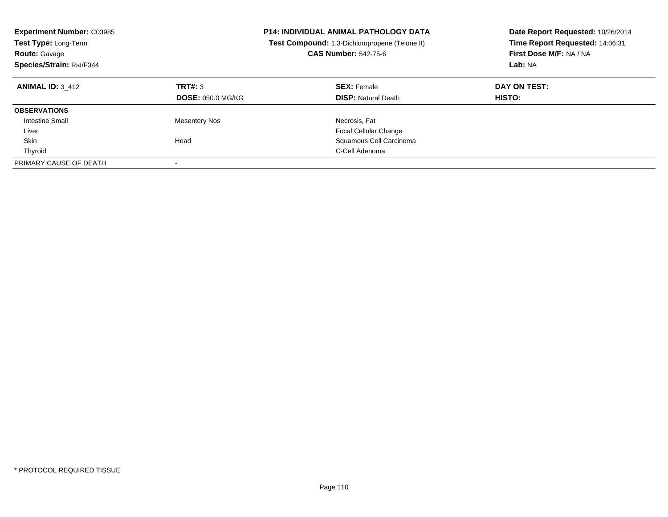| <b>Experiment Number: C03985</b><br>Test Type: Long-Term<br><b>Route: Gavage</b><br>Species/Strain: Rat/F344 |                                     | <b>P14: INDIVIDUAL ANIMAL PATHOLOGY DATA</b><br>Test Compound: 1,3-Dichloropropene (Telone II)<br><b>CAS Number: 542-75-6</b> | Date Report Requested: 10/26/2014<br>Time Report Requested: 14:06:31<br>First Dose M/F: NA / NA<br>Lab: NA |
|--------------------------------------------------------------------------------------------------------------|-------------------------------------|-------------------------------------------------------------------------------------------------------------------------------|------------------------------------------------------------------------------------------------------------|
| <b>ANIMAL ID: 3 412</b>                                                                                      | TRT#: 3<br><b>DOSE: 050.0 MG/KG</b> | <b>SEX: Female</b><br><b>DISP:</b> Natural Death                                                                              | DAY ON TEST:<br><b>HISTO:</b>                                                                              |
| <b>OBSERVATIONS</b>                                                                                          |                                     |                                                                                                                               |                                                                                                            |
| <b>Intestine Small</b>                                                                                       | <b>Mesentery Nos</b>                | Necrosis, Fat                                                                                                                 |                                                                                                            |
| Liver                                                                                                        |                                     | <b>Focal Cellular Change</b>                                                                                                  |                                                                                                            |
| Skin                                                                                                         | Head                                | Squamous Cell Carcinoma                                                                                                       |                                                                                                            |
| Thyroid                                                                                                      |                                     | C-Cell Adenoma                                                                                                                |                                                                                                            |
| PRIMARY CAUSE OF DEATH                                                                                       |                                     |                                                                                                                               |                                                                                                            |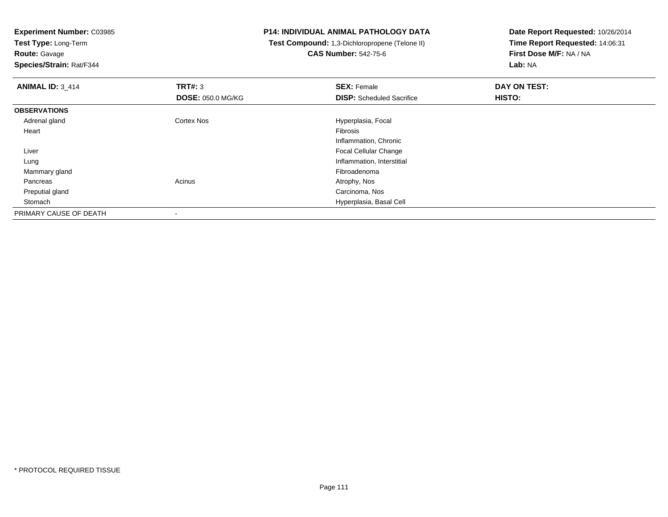**Test Type:** Long-Term**Route:** Gavage

**Species/Strain:** Rat/F344

# **P14: INDIVIDUAL ANIMAL PATHOLOGY DATA**

 **Test Compound:** 1,3-Dichloropropene (Telone II)**CAS Number:** 542-75-6

| <b>ANIMAL ID: 3 414</b> | TRT#: 3                  | <b>SEX: Female</b>               | DAY ON TEST: |  |
|-------------------------|--------------------------|----------------------------------|--------------|--|
|                         | <b>DOSE: 050.0 MG/KG</b> | <b>DISP:</b> Scheduled Sacrifice | HISTO:       |  |
| <b>OBSERVATIONS</b>     |                          |                                  |              |  |
| Adrenal gland           | Cortex Nos               | Hyperplasia, Focal               |              |  |
| Heart                   |                          | Fibrosis                         |              |  |
|                         |                          | Inflammation, Chronic            |              |  |
| Liver                   |                          | <b>Focal Cellular Change</b>     |              |  |
| Lung                    |                          | Inflammation, Interstitial       |              |  |
| Mammary gland           |                          | Fibroadenoma                     |              |  |
| Pancreas                | Acinus                   | Atrophy, Nos                     |              |  |
| Preputial gland         |                          | Carcinoma, Nos                   |              |  |
| Stomach                 |                          | Hyperplasia, Basal Cell          |              |  |
| PRIMARY CAUSE OF DEATH  |                          |                                  |              |  |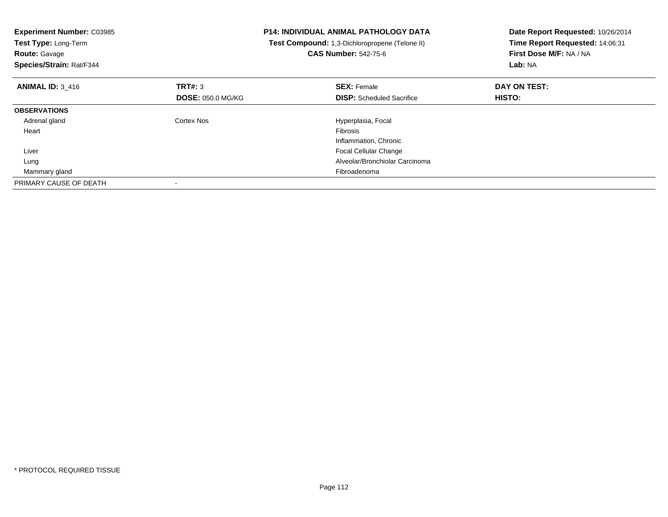| <b>Experiment Number: C03985</b><br><b>Test Type: Long-Term</b><br><b>Route: Gavage</b><br>Species/Strain: Rat/F344 |                          | <b>P14: INDIVIDUAL ANIMAL PATHOLOGY DATA</b><br>Test Compound: 1,3-Dichloropropene (Telone II)<br><b>CAS Number: 542-75-6</b> | Date Report Requested: 10/26/2014<br>Time Report Requested: 14:06:31<br>First Dose M/F: NA / NA<br>Lab: NA |
|---------------------------------------------------------------------------------------------------------------------|--------------------------|-------------------------------------------------------------------------------------------------------------------------------|------------------------------------------------------------------------------------------------------------|
| <b>ANIMAL ID: 3_416</b>                                                                                             | TRT#: 3                  | <b>SEX: Female</b>                                                                                                            | DAY ON TEST:                                                                                               |
|                                                                                                                     | <b>DOSE: 050.0 MG/KG</b> | <b>DISP:</b> Scheduled Sacrifice                                                                                              | <b>HISTO:</b>                                                                                              |
| <b>OBSERVATIONS</b>                                                                                                 |                          |                                                                                                                               |                                                                                                            |
| Adrenal gland                                                                                                       | Cortex Nos               | Hyperplasia, Focal                                                                                                            |                                                                                                            |
| Heart                                                                                                               |                          | <b>Fibrosis</b>                                                                                                               |                                                                                                            |
|                                                                                                                     |                          | Inflammation, Chronic                                                                                                         |                                                                                                            |
| Liver                                                                                                               |                          | <b>Focal Cellular Change</b>                                                                                                  |                                                                                                            |
| Lung                                                                                                                |                          | Alveolar/Bronchiolar Carcinoma                                                                                                |                                                                                                            |
| Mammary gland                                                                                                       |                          | Fibroadenoma                                                                                                                  |                                                                                                            |
| PRIMARY CAUSE OF DEATH                                                                                              |                          |                                                                                                                               |                                                                                                            |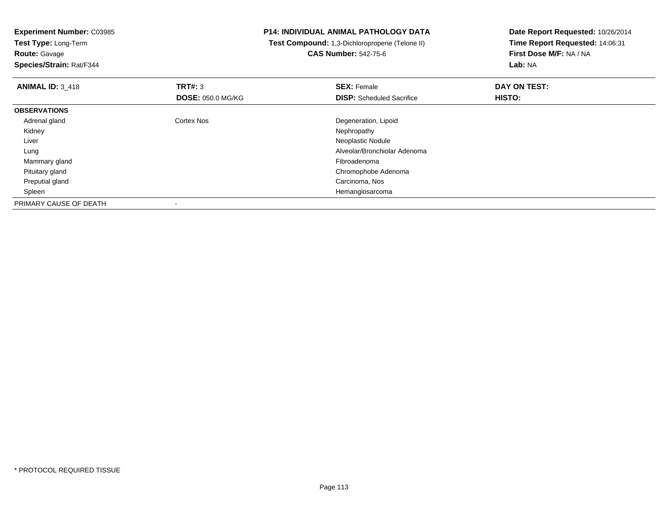**Test Type:** Long-Term**Route:** Gavage

**Species/Strain:** Rat/F344

## **P14: INDIVIDUAL ANIMAL PATHOLOGY DATA**

 **Test Compound:** 1,3-Dichloropropene (Telone II)**CAS Number:** 542-75-6

| <b>ANIMAL ID: 3 418</b> | TRT#: 3<br><b>DOSE: 050.0 MG/KG</b> | <b>SEX: Female</b><br><b>DISP:</b> Scheduled Sacrifice | DAY ON TEST:<br>HISTO: |  |
|-------------------------|-------------------------------------|--------------------------------------------------------|------------------------|--|
|                         |                                     |                                                        |                        |  |
| <b>OBSERVATIONS</b>     |                                     |                                                        |                        |  |
| Adrenal gland           | <b>Cortex Nos</b>                   | Degeneration, Lipoid                                   |                        |  |
| Kidney                  |                                     | Nephropathy                                            |                        |  |
| Liver                   |                                     | Neoplastic Nodule                                      |                        |  |
| Lung                    |                                     | Alveolar/Bronchiolar Adenoma                           |                        |  |
| Mammary gland           |                                     | Fibroadenoma                                           |                        |  |
| Pituitary gland         |                                     | Chromophobe Adenoma                                    |                        |  |
| Preputial gland         |                                     | Carcinoma, Nos                                         |                        |  |
| Spleen                  |                                     | Hemangiosarcoma                                        |                        |  |
| PRIMARY CAUSE OF DEATH  |                                     |                                                        |                        |  |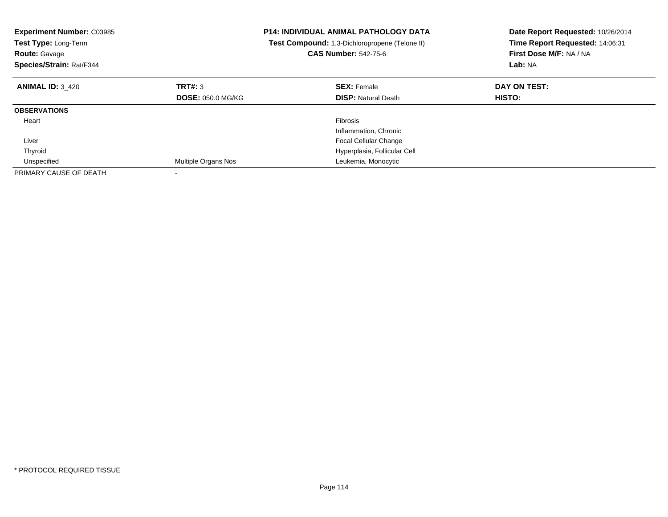| <b>Experiment Number: C03985</b><br>Test Type: Long-Term<br><b>Route: Gavage</b><br>Species/Strain: Rat/F344 |                          | <b>P14: INDIVIDUAL ANIMAL PATHOLOGY DATA</b><br>Test Compound: 1,3-Dichloropropene (Telone II)<br><b>CAS Number: 542-75-6</b> | Date Report Requested: 10/26/2014<br>Time Report Requested: 14:06:31<br>First Dose M/F: NA / NA<br>Lab: NA |
|--------------------------------------------------------------------------------------------------------------|--------------------------|-------------------------------------------------------------------------------------------------------------------------------|------------------------------------------------------------------------------------------------------------|
| <b>ANIMAL ID: 3_420</b>                                                                                      | TRT#: 3                  | <b>SEX: Female</b>                                                                                                            | DAY ON TEST:                                                                                               |
|                                                                                                              | <b>DOSE: 050.0 MG/KG</b> | <b>DISP:</b> Natural Death                                                                                                    | HISTO:                                                                                                     |
| <b>OBSERVATIONS</b>                                                                                          |                          |                                                                                                                               |                                                                                                            |
| Heart                                                                                                        |                          | Fibrosis                                                                                                                      |                                                                                                            |
|                                                                                                              |                          | Inflammation, Chronic                                                                                                         |                                                                                                            |
| Liver                                                                                                        |                          | Focal Cellular Change                                                                                                         |                                                                                                            |
| Thyroid                                                                                                      |                          | Hyperplasia, Follicular Cell                                                                                                  |                                                                                                            |
| Unspecified                                                                                                  | Multiple Organs Nos      | Leukemia, Monocytic                                                                                                           |                                                                                                            |
| PRIMARY CAUSE OF DEATH                                                                                       |                          |                                                                                                                               |                                                                                                            |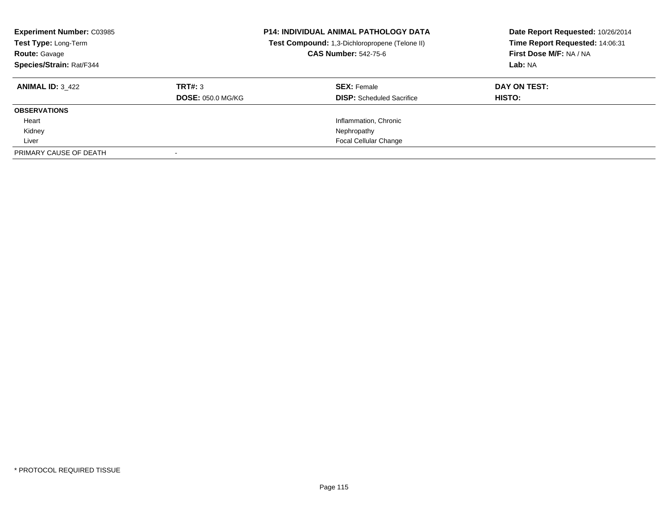| <b>Experiment Number: C03985</b><br>Test Type: Long-Term<br><b>Route: Gavage</b><br>Species/Strain: Rat/F344 |                                     | <b>P14: INDIVIDUAL ANIMAL PATHOLOGY DATA</b><br>Test Compound: 1,3-Dichloropropene (Telone II)<br><b>CAS Number: 542-75-6</b> | Date Report Requested: 10/26/2014<br>Time Report Requested: 14:06:31<br>First Dose M/F: NA / NA<br>Lab: NA |
|--------------------------------------------------------------------------------------------------------------|-------------------------------------|-------------------------------------------------------------------------------------------------------------------------------|------------------------------------------------------------------------------------------------------------|
| <b>ANIMAL ID: 3 422</b>                                                                                      | TRT#: 3<br><b>DOSE: 050.0 MG/KG</b> | <b>SEX: Female</b><br><b>DISP:</b> Scheduled Sacrifice                                                                        | DAY ON TEST:<br>HISTO:                                                                                     |
| <b>OBSERVATIONS</b>                                                                                          |                                     |                                                                                                                               |                                                                                                            |
| Heart                                                                                                        |                                     | Inflammation, Chronic                                                                                                         |                                                                                                            |
| Kidney                                                                                                       |                                     | Nephropathy                                                                                                                   |                                                                                                            |
| Liver                                                                                                        |                                     | <b>Focal Cellular Change</b>                                                                                                  |                                                                                                            |
| PRIMARY CAUSE OF DEATH                                                                                       |                                     |                                                                                                                               |                                                                                                            |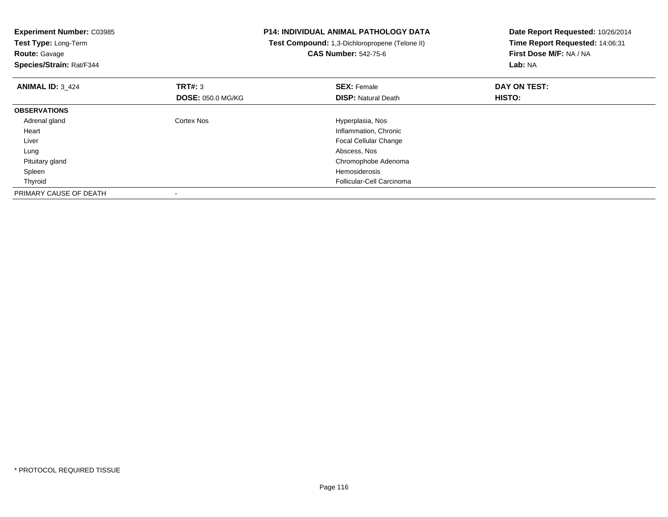| <b>Experiment Number: C03985</b> | <b>P14: INDIVIDUAL ANIMAL PATHOLOGY DATA</b> |                                                | Date Report Requested: 10/26/2014 |
|----------------------------------|----------------------------------------------|------------------------------------------------|-----------------------------------|
| Test Type: Long-Term             |                                              | Test Compound: 1,3-Dichloropropene (Telone II) | Time Report Requested: 14:06:31   |
| <b>Route: Gavage</b>             |                                              | <b>CAS Number: 542-75-6</b>                    | First Dose M/F: NA / NA           |
| Species/Strain: Rat/F344         |                                              |                                                | Lab: NA                           |
| <b>ANIMAL ID: 3 424</b>          | <b>TRT#: 3</b>                               | <b>SEX: Female</b>                             | DAY ON TEST:                      |
|                                  | <b>DOSE: 050.0 MG/KG</b>                     | <b>DISP: Natural Death</b>                     | HISTO:                            |
| <b>OBSERVATIONS</b>              |                                              |                                                |                                   |
| Adrenal gland                    | Cortex Nos                                   | Hyperplasia, Nos                               |                                   |
| Heart                            |                                              | Inflammation, Chronic                          |                                   |
| Liver                            |                                              | <b>Focal Cellular Change</b>                   |                                   |
| Lung                             |                                              | Abscess, Nos                                   |                                   |
| Pituitary gland                  |                                              | Chromophobe Adenoma                            |                                   |
| Spleen                           |                                              | Hemosiderosis                                  |                                   |
| Thyroid                          |                                              | Follicular-Cell Carcinoma                      |                                   |
| PRIMARY CAUSE OF DEATH           |                                              |                                                |                                   |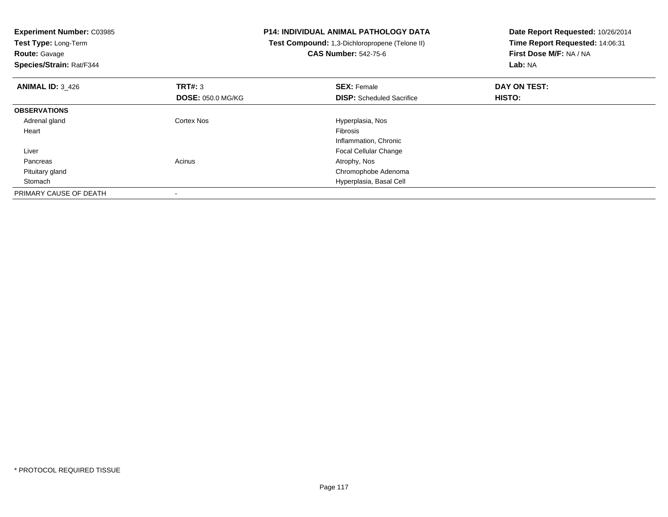| <b>Experiment Number: C03985</b> | <b>P14: INDIVIDUAL ANIMAL PATHOLOGY DATA</b> |                                                | Date Report Requested: 10/26/2014 |
|----------------------------------|----------------------------------------------|------------------------------------------------|-----------------------------------|
| Test Type: Long-Term             |                                              | Test Compound: 1,3-Dichloropropene (Telone II) | Time Report Requested: 14:06:31   |
| <b>Route: Gavage</b>             |                                              | <b>CAS Number: 542-75-6</b>                    | First Dose M/F: NA / NA           |
| Species/Strain: Rat/F344         |                                              |                                                | Lab: NA                           |
| <b>ANIMAL ID: 3 426</b>          | TRT#: 3                                      | <b>SEX: Female</b>                             | DAY ON TEST:                      |
|                                  | <b>DOSE: 050.0 MG/KG</b>                     | <b>DISP:</b> Scheduled Sacrifice               | HISTO:                            |
| <b>OBSERVATIONS</b>              |                                              |                                                |                                   |
| Adrenal gland                    | Cortex Nos                                   | Hyperplasia, Nos                               |                                   |
| Heart                            |                                              | Fibrosis                                       |                                   |
|                                  |                                              | Inflammation, Chronic                          |                                   |
| Liver                            |                                              | <b>Focal Cellular Change</b>                   |                                   |
| Pancreas                         | Acinus                                       | Atrophy, Nos                                   |                                   |
| Pituitary gland                  |                                              | Chromophobe Adenoma                            |                                   |
| Stomach                          |                                              | Hyperplasia, Basal Cell                        |                                   |
| PRIMARY CAUSE OF DEATH           |                                              |                                                |                                   |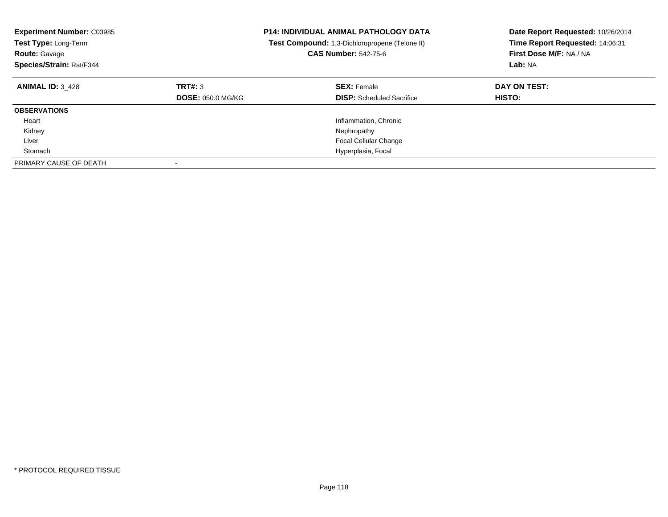| <b>Experiment Number: C03985</b><br>Test Type: Long-Term<br><b>Route: Gavage</b><br>Species/Strain: Rat/F344 |                                     | <b>P14: INDIVIDUAL ANIMAL PATHOLOGY DATA</b><br>Test Compound: 1,3-Dichloropropene (Telone II)<br><b>CAS Number: 542-75-6</b> | Date Report Requested: 10/26/2014<br>Time Report Requested: 14:06:31<br>First Dose M/F: NA / NA<br>Lab: NA |
|--------------------------------------------------------------------------------------------------------------|-------------------------------------|-------------------------------------------------------------------------------------------------------------------------------|------------------------------------------------------------------------------------------------------------|
| <b>ANIMAL ID: 3 428</b>                                                                                      | TRT#: 3<br><b>DOSE: 050.0 MG/KG</b> | <b>SEX: Female</b><br><b>DISP:</b> Scheduled Sacrifice                                                                        | DAY ON TEST:<br><b>HISTO:</b>                                                                              |
| <b>OBSERVATIONS</b>                                                                                          |                                     |                                                                                                                               |                                                                                                            |
| Heart                                                                                                        |                                     | Inflammation, Chronic                                                                                                         |                                                                                                            |
| Kidney                                                                                                       |                                     | Nephropathy                                                                                                                   |                                                                                                            |
| Liver                                                                                                        |                                     | <b>Focal Cellular Change</b>                                                                                                  |                                                                                                            |
| Stomach                                                                                                      |                                     | Hyperplasia, Focal                                                                                                            |                                                                                                            |
| PRIMARY CAUSE OF DEATH                                                                                       |                                     |                                                                                                                               |                                                                                                            |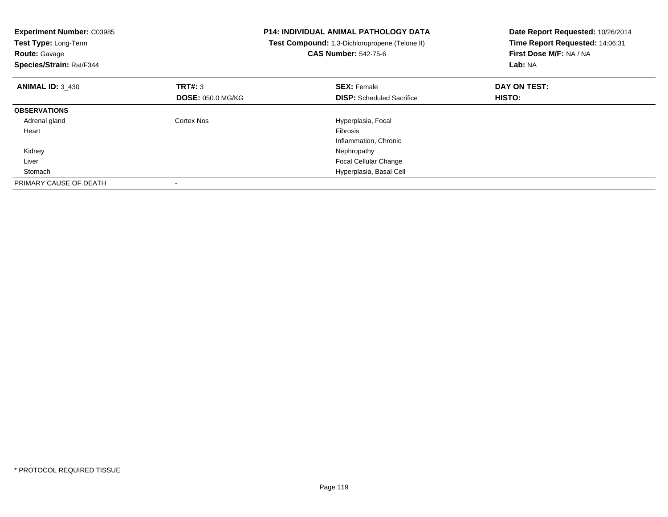| <b>Experiment Number: C03985</b><br>Test Type: Long-Term<br><b>Route: Gavage</b><br>Species/Strain: Rat/F344 |                          | <b>P14: INDIVIDUAL ANIMAL PATHOLOGY DATA</b><br>Test Compound: 1,3-Dichloropropene (Telone II)<br><b>CAS Number: 542-75-6</b> | Date Report Requested: 10/26/2014<br>Time Report Requested: 14:06:31<br>First Dose M/F: NA / NA<br>Lab: NA |
|--------------------------------------------------------------------------------------------------------------|--------------------------|-------------------------------------------------------------------------------------------------------------------------------|------------------------------------------------------------------------------------------------------------|
| <b>ANIMAL ID: 3 430</b>                                                                                      | <b>TRT#: 3</b>           | <b>SEX: Female</b>                                                                                                            | DAY ON TEST:                                                                                               |
|                                                                                                              | <b>DOSE: 050.0 MG/KG</b> | <b>DISP:</b> Scheduled Sacrifice                                                                                              | <b>HISTO:</b>                                                                                              |
| <b>OBSERVATIONS</b>                                                                                          |                          |                                                                                                                               |                                                                                                            |
| Adrenal gland                                                                                                | Cortex Nos               | Hyperplasia, Focal                                                                                                            |                                                                                                            |
| Heart                                                                                                        |                          | <b>Fibrosis</b>                                                                                                               |                                                                                                            |
|                                                                                                              |                          | Inflammation, Chronic                                                                                                         |                                                                                                            |
| Kidney                                                                                                       |                          | Nephropathy                                                                                                                   |                                                                                                            |
| Liver                                                                                                        |                          | <b>Focal Cellular Change</b>                                                                                                  |                                                                                                            |
| Stomach                                                                                                      |                          | Hyperplasia, Basal Cell                                                                                                       |                                                                                                            |
| PRIMARY CAUSE OF DEATH                                                                                       |                          |                                                                                                                               |                                                                                                            |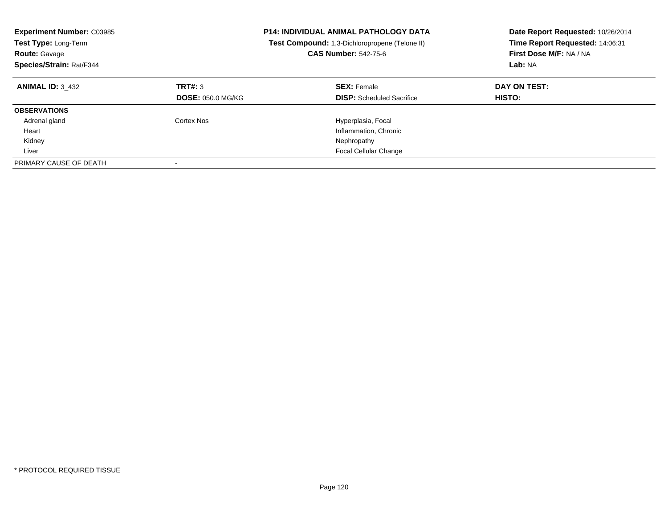| <b>Experiment Number: C03985</b><br><b>Test Type: Long-Term</b><br><b>Route: Gavage</b><br>Species/Strain: Rat/F344 |                                     | <b>P14: INDIVIDUAL ANIMAL PATHOLOGY DATA</b><br><b>Test Compound:</b> 1,3-Dichloropropene (Telone II)<br><b>CAS Number: 542-75-6</b> | Date Report Requested: 10/26/2014<br>Time Report Requested: 14:06:31<br>First Dose M/F: NA / NA<br>Lab: NA |
|---------------------------------------------------------------------------------------------------------------------|-------------------------------------|--------------------------------------------------------------------------------------------------------------------------------------|------------------------------------------------------------------------------------------------------------|
| <b>ANIMAL ID: 3 432</b>                                                                                             | TRT#: 3<br><b>DOSE: 050.0 MG/KG</b> | <b>SEX: Female</b><br><b>DISP:</b> Scheduled Sacrifice                                                                               | DAY ON TEST:<br><b>HISTO:</b>                                                                              |
| <b>OBSERVATIONS</b>                                                                                                 |                                     |                                                                                                                                      |                                                                                                            |
| Adrenal gland                                                                                                       | Cortex Nos                          | Hyperplasia, Focal                                                                                                                   |                                                                                                            |
| Heart                                                                                                               |                                     | Inflammation, Chronic                                                                                                                |                                                                                                            |
| Kidney                                                                                                              |                                     | Nephropathy                                                                                                                          |                                                                                                            |
| Liver                                                                                                               |                                     | <b>Focal Cellular Change</b>                                                                                                         |                                                                                                            |
| PRIMARY CAUSE OF DEATH                                                                                              |                                     |                                                                                                                                      |                                                                                                            |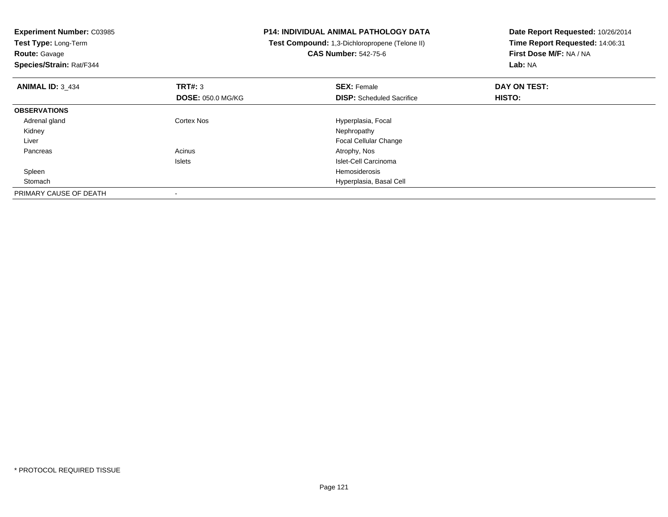| <b>Experiment Number: C03985</b>   | <b>P14: INDIVIDUAL ANIMAL PATHOLOGY DATA</b>   | Date Report Requested: 10/26/2014 |  |
|------------------------------------|------------------------------------------------|-----------------------------------|--|
| Test Type: Long-Term               | Test Compound: 1,3-Dichloropropene (Telone II) | Time Report Requested: 14:06:31   |  |
| <b>Route: Gavage</b>               | <b>CAS Number: 542-75-6</b>                    | First Dose M/F: NA / NA           |  |
| Species/Strain: Rat/F344           |                                                | Lab: NA                           |  |
| TRT#: 3<br><b>ANIMAL ID: 3 434</b> | <b>SEX: Female</b>                             | DAY ON TEST:                      |  |
| <b>DOSE: 050.0 MG/KG</b>           | <b>DISP:</b> Scheduled Sacrifice               | HISTO:                            |  |
| <b>OBSERVATIONS</b>                |                                                |                                   |  |
| Adrenal gland<br>Cortex Nos        | Hyperplasia, Focal                             |                                   |  |
| Kidney                             | Nephropathy                                    |                                   |  |
| Liver                              | <b>Focal Cellular Change</b>                   |                                   |  |
| Acinus<br>Pancreas                 | Atrophy, Nos                                   |                                   |  |
| <b>Islets</b>                      | Islet-Cell Carcinoma                           |                                   |  |
| Spleen                             | Hemosiderosis                                  |                                   |  |
| Stomach                            | Hyperplasia, Basal Cell                        |                                   |  |
| PRIMARY CAUSE OF DEATH             |                                                |                                   |  |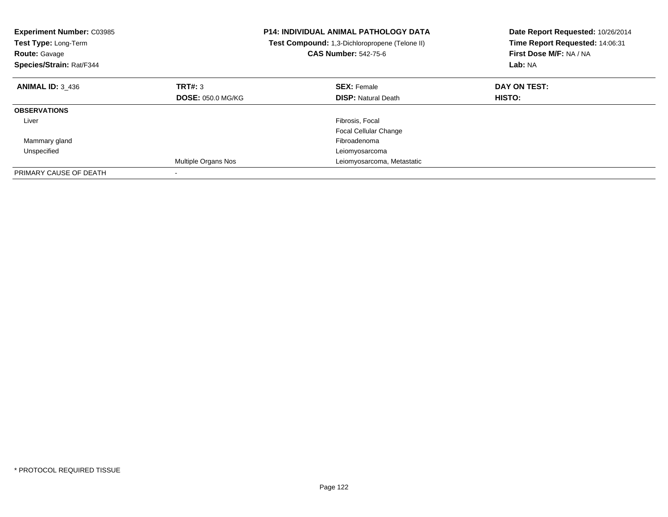| <b>Experiment Number: C03985</b><br>Test Type: Long-Term<br><b>Route: Gavage</b><br>Species/Strain: Rat/F344 |                          | <b>P14: INDIVIDUAL ANIMAL PATHOLOGY DATA</b><br>Test Compound: 1,3-Dichloropropene (Telone II)<br><b>CAS Number: 542-75-6</b> | Date Report Requested: 10/26/2014<br>Time Report Requested: 14:06:31<br>First Dose M/F: NA / NA<br>Lab: NA |
|--------------------------------------------------------------------------------------------------------------|--------------------------|-------------------------------------------------------------------------------------------------------------------------------|------------------------------------------------------------------------------------------------------------|
| <b>ANIMAL ID: 3 436</b>                                                                                      | TRT#: 3                  | <b>SEX: Female</b>                                                                                                            | DAY ON TEST:                                                                                               |
|                                                                                                              | <b>DOSE: 050.0 MG/KG</b> | <b>DISP:</b> Natural Death                                                                                                    | <b>HISTO:</b>                                                                                              |
| <b>OBSERVATIONS</b>                                                                                          |                          |                                                                                                                               |                                                                                                            |
| Liver                                                                                                        |                          | Fibrosis, Focal                                                                                                               |                                                                                                            |
|                                                                                                              |                          | Focal Cellular Change                                                                                                         |                                                                                                            |
| Mammary gland                                                                                                |                          | Fibroadenoma                                                                                                                  |                                                                                                            |
| Unspecified                                                                                                  |                          | Leiomyosarcoma                                                                                                                |                                                                                                            |
|                                                                                                              | Multiple Organs Nos      | Leiomyosarcoma, Metastatic                                                                                                    |                                                                                                            |
| PRIMARY CAUSE OF DEATH                                                                                       |                          |                                                                                                                               |                                                                                                            |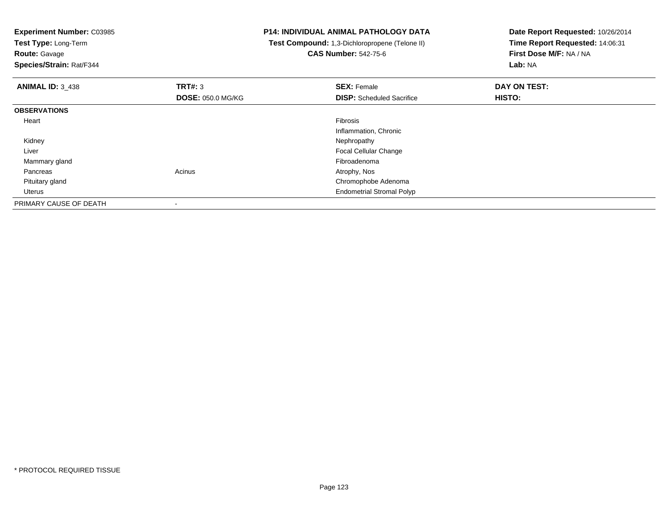**Experiment Number:** C03985**Test Type:** Long-Term**Route:** Gavage **Species/Strain:** Rat/F344**P14: INDIVIDUAL ANIMAL PATHOLOGY DATA Test Compound:** 1,3-Dichloropropene (Telone II)**CAS Number:** 542-75-6**Date Report Requested:** 10/26/2014**Time Report Requested:** 14:06:31**First Dose M/F:** NA / NA**Lab:** NA**ANIMAL ID:** 3\_438**REX:** Female **DAY ON TEST: SEX:** Female **SEX:** Female **DOSE:** 050.0 MG/KG**DISP:** Scheduled Sacrifice **HISTO: OBSERVATIONS** Heartt de la constitución de la constitución de la constitución de la constitución de la constitución de la constitución Inflammation, Chronic Kidneyy the control of the control of the control of the control of the control of the control of the control of the control of the control of the control of the control of the control of the control of the control of the contro Liver Focal Cellular Change Mammary glandFibroadenoma<br>Acinus Acinus and the Contract of America Atrophy, Nos Pancreass and the contract of the contract of the contract of the contract of the contract  $\mathsf{A}$  at  $\mathsf{A}$  and  $\mathsf{A}$  and  $\mathsf{A}$  and  $\mathsf{A}$  and  $\mathsf{A}$  are contract of  $\mathsf{A}$  and  $\mathsf{A}$  and  $\mathsf{A}$  are contract of Pituitary gland Chromophobe Adenoma Uterus Endometrial Stromal PolypPRIMARY CAUSE OF DEATH-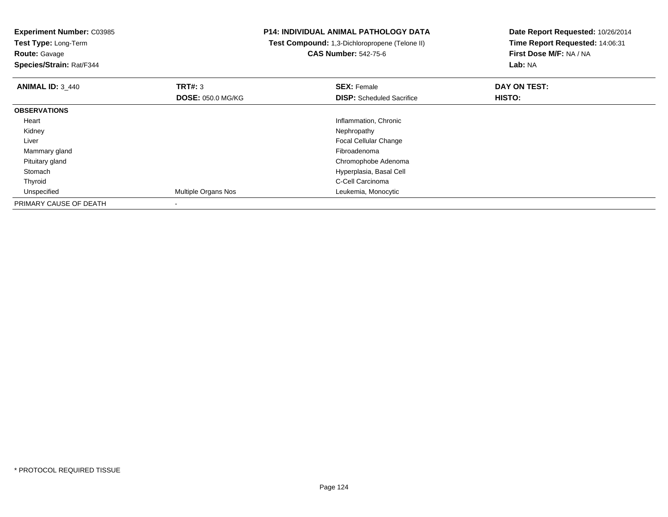**Test Type:** Long-Term**Route:** Gavage

**Species/Strain:** Rat/F344

# **P14: INDIVIDUAL ANIMAL PATHOLOGY DATA**

 **Test Compound:** 1,3-Dichloropropene (Telone II)**CAS Number:** 542-75-6

| <b>ANIMAL ID: 3_440</b> | TRT#: 3                  | <b>SEX: Female</b>               | DAY ON TEST: |  |
|-------------------------|--------------------------|----------------------------------|--------------|--|
|                         | <b>DOSE: 050.0 MG/KG</b> | <b>DISP:</b> Scheduled Sacrifice | HISTO:       |  |
| <b>OBSERVATIONS</b>     |                          |                                  |              |  |
| Heart                   |                          | Inflammation, Chronic            |              |  |
| Kidney                  |                          | Nephropathy                      |              |  |
| Liver                   |                          | <b>Focal Cellular Change</b>     |              |  |
| Mammary gland           |                          | Fibroadenoma                     |              |  |
| Pituitary gland         |                          | Chromophobe Adenoma              |              |  |
| Stomach                 |                          | Hyperplasia, Basal Cell          |              |  |
| Thyroid                 |                          | C-Cell Carcinoma                 |              |  |
| Unspecified             | Multiple Organs Nos      | Leukemia, Monocytic              |              |  |
| PRIMARY CAUSE OF DEATH  |                          |                                  |              |  |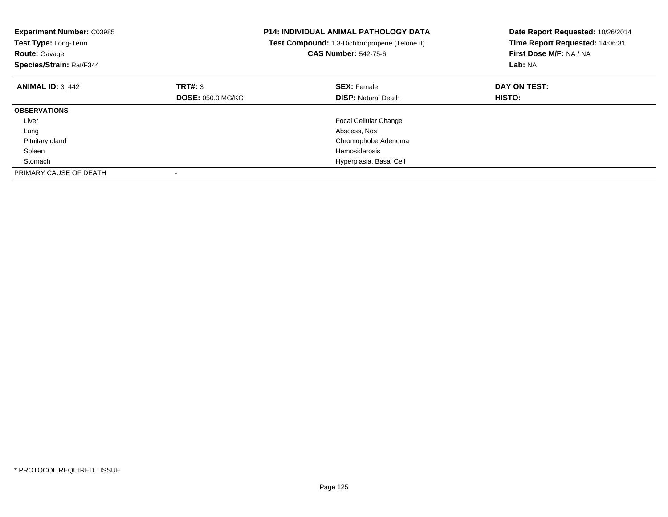| <b>Experiment Number: C03985</b><br>Test Type: Long-Term<br><b>Route: Gavage</b><br>Species/Strain: Rat/F344 |                          | P14: INDIVIDUAL ANIMAL PATHOLOGY DATA<br>Test Compound: 1,3-Dichloropropene (Telone II)<br><b>CAS Number: 542-75-6</b> | Date Report Requested: 10/26/2014<br>Time Report Requested: 14:06:31<br>First Dose M/F: NA / NA<br>Lab: NA |
|--------------------------------------------------------------------------------------------------------------|--------------------------|------------------------------------------------------------------------------------------------------------------------|------------------------------------------------------------------------------------------------------------|
| <b>ANIMAL ID: 3 442</b>                                                                                      | TRT#: 3                  | <b>SEX: Female</b>                                                                                                     | DAY ON TEST:                                                                                               |
|                                                                                                              | <b>DOSE: 050.0 MG/KG</b> | <b>DISP: Natural Death</b>                                                                                             | HISTO:                                                                                                     |
| <b>OBSERVATIONS</b>                                                                                          |                          |                                                                                                                        |                                                                                                            |
| Liver                                                                                                        |                          | <b>Focal Cellular Change</b>                                                                                           |                                                                                                            |
| Lung                                                                                                         |                          | Abscess, Nos                                                                                                           |                                                                                                            |
| Pituitary gland                                                                                              |                          | Chromophobe Adenoma                                                                                                    |                                                                                                            |
| Spleen                                                                                                       |                          | Hemosiderosis                                                                                                          |                                                                                                            |
| Stomach                                                                                                      |                          | Hyperplasia, Basal Cell                                                                                                |                                                                                                            |
| PRIMARY CAUSE OF DEATH                                                                                       |                          |                                                                                                                        |                                                                                                            |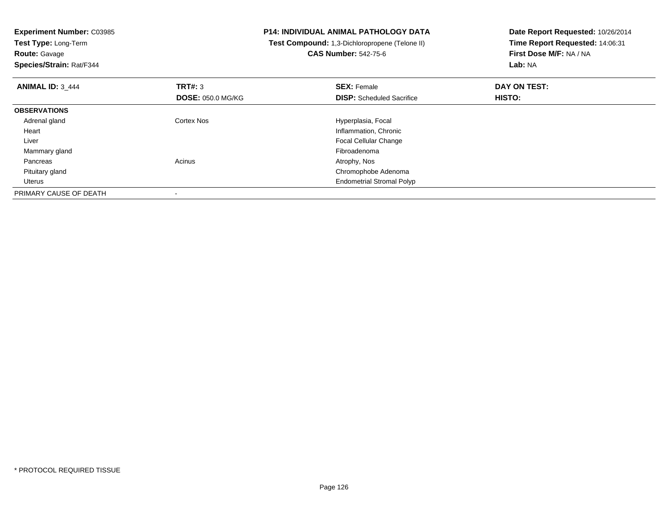**Experiment Number:** C03985**Test Type:** Long-Term**Route:** Gavage **Species/Strain:** Rat/F344**P14: INDIVIDUAL ANIMAL PATHOLOGY DATA Test Compound:** 1,3-Dichloropropene (Telone II)**CAS Number:** 542-75-6**Date Report Requested:** 10/26/2014**Time Report Requested:** 14:06:31**First Dose M/F:** NA / NA**Lab:** NA**ANIMAL ID:** 3\_444**TRT#:** 3 **SEX:** Female **DAY ON TEST: DOSE:** 050.0 MG/KG**DISP:** Scheduled Sacrifice **HISTO: OBSERVATIONS** Adrenal glandCortex Nos **Hyperplasia**, Focal Heart Inflammation, Chronic Focal Cellular Change Liver Mammary glandd and the control of the control of the control of the control of the control of the control of the control of the control of the control of the control of the control of the control of the control of the control of the co Pancreass and the contract of the contract of the contract of the contract of the contract  $\mathsf{A}$  at  $\mathsf{A}$  and  $\mathsf{A}$  and  $\mathsf{A}$  and  $\mathsf{A}$  and  $\mathsf{A}$  are contract of  $\mathsf{A}$  and  $\mathsf{A}$  and  $\mathsf{A}$  are contract of Pituitary gland Chromophobe Adenoma Uterus Endometrial Stromal PolypPRIMARY CAUSE OF DEATH-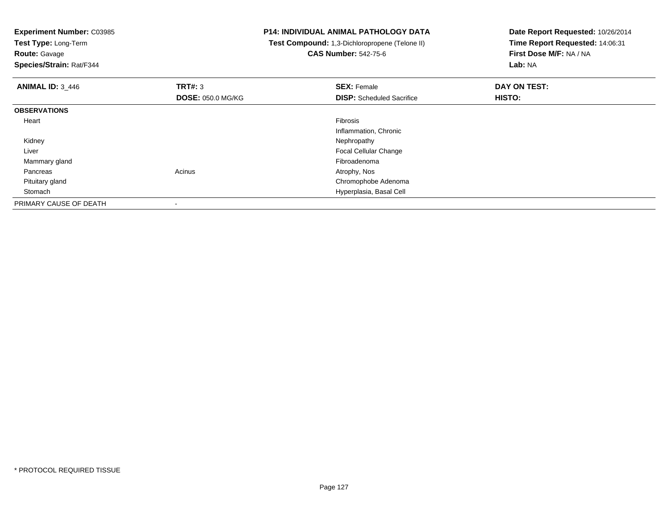**Experiment Number:** C03985**Test Type:** Long-Term**Route:** Gavage **Species/Strain:** Rat/F344**P14: INDIVIDUAL ANIMAL PATHOLOGY DATA Test Compound:** 1,3-Dichloropropene (Telone II)**CAS Number:** 542-75-6**Date Report Requested:** 10/26/2014**Time Report Requested:** 14:06:31**First Dose M/F:** NA / NA**Lab:** NA**ANIMAL ID:** 3\_446**6 DAY ON TEST: TRT#:** 3 **SEX: Female SEX: Female DAY ON TEST: DOSE:** 050.0 MG/KG**DISP:** Scheduled Sacrifice **HISTO: OBSERVATIONS** Heartt de la constitución de la constitución de la constitución de la constitución de la constitución de la constitución Inflammation, Chronic Kidneyy the control of the control of the control of the control of the control of the control of the control of the control of the control of the control of the control of the control of the control of the control of the contro Liver Focal Cellular Change Mammary glandFibroadenoma<br>Acinus Acinus and the Contract of America Atrophy, Nos Pancreass and the contract of the contract of the contract of the contract of the contract  $\mathsf{A}$  at  $\mathsf{A}$  and  $\mathsf{A}$  and  $\mathsf{A}$  and  $\mathsf{A}$  and  $\mathsf{A}$  are contract of  $\mathsf{A}$  and  $\mathsf{A}$  and  $\mathsf{A}$  are contract of Pituitary gland Chromophobe Adenoma Stomach Hyperplasia, Basal Cell PRIMARY CAUSE OF DEATH-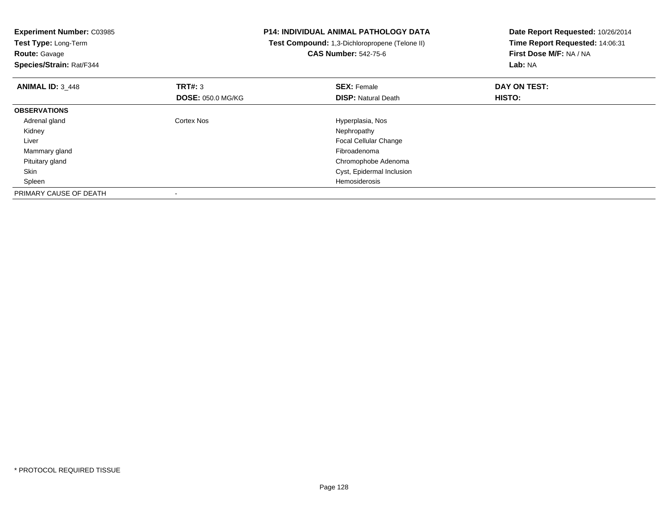| <b>Experiment Number: C03985</b> |                          | <b>P14: INDIVIDUAL ANIMAL PATHOLOGY DATA</b>   | Date Report Requested: 10/26/2014 |  |
|----------------------------------|--------------------------|------------------------------------------------|-----------------------------------|--|
| Test Type: Long-Term             |                          | Test Compound: 1,3-Dichloropropene (Telone II) | Time Report Requested: 14:06:31   |  |
| <b>Route: Gavage</b>             |                          | <b>CAS Number: 542-75-6</b>                    | First Dose M/F: NA / NA           |  |
| Species/Strain: Rat/F344         |                          |                                                | Lab: NA                           |  |
| <b>ANIMAL ID: 3 448</b>          | TRT#: 3                  | <b>SEX: Female</b>                             | DAY ON TEST:                      |  |
|                                  | <b>DOSE: 050.0 MG/KG</b> | <b>DISP: Natural Death</b>                     | HISTO:                            |  |
| <b>OBSERVATIONS</b>              |                          |                                                |                                   |  |
| Adrenal gland                    | <b>Cortex Nos</b>        | Hyperplasia, Nos                               |                                   |  |
| Kidney                           |                          | Nephropathy                                    |                                   |  |
| Liver                            |                          | <b>Focal Cellular Change</b>                   |                                   |  |
| Mammary gland                    |                          | Fibroadenoma                                   |                                   |  |
| Pituitary gland                  |                          | Chromophobe Adenoma                            |                                   |  |
| Skin                             |                          | Cyst, Epidermal Inclusion                      |                                   |  |
| Spleen                           |                          | Hemosiderosis                                  |                                   |  |
| PRIMARY CAUSE OF DEATH           |                          |                                                |                                   |  |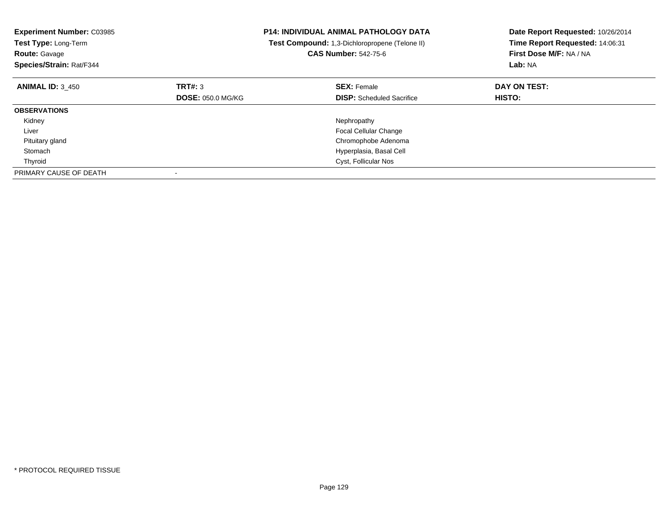| <b>Experiment Number: C03985</b><br>Test Type: Long-Term<br><b>Route: Gavage</b><br>Species/Strain: Rat/F344 |                          | <b>P14: INDIVIDUAL ANIMAL PATHOLOGY DATA</b><br>Test Compound: 1,3-Dichloropropene (Telone II)<br><b>CAS Number: 542-75-6</b> | Date Report Requested: 10/26/2014<br>Time Report Requested: 14:06:31<br>First Dose M/F: NA / NA<br>Lab: NA |
|--------------------------------------------------------------------------------------------------------------|--------------------------|-------------------------------------------------------------------------------------------------------------------------------|------------------------------------------------------------------------------------------------------------|
| <b>ANIMAL ID: 3 450</b>                                                                                      | TRT#: 3                  | <b>SEX: Female</b>                                                                                                            | DAY ON TEST:                                                                                               |
|                                                                                                              | <b>DOSE: 050.0 MG/KG</b> | <b>DISP:</b> Scheduled Sacrifice                                                                                              | HISTO:                                                                                                     |
| <b>OBSERVATIONS</b>                                                                                          |                          |                                                                                                                               |                                                                                                            |
| Kidney                                                                                                       |                          | Nephropathy                                                                                                                   |                                                                                                            |
| Liver                                                                                                        |                          | <b>Focal Cellular Change</b>                                                                                                  |                                                                                                            |
| Pituitary gland                                                                                              |                          | Chromophobe Adenoma                                                                                                           |                                                                                                            |
| Stomach                                                                                                      |                          | Hyperplasia, Basal Cell                                                                                                       |                                                                                                            |
| Thyroid                                                                                                      |                          | Cyst, Follicular Nos                                                                                                          |                                                                                                            |
| PRIMARY CAUSE OF DEATH                                                                                       |                          |                                                                                                                               |                                                                                                            |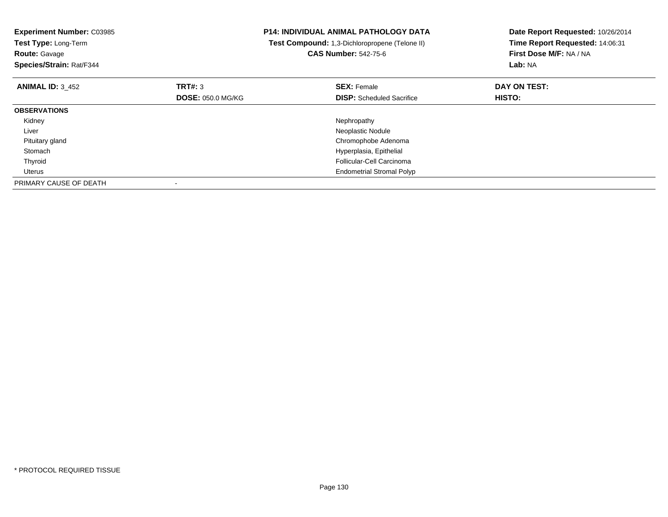| <b>Experiment Number: C03985</b><br>Test Type: Long-Term<br><b>Route: Gavage</b><br>Species/Strain: Rat/F344 |                          | <b>P14: INDIVIDUAL ANIMAL PATHOLOGY DATA</b><br>Test Compound: 1,3-Dichloropropene (Telone II)<br><b>CAS Number: 542-75-6</b> | Date Report Requested: 10/26/2014<br>Time Report Requested: 14:06:31<br>First Dose M/F: NA / NA<br>Lab: NA |
|--------------------------------------------------------------------------------------------------------------|--------------------------|-------------------------------------------------------------------------------------------------------------------------------|------------------------------------------------------------------------------------------------------------|
| <b>ANIMAL ID: 3 452</b>                                                                                      | TRT#: 3                  | <b>SEX: Female</b>                                                                                                            | DAY ON TEST:                                                                                               |
|                                                                                                              | <b>DOSE: 050.0 MG/KG</b> | <b>DISP:</b> Scheduled Sacrifice                                                                                              | HISTO:                                                                                                     |
| <b>OBSERVATIONS</b>                                                                                          |                          |                                                                                                                               |                                                                                                            |
| Kidney                                                                                                       |                          | Nephropathy                                                                                                                   |                                                                                                            |
| Liver                                                                                                        |                          | Neoplastic Nodule                                                                                                             |                                                                                                            |
| Pituitary gland                                                                                              |                          | Chromophobe Adenoma                                                                                                           |                                                                                                            |
| Stomach                                                                                                      |                          | Hyperplasia, Epithelial                                                                                                       |                                                                                                            |
| Thyroid                                                                                                      |                          | Follicular-Cell Carcinoma                                                                                                     |                                                                                                            |
| Uterus                                                                                                       |                          | <b>Endometrial Stromal Polyp</b>                                                                                              |                                                                                                            |
| PRIMARY CAUSE OF DEATH                                                                                       |                          |                                                                                                                               |                                                                                                            |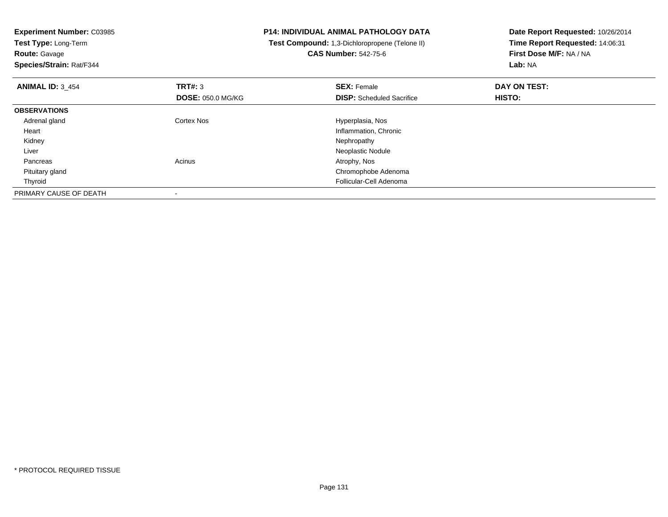**Experiment Number:** C03985**Test Type:** Long-Term**Route:** Gavage **Species/Strain:** Rat/F344**P14: INDIVIDUAL ANIMAL PATHOLOGY DATA Test Compound:** 1,3-Dichloropropene (Telone II)**CAS Number:** 542-75-6**Date Report Requested:** 10/26/2014**Time Report Requested:** 14:06:31**First Dose M/F:** NA / NA**Lab:** NA**ANIMAL ID:** 3\_454**TRT#:** 3 **SEX:** Female **DAY ON TEST: DOSE:** 050.0 MG/KG**DISP:** Scheduled Sacrifice **HISTO: OBSERVATIONS** Adrenal glandCortex Nos **Exercise Serverse Exercise Serverse Exercise Serverse Exercise Serverse Exercise Serverse Exercise**  Heart Inflammation, Chronic Kidneyy the control of the control of the control of the control of the control of the control of the control of the control of the control of the control of the control of the control of the control of the control of the contro Liver Neoplastic Nodule Pancreass and the contract of the contract of the contract of the contract of the contract  $\mathsf{A}$  at  $\mathsf{A}$  and  $\mathsf{A}$  and  $\mathsf{A}$  and  $\mathsf{A}$  and  $\mathsf{A}$  are contract of  $\mathsf{A}$  and  $\mathsf{A}$  and  $\mathsf{A}$  are contract of Pituitary gland Chromophobe Adenoma Thyroid Follicular-Cell Adenoma PRIMARY CAUSE OF DEATH-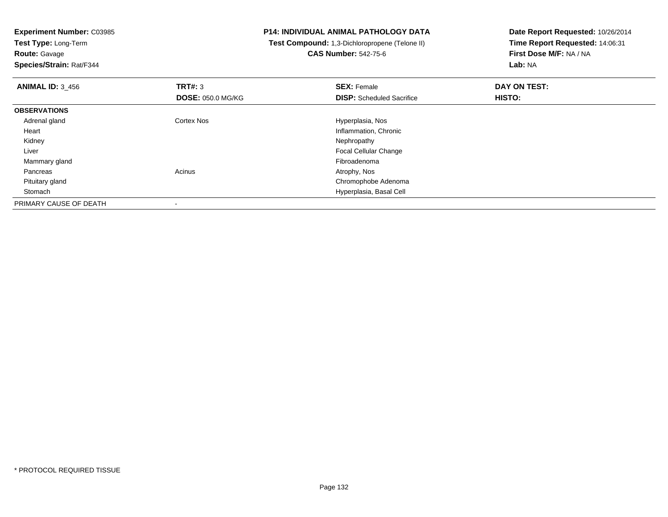**Test Type:** Long-Term**Route:** Gavage

**Species/Strain:** Rat/F344

## **P14: INDIVIDUAL ANIMAL PATHOLOGY DATA**

 **Test Compound:** 1,3-Dichloropropene (Telone II)**CAS Number:** 542-75-6

| <b>ANIMAL ID: 3 456</b> | TRT#: 3                  | <b>SEX: Female</b>               | DAY ON TEST: |  |
|-------------------------|--------------------------|----------------------------------|--------------|--|
|                         | <b>DOSE: 050.0 MG/KG</b> | <b>DISP:</b> Scheduled Sacrifice | HISTO:       |  |
| <b>OBSERVATIONS</b>     |                          |                                  |              |  |
| Adrenal gland           | <b>Cortex Nos</b>        | Hyperplasia, Nos                 |              |  |
| Heart                   |                          | Inflammation, Chronic            |              |  |
| Kidney                  |                          | Nephropathy                      |              |  |
| Liver                   |                          | <b>Focal Cellular Change</b>     |              |  |
| Mammary gland           |                          | Fibroadenoma                     |              |  |
| Pancreas                | Acinus                   | Atrophy, Nos                     |              |  |
| Pituitary gland         |                          | Chromophobe Adenoma              |              |  |
| Stomach                 |                          | Hyperplasia, Basal Cell          |              |  |
| PRIMARY CAUSE OF DEATH  |                          |                                  |              |  |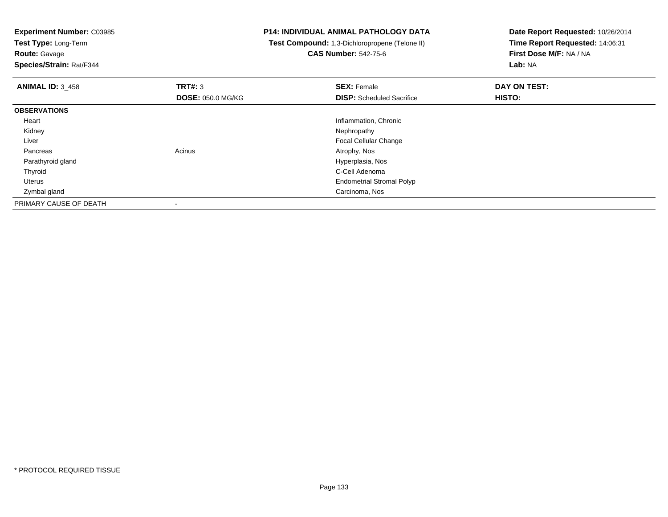**Test Type:** Long-Term**Route:** Gavage

**Species/Strain:** Rat/F344

### **P14: INDIVIDUAL ANIMAL PATHOLOGY DATA**

 **Test Compound:** 1,3-Dichloropropene (Telone II)**CAS Number:** 542-75-6

| <b>ANIMAL ID: 3_458</b> | TRT#: 3                  | <b>SEX: Female</b>               | DAY ON TEST: |  |
|-------------------------|--------------------------|----------------------------------|--------------|--|
|                         | <b>DOSE: 050.0 MG/KG</b> | <b>DISP:</b> Scheduled Sacrifice | HISTO:       |  |
| <b>OBSERVATIONS</b>     |                          |                                  |              |  |
| Heart                   |                          | Inflammation, Chronic            |              |  |
| Kidney                  |                          | Nephropathy                      |              |  |
| Liver                   |                          | Focal Cellular Change            |              |  |
| Pancreas                | Acinus                   | Atrophy, Nos                     |              |  |
| Parathyroid gland       |                          | Hyperplasia, Nos                 |              |  |
| Thyroid                 |                          | C-Cell Adenoma                   |              |  |
| Uterus                  |                          | <b>Endometrial Stromal Polyp</b> |              |  |
| Zymbal gland            |                          | Carcinoma, Nos                   |              |  |
| PRIMARY CAUSE OF DEATH  |                          |                                  |              |  |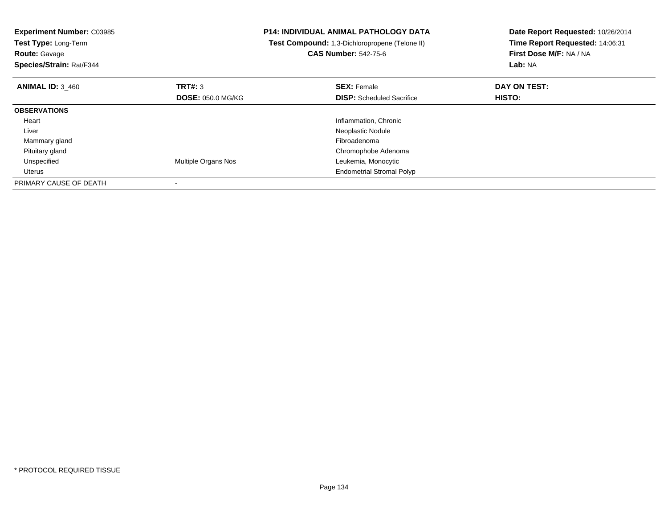| <b>Experiment Number: C03985</b><br>Test Type: Long-Term<br><b>Route: Gavage</b><br>Species/Strain: Rat/F344 |                            | <b>P14: INDIVIDUAL ANIMAL PATHOLOGY DATA</b><br>Test Compound: 1,3-Dichloropropene (Telone II)<br><b>CAS Number: 542-75-6</b> | Date Report Requested: 10/26/2014<br>Time Report Requested: 14:06:31<br>First Dose M/F: NA / NA<br>Lab: NA |
|--------------------------------------------------------------------------------------------------------------|----------------------------|-------------------------------------------------------------------------------------------------------------------------------|------------------------------------------------------------------------------------------------------------|
| <b>ANIMAL ID: 3 460</b>                                                                                      | TRT#: 3                    | <b>SEX: Female</b>                                                                                                            | DAY ON TEST:                                                                                               |
|                                                                                                              | <b>DOSE: 050.0 MG/KG</b>   | <b>DISP:</b> Scheduled Sacrifice                                                                                              | HISTO:                                                                                                     |
| <b>OBSERVATIONS</b>                                                                                          |                            |                                                                                                                               |                                                                                                            |
| Heart                                                                                                        |                            | Inflammation, Chronic                                                                                                         |                                                                                                            |
| Liver                                                                                                        |                            | Neoplastic Nodule                                                                                                             |                                                                                                            |
| Mammary gland                                                                                                |                            | Fibroadenoma                                                                                                                  |                                                                                                            |
| Pituitary gland                                                                                              |                            | Chromophobe Adenoma                                                                                                           |                                                                                                            |
| Unspecified                                                                                                  | <b>Multiple Organs Nos</b> | Leukemia, Monocytic                                                                                                           |                                                                                                            |
| Uterus                                                                                                       |                            | <b>Endometrial Stromal Polyp</b>                                                                                              |                                                                                                            |
| PRIMARY CAUSE OF DEATH                                                                                       |                            |                                                                                                                               |                                                                                                            |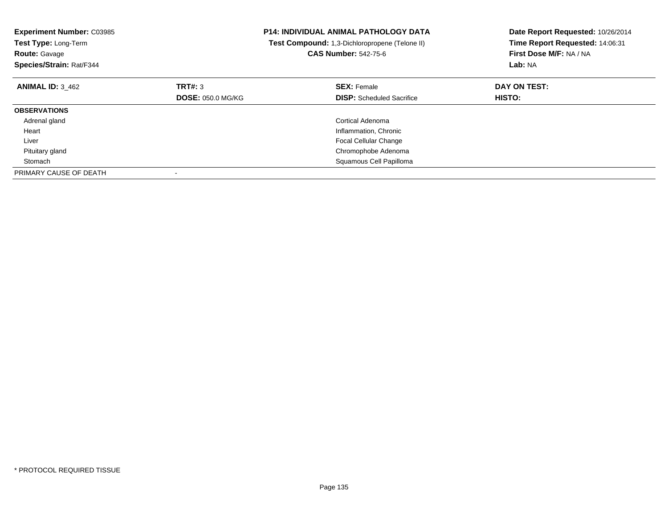| <b>Experiment Number: C03985</b><br>Test Type: Long-Term<br><b>Route: Gavage</b><br>Species/Strain: Rat/F344 |                          | <b>P14: INDIVIDUAL ANIMAL PATHOLOGY DATA</b><br>Test Compound: 1,3-Dichloropropene (Telone II)<br><b>CAS Number: 542-75-6</b> | Date Report Requested: 10/26/2014<br>Time Report Requested: 14:06:31<br>First Dose M/F: NA / NA<br>Lab: NA |
|--------------------------------------------------------------------------------------------------------------|--------------------------|-------------------------------------------------------------------------------------------------------------------------------|------------------------------------------------------------------------------------------------------------|
| <b>ANIMAL ID: 3 462</b>                                                                                      | TRT#: 3                  | <b>SEX: Female</b>                                                                                                            | DAY ON TEST:                                                                                               |
|                                                                                                              | <b>DOSE: 050.0 MG/KG</b> | <b>DISP:</b> Scheduled Sacrifice                                                                                              | HISTO:                                                                                                     |
| <b>OBSERVATIONS</b>                                                                                          |                          |                                                                                                                               |                                                                                                            |
| Adrenal gland                                                                                                |                          | Cortical Adenoma                                                                                                              |                                                                                                            |
| Heart                                                                                                        |                          | Inflammation, Chronic                                                                                                         |                                                                                                            |
| Liver                                                                                                        |                          | Focal Cellular Change                                                                                                         |                                                                                                            |
| Pituitary gland                                                                                              |                          | Chromophobe Adenoma                                                                                                           |                                                                                                            |
| Stomach                                                                                                      |                          | Squamous Cell Papilloma                                                                                                       |                                                                                                            |
| PRIMARY CAUSE OF DEATH                                                                                       |                          |                                                                                                                               |                                                                                                            |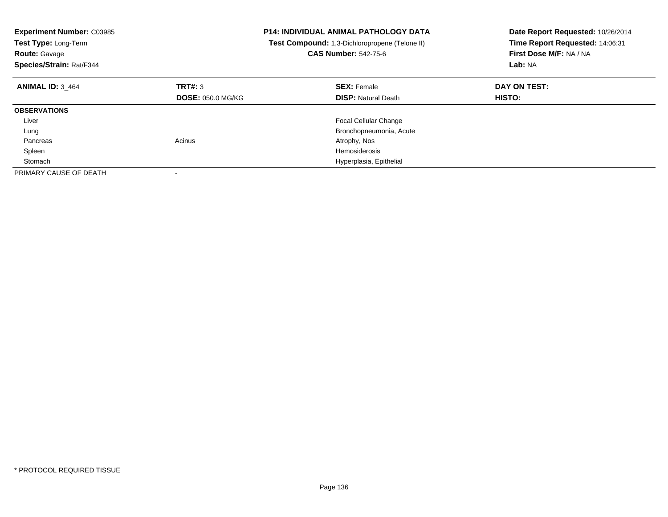| <b>Experiment Number: C03985</b><br>Test Type: Long-Term<br><b>Route: Gavage</b><br>Species/Strain: Rat/F344 |                          | <b>P14: INDIVIDUAL ANIMAL PATHOLOGY DATA</b><br>Test Compound: 1,3-Dichloropropene (Telone II)<br><b>CAS Number: 542-75-6</b> | Date Report Requested: 10/26/2014<br>Time Report Requested: 14:06:31<br>First Dose M/F: NA / NA<br>Lab: NA |
|--------------------------------------------------------------------------------------------------------------|--------------------------|-------------------------------------------------------------------------------------------------------------------------------|------------------------------------------------------------------------------------------------------------|
| <b>ANIMAL ID: 3 464</b>                                                                                      | TRT#: 3                  | <b>SEX: Female</b>                                                                                                            | DAY ON TEST:                                                                                               |
|                                                                                                              | <b>DOSE: 050.0 MG/KG</b> | <b>DISP:</b> Natural Death                                                                                                    | <b>HISTO:</b>                                                                                              |
| <b>OBSERVATIONS</b>                                                                                          |                          |                                                                                                                               |                                                                                                            |
| Liver                                                                                                        |                          | <b>Focal Cellular Change</b>                                                                                                  |                                                                                                            |
| Lung                                                                                                         |                          | Bronchopneumonia, Acute                                                                                                       |                                                                                                            |
| Pancreas                                                                                                     | Acinus                   | Atrophy, Nos                                                                                                                  |                                                                                                            |
| Spleen                                                                                                       |                          | Hemosiderosis                                                                                                                 |                                                                                                            |
| Stomach                                                                                                      |                          | Hyperplasia, Epithelial                                                                                                       |                                                                                                            |
| PRIMARY CAUSE OF DEATH                                                                                       |                          |                                                                                                                               |                                                                                                            |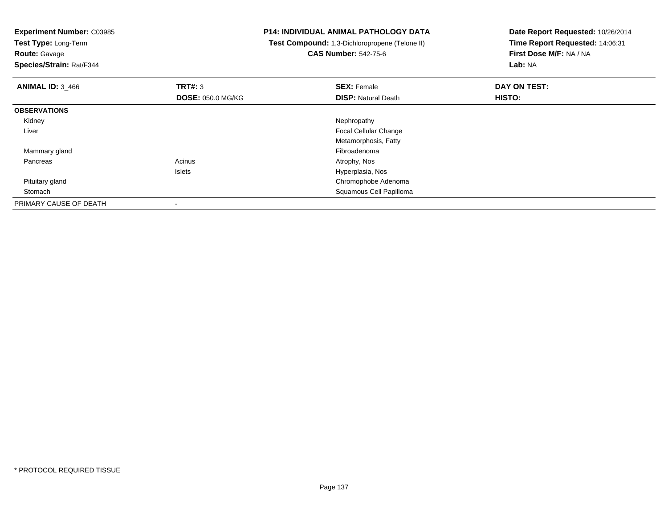**Experiment Number:** C03985**Test Type:** Long-Term**Route:** Gavage **Species/Strain:** Rat/F344**P14: INDIVIDUAL ANIMAL PATHOLOGY DATA Test Compound:** 1,3-Dichloropropene (Telone II)**CAS Number:** 542-75-6**Date Report Requested:** 10/26/2014**Time Report Requested:** 14:06:31**First Dose M/F:** NA / NA**Lab:** NA**ANIMAL ID:** 3\_466**6 DAY ON TEST: TRT#:** 3 **SEX: Female SEX: Female DAY ON TEST: DOSE:** 050.0 MG/KG**DISP:** Natural Death **HISTO: OBSERVATIONS** Kidneyy the control of the control of the control of the control of the control of the control of the control of the control of the control of the control of the control of the control of the control of the control of the contro Liver Focal Cellular Change Metamorphosis, Fatty Mammary glandd and the control of the control of the control of the control of the control of the control of the control of the control of the control of the control of the control of the control of the control of the control of the co Pancreass and the contract of the contract of the contract of the contract of the contract  $\mathsf{A}$  at  $\mathsf{A}$  and  $\mathsf{A}$  and  $\mathsf{A}$  and  $\mathsf{A}$  and  $\mathsf{A}$  are contract of  $\mathsf{A}$  and  $\mathsf{A}$  and  $\mathsf{A}$  are contract of Islets Hyperplasia, Nos Pituitary gland Chromophobe Adenoma Stomach Squamous Cell Papilloma PRIMARY CAUSE OF DEATH-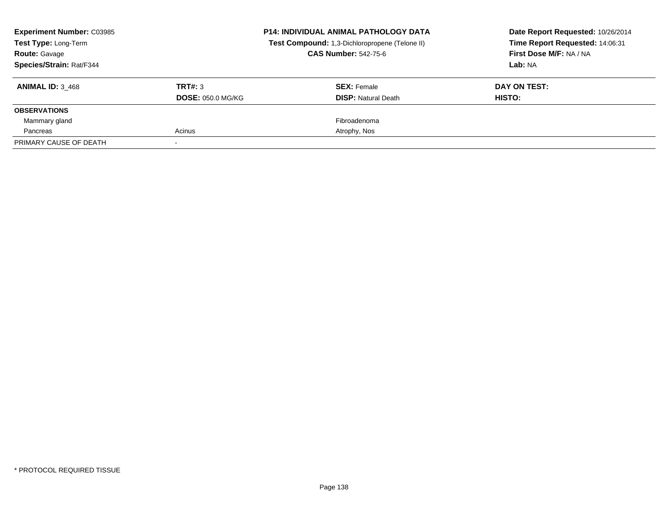| <b>Experiment Number: C03985</b><br><b>Test Type: Long-Term</b><br><b>Route: Gavage</b><br><b>Species/Strain: Rat/F344</b> |                                     | <b>P14: INDIVIDUAL ANIMAL PATHOLOGY DATA</b><br>Test Compound: 1,3-Dichloropropene (Telone II)<br><b>CAS Number: 542-75-6</b> | Date Report Requested: 10/26/2014<br>Time Report Requested: 14:06:31<br>First Dose M/F: NA / NA<br>Lab: NA |
|----------------------------------------------------------------------------------------------------------------------------|-------------------------------------|-------------------------------------------------------------------------------------------------------------------------------|------------------------------------------------------------------------------------------------------------|
| <b>ANIMAL ID: 3 468</b>                                                                                                    | TRT#: 3<br><b>DOSE: 050.0 MG/KG</b> | <b>SEX: Female</b><br><b>DISP:</b> Natural Death                                                                              | DAY ON TEST:<br>HISTO:                                                                                     |
| <b>OBSERVATIONS</b>                                                                                                        |                                     |                                                                                                                               |                                                                                                            |
| Mammary gland                                                                                                              |                                     | Fibroadenoma                                                                                                                  |                                                                                                            |
| Pancreas                                                                                                                   | Acinus                              | Atrophy, Nos                                                                                                                  |                                                                                                            |
| PRIMARY CAUSE OF DEATH                                                                                                     |                                     |                                                                                                                               |                                                                                                            |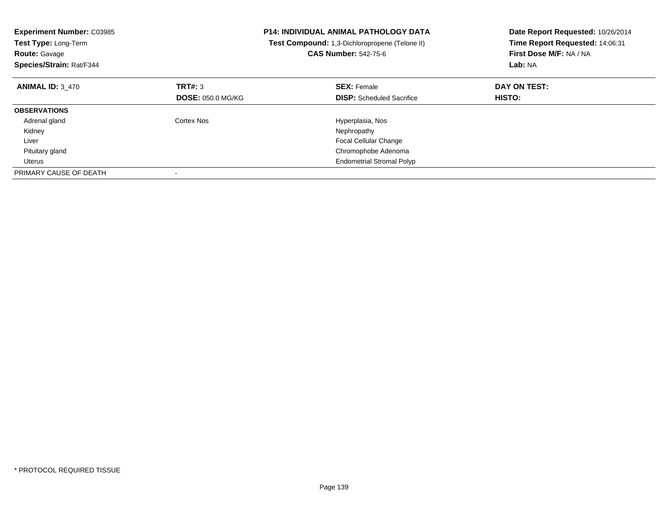| <b>Experiment Number: C03985</b><br>Test Type: Long-Term<br><b>Route: Gavage</b><br>Species/Strain: Rat/F344 |                          | <b>P14: INDIVIDUAL ANIMAL PATHOLOGY DATA</b><br>Test Compound: 1,3-Dichloropropene (Telone II)<br><b>CAS Number: 542-75-6</b> | Date Report Requested: 10/26/2014<br>Time Report Requested: 14:06:31<br>First Dose M/F: NA / NA<br>Lab: NA |
|--------------------------------------------------------------------------------------------------------------|--------------------------|-------------------------------------------------------------------------------------------------------------------------------|------------------------------------------------------------------------------------------------------------|
| <b>ANIMAL ID: 3 470</b>                                                                                      | TRT#: 3                  | <b>SEX: Female</b>                                                                                                            | DAY ON TEST:                                                                                               |
|                                                                                                              | <b>DOSE: 050.0 MG/KG</b> | <b>DISP:</b> Scheduled Sacrifice                                                                                              | HISTO:                                                                                                     |
| <b>OBSERVATIONS</b>                                                                                          |                          |                                                                                                                               |                                                                                                            |
| Adrenal gland                                                                                                | Cortex Nos               | Hyperplasia, Nos                                                                                                              |                                                                                                            |
| Kidney                                                                                                       |                          | Nephropathy                                                                                                                   |                                                                                                            |
| Liver                                                                                                        |                          | <b>Focal Cellular Change</b>                                                                                                  |                                                                                                            |
| Pituitary gland                                                                                              |                          | Chromophobe Adenoma                                                                                                           |                                                                                                            |
| Uterus                                                                                                       |                          | <b>Endometrial Stromal Polyp</b>                                                                                              |                                                                                                            |
| PRIMARY CAUSE OF DEATH                                                                                       |                          |                                                                                                                               |                                                                                                            |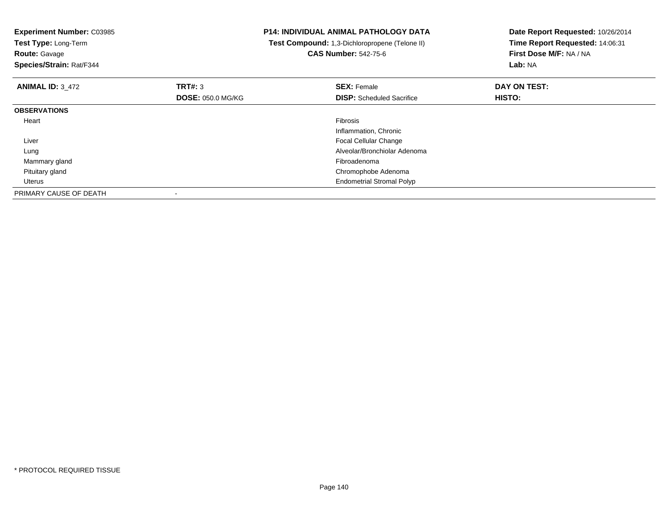| <b>Experiment Number: C03985</b><br>Test Type: Long-Term<br><b>Route: Gavage</b><br>Species/Strain: Rat/F344 |                          | <b>P14: INDIVIDUAL ANIMAL PATHOLOGY DATA</b><br>Test Compound: 1,3-Dichloropropene (Telone II)<br><b>CAS Number: 542-75-6</b> | Date Report Requested: 10/26/2014<br>Time Report Requested: 14:06:31<br>First Dose M/F: NA / NA<br>Lab: NA |
|--------------------------------------------------------------------------------------------------------------|--------------------------|-------------------------------------------------------------------------------------------------------------------------------|------------------------------------------------------------------------------------------------------------|
| <b>ANIMAL ID: 3 472</b>                                                                                      | TRT#: 3                  | <b>SEX: Female</b>                                                                                                            | DAY ON TEST:                                                                                               |
|                                                                                                              | <b>DOSE: 050.0 MG/KG</b> | <b>DISP:</b> Scheduled Sacrifice                                                                                              | HISTO:                                                                                                     |
| <b>OBSERVATIONS</b>                                                                                          |                          |                                                                                                                               |                                                                                                            |
| Heart                                                                                                        |                          | <b>Fibrosis</b>                                                                                                               |                                                                                                            |
|                                                                                                              |                          | Inflammation, Chronic                                                                                                         |                                                                                                            |
| Liver                                                                                                        |                          | Focal Cellular Change                                                                                                         |                                                                                                            |
| Lung                                                                                                         |                          | Alveolar/Bronchiolar Adenoma                                                                                                  |                                                                                                            |
| Mammary gland                                                                                                |                          | Fibroadenoma                                                                                                                  |                                                                                                            |
| Pituitary gland                                                                                              |                          | Chromophobe Adenoma                                                                                                           |                                                                                                            |
| Uterus                                                                                                       |                          | <b>Endometrial Stromal Polyp</b>                                                                                              |                                                                                                            |
| PRIMARY CAUSE OF DEATH                                                                                       |                          |                                                                                                                               |                                                                                                            |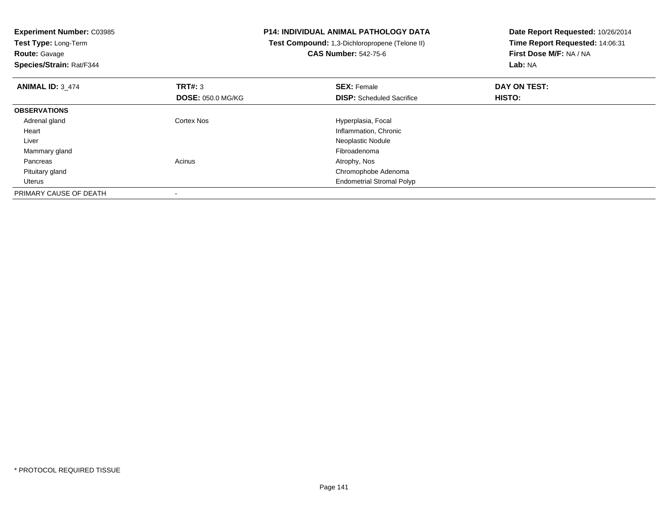| <b>Experiment Number: C03985</b> |                          | <b>P14: INDIVIDUAL ANIMAL PATHOLOGY DATA</b>   | Date Report Requested: 10/26/2014<br>Time Report Requested: 14:06:31 |  |
|----------------------------------|--------------------------|------------------------------------------------|----------------------------------------------------------------------|--|
| Test Type: Long-Term             |                          | Test Compound: 1,3-Dichloropropene (Telone II) |                                                                      |  |
| <b>Route: Gavage</b>             |                          | <b>CAS Number: 542-75-6</b>                    | First Dose M/F: NA / NA                                              |  |
| Species/Strain: Rat/F344         |                          |                                                | Lab: NA                                                              |  |
| <b>ANIMAL ID: 3 474</b>          | TRT#: 3                  | <b>SEX: Female</b>                             | DAY ON TEST:                                                         |  |
|                                  | <b>DOSE: 050.0 MG/KG</b> | <b>DISP:</b> Scheduled Sacrifice               | HISTO:                                                               |  |
| <b>OBSERVATIONS</b>              |                          |                                                |                                                                      |  |
| Adrenal gland                    | Cortex Nos               | Hyperplasia, Focal                             |                                                                      |  |
| Heart                            |                          | Inflammation, Chronic                          |                                                                      |  |
| Liver                            |                          | Neoplastic Nodule                              |                                                                      |  |
| Mammary gland                    |                          | Fibroadenoma                                   |                                                                      |  |
| Pancreas                         | Acinus                   | Atrophy, Nos                                   |                                                                      |  |
| Pituitary gland                  |                          | Chromophobe Adenoma                            |                                                                      |  |
| Uterus                           |                          | <b>Endometrial Stromal Polyp</b>               |                                                                      |  |
| PRIMARY CAUSE OF DEATH           |                          |                                                |                                                                      |  |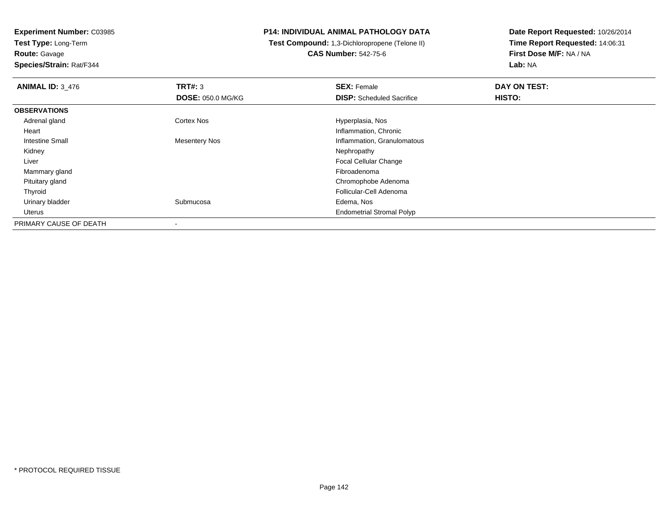**Experiment Number:** C03985**Test Type:** Long-Term

**Route:** Gavage

**Species/Strain:** Rat/F344

## **P14: INDIVIDUAL ANIMAL PATHOLOGY DATA**

 **Test Compound:** 1,3-Dichloropropene (Telone II)**CAS Number:** 542-75-6

| <b>ANIMAL ID: 3 476</b> | TRT#: 3                  | <b>SEX: Female</b>               | DAY ON TEST: |  |
|-------------------------|--------------------------|----------------------------------|--------------|--|
|                         | <b>DOSE: 050.0 MG/KG</b> | <b>DISP:</b> Scheduled Sacrifice | HISTO:       |  |
| <b>OBSERVATIONS</b>     |                          |                                  |              |  |
| Adrenal gland           | <b>Cortex Nos</b>        | Hyperplasia, Nos                 |              |  |
| Heart                   |                          | Inflammation, Chronic            |              |  |
| Intestine Small         | <b>Mesentery Nos</b>     | Inflammation, Granulomatous      |              |  |
| Kidney                  |                          | Nephropathy                      |              |  |
| Liver                   |                          | Focal Cellular Change            |              |  |
| Mammary gland           |                          | Fibroadenoma                     |              |  |
| Pituitary gland         |                          | Chromophobe Adenoma              |              |  |
| Thyroid                 |                          | Follicular-Cell Adenoma          |              |  |
| Urinary bladder         | Submucosa                | Edema, Nos                       |              |  |
| Uterus                  |                          | <b>Endometrial Stromal Polyp</b> |              |  |
| PRIMARY CAUSE OF DEATH  |                          |                                  |              |  |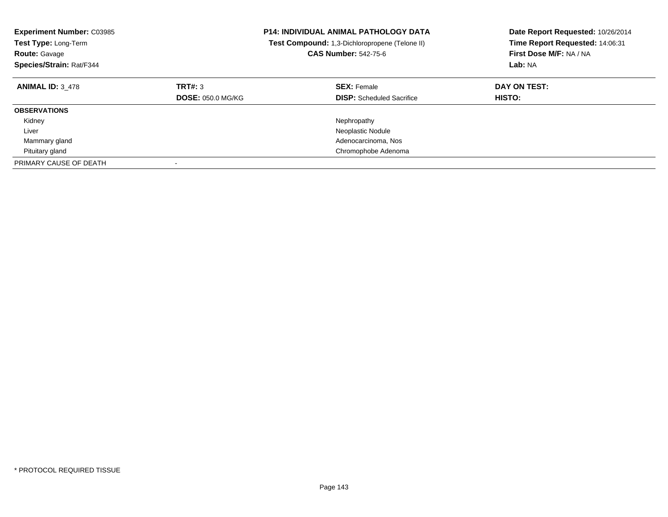| <b>Experiment Number: C03985</b><br><b>Test Type: Long-Term</b><br><b>Route: Gavage</b><br>Species/Strain: Rat/F344 |                                     | <b>P14: INDIVIDUAL ANIMAL PATHOLOGY DATA</b><br><b>Test Compound:</b> 1,3-Dichloropropene (Telone II)<br><b>CAS Number: 542-75-6</b> | Date Report Requested: 10/26/2014<br>Time Report Requested: 14:06:31<br>First Dose M/F: NA / NA<br>Lab: NA |
|---------------------------------------------------------------------------------------------------------------------|-------------------------------------|--------------------------------------------------------------------------------------------------------------------------------------|------------------------------------------------------------------------------------------------------------|
| <b>ANIMAL ID: 3 478</b>                                                                                             | TRT#: 3<br><b>DOSE: 050.0 MG/KG</b> | <b>SEX: Female</b><br><b>DISP:</b> Scheduled Sacrifice                                                                               | DAY ON TEST:<br><b>HISTO:</b>                                                                              |
| <b>OBSERVATIONS</b>                                                                                                 |                                     |                                                                                                                                      |                                                                                                            |
| Kidney                                                                                                              |                                     | Nephropathy                                                                                                                          |                                                                                                            |
| Liver                                                                                                               |                                     | Neoplastic Nodule                                                                                                                    |                                                                                                            |
| Mammary gland                                                                                                       |                                     | Adenocarcinoma, Nos                                                                                                                  |                                                                                                            |
| Pituitary gland                                                                                                     |                                     | Chromophobe Adenoma                                                                                                                  |                                                                                                            |
| PRIMARY CAUSE OF DEATH                                                                                              |                                     |                                                                                                                                      |                                                                                                            |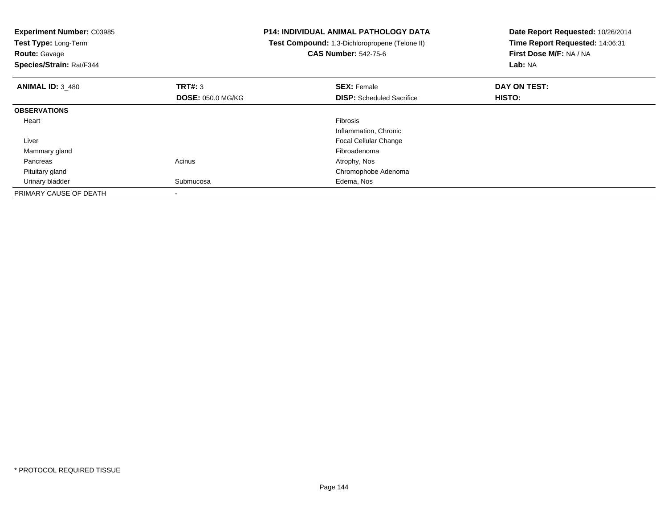| <b>Experiment Number: C03985</b><br>Test Type: Long-Term<br><b>Route: Gavage</b><br>Species/Strain: Rat/F344 |                          | <b>P14: INDIVIDUAL ANIMAL PATHOLOGY DATA</b><br>Test Compound: 1,3-Dichloropropene (Telone II)<br><b>CAS Number: 542-75-6</b> | Date Report Requested: 10/26/2014<br>Time Report Requested: 14:06:31<br>First Dose M/F: NA / NA<br>Lab: NA |
|--------------------------------------------------------------------------------------------------------------|--------------------------|-------------------------------------------------------------------------------------------------------------------------------|------------------------------------------------------------------------------------------------------------|
| <b>ANIMAL ID: 3 480</b>                                                                                      | TRT#: 3                  | <b>SEX: Female</b>                                                                                                            | DAY ON TEST:                                                                                               |
|                                                                                                              | <b>DOSE: 050.0 MG/KG</b> | <b>DISP:</b> Scheduled Sacrifice                                                                                              | HISTO:                                                                                                     |
| <b>OBSERVATIONS</b>                                                                                          |                          |                                                                                                                               |                                                                                                            |
| Heart                                                                                                        |                          | <b>Fibrosis</b>                                                                                                               |                                                                                                            |
|                                                                                                              |                          | Inflammation, Chronic                                                                                                         |                                                                                                            |
| Liver                                                                                                        |                          | Focal Cellular Change                                                                                                         |                                                                                                            |
| Mammary gland                                                                                                |                          | Fibroadenoma                                                                                                                  |                                                                                                            |
| Pancreas                                                                                                     | Acinus                   | Atrophy, Nos                                                                                                                  |                                                                                                            |
| Pituitary gland                                                                                              |                          | Chromophobe Adenoma                                                                                                           |                                                                                                            |
| Urinary bladder                                                                                              | Submucosa                | Edema, Nos                                                                                                                    |                                                                                                            |
| PRIMARY CAUSE OF DEATH                                                                                       |                          |                                                                                                                               |                                                                                                            |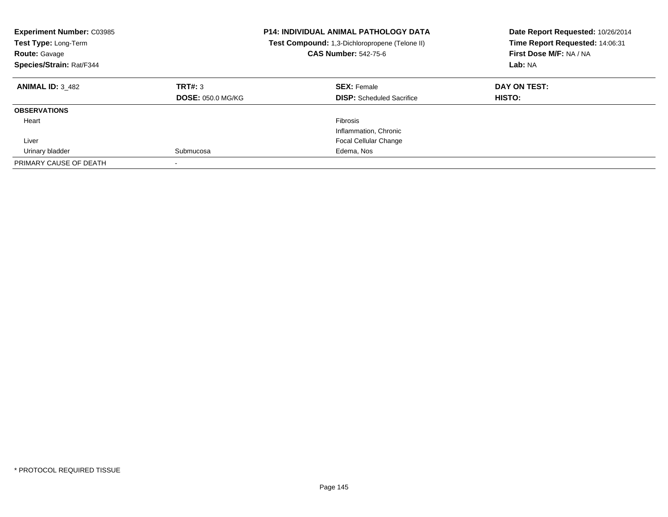| <b>Experiment Number: C03985</b><br>Test Type: Long-Term<br><b>Route: Gavage</b><br>Species/Strain: Rat/F344 |                                     | <b>P14: INDIVIDUAL ANIMAL PATHOLOGY DATA</b><br><b>Test Compound:</b> 1,3-Dichloropropene (Telone II)<br><b>CAS Number: 542-75-6</b> | Date Report Requested: 10/26/2014<br>Time Report Requested: 14:06:31<br>First Dose M/F: NA / NA<br>Lab: NA |
|--------------------------------------------------------------------------------------------------------------|-------------------------------------|--------------------------------------------------------------------------------------------------------------------------------------|------------------------------------------------------------------------------------------------------------|
| <b>ANIMAL ID: 3 482</b>                                                                                      | TRT#: 3<br><b>DOSE: 050.0 MG/KG</b> | <b>SEX: Female</b><br><b>DISP:</b> Scheduled Sacrifice                                                                               | DAY ON TEST:<br><b>HISTO:</b>                                                                              |
| <b>OBSERVATIONS</b>                                                                                          |                                     |                                                                                                                                      |                                                                                                            |
| Heart                                                                                                        |                                     | Fibrosis<br>Inflammation, Chronic                                                                                                    |                                                                                                            |
| Liver                                                                                                        |                                     | <b>Focal Cellular Change</b>                                                                                                         |                                                                                                            |
| Urinary bladder                                                                                              | Submucosa                           | Edema, Nos                                                                                                                           |                                                                                                            |
| PRIMARY CAUSE OF DEATH                                                                                       |                                     |                                                                                                                                      |                                                                                                            |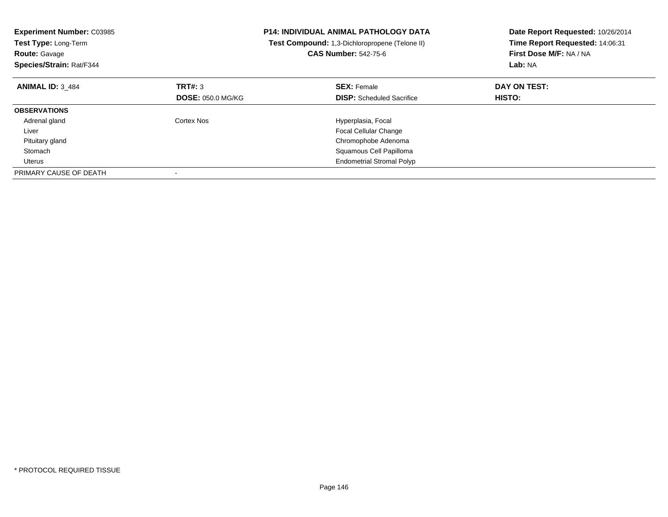| <b>Experiment Number: C03985</b><br>Test Type: Long-Term<br><b>Route: Gavage</b><br>Species/Strain: Rat/F344 |                          | <b>P14: INDIVIDUAL ANIMAL PATHOLOGY DATA</b><br>Test Compound: 1,3-Dichloropropene (Telone II)<br><b>CAS Number: 542-75-6</b> | Date Report Requested: 10/26/2014<br>Time Report Requested: 14:06:31<br>First Dose M/F: NA / NA<br>Lab: NA |
|--------------------------------------------------------------------------------------------------------------|--------------------------|-------------------------------------------------------------------------------------------------------------------------------|------------------------------------------------------------------------------------------------------------|
| <b>ANIMAL ID: 3 484</b>                                                                                      | TRT#: 3                  | <b>SEX: Female</b>                                                                                                            | DAY ON TEST:                                                                                               |
|                                                                                                              | <b>DOSE: 050.0 MG/KG</b> | <b>DISP:</b> Scheduled Sacrifice                                                                                              | HISTO:                                                                                                     |
| <b>OBSERVATIONS</b>                                                                                          |                          |                                                                                                                               |                                                                                                            |
| Adrenal gland                                                                                                | Cortex Nos               | Hyperplasia, Focal                                                                                                            |                                                                                                            |
| Liver                                                                                                        |                          | Focal Cellular Change                                                                                                         |                                                                                                            |
| Pituitary gland                                                                                              |                          | Chromophobe Adenoma                                                                                                           |                                                                                                            |
| Stomach                                                                                                      |                          | Squamous Cell Papilloma                                                                                                       |                                                                                                            |
| Uterus                                                                                                       |                          | <b>Endometrial Stromal Polyp</b>                                                                                              |                                                                                                            |
| PRIMARY CAUSE OF DEATH                                                                                       |                          |                                                                                                                               |                                                                                                            |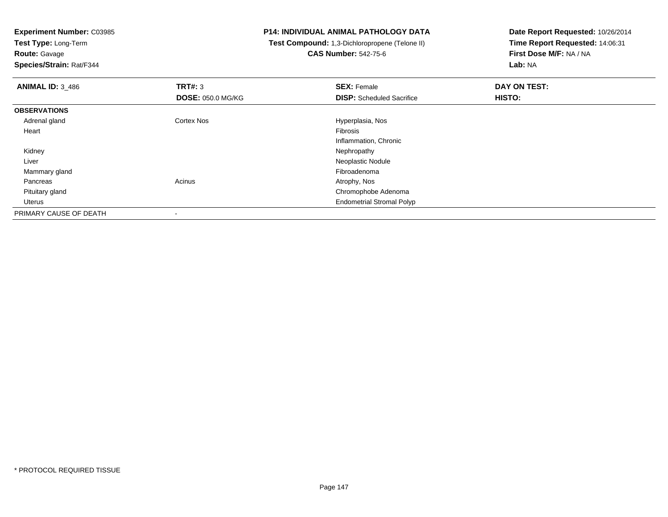**Experiment Number:** C03985

**Test Type:** Long-Term**Route:** Gavage

**Species/Strain:** Rat/F344

## **P14: INDIVIDUAL ANIMAL PATHOLOGY DATA**

 **Test Compound:** 1,3-Dichloropropene (Telone II)**CAS Number:** 542-75-6

**Date Report Requested:** 10/26/2014**Time Report Requested:** 14:06:31**First Dose M/F:** NA / NA**Lab:** NA

| <b>ANIMAL ID: 3_486</b> | TRT#: 3                  | <b>SEX: Female</b>               | DAY ON TEST: |  |
|-------------------------|--------------------------|----------------------------------|--------------|--|
|                         | <b>DOSE: 050.0 MG/KG</b> | <b>DISP:</b> Scheduled Sacrifice | HISTO:       |  |
| <b>OBSERVATIONS</b>     |                          |                                  |              |  |
| Adrenal gland           | <b>Cortex Nos</b>        | Hyperplasia, Nos                 |              |  |
| Heart                   |                          | Fibrosis                         |              |  |
|                         |                          | Inflammation, Chronic            |              |  |
| Kidney                  |                          | Nephropathy                      |              |  |
| Liver                   |                          | Neoplastic Nodule                |              |  |
| Mammary gland           |                          | Fibroadenoma                     |              |  |
| Pancreas                | Acinus                   | Atrophy, Nos                     |              |  |
| Pituitary gland         |                          | Chromophobe Adenoma              |              |  |
| Uterus                  |                          | <b>Endometrial Stromal Polyp</b> |              |  |
| PRIMARY CAUSE OF DEATH  |                          |                                  |              |  |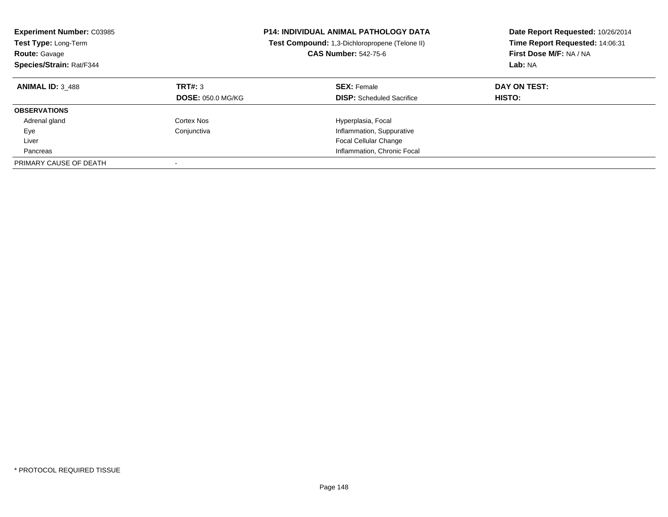| <b>Experiment Number: C03985</b><br>Test Type: Long-Term<br><b>Route: Gavage</b><br>Species/Strain: Rat/F344 |                                     | <b>P14: INDIVIDUAL ANIMAL PATHOLOGY DATA</b><br>Test Compound: 1,3-Dichloropropene (Telone II)<br><b>CAS Number: 542-75-6</b> | Date Report Requested: 10/26/2014<br>Time Report Requested: 14:06:31<br>First Dose M/F: NA / NA<br>Lab: NA |
|--------------------------------------------------------------------------------------------------------------|-------------------------------------|-------------------------------------------------------------------------------------------------------------------------------|------------------------------------------------------------------------------------------------------------|
| <b>ANIMAL ID: 3 488</b>                                                                                      | TRT#: 3<br><b>DOSE: 050.0 MG/KG</b> | <b>SEX: Female</b><br><b>DISP:</b> Scheduled Sacrifice                                                                        | DAY ON TEST:<br><b>HISTO:</b>                                                                              |
| <b>OBSERVATIONS</b>                                                                                          |                                     |                                                                                                                               |                                                                                                            |
| Adrenal gland                                                                                                | Cortex Nos                          | Hyperplasia, Focal                                                                                                            |                                                                                                            |
| Eye                                                                                                          | Conjunctiva                         | Inflammation, Suppurative                                                                                                     |                                                                                                            |
| Liver                                                                                                        |                                     | <b>Focal Cellular Change</b>                                                                                                  |                                                                                                            |
| Pancreas                                                                                                     |                                     | Inflammation, Chronic Focal                                                                                                   |                                                                                                            |
| PRIMARY CAUSE OF DEATH                                                                                       |                                     |                                                                                                                               |                                                                                                            |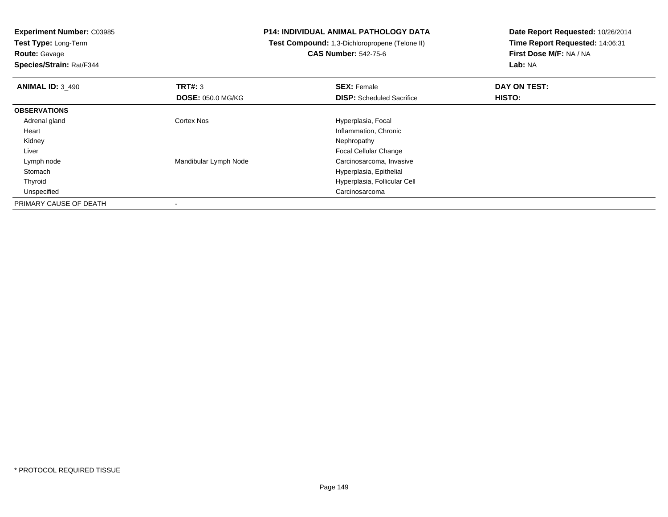**Experiment Number:** C03985

**Test Type:** Long-Term**Route:** Gavage

**Species/Strain:** Rat/F344

## **P14: INDIVIDUAL ANIMAL PATHOLOGY DATA**

 **Test Compound:** 1,3-Dichloropropene (Telone II)**CAS Number:** 542-75-6

**Date Report Requested:** 10/26/2014**Time Report Requested:** 14:06:31**First Dose M/F:** NA / NA**Lab:** NA

| <b>ANIMAL ID: 3_490</b> | TRT#: 3<br><b>DOSE: 050.0 MG/KG</b> | <b>SEX: Female</b><br><b>DISP:</b> Scheduled Sacrifice | DAY ON TEST:<br>HISTO: |  |
|-------------------------|-------------------------------------|--------------------------------------------------------|------------------------|--|
| <b>OBSERVATIONS</b>     |                                     |                                                        |                        |  |
| Adrenal gland           | <b>Cortex Nos</b>                   | Hyperplasia, Focal                                     |                        |  |
| Heart                   |                                     | Inflammation, Chronic                                  |                        |  |
| Kidney                  |                                     | Nephropathy                                            |                        |  |
| Liver                   |                                     | <b>Focal Cellular Change</b>                           |                        |  |
| Lymph node              | Mandibular Lymph Node               | Carcinosarcoma, Invasive                               |                        |  |
| Stomach                 |                                     | Hyperplasia, Epithelial                                |                        |  |
| Thyroid                 |                                     | Hyperplasia, Follicular Cell                           |                        |  |
| Unspecified             |                                     | Carcinosarcoma                                         |                        |  |
| PRIMARY CAUSE OF DEATH  |                                     |                                                        |                        |  |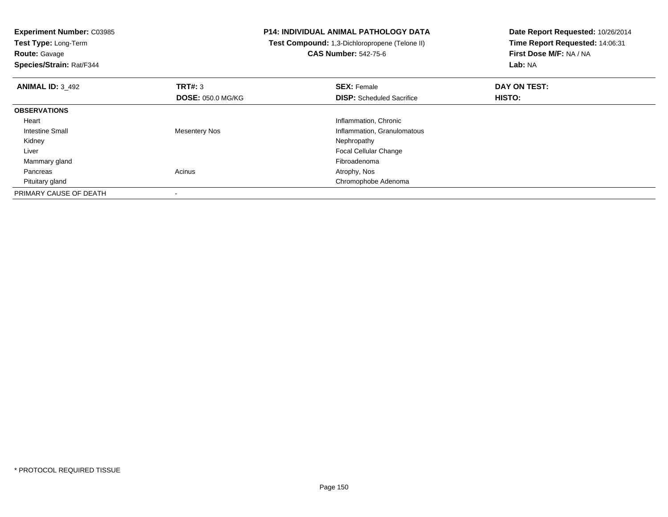| <b>Experiment Number: C03985</b><br>Test Type: Long-Term<br><b>Route: Gavage</b> |                          | <b>P14: INDIVIDUAL ANIMAL PATHOLOGY DATA</b><br>Test Compound: 1,3-Dichloropropene (Telone II)<br><b>CAS Number: 542-75-6</b> | Date Report Requested: 10/26/2014<br>Time Report Requested: 14:06:31<br>First Dose M/F: NA / NA |
|----------------------------------------------------------------------------------|--------------------------|-------------------------------------------------------------------------------------------------------------------------------|-------------------------------------------------------------------------------------------------|
| Species/Strain: Rat/F344                                                         |                          |                                                                                                                               | Lab: NA                                                                                         |
| <b>ANIMAL ID: 3 492</b>                                                          | <b>TRT#: 3</b>           | <b>SEX: Female</b>                                                                                                            | DAY ON TEST:                                                                                    |
|                                                                                  | <b>DOSE: 050.0 MG/KG</b> | <b>DISP:</b> Scheduled Sacrifice                                                                                              | HISTO:                                                                                          |
| <b>OBSERVATIONS</b>                                                              |                          |                                                                                                                               |                                                                                                 |
| Heart                                                                            |                          | Inflammation, Chronic                                                                                                         |                                                                                                 |
| Intestine Small                                                                  | Mesentery Nos            | Inflammation, Granulomatous                                                                                                   |                                                                                                 |
| Kidney                                                                           |                          | Nephropathy                                                                                                                   |                                                                                                 |
| Liver                                                                            |                          | Focal Cellular Change                                                                                                         |                                                                                                 |
| Mammary gland                                                                    |                          | Fibroadenoma                                                                                                                  |                                                                                                 |
| Pancreas                                                                         | Acinus                   | Atrophy, Nos                                                                                                                  |                                                                                                 |
| Pituitary gland                                                                  |                          | Chromophobe Adenoma                                                                                                           |                                                                                                 |
| PRIMARY CAUSE OF DEATH                                                           |                          |                                                                                                                               |                                                                                                 |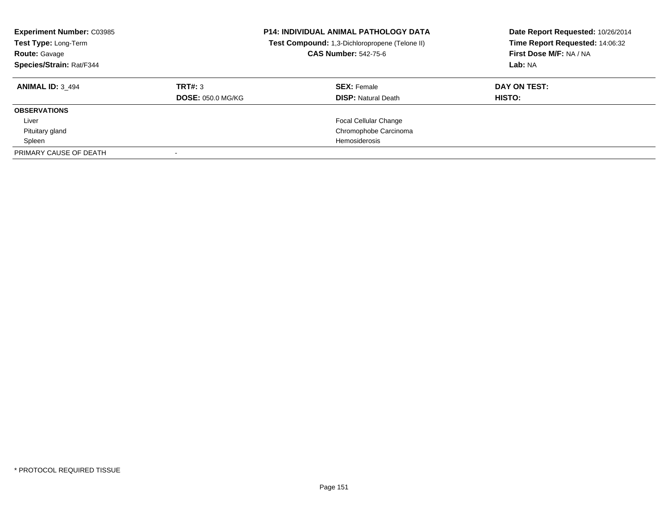| <b>Experiment Number: C03985</b><br>Test Type: Long-Term<br><b>Route: Gavage</b><br>Species/Strain: Rat/F344 |                          | <b>P14: INDIVIDUAL ANIMAL PATHOLOGY DATA</b><br>Test Compound: 1,3-Dichloropropene (Telone II)<br><b>CAS Number: 542-75-6</b> | Date Report Requested: 10/26/2014<br>Time Report Requested: 14:06:32<br>First Dose M/F: NA / NA<br>Lab: NA |
|--------------------------------------------------------------------------------------------------------------|--------------------------|-------------------------------------------------------------------------------------------------------------------------------|------------------------------------------------------------------------------------------------------------|
| <b>ANIMAL ID: 3 494</b>                                                                                      | TRT#: 3                  | <b>SEX: Female</b>                                                                                                            | DAY ON TEST:                                                                                               |
|                                                                                                              | <b>DOSE: 050.0 MG/KG</b> | <b>DISP: Natural Death</b>                                                                                                    | HISTO:                                                                                                     |
| <b>OBSERVATIONS</b>                                                                                          |                          |                                                                                                                               |                                                                                                            |
| Liver                                                                                                        |                          | <b>Focal Cellular Change</b>                                                                                                  |                                                                                                            |
| Pituitary gland                                                                                              |                          | Chromophobe Carcinoma                                                                                                         |                                                                                                            |
| Spleen                                                                                                       |                          | Hemosiderosis                                                                                                                 |                                                                                                            |
| PRIMARY CAUSE OF DEATH                                                                                       |                          |                                                                                                                               |                                                                                                            |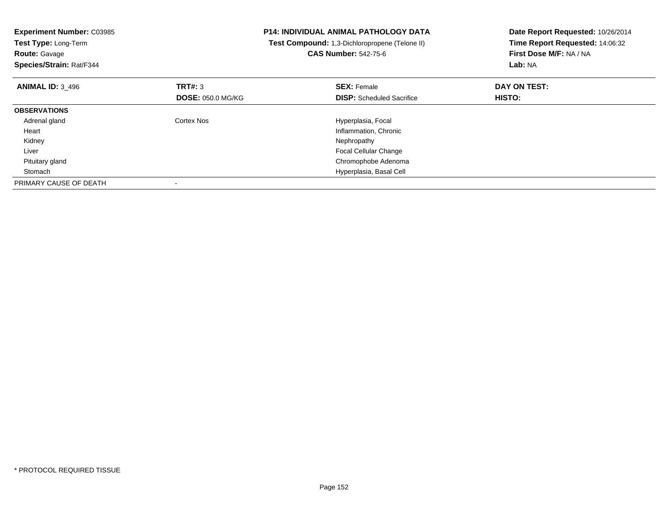| <b>Experiment Number: C03985</b><br><b>Test Type: Long-Term</b><br><b>Route: Gavage</b><br>Species/Strain: Rat/F344 |                          | <b>P14: INDIVIDUAL ANIMAL PATHOLOGY DATA</b><br>Test Compound: 1,3-Dichloropropene (Telone II)<br><b>CAS Number: 542-75-6</b> | Date Report Requested: 10/26/2014<br>Time Report Requested: 14:06:32<br>First Dose M/F: NA / NA<br>Lab: NA |
|---------------------------------------------------------------------------------------------------------------------|--------------------------|-------------------------------------------------------------------------------------------------------------------------------|------------------------------------------------------------------------------------------------------------|
| <b>ANIMAL ID: 3 496</b>                                                                                             | TRT#: 3                  | <b>SEX: Female</b>                                                                                                            | DAY ON TEST:                                                                                               |
|                                                                                                                     | <b>DOSE: 050.0 MG/KG</b> | <b>DISP:</b> Scheduled Sacrifice                                                                                              | <b>HISTO:</b>                                                                                              |
| <b>OBSERVATIONS</b>                                                                                                 |                          |                                                                                                                               |                                                                                                            |
| Adrenal gland                                                                                                       | Cortex Nos               | Hyperplasia, Focal                                                                                                            |                                                                                                            |
| Heart                                                                                                               |                          | Inflammation, Chronic                                                                                                         |                                                                                                            |
| Kidney                                                                                                              |                          | Nephropathy                                                                                                                   |                                                                                                            |
| Liver                                                                                                               |                          | <b>Focal Cellular Change</b>                                                                                                  |                                                                                                            |
| Pituitary gland                                                                                                     |                          | Chromophobe Adenoma                                                                                                           |                                                                                                            |
| Stomach                                                                                                             |                          | Hyperplasia, Basal Cell                                                                                                       |                                                                                                            |
| PRIMARY CAUSE OF DEATH                                                                                              |                          |                                                                                                                               |                                                                                                            |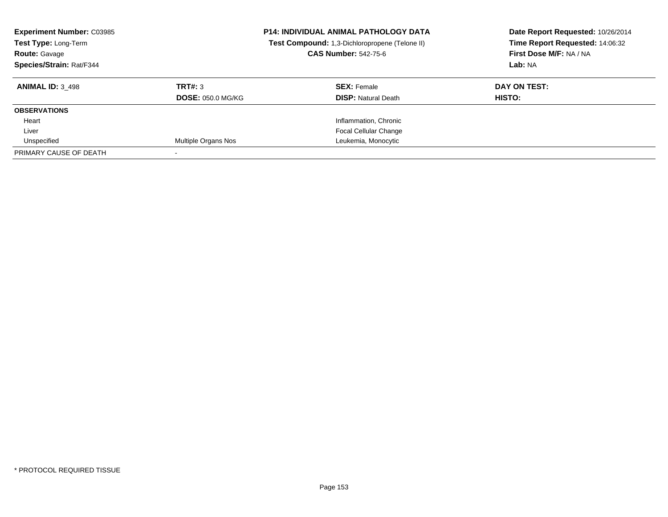| <b>Experiment Number: C03985</b><br>Test Type: Long-Term<br>Route: Gavage<br>Species/Strain: Rat/F344 |                          | <b>P14: INDIVIDUAL ANIMAL PATHOLOGY DATA</b><br>Test Compound: 1,3-Dichloropropene (Telone II)<br><b>CAS Number: 542-75-6</b> | Date Report Requested: 10/26/2014<br>Time Report Requested: 14:06:32<br>First Dose M/F: NA / NA<br>Lab: NA |
|-------------------------------------------------------------------------------------------------------|--------------------------|-------------------------------------------------------------------------------------------------------------------------------|------------------------------------------------------------------------------------------------------------|
| <b>ANIMAL ID: 3 498</b>                                                                               | TRT#: 3                  | <b>SEX: Female</b>                                                                                                            | DAY ON TEST:                                                                                               |
|                                                                                                       | <b>DOSE: 050.0 MG/KG</b> | <b>DISP:</b> Natural Death                                                                                                    | <b>HISTO:</b>                                                                                              |
| <b>OBSERVATIONS</b>                                                                                   |                          |                                                                                                                               |                                                                                                            |
| Heart                                                                                                 |                          | Inflammation, Chronic                                                                                                         |                                                                                                            |
| Liver                                                                                                 |                          | <b>Focal Cellular Change</b>                                                                                                  |                                                                                                            |
| Unspecified                                                                                           | Multiple Organs Nos      | Leukemia, Monocytic                                                                                                           |                                                                                                            |
| PRIMARY CAUSE OF DEATH                                                                                |                          |                                                                                                                               |                                                                                                            |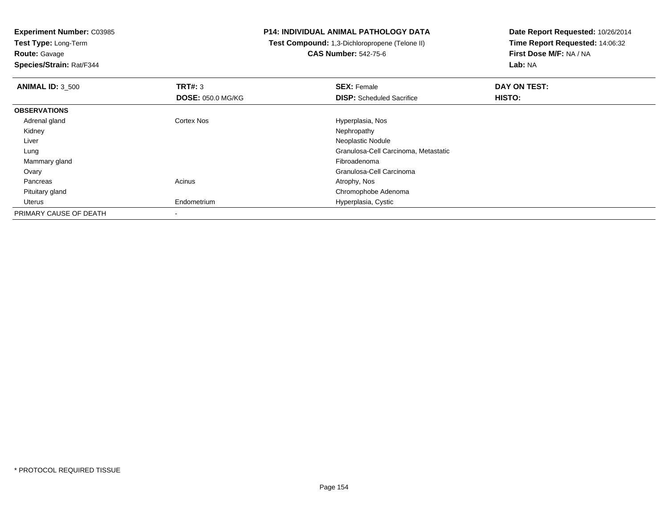**Experiment Number:** C03985

**Test Type:** Long-Term**Route:** Gavage

**Species/Strain:** Rat/F344

## **P14: INDIVIDUAL ANIMAL PATHOLOGY DATA**

 **Test Compound:** 1,3-Dichloropropene (Telone II)**CAS Number:** 542-75-6

**Date Report Requested:** 10/26/2014 **Time Report Requested:** 14:06:32**First Dose M/F:** NA / NA**Lab:** NA

| <b>ANIMAL ID: 3 500</b> | TRT#: 3                  | <b>SEX: Female</b>                   | DAY ON TEST: |  |  |
|-------------------------|--------------------------|--------------------------------------|--------------|--|--|
|                         | <b>DOSE: 050.0 MG/KG</b> | <b>DISP:</b> Scheduled Sacrifice     | HISTO:       |  |  |
| <b>OBSERVATIONS</b>     |                          |                                      |              |  |  |
| Adrenal gland           | <b>Cortex Nos</b>        | Hyperplasia, Nos                     |              |  |  |
| Kidney                  |                          | Nephropathy                          |              |  |  |
| Liver                   |                          | Neoplastic Nodule                    |              |  |  |
| Lung                    |                          | Granulosa-Cell Carcinoma, Metastatic |              |  |  |
| Mammary gland           |                          | Fibroadenoma                         |              |  |  |
| Ovary                   |                          | Granulosa-Cell Carcinoma             |              |  |  |
| Pancreas                | Acinus                   | Atrophy, Nos                         |              |  |  |
| Pituitary gland         |                          | Chromophobe Adenoma                  |              |  |  |
| Uterus                  | Endometrium              | Hyperplasia, Cystic                  |              |  |  |
| PRIMARY CAUSE OF DEATH  |                          |                                      |              |  |  |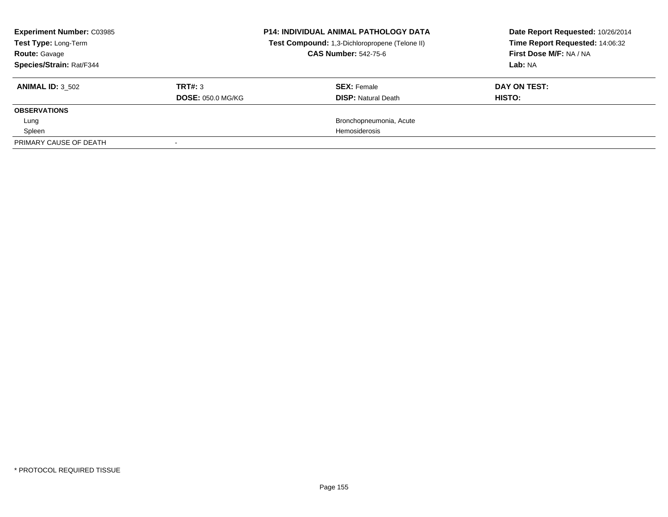| <b>Experiment Number: C03985</b><br>Test Type: Long-Term<br><b>Route: Gavage</b><br>Species/Strain: Rat/F344 |                                     | <b>P14: INDIVIDUAL ANIMAL PATHOLOGY DATA</b><br>Test Compound: 1,3-Dichloropropene (Telone II)<br><b>CAS Number: 542-75-6</b> | Date Report Requested: 10/26/2014<br>Time Report Requested: 14:06:32<br>First Dose M/F: NA / NA<br>Lab: NA |
|--------------------------------------------------------------------------------------------------------------|-------------------------------------|-------------------------------------------------------------------------------------------------------------------------------|------------------------------------------------------------------------------------------------------------|
| <b>ANIMAL ID: 3 502</b>                                                                                      | TRT#: 3<br><b>DOSE: 050.0 MG/KG</b> | <b>SEX: Female</b><br><b>DISP:</b> Natural Death                                                                              | DAY ON TEST:<br><b>HISTO:</b>                                                                              |
| <b>OBSERVATIONS</b>                                                                                          |                                     |                                                                                                                               |                                                                                                            |
| Lung                                                                                                         |                                     | Bronchopneumonia, Acute                                                                                                       |                                                                                                            |
| Spleen                                                                                                       |                                     | Hemosiderosis                                                                                                                 |                                                                                                            |
| PRIMARY CAUSE OF DEATH                                                                                       |                                     |                                                                                                                               |                                                                                                            |